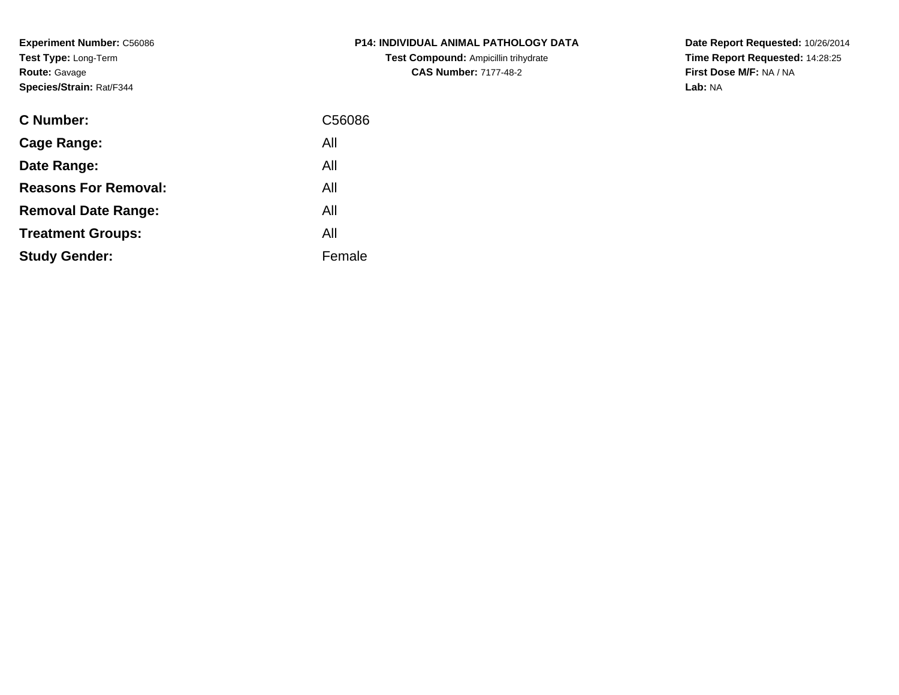**Experiment Number:** C56086**Test Type:** Long-Term**Route:** Gavage**Species/Strain:** Rat/F344

| P14: INDIVIDUAL ANIMAL PATHOLOGY DATA       |
|---------------------------------------------|
| <b>Test Compound: Ampicillin trihydrate</b> |
| <b>CAS Number: 7177-48-2</b>                |

| <b>C</b> Number:            | C56086 |
|-----------------------------|--------|
| Cage Range:                 | All    |
| Date Range:                 | All    |
| <b>Reasons For Removal:</b> | All    |
| <b>Removal Date Range:</b>  | All    |
| <b>Treatment Groups:</b>    | All    |
| <b>Study Gender:</b>        | Female |
|                             |        |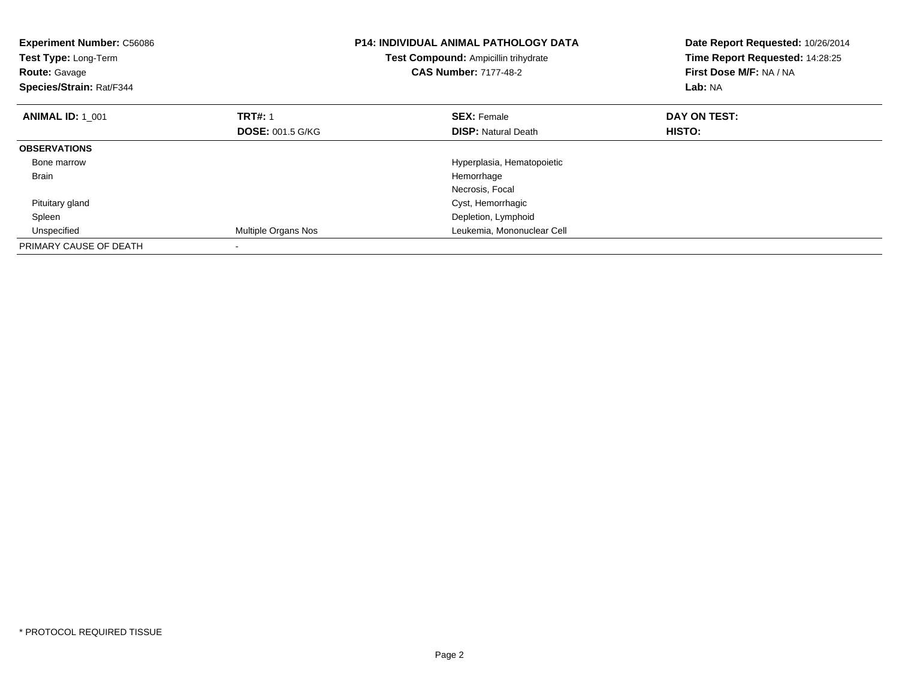| <b>Experiment Number: C56086</b><br>Test Type: Long-Term<br><b>Route: Gavage</b><br>Species/Strain: Rat/F344 |                         | <b>P14: INDIVIDUAL ANIMAL PATHOLOGY DATA</b><br>Date Report Requested: 10/26/2014<br>Time Report Requested: 14:28:25<br>Test Compound: Ampicillin trihydrate<br>First Dose M/F: NA / NA<br><b>CAS Number: 7177-48-2</b><br>Lab: NA |               |
|--------------------------------------------------------------------------------------------------------------|-------------------------|------------------------------------------------------------------------------------------------------------------------------------------------------------------------------------------------------------------------------------|---------------|
| <b>ANIMAL ID: 1 001</b>                                                                                      | <b>TRT#: 1</b>          | <b>SEX: Female</b>                                                                                                                                                                                                                 | DAY ON TEST:  |
|                                                                                                              | <b>DOSE: 001.5 G/KG</b> | <b>DISP: Natural Death</b>                                                                                                                                                                                                         | <b>HISTO:</b> |
| <b>OBSERVATIONS</b>                                                                                          |                         |                                                                                                                                                                                                                                    |               |
| Bone marrow                                                                                                  |                         | Hyperplasia, Hematopoietic                                                                                                                                                                                                         |               |
| <b>Brain</b>                                                                                                 |                         | Hemorrhage                                                                                                                                                                                                                         |               |
|                                                                                                              |                         | Necrosis, Focal                                                                                                                                                                                                                    |               |
| Pituitary gland                                                                                              |                         | Cyst, Hemorrhagic                                                                                                                                                                                                                  |               |
| Spleen                                                                                                       |                         | Depletion, Lymphoid                                                                                                                                                                                                                |               |
| Unspecified                                                                                                  | Multiple Organs Nos     | Leukemia, Mononuclear Cell                                                                                                                                                                                                         |               |
| PRIMARY CAUSE OF DEATH                                                                                       |                         |                                                                                                                                                                                                                                    |               |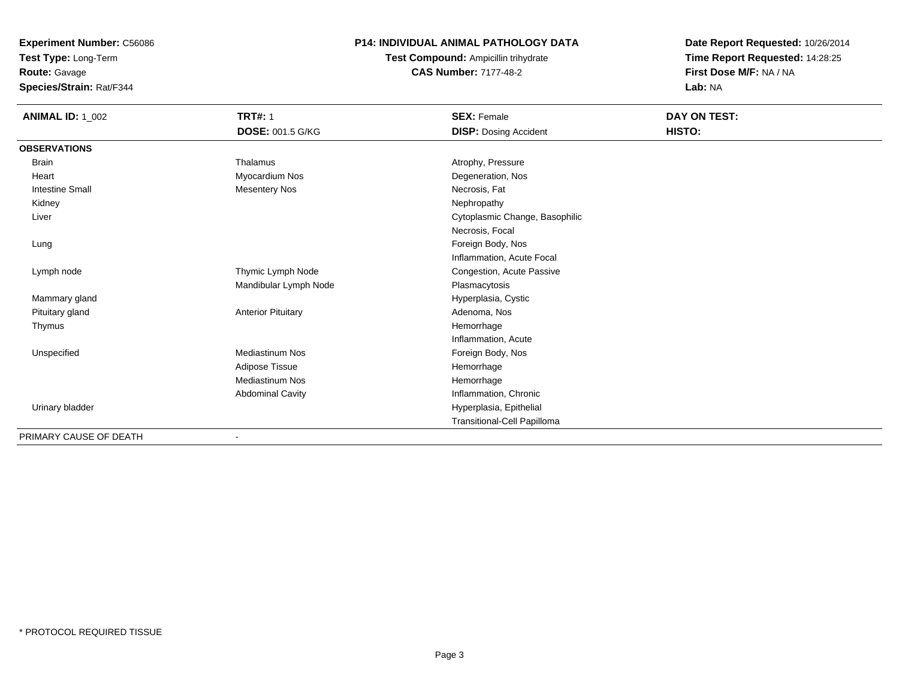**Test Type:** Long-Term

# **Route:** Gavage

**Species/Strain:** Rat/F344

### **P14: INDIVIDUAL ANIMAL PATHOLOGY DATA**

# **Test Compound:** Ampicillin trihydrate**CAS Number:** 7177-48-2

| <b>ANIMAL ID: 1_002</b> | <b>TRT#: 1</b>            | <b>SEX: Female</b>             | DAY ON TEST: |
|-------------------------|---------------------------|--------------------------------|--------------|
|                         | <b>DOSE: 001.5 G/KG</b>   | <b>DISP: Dosing Accident</b>   | HISTO:       |
| <b>OBSERVATIONS</b>     |                           |                                |              |
| <b>Brain</b>            | Thalamus                  | Atrophy, Pressure              |              |
| Heart                   | Myocardium Nos            | Degeneration, Nos              |              |
| <b>Intestine Small</b>  | <b>Mesentery Nos</b>      | Necrosis, Fat                  |              |
| Kidney                  |                           | Nephropathy                    |              |
| Liver                   |                           | Cytoplasmic Change, Basophilic |              |
|                         |                           | Necrosis, Focal                |              |
| Lung                    |                           | Foreign Body, Nos              |              |
|                         |                           | Inflammation, Acute Focal      |              |
| Lymph node              | Thymic Lymph Node         | Congestion, Acute Passive      |              |
|                         | Mandibular Lymph Node     | Plasmacytosis                  |              |
| Mammary gland           |                           | Hyperplasia, Cystic            |              |
| Pituitary gland         | <b>Anterior Pituitary</b> | Adenoma, Nos                   |              |
| Thymus                  |                           | Hemorrhage                     |              |
|                         |                           | Inflammation, Acute            |              |
| Unspecified             | <b>Mediastinum Nos</b>    | Foreign Body, Nos              |              |
|                         | Adipose Tissue            | Hemorrhage                     |              |
|                         | <b>Mediastinum Nos</b>    | Hemorrhage                     |              |
|                         | <b>Abdominal Cavity</b>   | Inflammation, Chronic          |              |
| Urinary bladder         |                           | Hyperplasia, Epithelial        |              |
|                         |                           | Transitional-Cell Papilloma    |              |
| PRIMARY CAUSE OF DEATH  |                           |                                |              |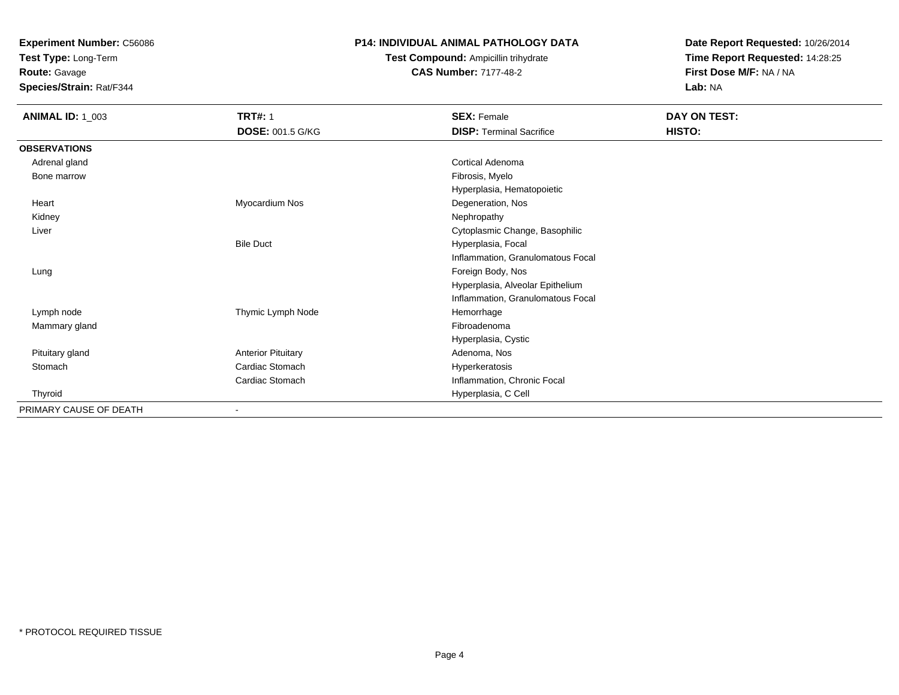**Test Type:** Long-Term

**Route:** Gavage

**Species/Strain:** Rat/F344

#### **P14: INDIVIDUAL ANIMAL PATHOLOGY DATA**

**Test Compound:** Ampicillin trihydrate**CAS Number:** 7177-48-2

| <b>ANIMAL ID: 1_003</b> | <b>TRT#: 1</b>            | <b>SEX: Female</b>                | DAY ON TEST: |
|-------------------------|---------------------------|-----------------------------------|--------------|
|                         | <b>DOSE: 001.5 G/KG</b>   | <b>DISP: Terminal Sacrifice</b>   | HISTO:       |
| <b>OBSERVATIONS</b>     |                           |                                   |              |
| Adrenal gland           |                           | Cortical Adenoma                  |              |
| Bone marrow             |                           | Fibrosis, Myelo                   |              |
|                         |                           | Hyperplasia, Hematopoietic        |              |
| Heart                   | Myocardium Nos            | Degeneration, Nos                 |              |
| Kidney                  |                           | Nephropathy                       |              |
| Liver                   |                           | Cytoplasmic Change, Basophilic    |              |
|                         | <b>Bile Duct</b>          | Hyperplasia, Focal                |              |
|                         |                           | Inflammation, Granulomatous Focal |              |
| Lung                    |                           | Foreign Body, Nos                 |              |
|                         |                           | Hyperplasia, Alveolar Epithelium  |              |
|                         |                           | Inflammation, Granulomatous Focal |              |
| Lymph node              | Thymic Lymph Node         | Hemorrhage                        |              |
| Mammary gland           |                           | Fibroadenoma                      |              |
|                         |                           | Hyperplasia, Cystic               |              |
| Pituitary gland         | <b>Anterior Pituitary</b> | Adenoma, Nos                      |              |
| Stomach                 | Cardiac Stomach           | Hyperkeratosis                    |              |
|                         | Cardiac Stomach           | Inflammation, Chronic Focal       |              |
| Thyroid                 |                           | Hyperplasia, C Cell               |              |
| PRIMARY CAUSE OF DEATH  | $\blacksquare$            |                                   |              |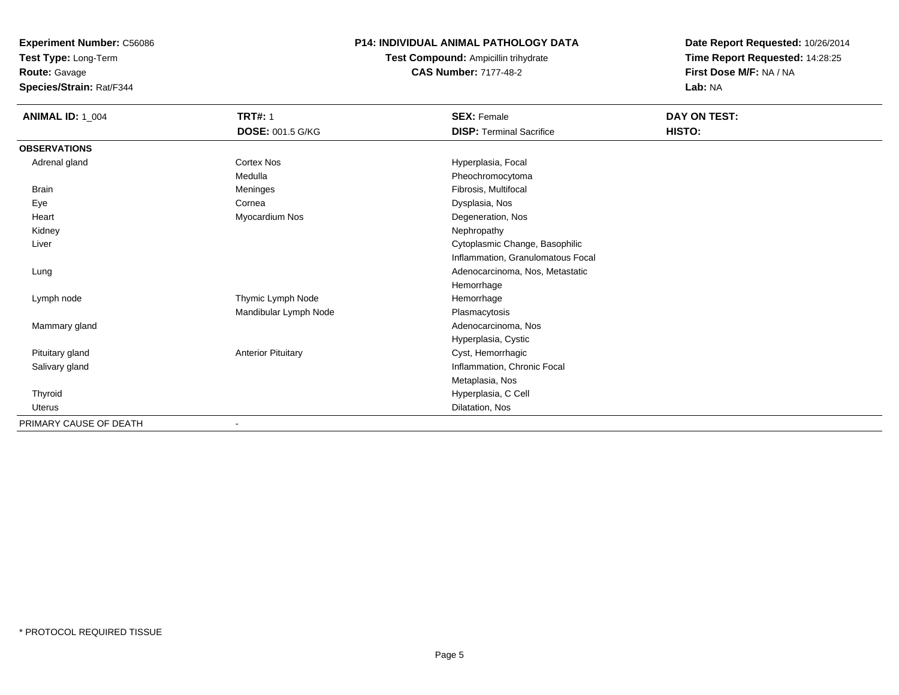**Test Type:** Long-Term

**Route:** Gavage

**Species/Strain:** Rat/F344

### **P14: INDIVIDUAL ANIMAL PATHOLOGY DATA**

**Test Compound:** Ampicillin trihydrate**CAS Number:** 7177-48-2

| <b>ANIMAL ID: 1_004</b> | <b>TRT#: 1</b><br><b>DOSE: 001.5 G/KG</b> | <b>SEX: Female</b><br><b>DISP: Terminal Sacrifice</b> | DAY ON TEST:<br>HISTO: |
|-------------------------|-------------------------------------------|-------------------------------------------------------|------------------------|
| <b>OBSERVATIONS</b>     |                                           |                                                       |                        |
| Adrenal gland           | Cortex Nos                                | Hyperplasia, Focal                                    |                        |
|                         | Medulla                                   | Pheochromocytoma                                      |                        |
| <b>Brain</b>            | Meninges                                  | Fibrosis, Multifocal                                  |                        |
| Eye                     | Cornea                                    | Dysplasia, Nos                                        |                        |
| Heart                   | Myocardium Nos                            | Degeneration, Nos                                     |                        |
| Kidney                  |                                           | Nephropathy                                           |                        |
| Liver                   |                                           | Cytoplasmic Change, Basophilic                        |                        |
|                         |                                           | Inflammation, Granulomatous Focal                     |                        |
| Lung                    |                                           | Adenocarcinoma, Nos, Metastatic                       |                        |
|                         |                                           | Hemorrhage                                            |                        |
| Lymph node              | Thymic Lymph Node                         | Hemorrhage                                            |                        |
|                         | Mandibular Lymph Node                     | Plasmacytosis                                         |                        |
| Mammary gland           |                                           | Adenocarcinoma, Nos                                   |                        |
|                         |                                           | Hyperplasia, Cystic                                   |                        |
| Pituitary gland         | <b>Anterior Pituitary</b>                 | Cyst, Hemorrhagic                                     |                        |
| Salivary gland          |                                           | Inflammation, Chronic Focal                           |                        |
|                         |                                           | Metaplasia, Nos                                       |                        |
| Thyroid                 |                                           | Hyperplasia, C Cell                                   |                        |
| Uterus                  |                                           | Dilatation, Nos                                       |                        |
| PRIMARY CAUSE OF DEATH  | ٠                                         |                                                       |                        |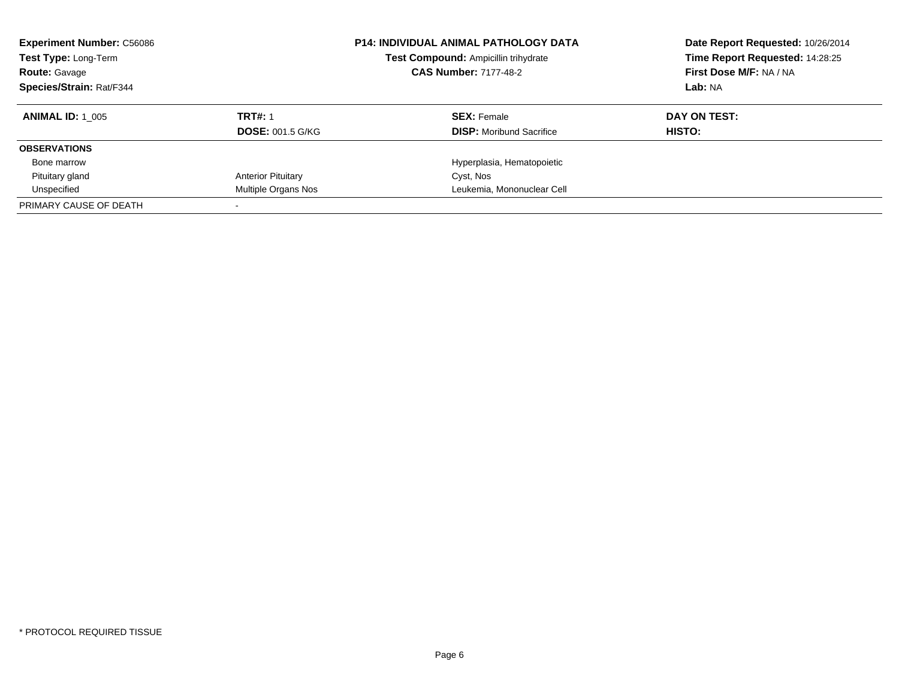| <b>Experiment Number: C56086</b><br>Test Type: Long-Term<br><b>Route: Gavage</b><br><b>Species/Strain: Rat/F344</b> |                           | <b>P14: INDIVIDUAL ANIMAL PATHOLOGY DATA</b><br>Date Report Requested: 10/26/2014<br>Time Report Requested: 14:28:25<br>Test Compound: Ampicillin trihydrate<br><b>CAS Number: 7177-48-2</b><br>First Dose M/F: NA / NA<br>Lab: NA |              |
|---------------------------------------------------------------------------------------------------------------------|---------------------------|------------------------------------------------------------------------------------------------------------------------------------------------------------------------------------------------------------------------------------|--------------|
| <b>ANIMAL ID: 1 005</b>                                                                                             | <b>TRT#: 1</b>            | <b>SEX: Female</b>                                                                                                                                                                                                                 | DAY ON TEST: |
|                                                                                                                     | <b>DOSE: 001.5 G/KG</b>   | <b>DISP:</b> Moribund Sacrifice                                                                                                                                                                                                    | HISTO:       |
| <b>OBSERVATIONS</b>                                                                                                 |                           |                                                                                                                                                                                                                                    |              |
| Bone marrow                                                                                                         |                           | Hyperplasia, Hematopoietic                                                                                                                                                                                                         |              |
| Pituitary gland                                                                                                     | <b>Anterior Pituitary</b> | Cyst, Nos                                                                                                                                                                                                                          |              |
| Unspecified                                                                                                         | Multiple Organs Nos       | Leukemia, Mononuclear Cell                                                                                                                                                                                                         |              |
| PRIMARY CAUSE OF DEATH                                                                                              |                           |                                                                                                                                                                                                                                    |              |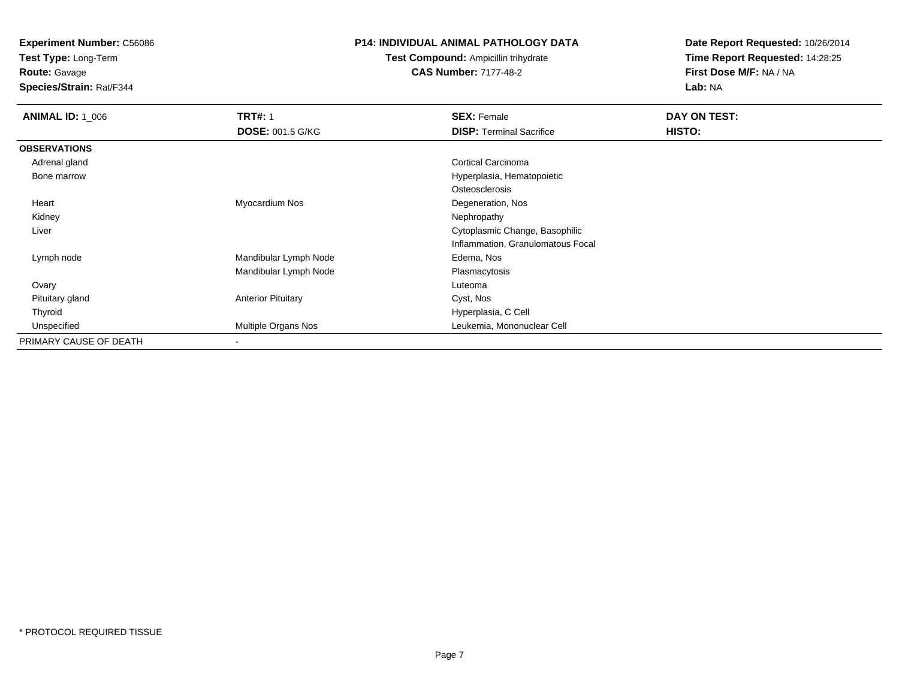**Test Type:** Long-Term

**Route:** Gavage

**Species/Strain:** Rat/F344

#### **P14: INDIVIDUAL ANIMAL PATHOLOGY DATA**

**Test Compound:** Ampicillin trihydrate**CAS Number:** 7177-48-2

| <b>ANIMAL ID: 1_006</b> | <b>TRT#: 1</b>            | <b>SEX: Female</b>                | DAY ON TEST: |  |
|-------------------------|---------------------------|-----------------------------------|--------------|--|
|                         | <b>DOSE: 001.5 G/KG</b>   | <b>DISP: Terminal Sacrifice</b>   | HISTO:       |  |
| <b>OBSERVATIONS</b>     |                           |                                   |              |  |
| Adrenal gland           |                           | <b>Cortical Carcinoma</b>         |              |  |
| Bone marrow             |                           | Hyperplasia, Hematopoietic        |              |  |
|                         |                           | Osteosclerosis                    |              |  |
| Heart                   | Myocardium Nos            | Degeneration, Nos                 |              |  |
| Kidney                  |                           | Nephropathy                       |              |  |
| Liver                   |                           | Cytoplasmic Change, Basophilic    |              |  |
|                         |                           | Inflammation, Granulomatous Focal |              |  |
| Lymph node              | Mandibular Lymph Node     | Edema, Nos                        |              |  |
|                         | Mandibular Lymph Node     | Plasmacytosis                     |              |  |
| Ovary                   |                           | Luteoma                           |              |  |
| Pituitary gland         | <b>Anterior Pituitary</b> | Cyst, Nos                         |              |  |
| Thyroid                 |                           | Hyperplasia, C Cell               |              |  |
| Unspecified             | Multiple Organs Nos       | Leukemia, Mononuclear Cell        |              |  |
| PRIMARY CAUSE OF DEATH  | $\overline{\phantom{a}}$  |                                   |              |  |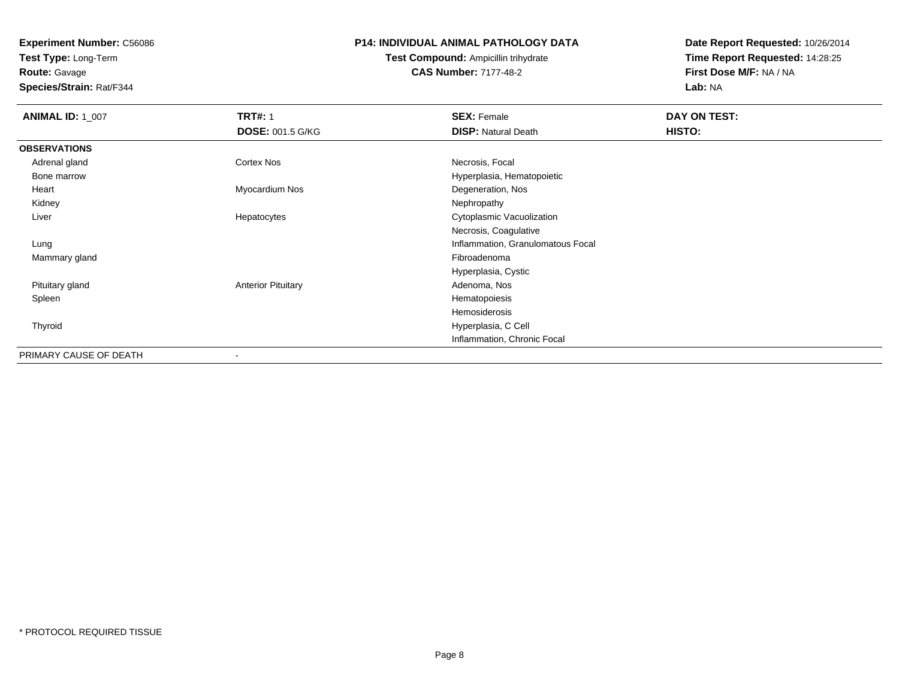**Test Type:** Long-Term

**Route:** Gavage

**Species/Strain:** Rat/F344

#### **P14: INDIVIDUAL ANIMAL PATHOLOGY DATA**

# **Test Compound:** Ampicillin trihydrate**CAS Number:** 7177-48-2

| <b>ANIMAL ID: 1_007</b> | <b>TRT#: 1</b>            | <b>SEX: Female</b>                | DAY ON TEST: |
|-------------------------|---------------------------|-----------------------------------|--------------|
|                         | <b>DOSE: 001.5 G/KG</b>   | <b>DISP: Natural Death</b>        | HISTO:       |
| <b>OBSERVATIONS</b>     |                           |                                   |              |
| Adrenal gland           | Cortex Nos                | Necrosis, Focal                   |              |
| Bone marrow             |                           | Hyperplasia, Hematopoietic        |              |
| Heart                   | Myocardium Nos            | Degeneration, Nos                 |              |
| Kidney                  |                           | Nephropathy                       |              |
| Liver                   | Hepatocytes               | Cytoplasmic Vacuolization         |              |
|                         |                           | Necrosis, Coagulative             |              |
| Lung                    |                           | Inflammation, Granulomatous Focal |              |
| Mammary gland           |                           | Fibroadenoma                      |              |
|                         |                           | Hyperplasia, Cystic               |              |
| Pituitary gland         | <b>Anterior Pituitary</b> | Adenoma, Nos                      |              |
| Spleen                  |                           | Hematopoiesis                     |              |
|                         |                           | Hemosiderosis                     |              |
| Thyroid                 |                           | Hyperplasia, C Cell               |              |
|                         |                           | Inflammation, Chronic Focal       |              |
| PRIMARY CAUSE OF DEATH  | ۰                         |                                   |              |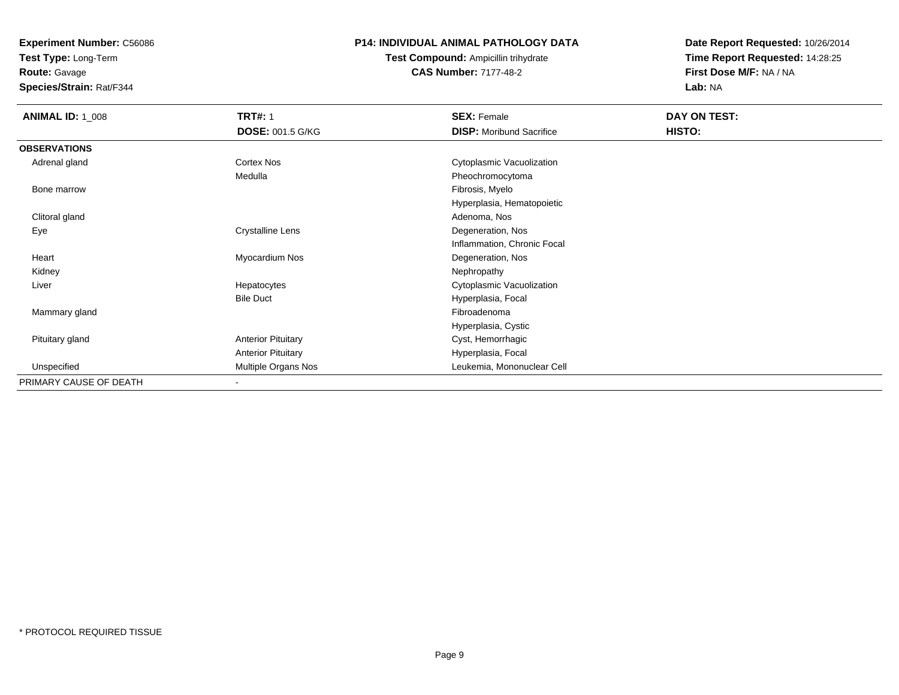**Test Type:** Long-Term

**Route:** Gavage

**Species/Strain:** Rat/F344

#### **P14: INDIVIDUAL ANIMAL PATHOLOGY DATA**

**Test Compound:** Ampicillin trihydrate**CAS Number:** 7177-48-2

| <b>ANIMAL ID: 1 008</b> | <b>TRT#: 1</b>            | <b>SEX: Female</b>              | DAY ON TEST: |  |
|-------------------------|---------------------------|---------------------------------|--------------|--|
|                         | <b>DOSE: 001.5 G/KG</b>   | <b>DISP:</b> Moribund Sacrifice | HISTO:       |  |
| <b>OBSERVATIONS</b>     |                           |                                 |              |  |
| Adrenal gland           | Cortex Nos                | Cytoplasmic Vacuolization       |              |  |
|                         | Medulla                   | Pheochromocytoma                |              |  |
| Bone marrow             |                           | Fibrosis, Myelo                 |              |  |
|                         |                           | Hyperplasia, Hematopoietic      |              |  |
| Clitoral gland          |                           | Adenoma, Nos                    |              |  |
| Eye                     | <b>Crystalline Lens</b>   | Degeneration, Nos               |              |  |
|                         |                           | Inflammation, Chronic Focal     |              |  |
| Heart                   | Myocardium Nos            | Degeneration, Nos               |              |  |
| Kidney                  |                           | Nephropathy                     |              |  |
| Liver                   | Hepatocytes               | Cytoplasmic Vacuolization       |              |  |
|                         | <b>Bile Duct</b>          | Hyperplasia, Focal              |              |  |
| Mammary gland           |                           | Fibroadenoma                    |              |  |
|                         |                           | Hyperplasia, Cystic             |              |  |
| Pituitary gland         | <b>Anterior Pituitary</b> | Cyst, Hemorrhagic               |              |  |
|                         | <b>Anterior Pituitary</b> | Hyperplasia, Focal              |              |  |
| Unspecified             | Multiple Organs Nos       | Leukemia, Mononuclear Cell      |              |  |
| PRIMARY CAUSE OF DEATH  | $\overline{\phantom{a}}$  |                                 |              |  |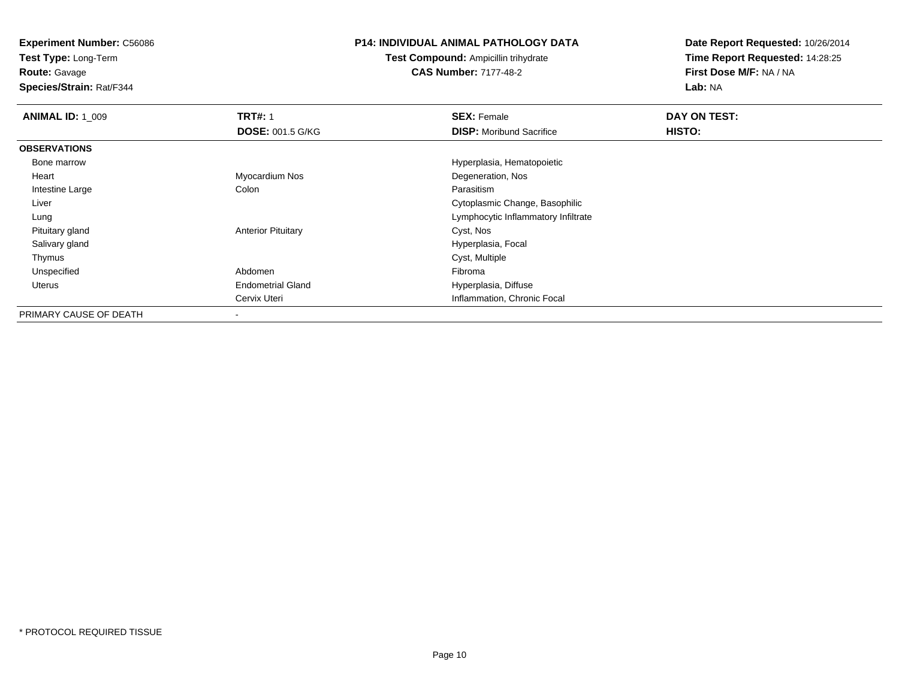**Test Type:** Long-Term

**Route:** Gavage

**Species/Strain:** Rat/F344

#### **P14: INDIVIDUAL ANIMAL PATHOLOGY DATA**

**Test Compound:** Ampicillin trihydrate**CAS Number:** 7177-48-2

| <b>ANIMAL ID: 1 009</b> | <b>TRT#: 1</b>            | <b>SEX: Female</b>                  | DAY ON TEST: |  |
|-------------------------|---------------------------|-------------------------------------|--------------|--|
|                         | <b>DOSE: 001.5 G/KG</b>   | <b>DISP:</b> Moribund Sacrifice     | HISTO:       |  |
| <b>OBSERVATIONS</b>     |                           |                                     |              |  |
| Bone marrow             |                           | Hyperplasia, Hematopoietic          |              |  |
| Heart                   | Myocardium Nos            | Degeneration, Nos                   |              |  |
| Intestine Large         | Colon                     | Parasitism                          |              |  |
| Liver                   |                           | Cytoplasmic Change, Basophilic      |              |  |
| Lung                    |                           | Lymphocytic Inflammatory Infiltrate |              |  |
| Pituitary gland         | <b>Anterior Pituitary</b> | Cyst, Nos                           |              |  |
| Salivary gland          |                           | Hyperplasia, Focal                  |              |  |
| Thymus                  |                           | Cyst, Multiple                      |              |  |
| Unspecified             | Abdomen                   | Fibroma                             |              |  |
| Uterus                  | <b>Endometrial Gland</b>  | Hyperplasia, Diffuse                |              |  |
|                         | Cervix Uteri              | Inflammation, Chronic Focal         |              |  |
| PRIMARY CAUSE OF DEATH  |                           |                                     |              |  |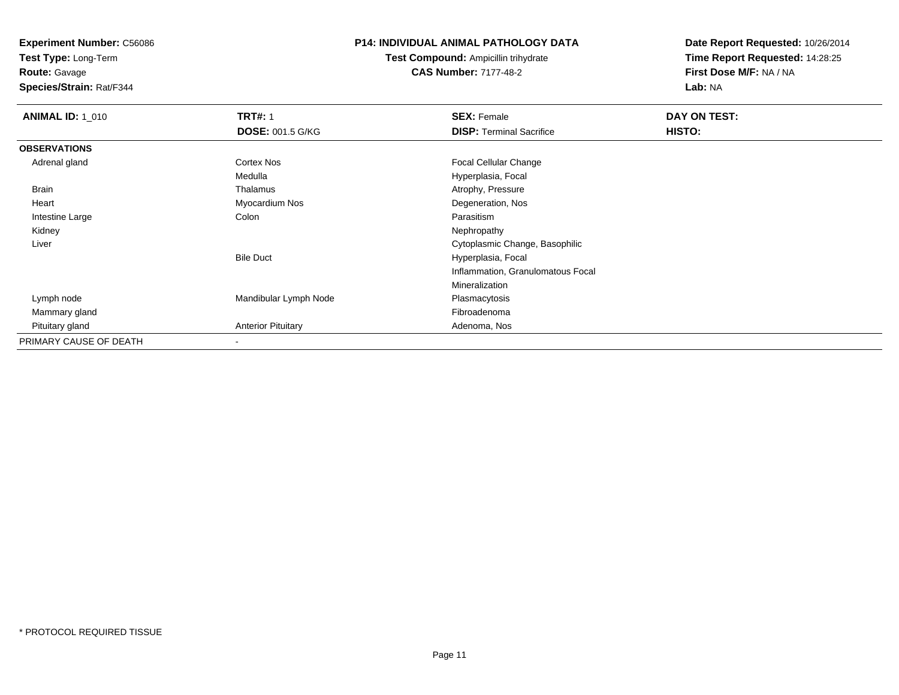**Test Type:** Long-Term

**Route:** Gavage

**Species/Strain:** Rat/F344

#### **P14: INDIVIDUAL ANIMAL PATHOLOGY DATA**

**Test Compound:** Ampicillin trihydrate**CAS Number:** 7177-48-2

| <b>ANIMAL ID: 1_010</b> | <b>TRT#: 1</b>            | <b>SEX: Female</b>                | DAY ON TEST: |  |
|-------------------------|---------------------------|-----------------------------------|--------------|--|
|                         | <b>DOSE: 001.5 G/KG</b>   | <b>DISP: Terminal Sacrifice</b>   | HISTO:       |  |
| <b>OBSERVATIONS</b>     |                           |                                   |              |  |
| Adrenal gland           | Cortex Nos                | <b>Focal Cellular Change</b>      |              |  |
|                         | Medulla                   | Hyperplasia, Focal                |              |  |
| Brain                   | Thalamus                  | Atrophy, Pressure                 |              |  |
| Heart                   | Myocardium Nos            | Degeneration, Nos                 |              |  |
| Intestine Large         | Colon                     | Parasitism                        |              |  |
| Kidney                  |                           | Nephropathy                       |              |  |
| Liver                   |                           | Cytoplasmic Change, Basophilic    |              |  |
|                         | <b>Bile Duct</b>          | Hyperplasia, Focal                |              |  |
|                         |                           | Inflammation, Granulomatous Focal |              |  |
|                         |                           | Mineralization                    |              |  |
| Lymph node              | Mandibular Lymph Node     | Plasmacytosis                     |              |  |
| Mammary gland           |                           | Fibroadenoma                      |              |  |
| Pituitary gland         | <b>Anterior Pituitary</b> | Adenoma, Nos                      |              |  |
| PRIMARY CAUSE OF DEATH  |                           |                                   |              |  |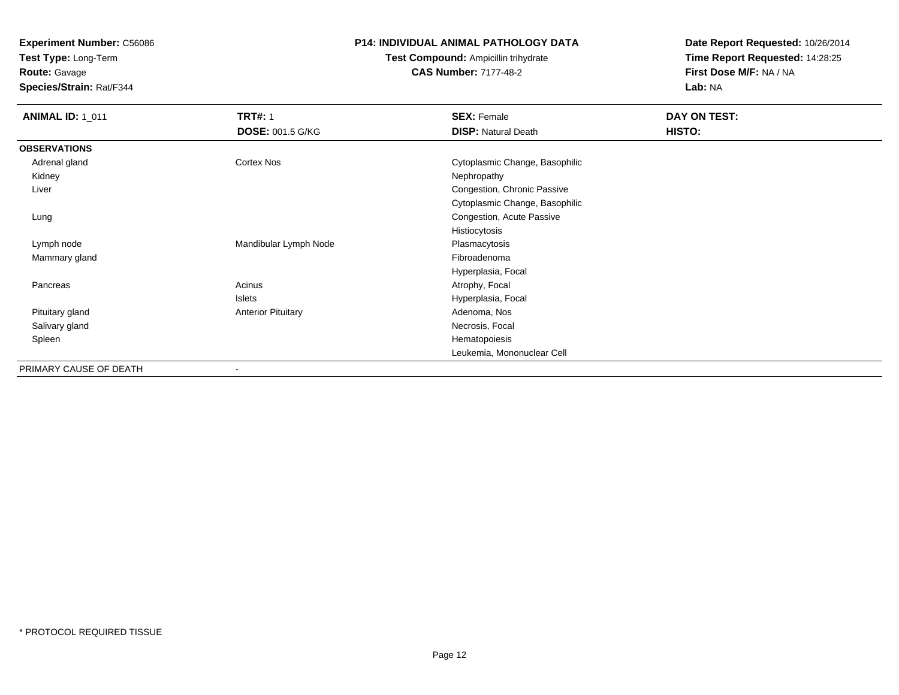**Test Type:** Long-Term

**Route:** Gavage

**Species/Strain:** Rat/F344

#### **P14: INDIVIDUAL ANIMAL PATHOLOGY DATA**

**Test Compound:** Ampicillin trihydrate**CAS Number:** 7177-48-2

| <b>ANIMAL ID: 1_011</b> | <b>TRT#: 1</b>            | <b>SEX: Female</b>             | DAY ON TEST: |  |
|-------------------------|---------------------------|--------------------------------|--------------|--|
|                         | <b>DOSE: 001.5 G/KG</b>   | <b>DISP:</b> Natural Death     | HISTO:       |  |
| <b>OBSERVATIONS</b>     |                           |                                |              |  |
| Adrenal gland           | Cortex Nos                | Cytoplasmic Change, Basophilic |              |  |
| Kidney                  |                           | Nephropathy                    |              |  |
| Liver                   |                           | Congestion, Chronic Passive    |              |  |
|                         |                           | Cytoplasmic Change, Basophilic |              |  |
| Lung                    |                           | Congestion, Acute Passive      |              |  |
|                         |                           | Histiocytosis                  |              |  |
| Lymph node              | Mandibular Lymph Node     | Plasmacytosis                  |              |  |
| Mammary gland           |                           | Fibroadenoma                   |              |  |
|                         |                           | Hyperplasia, Focal             |              |  |
| Pancreas                | Acinus                    | Atrophy, Focal                 |              |  |
|                         | Islets                    | Hyperplasia, Focal             |              |  |
| Pituitary gland         | <b>Anterior Pituitary</b> | Adenoma, Nos                   |              |  |
| Salivary gland          |                           | Necrosis, Focal                |              |  |
| Spleen                  |                           | Hematopoiesis                  |              |  |
|                         |                           | Leukemia, Mononuclear Cell     |              |  |
| PRIMARY CAUSE OF DEATH  | $\blacksquare$            |                                |              |  |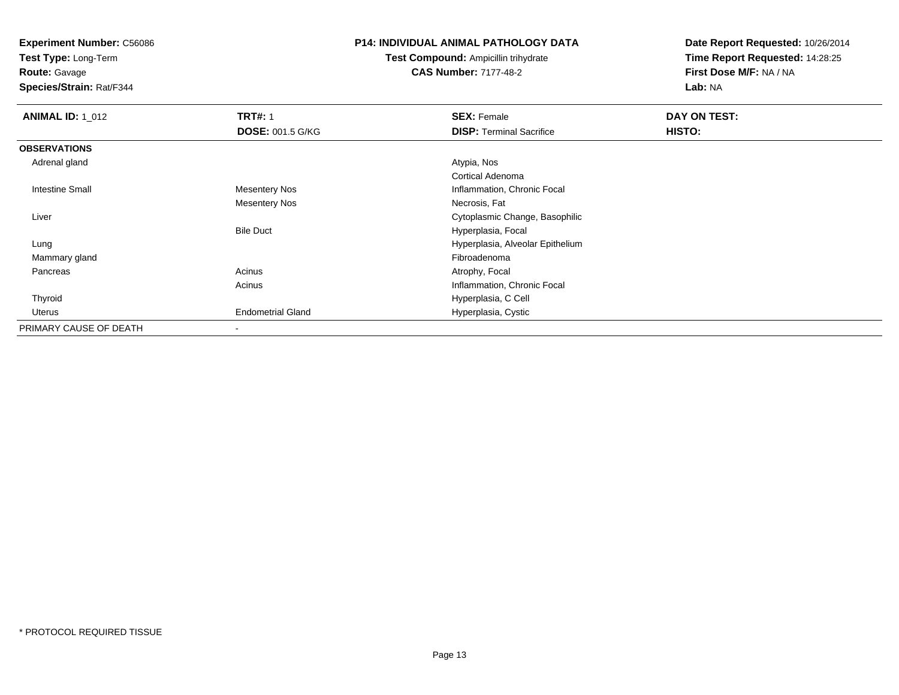**Test Type:** Long-Term

**Route:** Gavage

**Species/Strain:** Rat/F344

#### **P14: INDIVIDUAL ANIMAL PATHOLOGY DATA**

**Test Compound:** Ampicillin trihydrate**CAS Number:** 7177-48-2

| <b>ANIMAL ID: 1_012</b> | <b>TRT#: 1</b>           | <b>SEX: Female</b>               | DAY ON TEST: |  |
|-------------------------|--------------------------|----------------------------------|--------------|--|
|                         | <b>DOSE: 001.5 G/KG</b>  | <b>DISP:</b> Terminal Sacrifice  | HISTO:       |  |
| <b>OBSERVATIONS</b>     |                          |                                  |              |  |
| Adrenal gland           |                          | Atypia, Nos                      |              |  |
|                         |                          | Cortical Adenoma                 |              |  |
| Intestine Small         | <b>Mesentery Nos</b>     | Inflammation, Chronic Focal      |              |  |
|                         | <b>Mesentery Nos</b>     | Necrosis, Fat                    |              |  |
| Liver                   |                          | Cytoplasmic Change, Basophilic   |              |  |
|                         | <b>Bile Duct</b>         | Hyperplasia, Focal               |              |  |
| Lung                    |                          | Hyperplasia, Alveolar Epithelium |              |  |
| Mammary gland           |                          | Fibroadenoma                     |              |  |
| Pancreas                | Acinus                   | Atrophy, Focal                   |              |  |
|                         | Acinus                   | Inflammation, Chronic Focal      |              |  |
| Thyroid                 |                          | Hyperplasia, C Cell              |              |  |
| Uterus                  | <b>Endometrial Gland</b> | Hyperplasia, Cystic              |              |  |
| PRIMARY CAUSE OF DEATH  | $\blacksquare$           |                                  |              |  |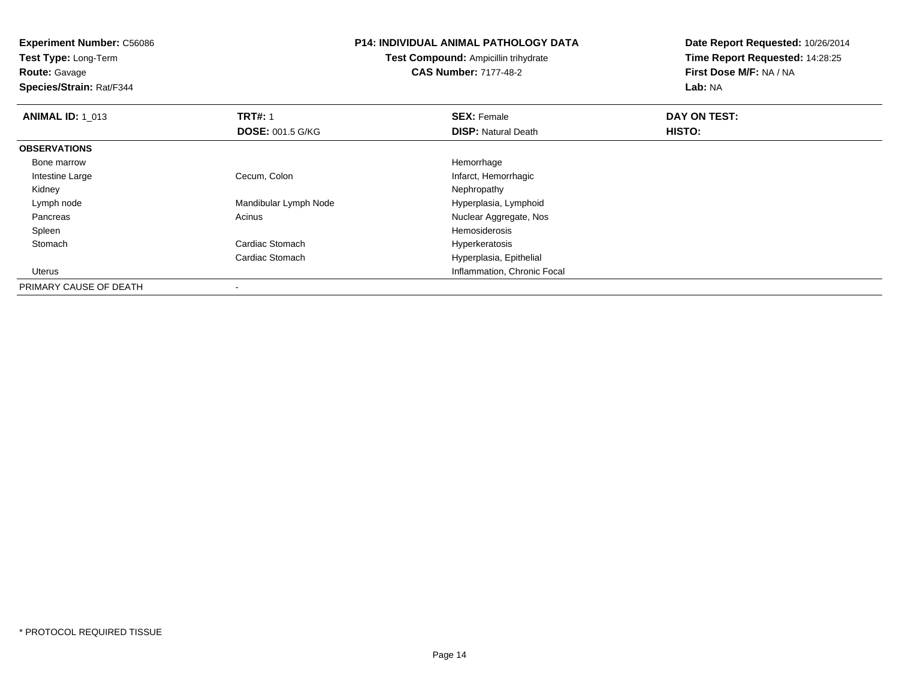**Experiment Number:** C56086**Test Type:** Long-Term**Route:** Gavage **Species/Strain:** Rat/F344**P14: INDIVIDUAL ANIMAL PATHOLOGY DATATest Compound:** Ampicillin trihydrate**CAS Number:** 7177-48-2**Date Report Requested:** 10/26/2014**Time Report Requested:** 14:28:25**First Dose M/F:** NA / NA**Lab:** NA**ANIMAL ID: 1\_013 TRT#:** 1 **SEX:** Female **DAY ON TEST: DOSE:** 001.5 G/KG**DISP:** Natural Death **HISTO: OBSERVATIONS** Bone marroww Remorrhage **Hemorrhage**  Intestine LargeCecum, Colon Infarct, Hemorrhagic<br>
Nephropathy Kidneyy the control of the control of the control of the control of the control of the control of the control of the control of the control of the control of the control of the control of the control of the control of the contro Lymph nodeMandibular Lymph Node **Hyperplasia, Lymphoid**  PancreasAcinus **Acinus** Acinus **Acinus** Acinus **Acinus** Acinus **Acinus** Acinus **Acinus** Acinus **Acinus** Acinus **Acinus** Acinus **Acinus** Acinus **Acinus** Acinus **Acinus** Acinus **Acinus** Acinus **Acinus** Acinus **Acinus** Acinus **Acinus**  Spleenn and the state of the state of the state of the state of the state of the state of the state of the state of the state of the state of the state of the state of the state of the state of the state of the state of the stat StomachCardiac Stomach **Hyperkeratosis** Cardiac Stomach Hyperplasia, Epithelial Uterus Inflammation, Chronic Focal PRIMARY CAUSE OF DEATH

-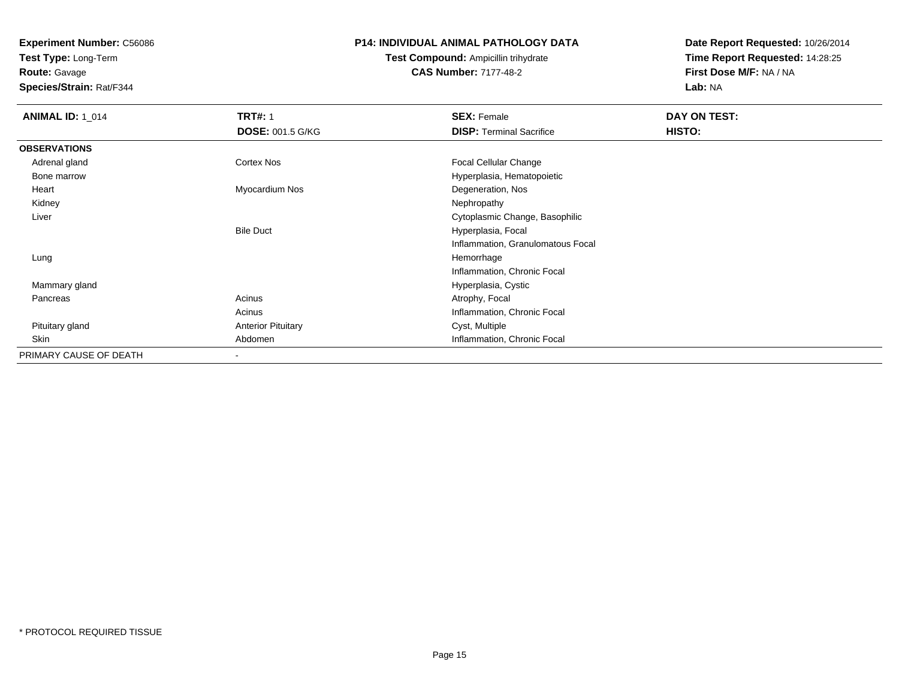**Test Type:** Long-Term

**Route:** Gavage

**Species/Strain:** Rat/F344

#### **P14: INDIVIDUAL ANIMAL PATHOLOGY DATA**

## **Test Compound:** Ampicillin trihydrate**CAS Number:** 7177-48-2

| <b>ANIMAL ID: 1_014</b> | <b>TRT#: 1</b>            | <b>SEX: Female</b>                | DAY ON TEST: |  |
|-------------------------|---------------------------|-----------------------------------|--------------|--|
|                         | <b>DOSE: 001.5 G/KG</b>   | <b>DISP: Terminal Sacrifice</b>   | HISTO:       |  |
| <b>OBSERVATIONS</b>     |                           |                                   |              |  |
| Adrenal gland           | Cortex Nos                | Focal Cellular Change             |              |  |
| Bone marrow             |                           | Hyperplasia, Hematopoietic        |              |  |
| Heart                   | Myocardium Nos            | Degeneration, Nos                 |              |  |
| Kidney                  |                           | Nephropathy                       |              |  |
| Liver                   |                           | Cytoplasmic Change, Basophilic    |              |  |
|                         | <b>Bile Duct</b>          | Hyperplasia, Focal                |              |  |
|                         |                           | Inflammation, Granulomatous Focal |              |  |
| Lung                    |                           | Hemorrhage                        |              |  |
|                         |                           | Inflammation, Chronic Focal       |              |  |
| Mammary gland           |                           | Hyperplasia, Cystic               |              |  |
| Pancreas                | Acinus                    | Atrophy, Focal                    |              |  |
|                         | Acinus                    | Inflammation, Chronic Focal       |              |  |
| Pituitary gland         | <b>Anterior Pituitary</b> | Cyst, Multiple                    |              |  |
| Skin                    | Abdomen                   | Inflammation, Chronic Focal       |              |  |
| PRIMARY CAUSE OF DEATH  | -                         |                                   |              |  |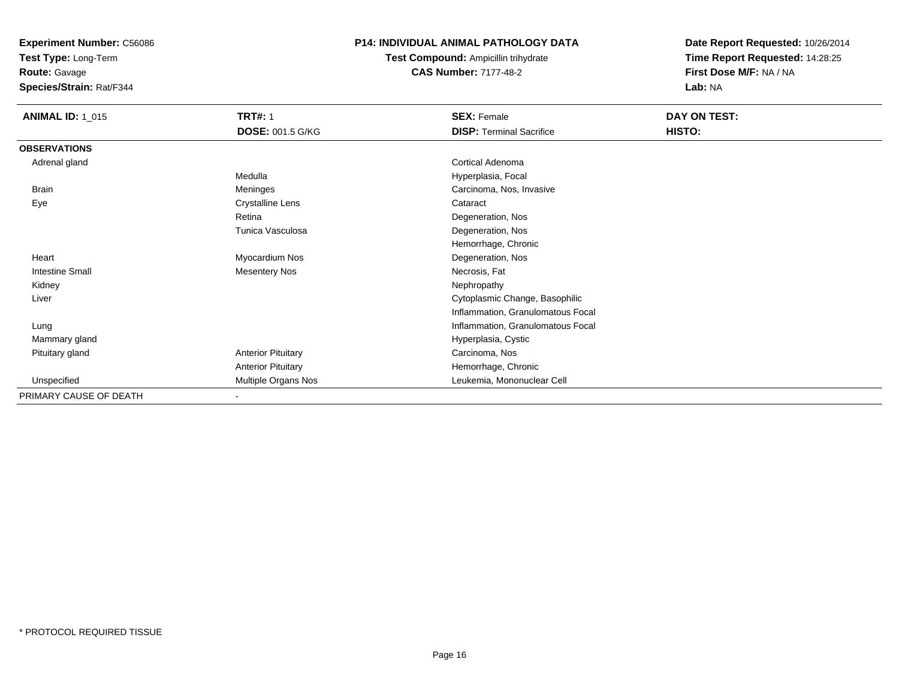**Test Type:** Long-Term

**Route:** Gavage

**Species/Strain:** Rat/F344

### **P14: INDIVIDUAL ANIMAL PATHOLOGY DATA**

**Test Compound:** Ampicillin trihydrate**CAS Number:** 7177-48-2

| <b>ANIMAL ID: 1_015</b> | <b>TRT#: 1</b>             | <b>SEX: Female</b>                | DAY ON TEST: |
|-------------------------|----------------------------|-----------------------------------|--------------|
|                         | <b>DOSE: 001.5 G/KG</b>    | <b>DISP: Terminal Sacrifice</b>   | HISTO:       |
| <b>OBSERVATIONS</b>     |                            |                                   |              |
| Adrenal gland           |                            | Cortical Adenoma                  |              |
|                         | Medulla                    | Hyperplasia, Focal                |              |
| <b>Brain</b>            | Meninges                   | Carcinoma, Nos, Invasive          |              |
| Eye                     | <b>Crystalline Lens</b>    | Cataract                          |              |
|                         | Retina                     | Degeneration, Nos                 |              |
|                         | Tunica Vasculosa           | Degeneration, Nos                 |              |
|                         |                            | Hemorrhage, Chronic               |              |
| Heart                   | Myocardium Nos             | Degeneration, Nos                 |              |
| <b>Intestine Small</b>  | <b>Mesentery Nos</b>       | Necrosis, Fat                     |              |
| Kidney                  |                            | Nephropathy                       |              |
| Liver                   |                            | Cytoplasmic Change, Basophilic    |              |
|                         |                            | Inflammation, Granulomatous Focal |              |
| Lung                    |                            | Inflammation, Granulomatous Focal |              |
| Mammary gland           |                            | Hyperplasia, Cystic               |              |
| Pituitary gland         | <b>Anterior Pituitary</b>  | Carcinoma, Nos                    |              |
|                         | <b>Anterior Pituitary</b>  | Hemorrhage, Chronic               |              |
| Unspecified             | <b>Multiple Organs Nos</b> | Leukemia, Mononuclear Cell        |              |
| PRIMARY CAUSE OF DEATH  |                            |                                   |              |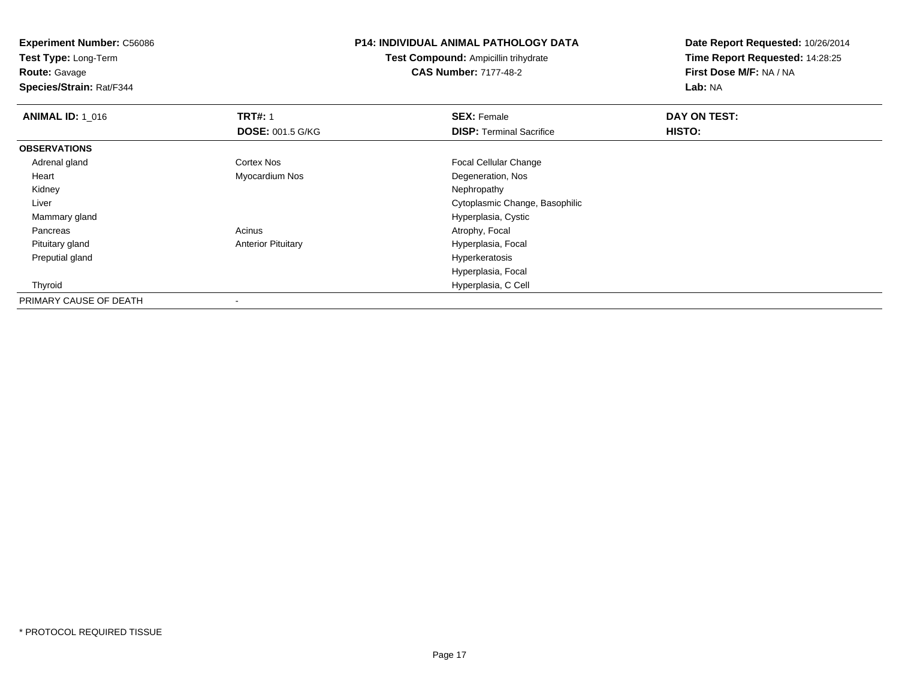**Experiment Number:** C56086**Test Type:** Long-Term**Route:** Gavage **Species/Strain:** Rat/F344**P14: INDIVIDUAL ANIMAL PATHOLOGY DATATest Compound:** Ampicillin trihydrate**CAS Number:** 7177-48-2**Date Report Requested:** 10/26/2014**Time Report Requested:** 14:28:25**First Dose M/F:** NA / NA**Lab:** NA**ANIMAL ID: 1\_016 6 DAY ON TEST:** 1 **SEX:** Female **SEX: Female DAY ON TEST: DOSE:** 001.5 G/KG**DISP:** Terminal Sacrifice **HISTO: OBSERVATIONS** Adrenal glandCortex Nos **Focal Cellular Change**  Heart Myocardium Nos Degeneration, Nos Kidneyy the control of the control of the control of the control of the control of the control of the control of the control of the control of the control of the control of the control of the control of the control of the contro Liver Cytoplasmic Change, Basophilic Mammary glandHyperplasia, Cystic<br>Acinus Atrophy, Focal PancreasAtrophy, Focal Pituitary glandAnterior Pituitary **Hyperplasia**, Focal Preputial gland Hyperkeratosis Hyperplasia, Focal Thyroid Hyperplasia, C Cell PRIMARY CAUSE OF DEATH-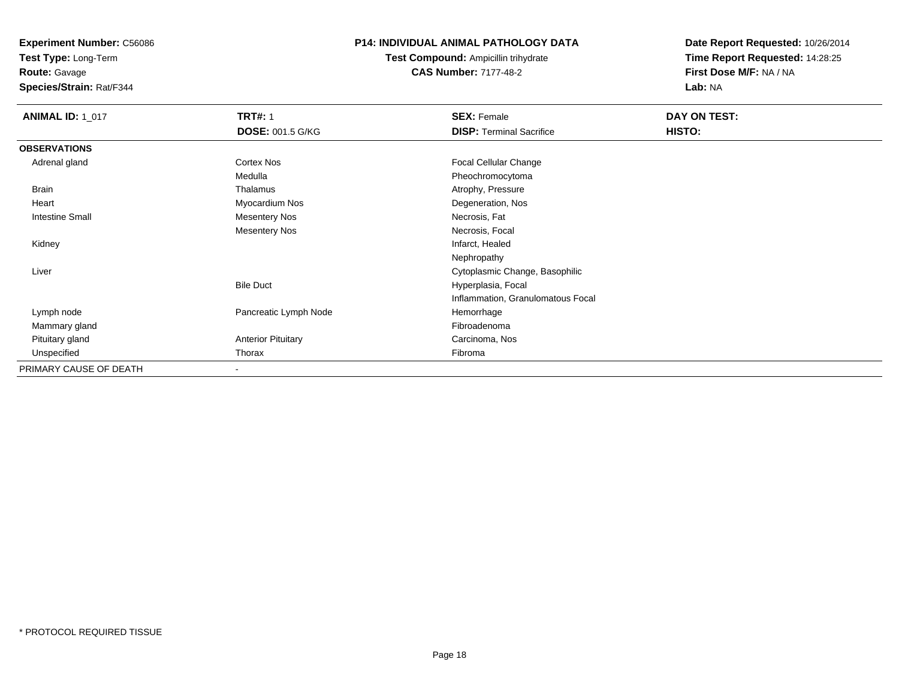**Test Type:** Long-Term

**Route:** Gavage

**Species/Strain:** Rat/F344

#### **P14: INDIVIDUAL ANIMAL PATHOLOGY DATA**

**Test Compound:** Ampicillin trihydrate**CAS Number:** 7177-48-2

| <b>ANIMAL ID: 1_017</b> | <b>TRT#: 1</b>            | <b>SEX: Female</b>                | DAY ON TEST:  |  |
|-------------------------|---------------------------|-----------------------------------|---------------|--|
|                         | <b>DOSE: 001.5 G/KG</b>   | <b>DISP: Terminal Sacrifice</b>   | <b>HISTO:</b> |  |
| <b>OBSERVATIONS</b>     |                           |                                   |               |  |
| Adrenal gland           | Cortex Nos                | <b>Focal Cellular Change</b>      |               |  |
|                         | Medulla                   | Pheochromocytoma                  |               |  |
| <b>Brain</b>            | Thalamus                  | Atrophy, Pressure                 |               |  |
| Heart                   | Myocardium Nos            | Degeneration, Nos                 |               |  |
| <b>Intestine Small</b>  | <b>Mesentery Nos</b>      | Necrosis, Fat                     |               |  |
|                         | <b>Mesentery Nos</b>      | Necrosis, Focal                   |               |  |
| Kidney                  |                           | Infarct, Healed                   |               |  |
|                         |                           | Nephropathy                       |               |  |
| Liver                   |                           | Cytoplasmic Change, Basophilic    |               |  |
|                         | <b>Bile Duct</b>          | Hyperplasia, Focal                |               |  |
|                         |                           | Inflammation, Granulomatous Focal |               |  |
| Lymph node              | Pancreatic Lymph Node     | Hemorrhage                        |               |  |
| Mammary gland           |                           | Fibroadenoma                      |               |  |
| Pituitary gland         | <b>Anterior Pituitary</b> | Carcinoma, Nos                    |               |  |
| Unspecified             | Thorax                    | Fibroma                           |               |  |
| PRIMARY CAUSE OF DEATH  | $\overline{\phantom{a}}$  |                                   |               |  |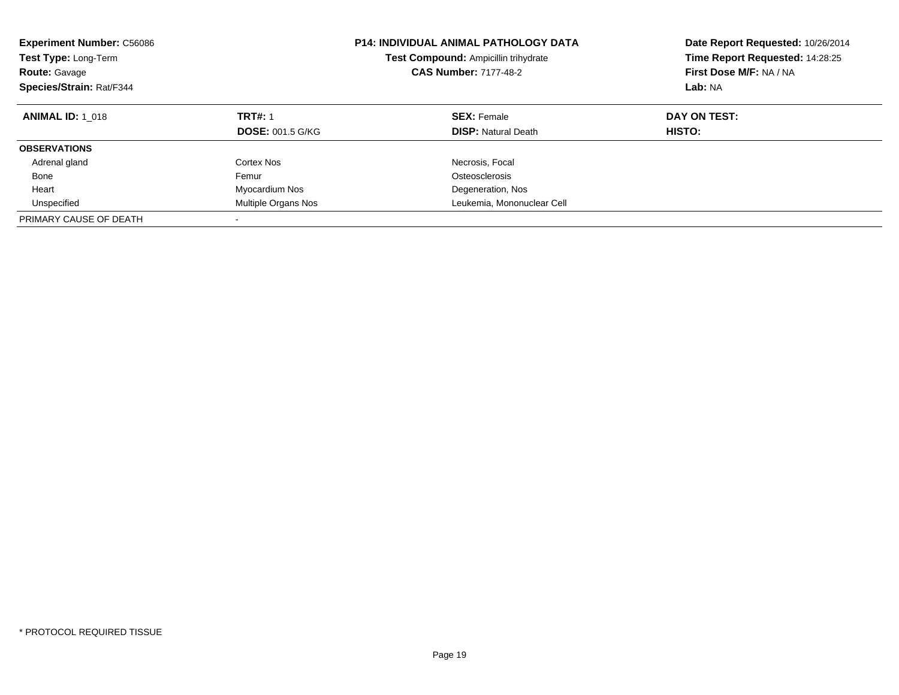| <b>P14: INDIVIDUAL ANIMAL PATHOLOGY DATA</b><br><b>Experiment Number: C56086</b><br>Test Compound: Ampicillin trihydrate<br>Test Type: Long-Term<br><b>CAS Number: 7177-48-2</b><br><b>Route: Gavage</b><br>Species/Strain: Rat/F344 |                         | Date Report Requested: 10/26/2014<br>Time Report Requested: 14:28:25<br>First Dose M/F: NA / NA<br>Lab: NA |              |
|--------------------------------------------------------------------------------------------------------------------------------------------------------------------------------------------------------------------------------------|-------------------------|------------------------------------------------------------------------------------------------------------|--------------|
| <b>ANIMAL ID: 1 018</b>                                                                                                                                                                                                              | <b>TRT#: 1</b>          | <b>SEX: Female</b>                                                                                         | DAY ON TEST: |
|                                                                                                                                                                                                                                      | <b>DOSE: 001.5 G/KG</b> | <b>DISP:</b> Natural Death                                                                                 | HISTO:       |
| <b>OBSERVATIONS</b>                                                                                                                                                                                                                  |                         |                                                                                                            |              |
| Adrenal gland                                                                                                                                                                                                                        | Cortex Nos              | Necrosis, Focal                                                                                            |              |
| Bone                                                                                                                                                                                                                                 | Femur                   | Osteosclerosis                                                                                             |              |
| Heart                                                                                                                                                                                                                                | Myocardium Nos          | Degeneration, Nos                                                                                          |              |
| Unspecified                                                                                                                                                                                                                          | Multiple Organs Nos     | Leukemia, Mononuclear Cell                                                                                 |              |
| PRIMARY CAUSE OF DEATH                                                                                                                                                                                                               |                         |                                                                                                            |              |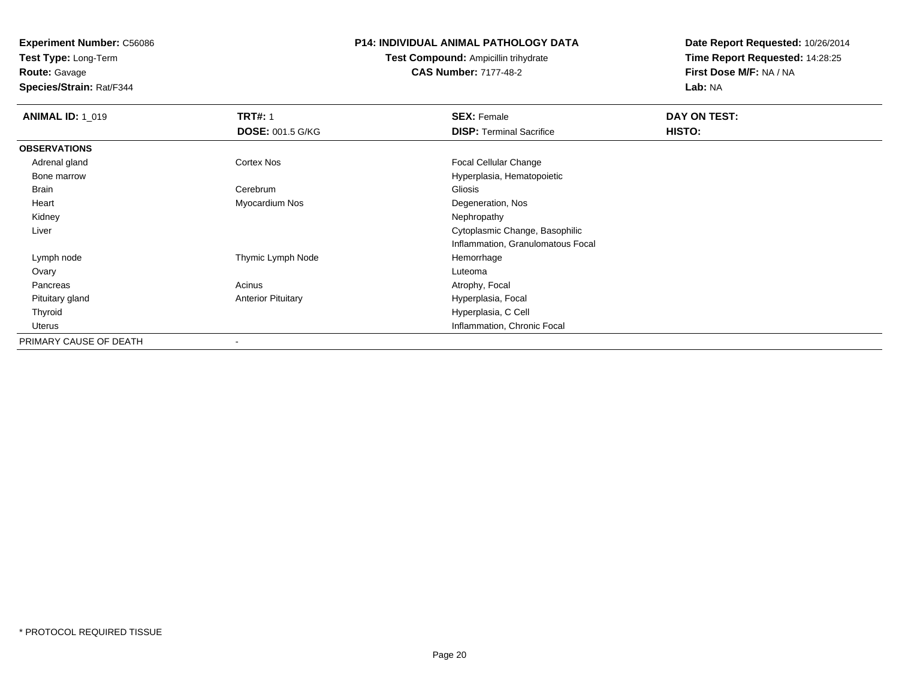**Test Type:** Long-Term

**Route:** Gavage

**Species/Strain:** Rat/F344

#### **P14: INDIVIDUAL ANIMAL PATHOLOGY DATA**

**Test Compound:** Ampicillin trihydrate**CAS Number:** 7177-48-2

| <b>ANIMAL ID: 1_019</b> | <b>TRT#: 1</b>            | <b>SEX: Female</b>                | DAY ON TEST: |  |
|-------------------------|---------------------------|-----------------------------------|--------------|--|
|                         | <b>DOSE: 001.5 G/KG</b>   | <b>DISP: Terminal Sacrifice</b>   | HISTO:       |  |
| <b>OBSERVATIONS</b>     |                           |                                   |              |  |
| Adrenal gland           | Cortex Nos                | <b>Focal Cellular Change</b>      |              |  |
| Bone marrow             |                           | Hyperplasia, Hematopoietic        |              |  |
| Brain                   | Cerebrum                  | Gliosis                           |              |  |
| Heart                   | Myocardium Nos            | Degeneration, Nos                 |              |  |
| Kidney                  |                           | Nephropathy                       |              |  |
| Liver                   |                           | Cytoplasmic Change, Basophilic    |              |  |
|                         |                           | Inflammation, Granulomatous Focal |              |  |
| Lymph node              | Thymic Lymph Node         | Hemorrhage                        |              |  |
| Ovary                   |                           | Luteoma                           |              |  |
| Pancreas                | Acinus                    | Atrophy, Focal                    |              |  |
| Pituitary gland         | <b>Anterior Pituitary</b> | Hyperplasia, Focal                |              |  |
| Thyroid                 |                           | Hyperplasia, C Cell               |              |  |
| Uterus                  |                           | Inflammation, Chronic Focal       |              |  |
| PRIMARY CAUSE OF DEATH  |                           |                                   |              |  |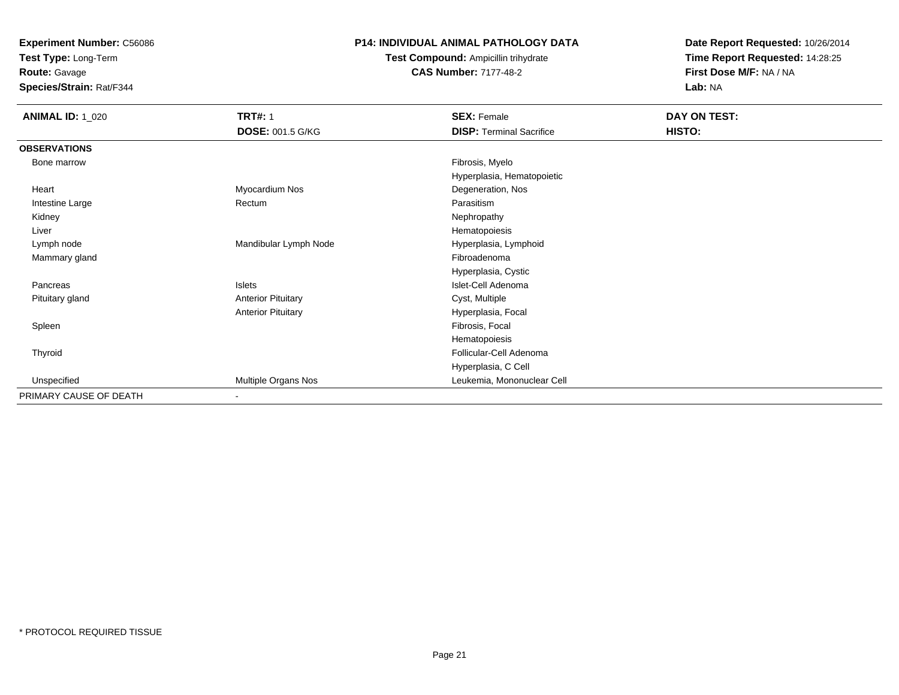**Test Type:** Long-Term

**Route:** Gavage

**Species/Strain:** Rat/F344

### **P14: INDIVIDUAL ANIMAL PATHOLOGY DATA**

### **Test Compound:** Ampicillin trihydrate**CAS Number:** 7177-48-2

| <b>ANIMAL ID: 1_020</b> | <b>TRT#: 1</b>             | <b>SEX: Female</b>              | DAY ON TEST: |  |
|-------------------------|----------------------------|---------------------------------|--------------|--|
|                         | <b>DOSE: 001.5 G/KG</b>    | <b>DISP: Terminal Sacrifice</b> | HISTO:       |  |
| <b>OBSERVATIONS</b>     |                            |                                 |              |  |
| Bone marrow             |                            | Fibrosis, Myelo                 |              |  |
|                         |                            | Hyperplasia, Hematopoietic      |              |  |
| Heart                   | Myocardium Nos             | Degeneration, Nos               |              |  |
| Intestine Large         | Rectum                     | Parasitism                      |              |  |
| Kidney                  |                            | Nephropathy                     |              |  |
| Liver                   |                            | Hematopoiesis                   |              |  |
| Lymph node              | Mandibular Lymph Node      | Hyperplasia, Lymphoid           |              |  |
| Mammary gland           |                            | Fibroadenoma                    |              |  |
|                         |                            | Hyperplasia, Cystic             |              |  |
| Pancreas                | <b>Islets</b>              | Islet-Cell Adenoma              |              |  |
| Pituitary gland         | <b>Anterior Pituitary</b>  | Cyst, Multiple                  |              |  |
|                         | <b>Anterior Pituitary</b>  | Hyperplasia, Focal              |              |  |
| Spleen                  |                            | Fibrosis, Focal                 |              |  |
|                         |                            | Hematopoiesis                   |              |  |
| Thyroid                 |                            | Follicular-Cell Adenoma         |              |  |
|                         |                            | Hyperplasia, C Cell             |              |  |
| Unspecified             | <b>Multiple Organs Nos</b> | Leukemia, Mononuclear Cell      |              |  |
| PRIMARY CAUSE OF DEATH  |                            |                                 |              |  |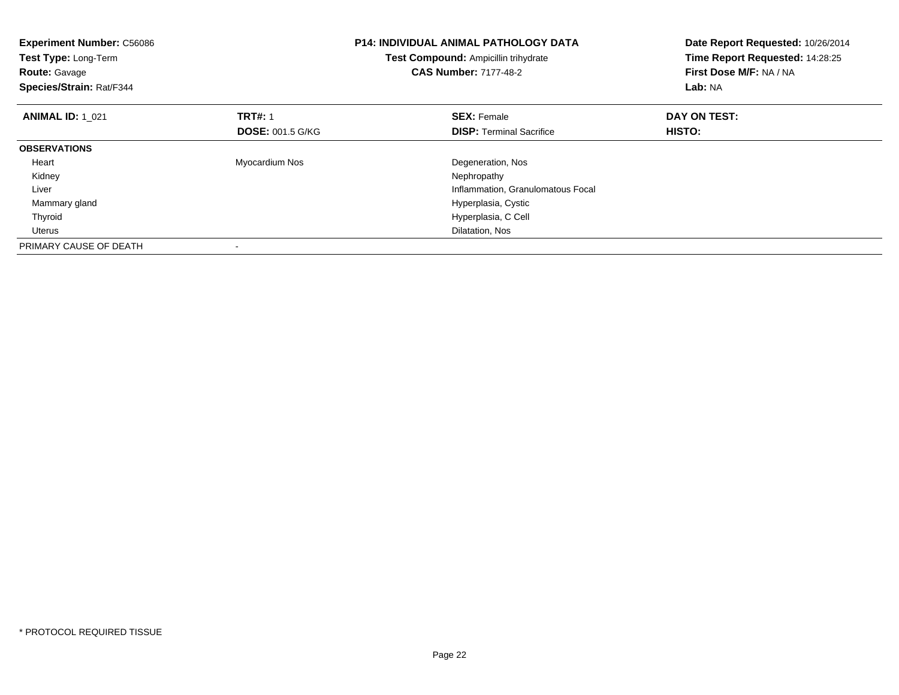| <b>Experiment Number: C56086</b><br>Test Type: Long-Term<br><b>Route: Gavage</b><br>Species/Strain: Rat/F344 |                         | <b>P14: INDIVIDUAL ANIMAL PATHOLOGY DATA</b><br>Test Compound: Ampicillin trihydrate<br><b>CAS Number: 7177-48-2</b> | Date Report Requested: 10/26/2014<br>Time Report Requested: 14:28:25<br>First Dose M/F: NA / NA<br>Lab: NA |
|--------------------------------------------------------------------------------------------------------------|-------------------------|----------------------------------------------------------------------------------------------------------------------|------------------------------------------------------------------------------------------------------------|
| <b>ANIMAL ID: 1_021</b>                                                                                      | <b>TRT#: 1</b>          | <b>SEX: Female</b>                                                                                                   | DAY ON TEST:                                                                                               |
|                                                                                                              | <b>DOSE: 001.5 G/KG</b> | <b>DISP:</b> Terminal Sacrifice                                                                                      | HISTO:                                                                                                     |
| <b>OBSERVATIONS</b>                                                                                          |                         |                                                                                                                      |                                                                                                            |
| Heart                                                                                                        | Myocardium Nos          | Degeneration, Nos                                                                                                    |                                                                                                            |
| Kidney                                                                                                       |                         | Nephropathy                                                                                                          |                                                                                                            |
| Liver                                                                                                        |                         | Inflammation, Granulomatous Focal                                                                                    |                                                                                                            |
| Mammary gland                                                                                                |                         | Hyperplasia, Cystic                                                                                                  |                                                                                                            |
| Thyroid                                                                                                      |                         | Hyperplasia, C Cell                                                                                                  |                                                                                                            |
| <b>Uterus</b>                                                                                                |                         | Dilatation, Nos                                                                                                      |                                                                                                            |
| PRIMARY CAUSE OF DEATH                                                                                       |                         |                                                                                                                      |                                                                                                            |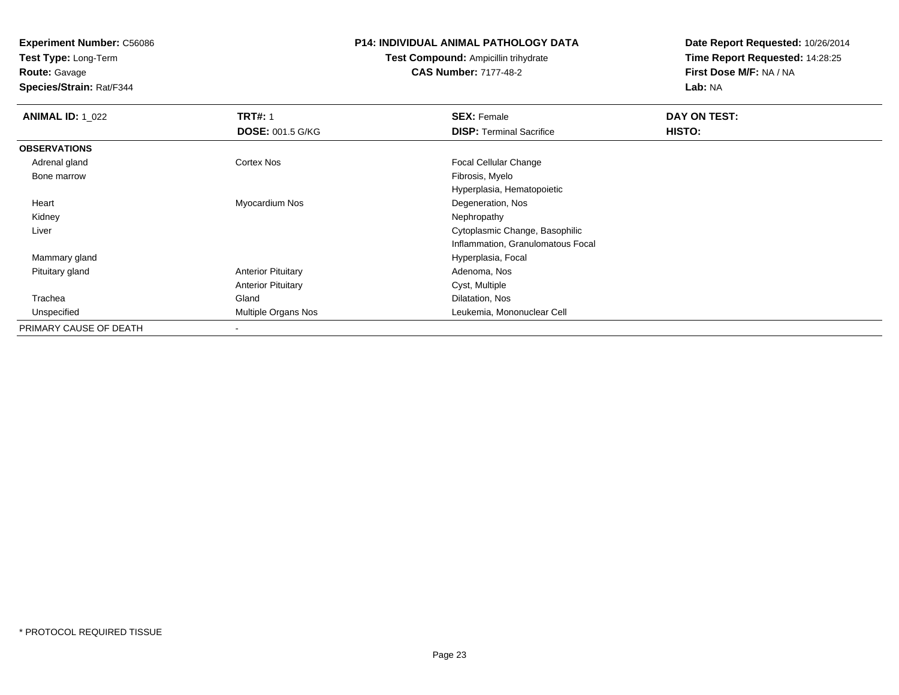**Test Type:** Long-Term

**Route:** Gavage

**Species/Strain:** Rat/F344

#### **P14: INDIVIDUAL ANIMAL PATHOLOGY DATA**

**Test Compound:** Ampicillin trihydrate**CAS Number:** 7177-48-2

| <b>ANIMAL ID: 1_022</b> | <b>TRT#: 1</b>            | <b>SEX: Female</b>                | DAY ON TEST: |  |
|-------------------------|---------------------------|-----------------------------------|--------------|--|
|                         | <b>DOSE: 001.5 G/KG</b>   | <b>DISP: Terminal Sacrifice</b>   | HISTO:       |  |
| <b>OBSERVATIONS</b>     |                           |                                   |              |  |
| Adrenal gland           | Cortex Nos                | <b>Focal Cellular Change</b>      |              |  |
| Bone marrow             |                           | Fibrosis, Myelo                   |              |  |
|                         |                           | Hyperplasia, Hematopoietic        |              |  |
| Heart                   | Myocardium Nos            | Degeneration, Nos                 |              |  |
| Kidney                  |                           | Nephropathy                       |              |  |
| Liver                   |                           | Cytoplasmic Change, Basophilic    |              |  |
|                         |                           | Inflammation, Granulomatous Focal |              |  |
| Mammary gland           |                           | Hyperplasia, Focal                |              |  |
| Pituitary gland         | <b>Anterior Pituitary</b> | Adenoma, Nos                      |              |  |
|                         | <b>Anterior Pituitary</b> | Cyst, Multiple                    |              |  |
| Trachea                 | Gland                     | Dilatation, Nos                   |              |  |
| Unspecified             | Multiple Organs Nos       | Leukemia, Mononuclear Cell        |              |  |
| PRIMARY CAUSE OF DEATH  |                           |                                   |              |  |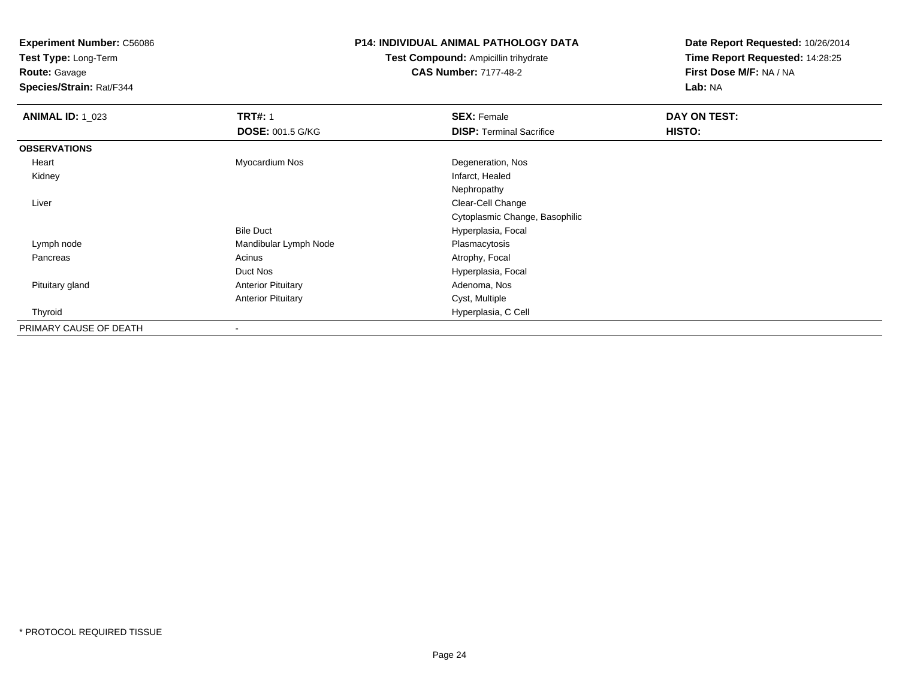**Test Type:** Long-Term

**Route:** Gavage

**Species/Strain:** Rat/F344

#### **P14: INDIVIDUAL ANIMAL PATHOLOGY DATA**

**Test Compound:** Ampicillin trihydrate**CAS Number:** 7177-48-2

| <b>ANIMAL ID: 1_023</b> | <b>TRT#: 1</b>            | <b>SEX: Female</b>              | DAY ON TEST: |  |
|-------------------------|---------------------------|---------------------------------|--------------|--|
|                         | <b>DOSE: 001.5 G/KG</b>   | <b>DISP: Terminal Sacrifice</b> | HISTO:       |  |
| <b>OBSERVATIONS</b>     |                           |                                 |              |  |
| Heart                   | Myocardium Nos            | Degeneration, Nos               |              |  |
| Kidney                  |                           | Infarct, Healed                 |              |  |
|                         |                           | Nephropathy                     |              |  |
| Liver                   |                           | Clear-Cell Change               |              |  |
|                         |                           | Cytoplasmic Change, Basophilic  |              |  |
|                         | <b>Bile Duct</b>          | Hyperplasia, Focal              |              |  |
| Lymph node              | Mandibular Lymph Node     | Plasmacytosis                   |              |  |
| Pancreas                | Acinus                    | Atrophy, Focal                  |              |  |
|                         | Duct Nos                  | Hyperplasia, Focal              |              |  |
| Pituitary gland         | <b>Anterior Pituitary</b> | Adenoma, Nos                    |              |  |
|                         | <b>Anterior Pituitary</b> | Cyst, Multiple                  |              |  |
| Thyroid                 |                           | Hyperplasia, C Cell             |              |  |
| PRIMARY CAUSE OF DEATH  |                           |                                 |              |  |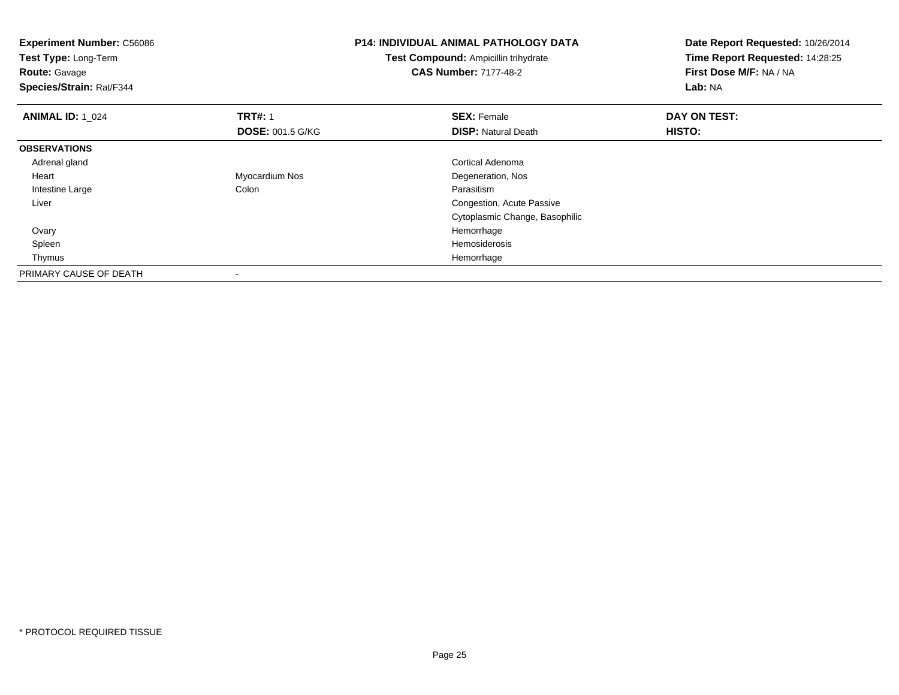| <b>Experiment Number: C56086</b><br>Test Type: Long-Term<br><b>Route: Gavage</b><br>Species/Strain: Rat/F344 |                         | <b>P14: INDIVIDUAL ANIMAL PATHOLOGY DATA</b><br><b>Test Compound: Ampicillin trihydrate</b><br><b>CAS Number: 7177-48-2</b> | Date Report Requested: 10/26/2014<br>Time Report Requested: 14:28:25<br>First Dose M/F: NA / NA<br>Lab: NA |
|--------------------------------------------------------------------------------------------------------------|-------------------------|-----------------------------------------------------------------------------------------------------------------------------|------------------------------------------------------------------------------------------------------------|
| <b>ANIMAL ID: 1 024</b>                                                                                      | <b>TRT#: 1</b>          | <b>SEX: Female</b>                                                                                                          | DAY ON TEST:                                                                                               |
|                                                                                                              | <b>DOSE: 001.5 G/KG</b> | <b>DISP: Natural Death</b>                                                                                                  | HISTO:                                                                                                     |
| <b>OBSERVATIONS</b>                                                                                          |                         |                                                                                                                             |                                                                                                            |
| Adrenal gland                                                                                                |                         | Cortical Adenoma                                                                                                            |                                                                                                            |
| Heart                                                                                                        | Myocardium Nos          | Degeneration, Nos                                                                                                           |                                                                                                            |
| Intestine Large                                                                                              | Colon                   | Parasitism                                                                                                                  |                                                                                                            |
| Liver                                                                                                        |                         | Congestion, Acute Passive                                                                                                   |                                                                                                            |
|                                                                                                              |                         | Cytoplasmic Change, Basophilic                                                                                              |                                                                                                            |
| Ovary                                                                                                        |                         | Hemorrhage                                                                                                                  |                                                                                                            |
| Spleen                                                                                                       |                         | Hemosiderosis                                                                                                               |                                                                                                            |
| Thymus                                                                                                       |                         | Hemorrhage                                                                                                                  |                                                                                                            |
| PRIMARY CAUSE OF DEATH                                                                                       |                         |                                                                                                                             |                                                                                                            |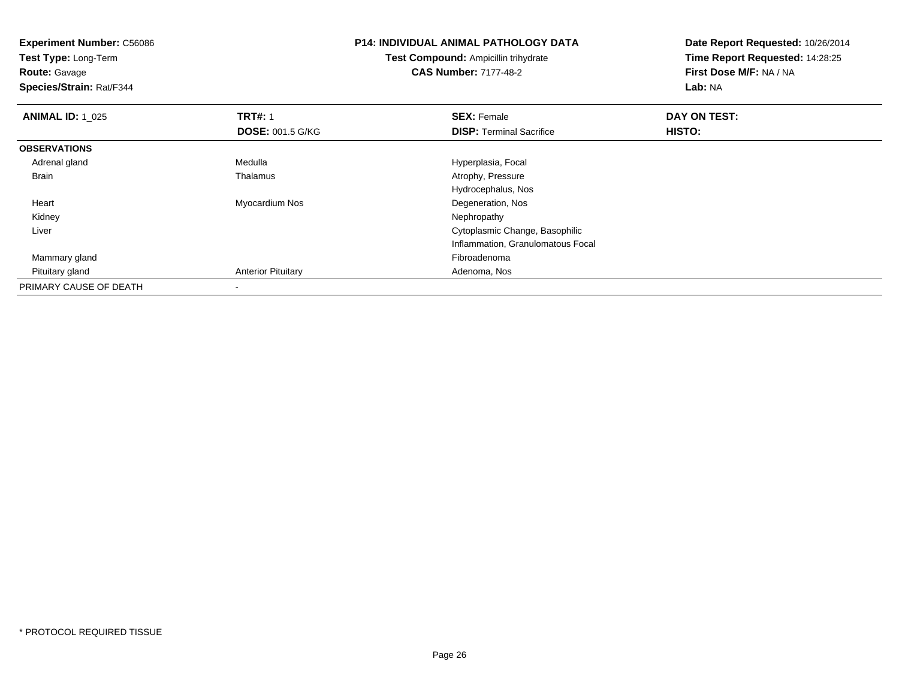| <b>Experiment Number: C56086</b><br>Test Type: Long-Term<br><b>Route: Gavage</b><br>Species/Strain: Rat/F344 |                                           | <b>P14: INDIVIDUAL ANIMAL PATHOLOGY DATA</b><br>Test Compound: Ampicillin trihydrate<br><b>CAS Number: 7177-48-2</b> | Date Report Requested: 10/26/2014<br>Time Report Requested: 14:28:25<br>First Dose M/F: NA / NA<br>Lab: NA |  |
|--------------------------------------------------------------------------------------------------------------|-------------------------------------------|----------------------------------------------------------------------------------------------------------------------|------------------------------------------------------------------------------------------------------------|--|
|                                                                                                              |                                           |                                                                                                                      |                                                                                                            |  |
| <b>ANIMAL ID: 1_025</b>                                                                                      | <b>TRT#: 1</b><br><b>DOSE: 001.5 G/KG</b> | <b>SEX: Female</b><br><b>DISP: Terminal Sacrifice</b>                                                                | DAY ON TEST:<br>HISTO:                                                                                     |  |
| <b>OBSERVATIONS</b>                                                                                          |                                           |                                                                                                                      |                                                                                                            |  |
| Adrenal gland                                                                                                | Medulla                                   | Hyperplasia, Focal                                                                                                   |                                                                                                            |  |
| Brain                                                                                                        | Thalamus                                  | Atrophy, Pressure                                                                                                    |                                                                                                            |  |
|                                                                                                              |                                           | Hydrocephalus, Nos                                                                                                   |                                                                                                            |  |
| Heart                                                                                                        | Myocardium Nos                            | Degeneration, Nos                                                                                                    |                                                                                                            |  |
| Kidney                                                                                                       |                                           | Nephropathy                                                                                                          |                                                                                                            |  |
| Liver                                                                                                        |                                           | Cytoplasmic Change, Basophilic                                                                                       |                                                                                                            |  |
|                                                                                                              |                                           | Inflammation, Granulomatous Focal                                                                                    |                                                                                                            |  |
| Mammary gland                                                                                                |                                           | Fibroadenoma                                                                                                         |                                                                                                            |  |
| Pituitary gland                                                                                              | <b>Anterior Pituitary</b>                 | Adenoma, Nos                                                                                                         |                                                                                                            |  |
| PRIMARY CAUSE OF DEATH                                                                                       |                                           |                                                                                                                      |                                                                                                            |  |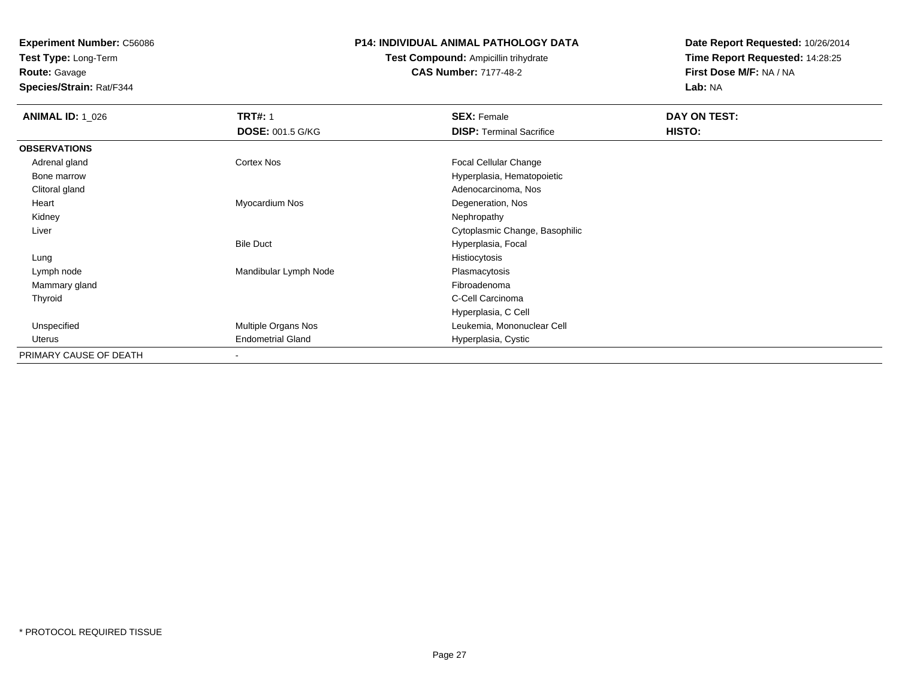**Test Type:** Long-Term**Route:** Gavage

**Species/Strain:** Rat/F344

#### **P14: INDIVIDUAL ANIMAL PATHOLOGY DATA**

# **Test Compound:** Ampicillin trihydrate**CAS Number:** 7177-48-2

| <b>ANIMAL ID: 1 026</b> | <b>TRT#: 1</b>           | <b>SEX: Female</b>              | DAY ON TEST: |
|-------------------------|--------------------------|---------------------------------|--------------|
|                         | <b>DOSE: 001.5 G/KG</b>  | <b>DISP: Terminal Sacrifice</b> | HISTO:       |
| <b>OBSERVATIONS</b>     |                          |                                 |              |
| Adrenal gland           | Cortex Nos               | Focal Cellular Change           |              |
| Bone marrow             |                          | Hyperplasia, Hematopoietic      |              |
| Clitoral gland          |                          | Adenocarcinoma, Nos             |              |
| Heart                   | Myocardium Nos           | Degeneration, Nos               |              |
| Kidney                  |                          | Nephropathy                     |              |
| Liver                   |                          | Cytoplasmic Change, Basophilic  |              |
|                         | <b>Bile Duct</b>         | Hyperplasia, Focal              |              |
| Lung                    |                          | Histiocytosis                   |              |
| Lymph node              | Mandibular Lymph Node    | Plasmacytosis                   |              |
| Mammary gland           |                          | Fibroadenoma                    |              |
| Thyroid                 |                          | C-Cell Carcinoma                |              |
|                         |                          | Hyperplasia, C Cell             |              |
| Unspecified             | Multiple Organs Nos      | Leukemia, Mononuclear Cell      |              |
| Uterus                  | <b>Endometrial Gland</b> | Hyperplasia, Cystic             |              |
| PRIMARY CAUSE OF DEATH  | ۰                        |                                 |              |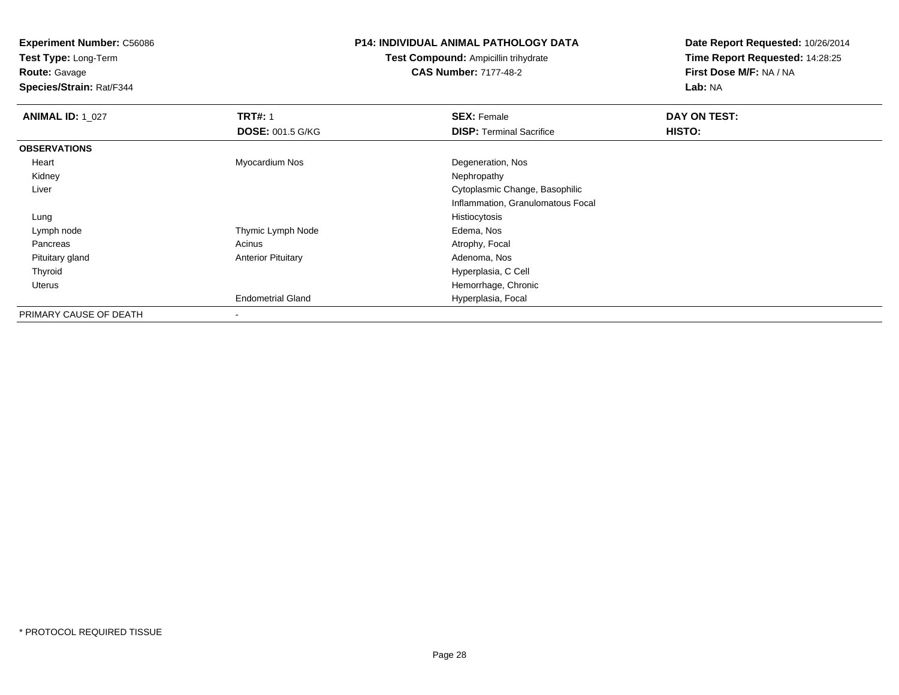**Test Type:** Long-Term

**Route:** Gavage

**Species/Strain:** Rat/F344

### **P14: INDIVIDUAL ANIMAL PATHOLOGY DATA**

**Test Compound:** Ampicillin trihydrate**CAS Number:** 7177-48-2

| <b>ANIMAL ID: 1_027</b> | <b>TRT#: 1</b>            | <b>SEX: Female</b>                | DAY ON TEST: |  |
|-------------------------|---------------------------|-----------------------------------|--------------|--|
|                         | <b>DOSE: 001.5 G/KG</b>   | <b>DISP: Terminal Sacrifice</b>   | HISTO:       |  |
| <b>OBSERVATIONS</b>     |                           |                                   |              |  |
| Heart                   | Myocardium Nos            | Degeneration, Nos                 |              |  |
| Kidney                  |                           | Nephropathy                       |              |  |
| Liver                   |                           | Cytoplasmic Change, Basophilic    |              |  |
|                         |                           | Inflammation, Granulomatous Focal |              |  |
| Lung                    |                           | Histiocytosis                     |              |  |
| Lymph node              | Thymic Lymph Node         | Edema, Nos                        |              |  |
| Pancreas                | Acinus                    | Atrophy, Focal                    |              |  |
| Pituitary gland         | <b>Anterior Pituitary</b> | Adenoma, Nos                      |              |  |
| Thyroid                 |                           | Hyperplasia, C Cell               |              |  |
| <b>Uterus</b>           |                           | Hemorrhage, Chronic               |              |  |
|                         | <b>Endometrial Gland</b>  | Hyperplasia, Focal                |              |  |
| PRIMARY CAUSE OF DEATH  | ۰                         |                                   |              |  |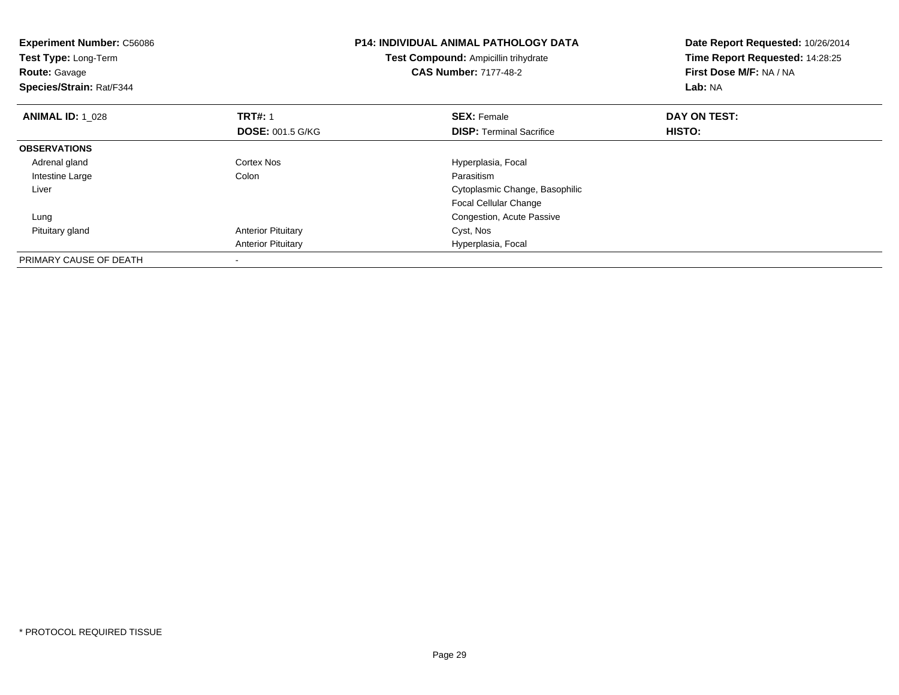| <b>Experiment Number: C56086</b><br>Test Type: Long-Term<br><b>Route: Gavage</b><br>Species/Strain: Rat/F344 |                           | <b>P14: INDIVIDUAL ANIMAL PATHOLOGY DATA</b><br>Test Compound: Ampicillin trihydrate<br><b>CAS Number: 7177-48-2</b> | Date Report Requested: 10/26/2014<br>Time Report Requested: 14:28:25<br>First Dose M/F: NA / NA<br>Lab: NA |  |
|--------------------------------------------------------------------------------------------------------------|---------------------------|----------------------------------------------------------------------------------------------------------------------|------------------------------------------------------------------------------------------------------------|--|
| <b>ANIMAL ID: 1 028</b>                                                                                      | <b>TRT#: 1</b>            | <b>SEX: Female</b>                                                                                                   | DAY ON TEST:                                                                                               |  |
|                                                                                                              | <b>DOSE: 001.5 G/KG</b>   | <b>DISP:</b> Terminal Sacrifice                                                                                      | HISTO:                                                                                                     |  |
| <b>OBSERVATIONS</b>                                                                                          |                           |                                                                                                                      |                                                                                                            |  |
| Adrenal gland                                                                                                | Cortex Nos                | Hyperplasia, Focal                                                                                                   |                                                                                                            |  |
| Intestine Large                                                                                              | Colon                     | Parasitism                                                                                                           |                                                                                                            |  |
| Liver                                                                                                        |                           | Cytoplasmic Change, Basophilic                                                                                       |                                                                                                            |  |
|                                                                                                              |                           | <b>Focal Cellular Change</b>                                                                                         |                                                                                                            |  |
| Lung                                                                                                         |                           | Congestion, Acute Passive                                                                                            |                                                                                                            |  |
| Pituitary gland                                                                                              | <b>Anterior Pituitary</b> | Cyst, Nos                                                                                                            |                                                                                                            |  |
|                                                                                                              | <b>Anterior Pituitary</b> | Hyperplasia, Focal                                                                                                   |                                                                                                            |  |
| PRIMARY CAUSE OF DEATH                                                                                       |                           |                                                                                                                      |                                                                                                            |  |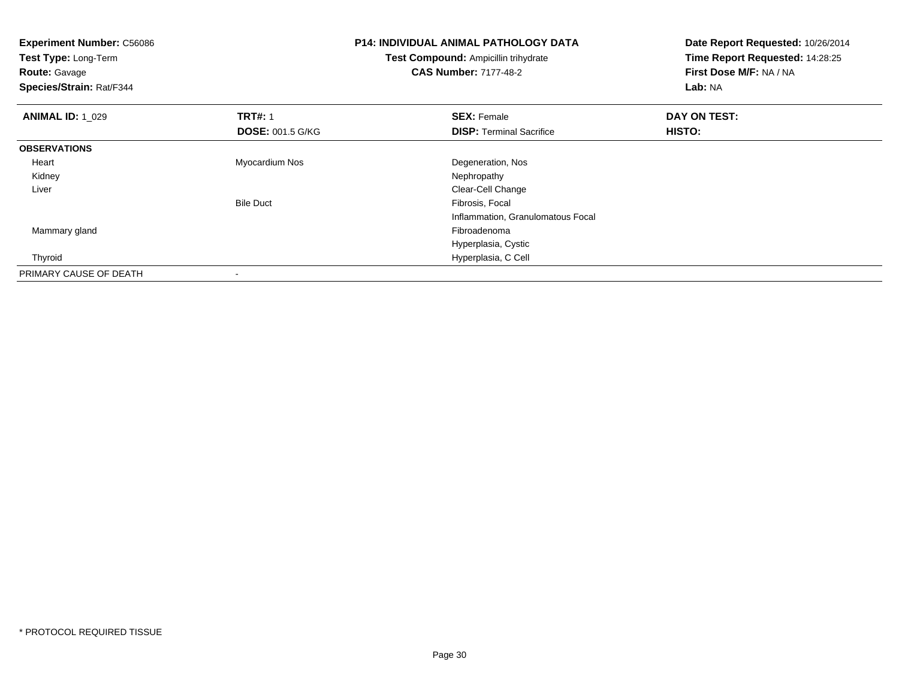| <b>Experiment Number: C56086</b><br>Test Type: Long-Term<br><b>Route:</b> Gavage<br>Species/Strain: Rat/F344 |                         | <b>P14: INDIVIDUAL ANIMAL PATHOLOGY DATA</b><br><b>Test Compound: Ampicillin trihydrate</b><br><b>CAS Number: 7177-48-2</b> | Date Report Requested: 10/26/2014<br>Time Report Requested: 14:28:25<br>First Dose M/F: NA / NA<br>Lab: NA |
|--------------------------------------------------------------------------------------------------------------|-------------------------|-----------------------------------------------------------------------------------------------------------------------------|------------------------------------------------------------------------------------------------------------|
| <b>ANIMAL ID: 1 029</b>                                                                                      | <b>TRT#: 1</b>          | <b>SEX: Female</b>                                                                                                          | DAY ON TEST:                                                                                               |
|                                                                                                              | <b>DOSE: 001.5 G/KG</b> | <b>DISP:</b> Terminal Sacrifice                                                                                             | HISTO:                                                                                                     |
| <b>OBSERVATIONS</b>                                                                                          |                         |                                                                                                                             |                                                                                                            |
| Heart                                                                                                        | Myocardium Nos          | Degeneration, Nos                                                                                                           |                                                                                                            |
| Kidney                                                                                                       |                         | Nephropathy                                                                                                                 |                                                                                                            |
| Liver                                                                                                        |                         | Clear-Cell Change                                                                                                           |                                                                                                            |
|                                                                                                              | <b>Bile Duct</b>        | Fibrosis, Focal                                                                                                             |                                                                                                            |
|                                                                                                              |                         | Inflammation, Granulomatous Focal                                                                                           |                                                                                                            |
| Mammary gland                                                                                                |                         | Fibroadenoma                                                                                                                |                                                                                                            |
|                                                                                                              |                         | Hyperplasia, Cystic                                                                                                         |                                                                                                            |
| Thyroid                                                                                                      |                         | Hyperplasia, C Cell                                                                                                         |                                                                                                            |
| PRIMARY CAUSE OF DEATH                                                                                       |                         |                                                                                                                             |                                                                                                            |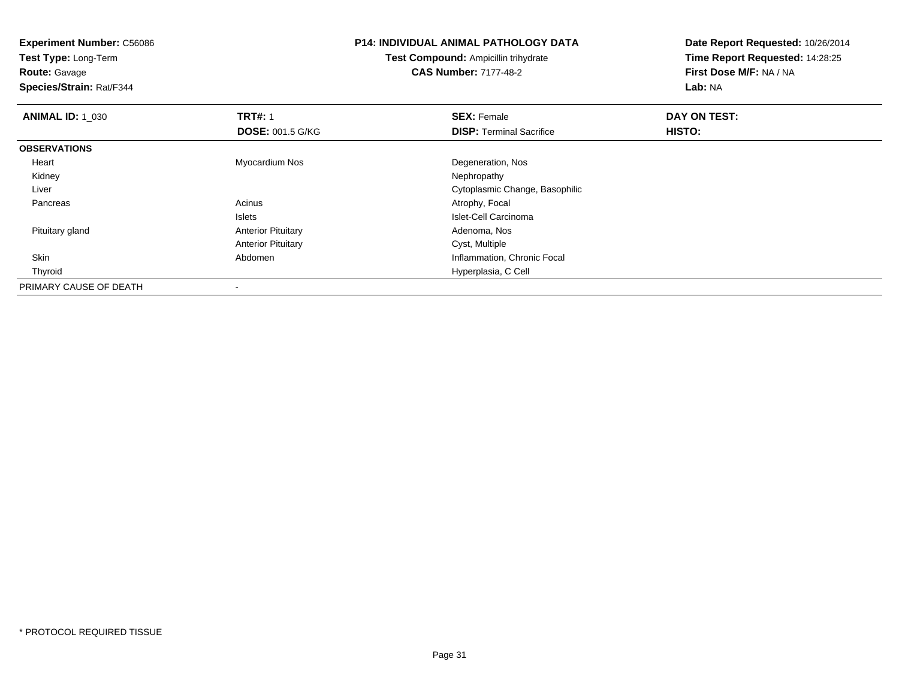| <b>Experiment Number: C56086</b><br>Test Type: Long-Term |                           | <b>P14: INDIVIDUAL ANIMAL PATHOLOGY DATA</b> | Date Report Requested: 10/26/2014 |
|----------------------------------------------------------|---------------------------|----------------------------------------------|-----------------------------------|
|                                                          |                           | Test Compound: Ampicillin trihydrate         | Time Report Requested: 14:28:25   |
| <b>Route: Gavage</b>                                     |                           | <b>CAS Number: 7177-48-2</b>                 | First Dose M/F: NA / NA           |
| Species/Strain: Rat/F344                                 |                           |                                              | Lab: NA                           |
| <b>ANIMAL ID: 1 030</b>                                  | <b>TRT#: 1</b>            | <b>SEX: Female</b>                           | DAY ON TEST:                      |
|                                                          | <b>DOSE: 001.5 G/KG</b>   | <b>DISP:</b> Terminal Sacrifice              | <b>HISTO:</b>                     |
| <b>OBSERVATIONS</b>                                      |                           |                                              |                                   |
| Heart                                                    | Myocardium Nos            | Degeneration, Nos                            |                                   |
| Kidney                                                   |                           | Nephropathy                                  |                                   |
| Liver                                                    |                           | Cytoplasmic Change, Basophilic               |                                   |
| Pancreas                                                 | Acinus                    | Atrophy, Focal                               |                                   |
|                                                          | <b>Islets</b>             | Islet-Cell Carcinoma                         |                                   |
| Pituitary gland                                          | <b>Anterior Pituitary</b> | Adenoma, Nos                                 |                                   |
|                                                          | <b>Anterior Pituitary</b> | Cyst, Multiple                               |                                   |
| Skin                                                     | Abdomen                   | Inflammation, Chronic Focal                  |                                   |
| Thyroid                                                  |                           | Hyperplasia, C Cell                          |                                   |
| PRIMARY CAUSE OF DEATH                                   |                           |                                              |                                   |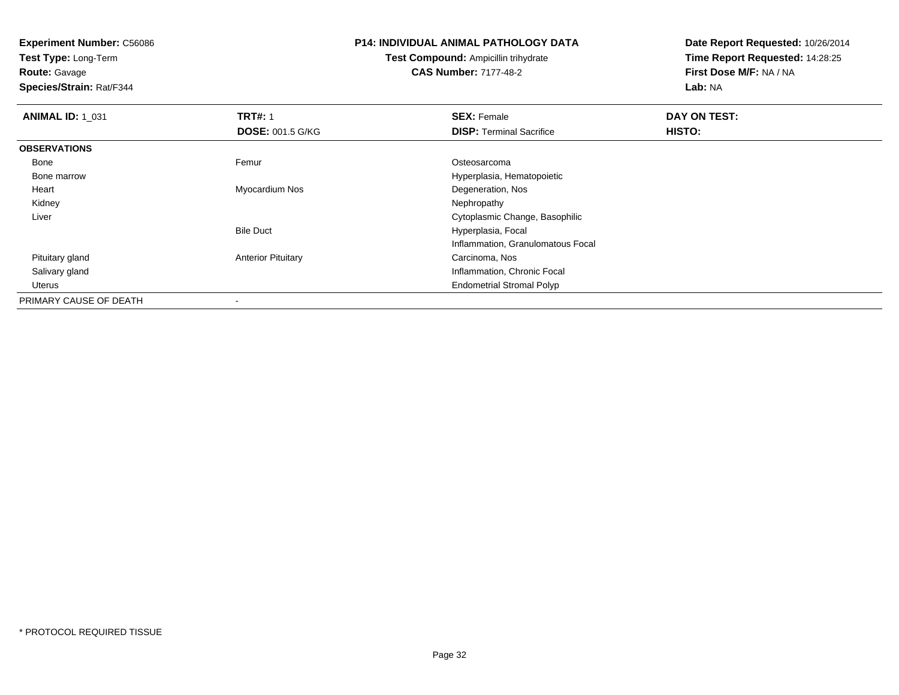**Test Type:** Long-Term

**Route:** Gavage

**Species/Strain:** Rat/F344

#### **P14: INDIVIDUAL ANIMAL PATHOLOGY DATA**

**Test Compound:** Ampicillin trihydrate**CAS Number:** 7177-48-2

| <b>ANIMAL ID: 1 031</b> | <b>TRT#: 1</b>            | <b>SEX: Female</b>                | DAY ON TEST: |  |
|-------------------------|---------------------------|-----------------------------------|--------------|--|
|                         | <b>DOSE: 001.5 G/KG</b>   | <b>DISP: Terminal Sacrifice</b>   | HISTO:       |  |
| <b>OBSERVATIONS</b>     |                           |                                   |              |  |
| Bone                    | Femur                     | Osteosarcoma                      |              |  |
| Bone marrow             |                           | Hyperplasia, Hematopoietic        |              |  |
| Heart                   | Myocardium Nos            | Degeneration, Nos                 |              |  |
| Kidney                  |                           | Nephropathy                       |              |  |
| Liver                   |                           | Cytoplasmic Change, Basophilic    |              |  |
|                         | <b>Bile Duct</b>          | Hyperplasia, Focal                |              |  |
|                         |                           | Inflammation, Granulomatous Focal |              |  |
| Pituitary gland         | <b>Anterior Pituitary</b> | Carcinoma, Nos                    |              |  |
| Salivary gland          |                           | Inflammation, Chronic Focal       |              |  |
| Uterus                  |                           | <b>Endometrial Stromal Polyp</b>  |              |  |
| PRIMARY CAUSE OF DEATH  | $\overline{\phantom{a}}$  |                                   |              |  |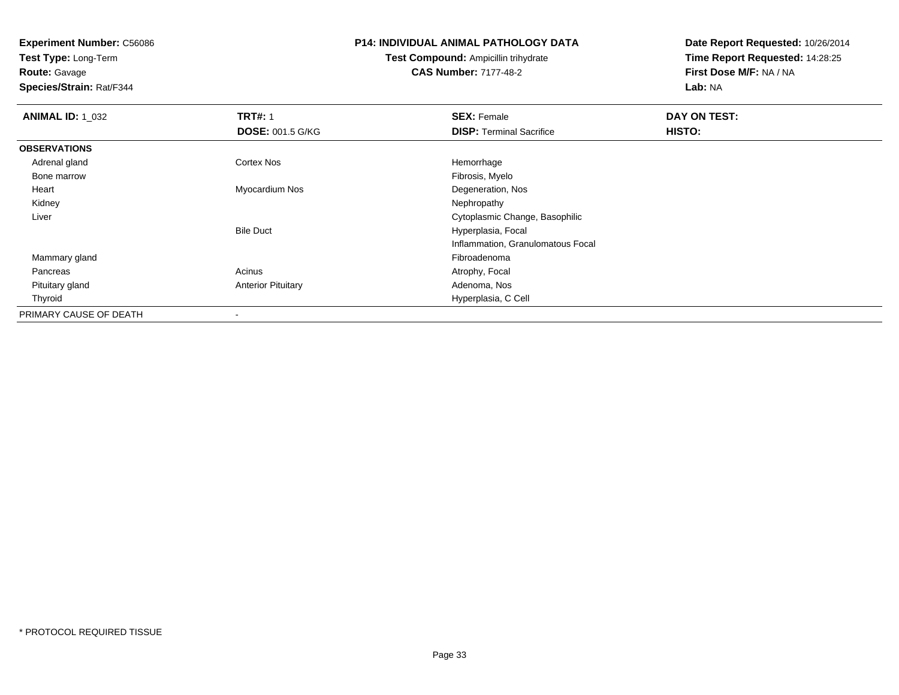**Test Type:** Long-Term

**Route:** Gavage

**Species/Strain:** Rat/F344

#### **P14: INDIVIDUAL ANIMAL PATHOLOGY DATA**

**Test Compound:** Ampicillin trihydrate**CAS Number:** 7177-48-2

| <b>ANIMAL ID: 1_032</b> | <b>TRT#: 1</b>            | <b>SEX: Female</b>                | DAY ON TEST: |  |
|-------------------------|---------------------------|-----------------------------------|--------------|--|
|                         | <b>DOSE: 001.5 G/KG</b>   | <b>DISP:</b> Terminal Sacrifice   | HISTO:       |  |
| <b>OBSERVATIONS</b>     |                           |                                   |              |  |
| Adrenal gland           | <b>Cortex Nos</b>         | Hemorrhage                        |              |  |
| Bone marrow             |                           | Fibrosis, Myelo                   |              |  |
| Heart                   | Myocardium Nos            | Degeneration, Nos                 |              |  |
| Kidney                  |                           | Nephropathy                       |              |  |
| Liver                   |                           | Cytoplasmic Change, Basophilic    |              |  |
|                         | <b>Bile Duct</b>          | Hyperplasia, Focal                |              |  |
|                         |                           | Inflammation, Granulomatous Focal |              |  |
| Mammary gland           |                           | Fibroadenoma                      |              |  |
| Pancreas                | Acinus                    | Atrophy, Focal                    |              |  |
| Pituitary gland         | <b>Anterior Pituitary</b> | Adenoma, Nos                      |              |  |
| Thyroid                 |                           | Hyperplasia, C Cell               |              |  |
| PRIMARY CAUSE OF DEATH  |                           |                                   |              |  |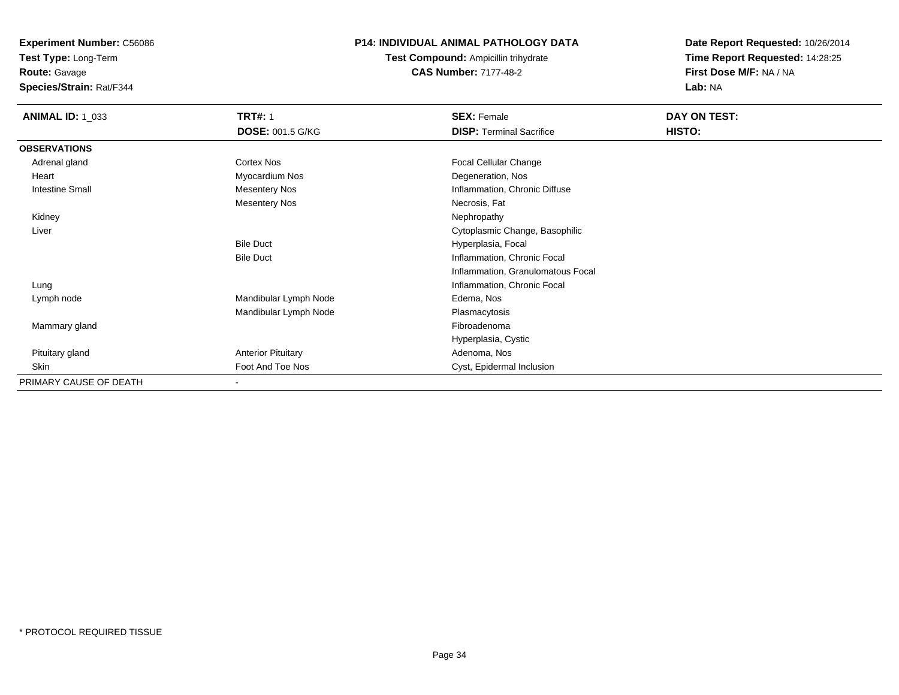**Test Type:** Long-Term

**Route:** Gavage

**Species/Strain:** Rat/F344

### **P14: INDIVIDUAL ANIMAL PATHOLOGY DATA**

**Test Compound:** Ampicillin trihydrate**CAS Number:** 7177-48-2

| <b>ANIMAL ID: 1_033</b> | <b>TRT#: 1</b>            | <b>SEX: Female</b>                | DAY ON TEST: |  |
|-------------------------|---------------------------|-----------------------------------|--------------|--|
|                         | <b>DOSE: 001.5 G/KG</b>   | <b>DISP: Terminal Sacrifice</b>   | HISTO:       |  |
| <b>OBSERVATIONS</b>     |                           |                                   |              |  |
| Adrenal gland           | Cortex Nos                | Focal Cellular Change             |              |  |
| Heart                   | Myocardium Nos            | Degeneration, Nos                 |              |  |
| <b>Intestine Small</b>  | <b>Mesentery Nos</b>      | Inflammation, Chronic Diffuse     |              |  |
|                         | <b>Mesentery Nos</b>      | Necrosis, Fat                     |              |  |
| Kidney                  |                           | Nephropathy                       |              |  |
| Liver                   |                           | Cytoplasmic Change, Basophilic    |              |  |
|                         | <b>Bile Duct</b>          | Hyperplasia, Focal                |              |  |
|                         | <b>Bile Duct</b>          | Inflammation, Chronic Focal       |              |  |
|                         |                           | Inflammation, Granulomatous Focal |              |  |
| Lung                    |                           | Inflammation, Chronic Focal       |              |  |
| Lymph node              | Mandibular Lymph Node     | Edema, Nos                        |              |  |
|                         | Mandibular Lymph Node     | Plasmacytosis                     |              |  |
| Mammary gland           |                           | Fibroadenoma                      |              |  |
|                         |                           | Hyperplasia, Cystic               |              |  |
| Pituitary gland         | <b>Anterior Pituitary</b> | Adenoma, Nos                      |              |  |
| Skin                    | Foot And Toe Nos          | Cyst, Epidermal Inclusion         |              |  |
| PRIMARY CAUSE OF DEATH  | ۰                         |                                   |              |  |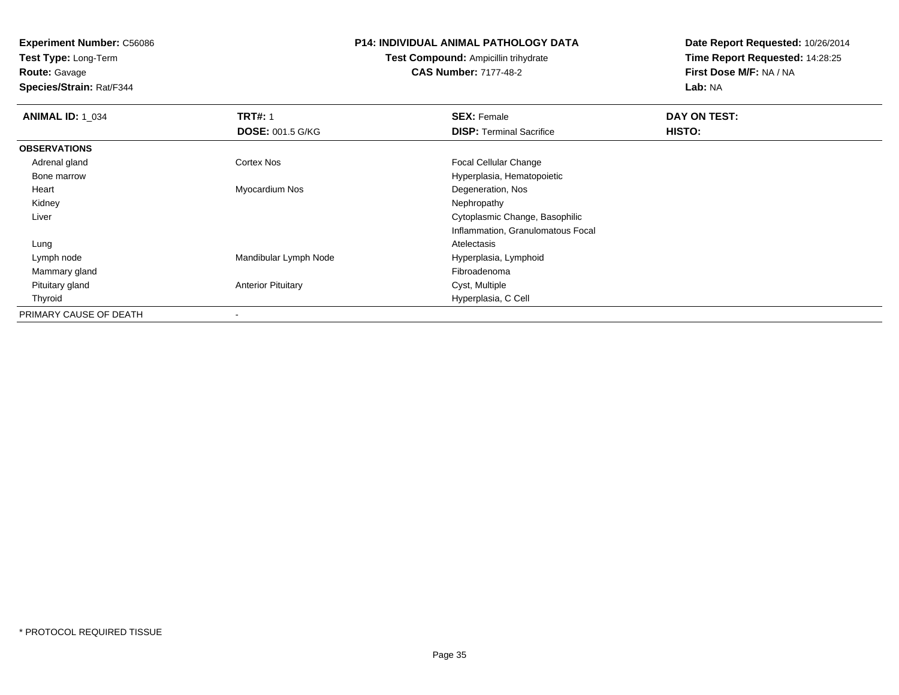**Test Type:** Long-Term

**Route:** Gavage

**Species/Strain:** Rat/F344

#### **P14: INDIVIDUAL ANIMAL PATHOLOGY DATA**

**Test Compound:** Ampicillin trihydrate**CAS Number:** 7177-48-2

| <b>ANIMAL ID: 1_034</b> | <b>TRT#: 1</b>            | <b>SEX: Female</b>                | DAY ON TEST:  |  |
|-------------------------|---------------------------|-----------------------------------|---------------|--|
|                         | <b>DOSE: 001.5 G/KG</b>   | <b>DISP:</b> Terminal Sacrifice   | <b>HISTO:</b> |  |
| <b>OBSERVATIONS</b>     |                           |                                   |               |  |
| Adrenal gland           | <b>Cortex Nos</b>         | <b>Focal Cellular Change</b>      |               |  |
| Bone marrow             |                           | Hyperplasia, Hematopoietic        |               |  |
| Heart                   | Myocardium Nos            | Degeneration, Nos                 |               |  |
| Kidney                  |                           | Nephropathy                       |               |  |
| Liver                   |                           | Cytoplasmic Change, Basophilic    |               |  |
|                         |                           | Inflammation, Granulomatous Focal |               |  |
| Lung                    |                           | Atelectasis                       |               |  |
| Lymph node              | Mandibular Lymph Node     | Hyperplasia, Lymphoid             |               |  |
| Mammary gland           |                           | Fibroadenoma                      |               |  |
| Pituitary gland         | <b>Anterior Pituitary</b> | Cyst, Multiple                    |               |  |
| Thyroid                 |                           | Hyperplasia, C Cell               |               |  |
| PRIMARY CAUSE OF DEATH  | $\overline{\phantom{a}}$  |                                   |               |  |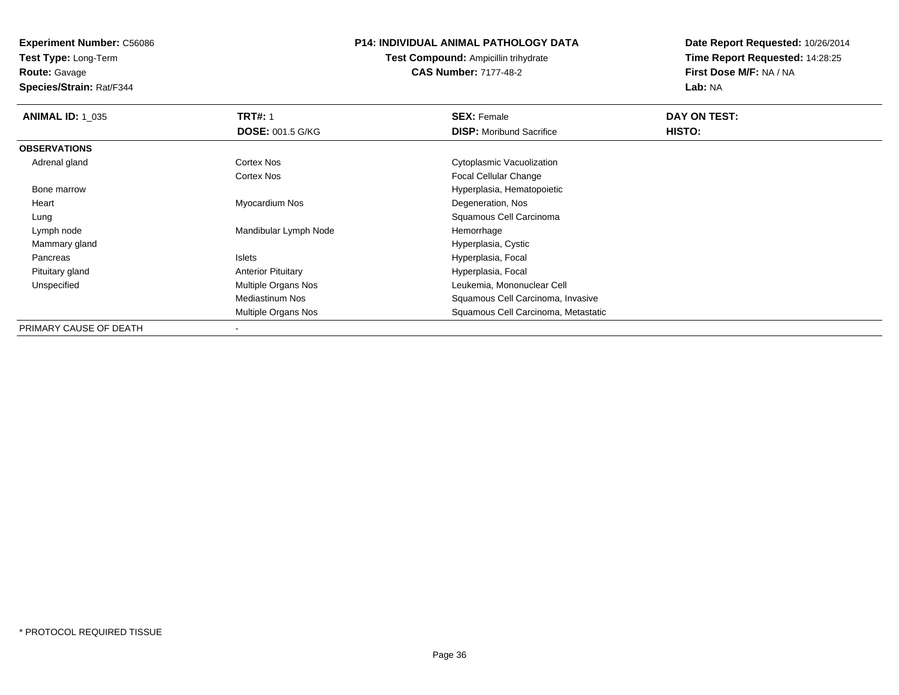**Test Type:** Long-Term

**Route:** Gavage

**Species/Strain:** Rat/F344

#### **P14: INDIVIDUAL ANIMAL PATHOLOGY DATA**

**Test Compound:** Ampicillin trihydrate**CAS Number:** 7177-48-2

| <b>ANIMAL ID: 1_035</b> | <b>TRT#: 1</b>            | <b>SEX: Female</b>                  | DAY ON TEST: |  |
|-------------------------|---------------------------|-------------------------------------|--------------|--|
|                         | <b>DOSE: 001.5 G/KG</b>   | <b>DISP:</b> Moribund Sacrifice     | HISTO:       |  |
| <b>OBSERVATIONS</b>     |                           |                                     |              |  |
| Adrenal gland           | Cortex Nos                | Cytoplasmic Vacuolization           |              |  |
|                         | Cortex Nos                | Focal Cellular Change               |              |  |
| Bone marrow             |                           | Hyperplasia, Hematopoietic          |              |  |
| Heart                   | Myocardium Nos            | Degeneration, Nos                   |              |  |
| Lung                    |                           | Squamous Cell Carcinoma             |              |  |
| Lymph node              | Mandibular Lymph Node     | Hemorrhage                          |              |  |
| Mammary gland           |                           | Hyperplasia, Cystic                 |              |  |
| Pancreas                | Islets                    | Hyperplasia, Focal                  |              |  |
| Pituitary gland         | <b>Anterior Pituitary</b> | Hyperplasia, Focal                  |              |  |
| Unspecified             | Multiple Organs Nos       | Leukemia, Mononuclear Cell          |              |  |
|                         | Mediastinum Nos           | Squamous Cell Carcinoma, Invasive   |              |  |
|                         | Multiple Organs Nos       | Squamous Cell Carcinoma, Metastatic |              |  |
| PRIMARY CAUSE OF DEATH  |                           |                                     |              |  |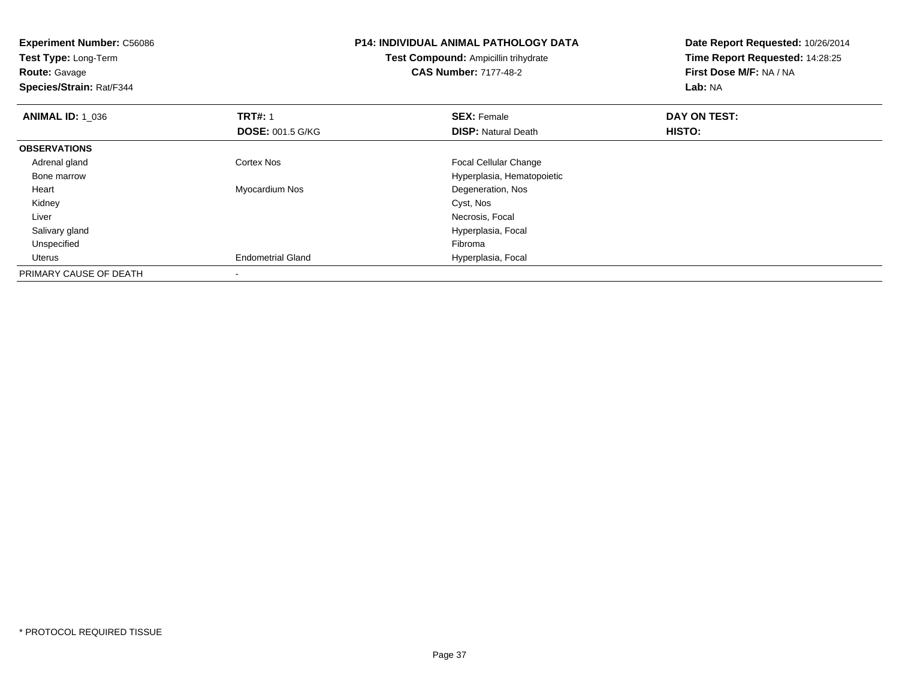| <b>Experiment Number: C56086</b><br>Test Type: Long-Term<br><b>Route: Gavage</b><br>Species/Strain: Rat/F344 |                          | <b>P14: INDIVIDUAL ANIMAL PATHOLOGY DATA</b><br>Test Compound: Ampicillin trihydrate<br><b>CAS Number: 7177-48-2</b> | Date Report Requested: 10/26/2014<br>Time Report Requested: 14:28:25<br>First Dose M/F: NA / NA<br>Lab: NA |
|--------------------------------------------------------------------------------------------------------------|--------------------------|----------------------------------------------------------------------------------------------------------------------|------------------------------------------------------------------------------------------------------------|
| <b>ANIMAL ID: 1 036</b>                                                                                      | <b>TRT#: 1</b>           | <b>SEX: Female</b>                                                                                                   | DAY ON TEST:                                                                                               |
|                                                                                                              | <b>DOSE: 001.5 G/KG</b>  | <b>DISP: Natural Death</b>                                                                                           | <b>HISTO:</b>                                                                                              |
| <b>OBSERVATIONS</b>                                                                                          |                          |                                                                                                                      |                                                                                                            |
| Adrenal gland                                                                                                | <b>Cortex Nos</b>        | <b>Focal Cellular Change</b>                                                                                         |                                                                                                            |
| Bone marrow                                                                                                  |                          | Hyperplasia, Hematopoietic                                                                                           |                                                                                                            |
| Heart                                                                                                        | Myocardium Nos           | Degeneration, Nos                                                                                                    |                                                                                                            |
| Kidney                                                                                                       |                          | Cyst, Nos                                                                                                            |                                                                                                            |
| Liver                                                                                                        |                          | Necrosis, Focal                                                                                                      |                                                                                                            |
| Salivary gland                                                                                               |                          | Hyperplasia, Focal                                                                                                   |                                                                                                            |
| Unspecified                                                                                                  |                          | Fibroma                                                                                                              |                                                                                                            |
| <b>Uterus</b>                                                                                                | <b>Endometrial Gland</b> | Hyperplasia, Focal                                                                                                   |                                                                                                            |
| PRIMARY CAUSE OF DEATH                                                                                       |                          |                                                                                                                      |                                                                                                            |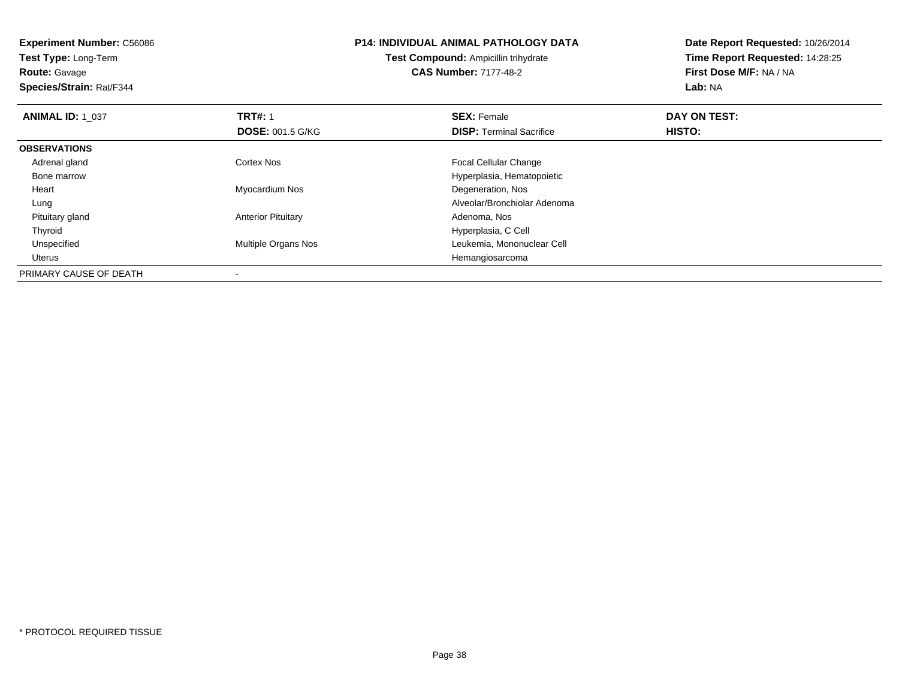**Experiment Number:** C56086**Test Type:** Long-Term**Route:** Gavage **Species/Strain:** Rat/F344**P14: INDIVIDUAL ANIMAL PATHOLOGY DATATest Compound:** Ampicillin trihydrate**CAS Number:** 7177-48-2**Date Report Requested:** 10/26/2014**Time Report Requested:** 14:28:25**First Dose M/F:** NA / NA**Lab:** NA**ANIMAL ID: 1\_037 TRT#:** 1 **SEX:** Female **DAY ON TEST: DOSE:** 001.5 G/KG**DISP:** Terminal Sacrifice **HISTO: OBSERVATIONS** Adrenal glandCortex Nos **Focal Cellular Change**  Bone marrow Hyperplasia, Hematopoietic Heart Myocardium Nos Degeneration, Nos Lung Alveolar/Bronchiolar Adenoma Pituitary glandAnterior Pituitary ThyroidHyperplasia, C Cell<br>Multiple Organs Nos and The Multiple Organs Nos UnspecifiedLeukemia, Mononuclear Cell Uterus HemangiosarcomaPRIMARY CAUSE OF DEATH-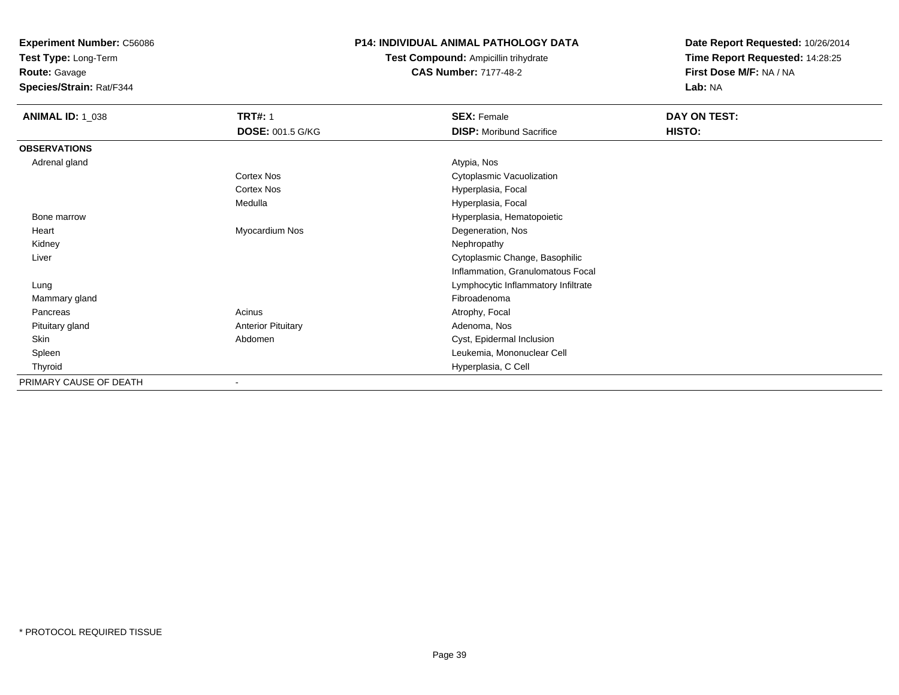**Test Type:** Long-Term

**Route:** Gavage

**Species/Strain:** Rat/F344

#### **P14: INDIVIDUAL ANIMAL PATHOLOGY DATA**

**Test Compound:** Ampicillin trihydrate**CAS Number:** 7177-48-2

| <b>ANIMAL ID: 1_038</b> | <b>TRT#: 1</b>            | <b>SEX: Female</b>                  | DAY ON TEST: |  |
|-------------------------|---------------------------|-------------------------------------|--------------|--|
|                         | <b>DOSE: 001.5 G/KG</b>   | <b>DISP:</b> Moribund Sacrifice     | HISTO:       |  |
| <b>OBSERVATIONS</b>     |                           |                                     |              |  |
| Adrenal gland           |                           | Atypia, Nos                         |              |  |
|                         | Cortex Nos                | Cytoplasmic Vacuolization           |              |  |
|                         | Cortex Nos                | Hyperplasia, Focal                  |              |  |
|                         | Medulla                   | Hyperplasia, Focal                  |              |  |
| Bone marrow             |                           | Hyperplasia, Hematopoietic          |              |  |
| Heart                   | Myocardium Nos            | Degeneration, Nos                   |              |  |
| Kidney                  |                           | Nephropathy                         |              |  |
| Liver                   |                           | Cytoplasmic Change, Basophilic      |              |  |
|                         |                           | Inflammation, Granulomatous Focal   |              |  |
| Lung                    |                           | Lymphocytic Inflammatory Infiltrate |              |  |
| Mammary gland           |                           | Fibroadenoma                        |              |  |
| Pancreas                | Acinus                    | Atrophy, Focal                      |              |  |
| Pituitary gland         | <b>Anterior Pituitary</b> | Adenoma, Nos                        |              |  |
| Skin                    | Abdomen                   | Cyst, Epidermal Inclusion           |              |  |
| Spleen                  |                           | Leukemia, Mononuclear Cell          |              |  |
| Thyroid                 |                           | Hyperplasia, C Cell                 |              |  |
| PRIMARY CAUSE OF DEATH  | $\blacksquare$            |                                     |              |  |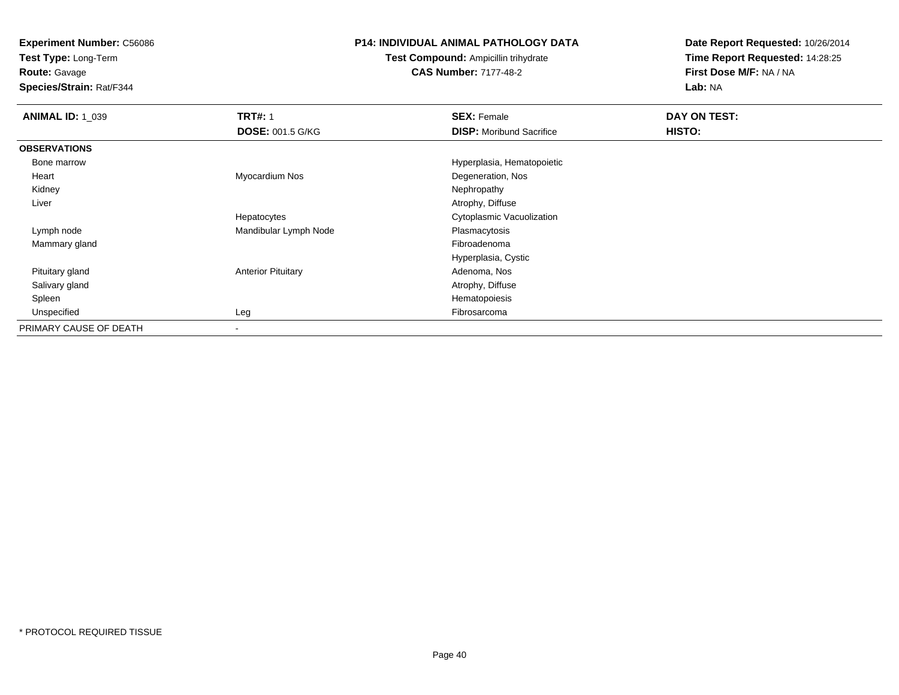**Test Type:** Long-Term

# **Route:** Gavage

**Species/Strain:** Rat/F344

#### **P14: INDIVIDUAL ANIMAL PATHOLOGY DATA**

## **Test Compound:** Ampicillin trihydrate**CAS Number:** 7177-48-2

| <b>ANIMAL ID: 1 039</b> | <b>TRT#: 1</b>            | <b>SEX: Female</b>              | DAY ON TEST: |
|-------------------------|---------------------------|---------------------------------|--------------|
|                         | <b>DOSE: 001.5 G/KG</b>   | <b>DISP:</b> Moribund Sacrifice | HISTO:       |
| <b>OBSERVATIONS</b>     |                           |                                 |              |
| Bone marrow             |                           | Hyperplasia, Hematopoietic      |              |
| Heart                   | Myocardium Nos            | Degeneration, Nos               |              |
| Kidney                  |                           | Nephropathy                     |              |
| Liver                   |                           | Atrophy, Diffuse                |              |
|                         | Hepatocytes               | Cytoplasmic Vacuolization       |              |
| Lymph node              | Mandibular Lymph Node     | Plasmacytosis                   |              |
| Mammary gland           |                           | Fibroadenoma                    |              |
|                         |                           | Hyperplasia, Cystic             |              |
| Pituitary gland         | <b>Anterior Pituitary</b> | Adenoma, Nos                    |              |
| Salivary gland          |                           | Atrophy, Diffuse                |              |
| Spleen                  |                           | Hematopoiesis                   |              |
| Unspecified             | Leg                       | Fibrosarcoma                    |              |
| PRIMARY CAUSE OF DEATH  | $\,$                      |                                 |              |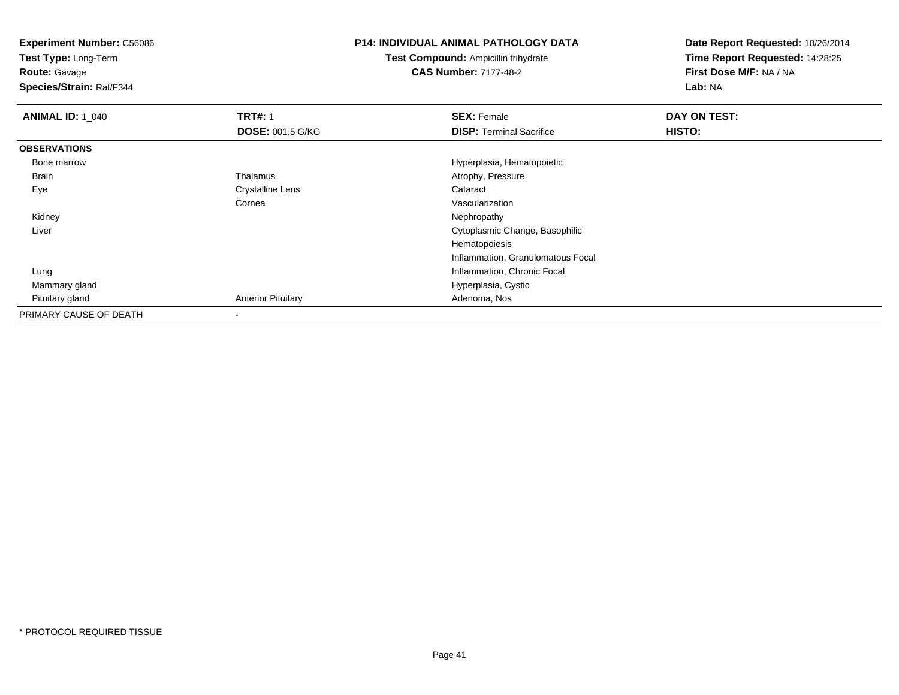**Experiment Number:** C56086**Test Type:** Long-Term**Route:** Gavage **Species/Strain:** Rat/F344**P14: INDIVIDUAL ANIMAL PATHOLOGY DATATest Compound:** Ampicillin trihydrate**CAS Number:** 7177-48-2**Date Report Requested:** 10/26/2014**Time Report Requested:** 14:28:25**First Dose M/F:** NA / NA**Lab:** NA**ANIMAL ID: 1\_040 C TRT#:** 1 **SEX:** Female **DAY ON TEST: DOSE:** 001.5 G/KG**DISP:** Terminal Sacrifice **HISTO: OBSERVATIONS** Bone marrowHyperplasia, Hematopoietic<br>
Hyperplasia, Hematopoietic<br>
Atrophy, Pressure BrainAtrophy, Pressure<br>Cataract EyeCrystalline Lens Cornea Vascularization Kidneyy the control of the control of the control of the control of the control of the control of the control of the control of the control of the control of the control of the control of the control of the control of the contro Liver Cytoplasmic Change, BasophilicHematopoiesis Inflammation, Granulomatous Focal Lung Inflammation, Chronic Focal Mammary gland Hyperplasia, Cystic Pituitary glandAnterior Pituitary **Adenoma, Nos** Adenoma, Nos PRIMARY CAUSE OF DEATH-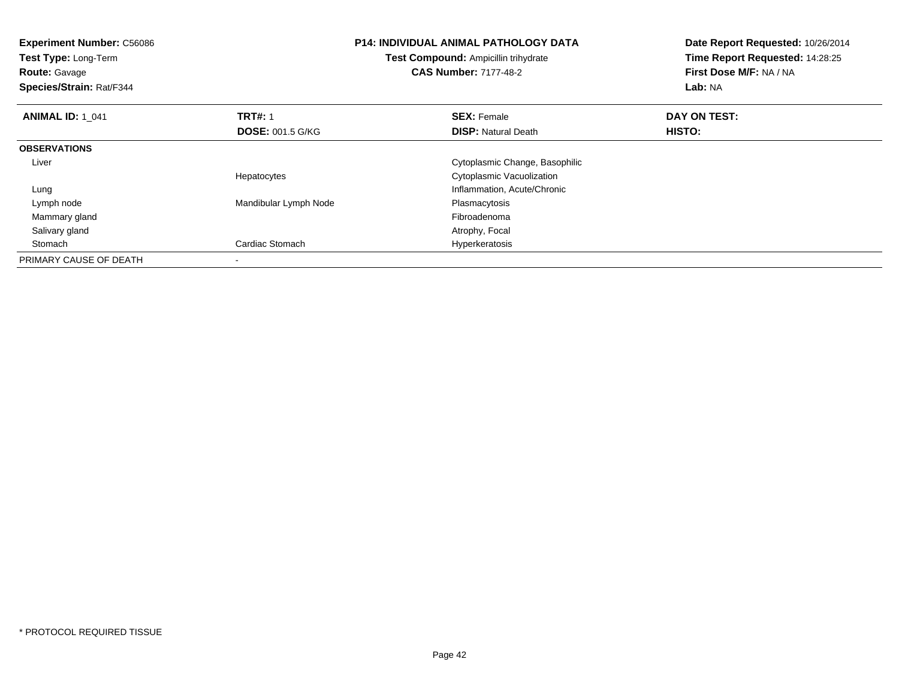| <b>Experiment Number: C56086</b><br>Test Type: Long-Term<br><b>Route: Gavage</b><br>Species/Strain: Rat/F344 |                         | <b>P14: INDIVIDUAL ANIMAL PATHOLOGY DATA</b><br>Test Compound: Ampicillin trihydrate<br><b>CAS Number: 7177-48-2</b> | Date Report Requested: 10/26/2014<br>Time Report Requested: 14:28:25<br>First Dose M/F: NA / NA<br>Lab: NA |
|--------------------------------------------------------------------------------------------------------------|-------------------------|----------------------------------------------------------------------------------------------------------------------|------------------------------------------------------------------------------------------------------------|
| <b>ANIMAL ID: 1 041</b>                                                                                      | <b>TRT#: 1</b>          | <b>SEX: Female</b>                                                                                                   | DAY ON TEST:                                                                                               |
|                                                                                                              | <b>DOSE: 001.5 G/KG</b> | <b>DISP:</b> Natural Death                                                                                           | HISTO:                                                                                                     |
| <b>OBSERVATIONS</b>                                                                                          |                         |                                                                                                                      |                                                                                                            |
| Liver                                                                                                        |                         | Cytoplasmic Change, Basophilic                                                                                       |                                                                                                            |
|                                                                                                              | Hepatocytes             | Cytoplasmic Vacuolization                                                                                            |                                                                                                            |
| Lung                                                                                                         |                         | Inflammation, Acute/Chronic                                                                                          |                                                                                                            |
| Lymph node                                                                                                   | Mandibular Lymph Node   | Plasmacytosis                                                                                                        |                                                                                                            |
| Mammary gland                                                                                                |                         | Fibroadenoma                                                                                                         |                                                                                                            |
| Salivary gland                                                                                               |                         | Atrophy, Focal                                                                                                       |                                                                                                            |
| Stomach                                                                                                      | Cardiac Stomach         | Hyperkeratosis                                                                                                       |                                                                                                            |
| PRIMARY CAUSE OF DEATH                                                                                       |                         |                                                                                                                      |                                                                                                            |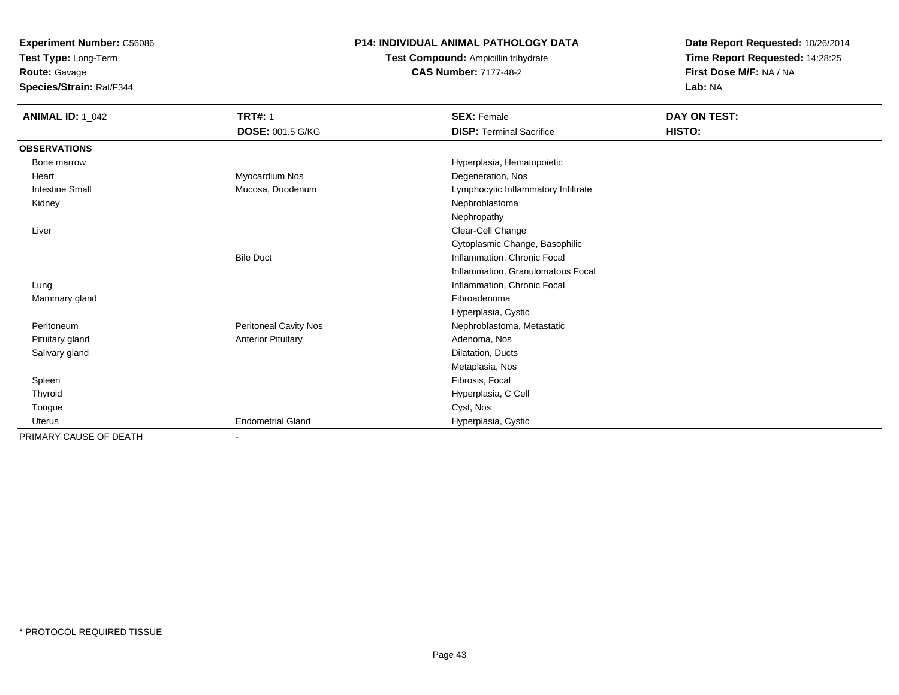**Test Type:** Long-Term

**Route:** Gavage

**Species/Strain:** Rat/F344

### **P14: INDIVIDUAL ANIMAL PATHOLOGY DATA**

**Test Compound:** Ampicillin trihydrate**CAS Number:** 7177-48-2

| <b>ANIMAL ID: 1_042</b> | <b>TRT#: 1</b>            | <b>SEX: Female</b>                  | DAY ON TEST: |
|-------------------------|---------------------------|-------------------------------------|--------------|
|                         | <b>DOSE: 001.5 G/KG</b>   | <b>DISP: Terminal Sacrifice</b>     | HISTO:       |
| <b>OBSERVATIONS</b>     |                           |                                     |              |
| Bone marrow             |                           | Hyperplasia, Hematopoietic          |              |
| Heart                   | Myocardium Nos            | Degeneration, Nos                   |              |
| <b>Intestine Small</b>  | Mucosa, Duodenum          | Lymphocytic Inflammatory Infiltrate |              |
| Kidney                  |                           | Nephroblastoma                      |              |
|                         |                           | Nephropathy                         |              |
| Liver                   |                           | Clear-Cell Change                   |              |
|                         |                           | Cytoplasmic Change, Basophilic      |              |
|                         | <b>Bile Duct</b>          | Inflammation, Chronic Focal         |              |
|                         |                           | Inflammation, Granulomatous Focal   |              |
| Lung                    |                           | Inflammation, Chronic Focal         |              |
| Mammary gland           |                           | Fibroadenoma                        |              |
|                         |                           | Hyperplasia, Cystic                 |              |
| Peritoneum              | Peritoneal Cavity Nos     | Nephroblastoma, Metastatic          |              |
| Pituitary gland         | <b>Anterior Pituitary</b> | Adenoma, Nos                        |              |
| Salivary gland          |                           | Dilatation, Ducts                   |              |
|                         |                           | Metaplasia, Nos                     |              |
| Spleen                  |                           | Fibrosis, Focal                     |              |
| Thyroid                 |                           | Hyperplasia, C Cell                 |              |
| Tongue                  |                           | Cyst, Nos                           |              |
| <b>Uterus</b>           | <b>Endometrial Gland</b>  | Hyperplasia, Cystic                 |              |
| PRIMARY CAUSE OF DEATH  |                           |                                     |              |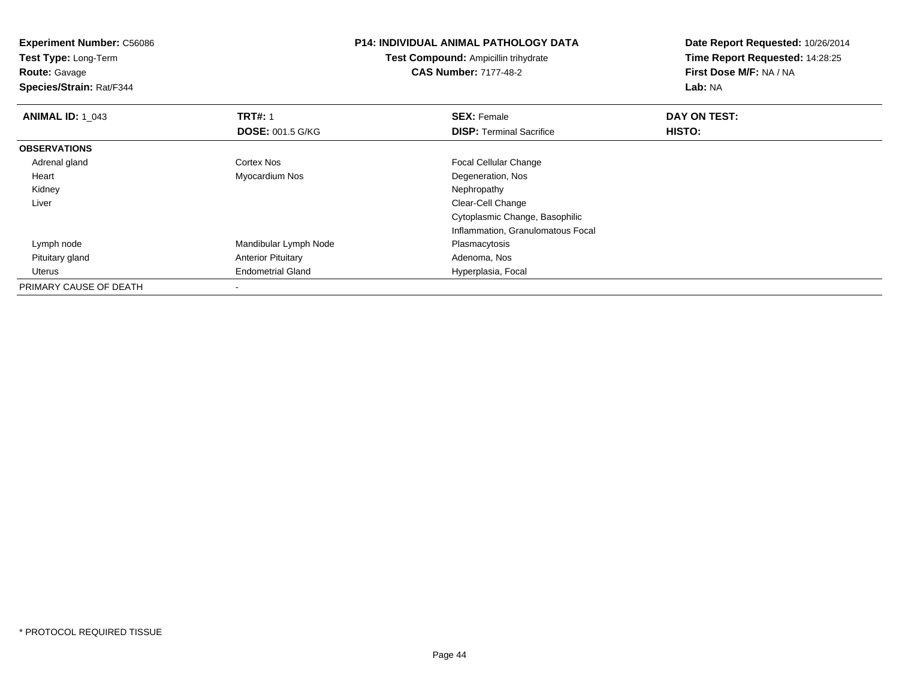| <b>Experiment Number: C56086</b><br><b>Test Type: Long-Term</b><br><b>Route: Gavage</b><br>Species/Strain: Rat/F344 |                                           | <b>P14: INDIVIDUAL ANIMAL PATHOLOGY DATA</b><br>Test Compound: Ampicillin trihydrate<br><b>CAS Number: 7177-48-2</b> | Date Report Requested: 10/26/2014<br>Time Report Requested: 14:28:25<br>First Dose M/F: NA / NA<br>Lab: NA |
|---------------------------------------------------------------------------------------------------------------------|-------------------------------------------|----------------------------------------------------------------------------------------------------------------------|------------------------------------------------------------------------------------------------------------|
| <b>ANIMAL ID: 1 043</b>                                                                                             | <b>TRT#: 1</b><br><b>DOSE: 001.5 G/KG</b> | <b>SEX: Female</b><br><b>DISP: Terminal Sacrifice</b>                                                                | DAY ON TEST:<br>HISTO:                                                                                     |
| <b>OBSERVATIONS</b>                                                                                                 |                                           |                                                                                                                      |                                                                                                            |
| Adrenal gland                                                                                                       | Cortex Nos                                | Focal Cellular Change                                                                                                |                                                                                                            |
| Heart                                                                                                               | Myocardium Nos                            | Degeneration, Nos                                                                                                    |                                                                                                            |
| Kidney                                                                                                              |                                           | Nephropathy                                                                                                          |                                                                                                            |
| Liver                                                                                                               |                                           | Clear-Cell Change                                                                                                    |                                                                                                            |
|                                                                                                                     |                                           | Cytoplasmic Change, Basophilic                                                                                       |                                                                                                            |
|                                                                                                                     |                                           | Inflammation, Granulomatous Focal                                                                                    |                                                                                                            |
| Lymph node                                                                                                          | Mandibular Lymph Node                     | Plasmacytosis                                                                                                        |                                                                                                            |
| Pituitary gland                                                                                                     | <b>Anterior Pituitary</b>                 | Adenoma, Nos                                                                                                         |                                                                                                            |
| Uterus                                                                                                              | <b>Endometrial Gland</b>                  | Hyperplasia, Focal                                                                                                   |                                                                                                            |
| PRIMARY CAUSE OF DEATH                                                                                              |                                           |                                                                                                                      |                                                                                                            |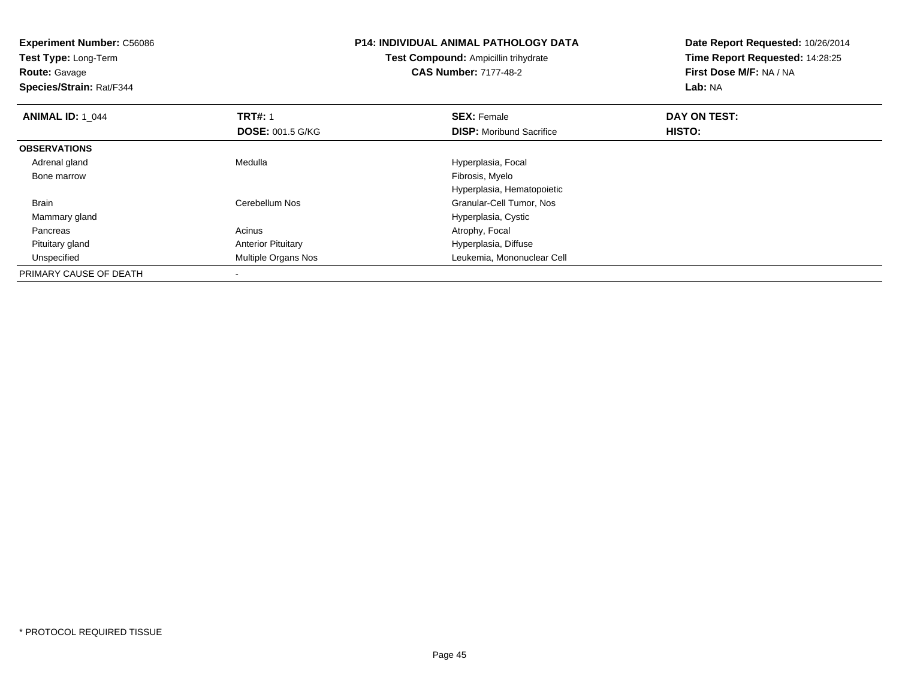| <b>Experiment Number: C56086</b><br>Test Type: Long-Term<br><b>Route: Gavage</b><br>Species/Strain: Rat/F344 |                           | <b>P14: INDIVIDUAL ANIMAL PATHOLOGY DATA</b><br><b>Test Compound: Ampicillin trihydrate</b><br><b>CAS Number: 7177-48-2</b> | Date Report Requested: 10/26/2014<br>Time Report Requested: 14:28:25<br>First Dose M/F: NA / NA<br><b>Lab: NA</b> |
|--------------------------------------------------------------------------------------------------------------|---------------------------|-----------------------------------------------------------------------------------------------------------------------------|-------------------------------------------------------------------------------------------------------------------|
| <b>ANIMAL ID: 1 044</b>                                                                                      | <b>TRT#: 1</b>            | <b>SEX: Female</b>                                                                                                          | DAY ON TEST:                                                                                                      |
|                                                                                                              | <b>DOSE: 001.5 G/KG</b>   | <b>DISP:</b> Moribund Sacrifice                                                                                             | HISTO:                                                                                                            |
| <b>OBSERVATIONS</b>                                                                                          |                           |                                                                                                                             |                                                                                                                   |
| Adrenal gland                                                                                                | Medulla                   | Hyperplasia, Focal                                                                                                          |                                                                                                                   |
| Bone marrow                                                                                                  |                           | Fibrosis, Myelo                                                                                                             |                                                                                                                   |
|                                                                                                              |                           | Hyperplasia, Hematopoietic                                                                                                  |                                                                                                                   |
| Brain                                                                                                        | Cerebellum Nos            | Granular-Cell Tumor, Nos                                                                                                    |                                                                                                                   |
| Mammary gland                                                                                                |                           | Hyperplasia, Cystic                                                                                                         |                                                                                                                   |
| Pancreas                                                                                                     | Acinus                    | Atrophy, Focal                                                                                                              |                                                                                                                   |
| Pituitary gland                                                                                              | <b>Anterior Pituitary</b> | Hyperplasia, Diffuse                                                                                                        |                                                                                                                   |
| Unspecified                                                                                                  | Multiple Organs Nos       | Leukemia, Mononuclear Cell                                                                                                  |                                                                                                                   |
| PRIMARY CAUSE OF DEATH                                                                                       |                           |                                                                                                                             |                                                                                                                   |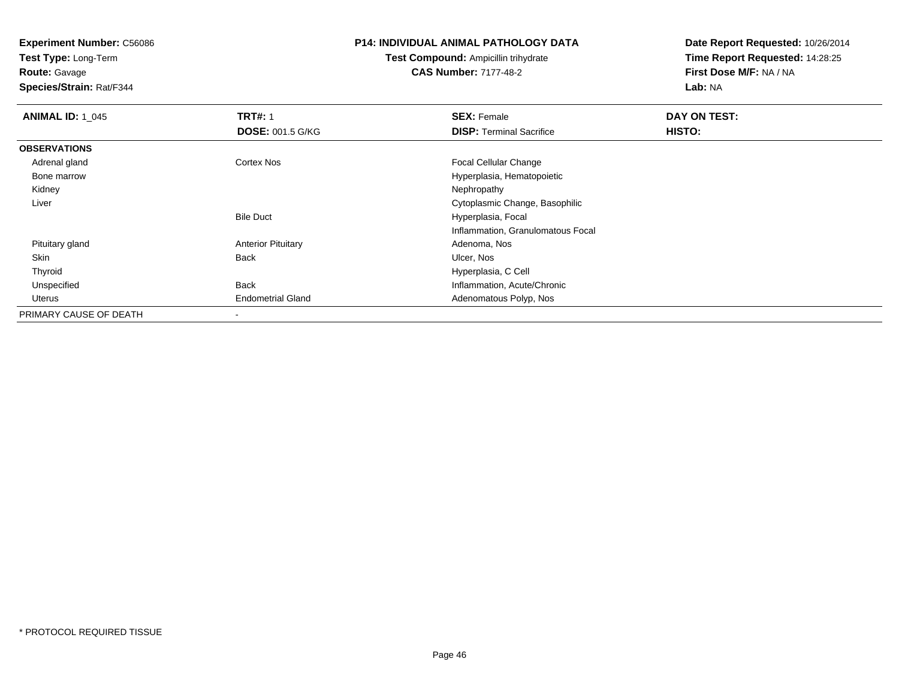**Test Type:** Long-Term

**Route:** Gavage

**Species/Strain:** Rat/F344

#### **P14: INDIVIDUAL ANIMAL PATHOLOGY DATA**

**Test Compound:** Ampicillin trihydrate**CAS Number:** 7177-48-2

| <b>ANIMAL ID: 1 045</b> | <b>TRT#: 1</b>            | <b>SEX: Female</b>                | DAY ON TEST: |  |
|-------------------------|---------------------------|-----------------------------------|--------------|--|
|                         | <b>DOSE: 001.5 G/KG</b>   | <b>DISP:</b> Terminal Sacrifice   | HISTO:       |  |
| <b>OBSERVATIONS</b>     |                           |                                   |              |  |
| Adrenal gland           | Cortex Nos                | <b>Focal Cellular Change</b>      |              |  |
| Bone marrow             |                           | Hyperplasia, Hematopoietic        |              |  |
| Kidney                  |                           | Nephropathy                       |              |  |
| Liver                   |                           | Cytoplasmic Change, Basophilic    |              |  |
|                         | <b>Bile Duct</b>          | Hyperplasia, Focal                |              |  |
|                         |                           | Inflammation, Granulomatous Focal |              |  |
| Pituitary gland         | <b>Anterior Pituitary</b> | Adenoma, Nos                      |              |  |
| Skin                    | <b>Back</b>               | Ulcer, Nos                        |              |  |
| Thyroid                 |                           | Hyperplasia, C Cell               |              |  |
| Unspecified             | Back                      | Inflammation, Acute/Chronic       |              |  |
| Uterus                  | <b>Endometrial Gland</b>  | Adenomatous Polyp, Nos            |              |  |
| PRIMARY CAUSE OF DEATH  |                           |                                   |              |  |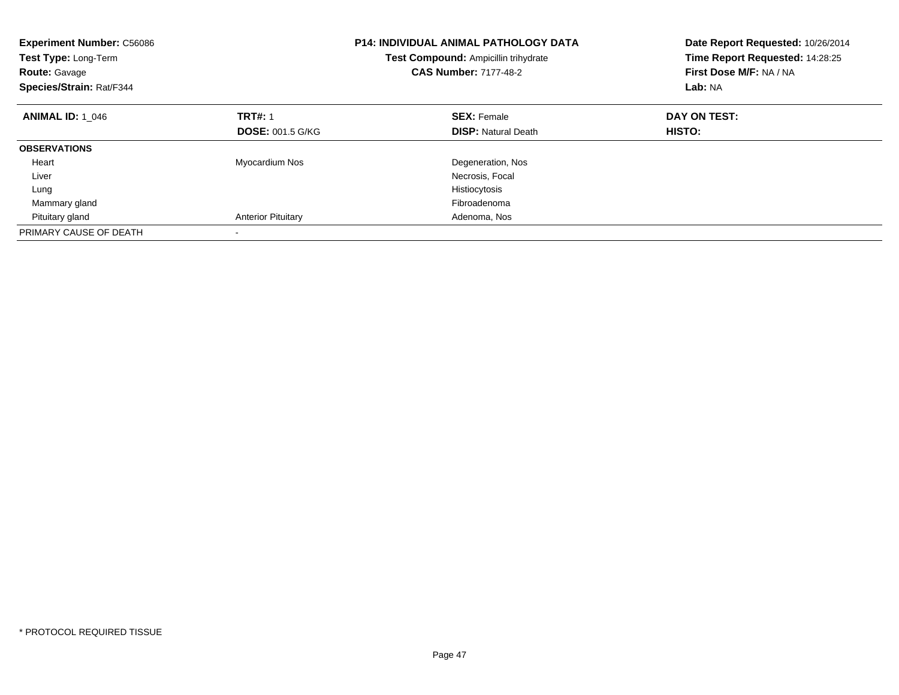| <b>Experiment Number: C56086</b><br>Test Type: Long-Term<br><b>Route: Gavage</b><br>Species/Strain: Rat/F344 |                           | <b>P14: INDIVIDUAL ANIMAL PATHOLOGY DATA</b><br>Test Compound: Ampicillin trihydrate<br><b>CAS Number: 7177-48-2</b> | Date Report Requested: 10/26/2014<br>Time Report Requested: 14:28:25<br>First Dose M/F: NA / NA<br>Lab: NA |
|--------------------------------------------------------------------------------------------------------------|---------------------------|----------------------------------------------------------------------------------------------------------------------|------------------------------------------------------------------------------------------------------------|
| <b>ANIMAL ID: 1 046</b>                                                                                      | <b>TRT#: 1</b>            | <b>SEX: Female</b>                                                                                                   | DAY ON TEST:                                                                                               |
|                                                                                                              | <b>DOSE: 001.5 G/KG</b>   | <b>DISP:</b> Natural Death                                                                                           | <b>HISTO:</b>                                                                                              |
| <b>OBSERVATIONS</b>                                                                                          |                           |                                                                                                                      |                                                                                                            |
| Heart                                                                                                        | Myocardium Nos            | Degeneration, Nos                                                                                                    |                                                                                                            |
| Liver                                                                                                        |                           | Necrosis, Focal                                                                                                      |                                                                                                            |
| Lung                                                                                                         |                           | Histiocytosis                                                                                                        |                                                                                                            |
| Mammary gland                                                                                                |                           | Fibroadenoma                                                                                                         |                                                                                                            |
| Pituitary gland                                                                                              | <b>Anterior Pituitary</b> | Adenoma, Nos                                                                                                         |                                                                                                            |
| PRIMARY CAUSE OF DEATH                                                                                       |                           |                                                                                                                      |                                                                                                            |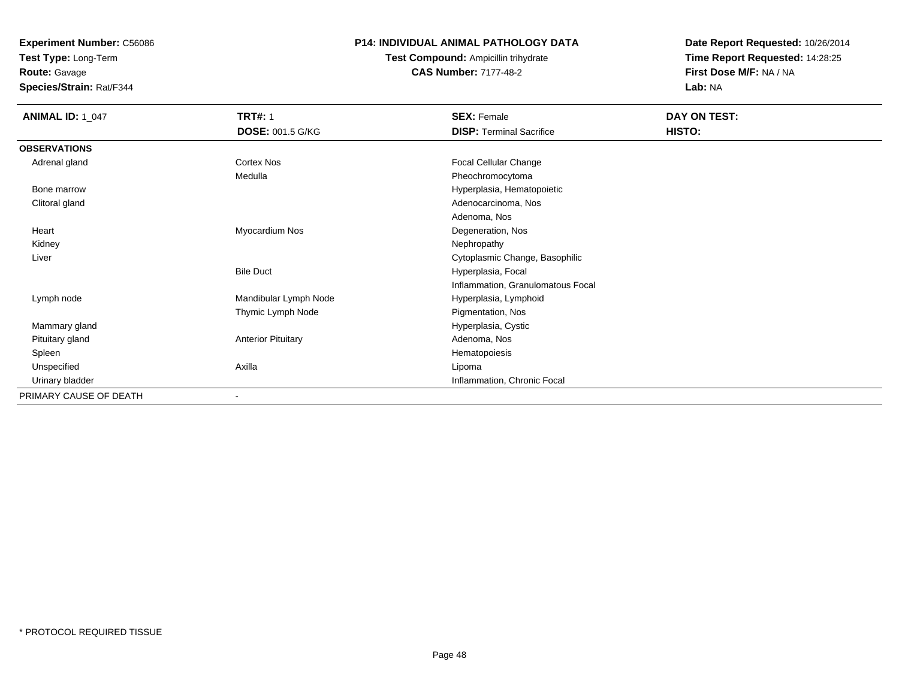**Test Type:** Long-Term

**Route:** Gavage

**Species/Strain:** Rat/F344

### **P14: INDIVIDUAL ANIMAL PATHOLOGY DATA**

**Test Compound:** Ampicillin trihydrate**CAS Number:** 7177-48-2

| <b>ANIMAL ID: 1_047</b> | <b>TRT#: 1</b>            | <b>SEX: Female</b>                | DAY ON TEST: |
|-------------------------|---------------------------|-----------------------------------|--------------|
|                         | <b>DOSE: 001.5 G/KG</b>   | <b>DISP: Terminal Sacrifice</b>   | HISTO:       |
| <b>OBSERVATIONS</b>     |                           |                                   |              |
| Adrenal gland           | Cortex Nos                | Focal Cellular Change             |              |
|                         | Medulla                   | Pheochromocytoma                  |              |
| Bone marrow             |                           | Hyperplasia, Hematopoietic        |              |
| Clitoral gland          |                           | Adenocarcinoma, Nos               |              |
|                         |                           | Adenoma, Nos                      |              |
| Heart                   | Myocardium Nos            | Degeneration, Nos                 |              |
| Kidney                  |                           | Nephropathy                       |              |
| Liver                   |                           | Cytoplasmic Change, Basophilic    |              |
|                         | <b>Bile Duct</b>          | Hyperplasia, Focal                |              |
|                         |                           | Inflammation, Granulomatous Focal |              |
| Lymph node              | Mandibular Lymph Node     | Hyperplasia, Lymphoid             |              |
|                         | Thymic Lymph Node         | Pigmentation, Nos                 |              |
| Mammary gland           |                           | Hyperplasia, Cystic               |              |
| Pituitary gland         | <b>Anterior Pituitary</b> | Adenoma, Nos                      |              |
| Spleen                  |                           | Hematopoiesis                     |              |
| Unspecified             | Axilla                    | Lipoma                            |              |
| Urinary bladder         |                           | Inflammation, Chronic Focal       |              |
| PRIMARY CAUSE OF DEATH  |                           |                                   |              |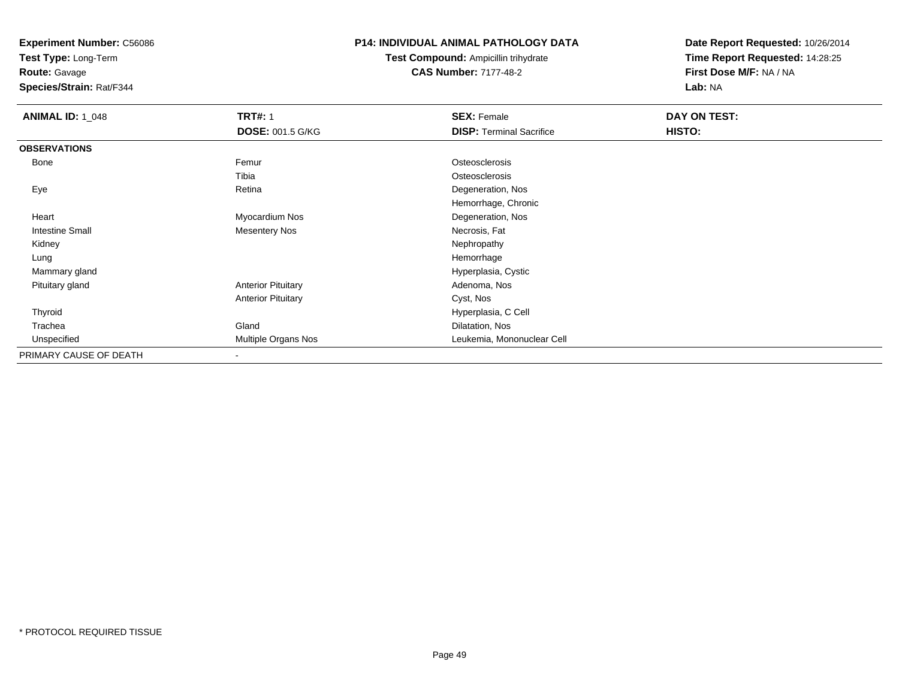**Test Type:** Long-Term

**Route:** Gavage

**Species/Strain:** Rat/F344

### **P14: INDIVIDUAL ANIMAL PATHOLOGY DATA**

**Test Compound:** Ampicillin trihydrate**CAS Number:** 7177-48-2

| <b>ANIMAL ID: 1_048</b> | <b>TRT#: 1</b>            | <b>SEX: Female</b>              | DAY ON TEST: |  |
|-------------------------|---------------------------|---------------------------------|--------------|--|
|                         | <b>DOSE: 001.5 G/KG</b>   | <b>DISP: Terminal Sacrifice</b> | HISTO:       |  |
| <b>OBSERVATIONS</b>     |                           |                                 |              |  |
| <b>Bone</b>             | Femur                     | Osteosclerosis                  |              |  |
|                         | Tibia                     | Osteosclerosis                  |              |  |
| Eye                     | Retina                    | Degeneration, Nos               |              |  |
|                         |                           | Hemorrhage, Chronic             |              |  |
| Heart                   | Myocardium Nos            | Degeneration, Nos               |              |  |
| Intestine Small         | Mesentery Nos             | Necrosis, Fat                   |              |  |
| Kidney                  |                           | Nephropathy                     |              |  |
| Lung                    |                           | Hemorrhage                      |              |  |
| Mammary gland           |                           | Hyperplasia, Cystic             |              |  |
| Pituitary gland         | <b>Anterior Pituitary</b> | Adenoma, Nos                    |              |  |
|                         | <b>Anterior Pituitary</b> | Cyst, Nos                       |              |  |
| Thyroid                 |                           | Hyperplasia, C Cell             |              |  |
| Trachea                 | Gland                     | Dilatation, Nos                 |              |  |
| Unspecified             | Multiple Organs Nos       | Leukemia, Mononuclear Cell      |              |  |
| PRIMARY CAUSE OF DEATH  | $\blacksquare$            |                                 |              |  |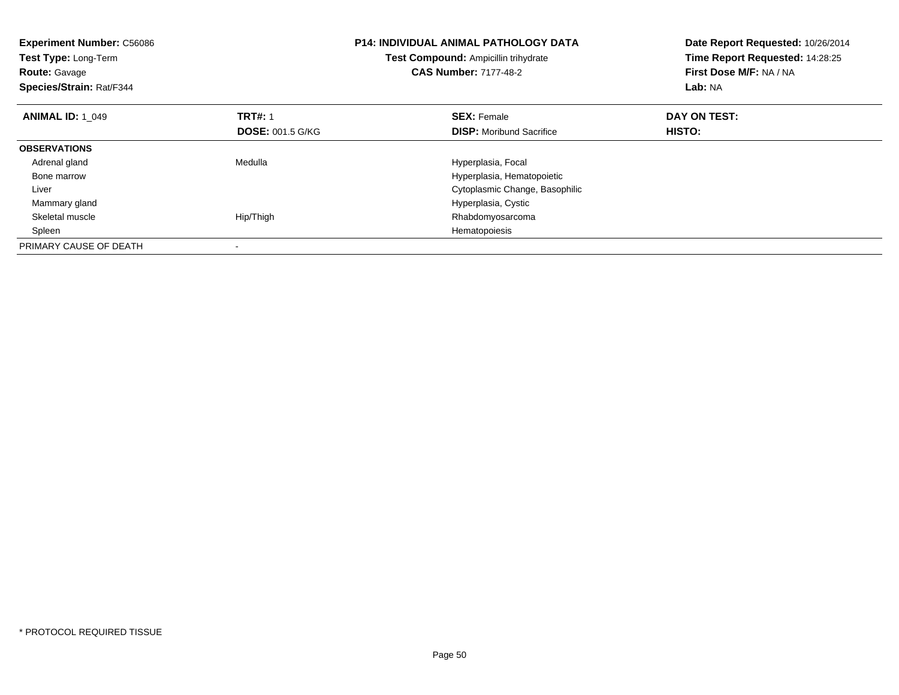| <b>Experiment Number: C56086</b><br>Test Type: Long-Term<br><b>Route: Gavage</b><br>Species/Strain: Rat/F344 |                         | <b>P14: INDIVIDUAL ANIMAL PATHOLOGY DATA</b><br>Test Compound: Ampicillin trihydrate<br><b>CAS Number: 7177-48-2</b> | Date Report Requested: 10/26/2014<br>Time Report Requested: 14:28:25<br>First Dose M/F: NA / NA<br>Lab: NA |
|--------------------------------------------------------------------------------------------------------------|-------------------------|----------------------------------------------------------------------------------------------------------------------|------------------------------------------------------------------------------------------------------------|
| <b>ANIMAL ID: 1 049</b>                                                                                      | <b>TRT#: 1</b>          | <b>SEX: Female</b>                                                                                                   | DAY ON TEST:                                                                                               |
|                                                                                                              | <b>DOSE: 001.5 G/KG</b> | <b>DISP:</b> Moribund Sacrifice                                                                                      | HISTO:                                                                                                     |
| <b>OBSERVATIONS</b>                                                                                          |                         |                                                                                                                      |                                                                                                            |
| Adrenal gland                                                                                                | Medulla                 | Hyperplasia, Focal                                                                                                   |                                                                                                            |
| Bone marrow                                                                                                  |                         | Hyperplasia, Hematopoietic                                                                                           |                                                                                                            |
| Liver                                                                                                        |                         | Cytoplasmic Change, Basophilic                                                                                       |                                                                                                            |
| Mammary gland                                                                                                |                         | Hyperplasia, Cystic                                                                                                  |                                                                                                            |
| Skeletal muscle                                                                                              | Hip/Thigh               | Rhabdomyosarcoma                                                                                                     |                                                                                                            |
| Spleen                                                                                                       |                         | Hematopoiesis                                                                                                        |                                                                                                            |
| PRIMARY CAUSE OF DEATH                                                                                       |                         |                                                                                                                      |                                                                                                            |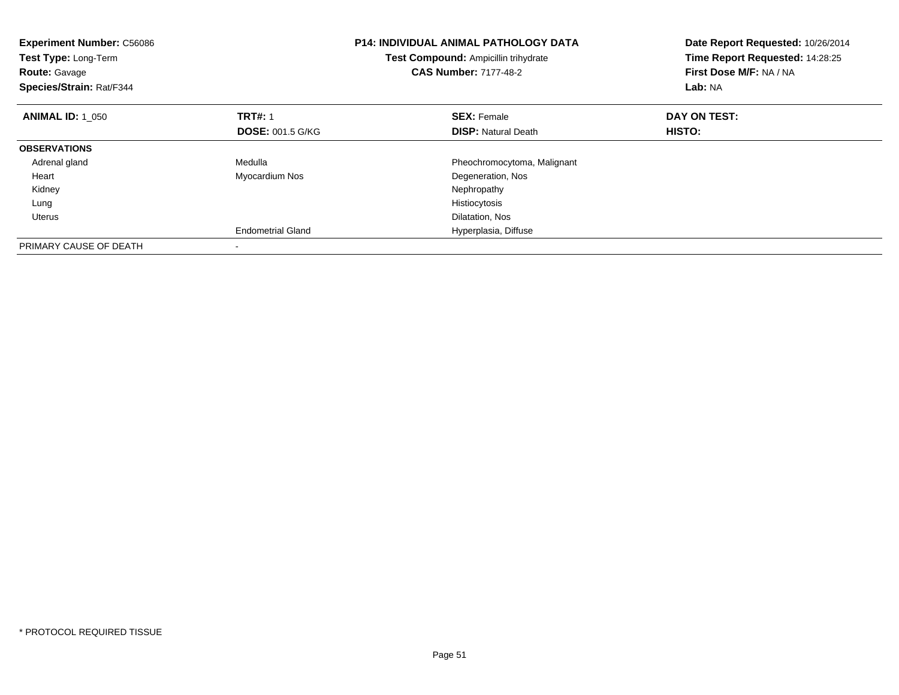| <b>Experiment Number: C56086</b><br>Test Type: Long-Term<br>Test Compound: Ampicillin trihydrate<br><b>CAS Number: 7177-48-2</b><br><b>Route: Gavage</b><br>Species/Strain: Rat/F344 |                          | <b>P14: INDIVIDUAL ANIMAL PATHOLOGY DATA</b> | Date Report Requested: 10/26/2014<br>Time Report Requested: 14:28:25<br>First Dose M/F: NA / NA<br>Lab: NA |
|--------------------------------------------------------------------------------------------------------------------------------------------------------------------------------------|--------------------------|----------------------------------------------|------------------------------------------------------------------------------------------------------------|
| <b>ANIMAL ID: 1 050</b>                                                                                                                                                              | <b>TRT#: 1</b>           | <b>SEX: Female</b>                           | DAY ON TEST:                                                                                               |
|                                                                                                                                                                                      | <b>DOSE: 001.5 G/KG</b>  | <b>DISP:</b> Natural Death                   | HISTO:                                                                                                     |
| <b>OBSERVATIONS</b>                                                                                                                                                                  |                          |                                              |                                                                                                            |
| Adrenal gland                                                                                                                                                                        | Medulla                  | Pheochromocytoma, Malignant                  |                                                                                                            |
| Heart                                                                                                                                                                                | Myocardium Nos           | Degeneration, Nos                            |                                                                                                            |
| Kidney                                                                                                                                                                               |                          | Nephropathy                                  |                                                                                                            |
| Lung                                                                                                                                                                                 |                          | Histiocytosis                                |                                                                                                            |
| Uterus                                                                                                                                                                               |                          | Dilatation, Nos                              |                                                                                                            |
|                                                                                                                                                                                      | <b>Endometrial Gland</b> | Hyperplasia, Diffuse                         |                                                                                                            |
| PRIMARY CAUSE OF DEATH                                                                                                                                                               |                          |                                              |                                                                                                            |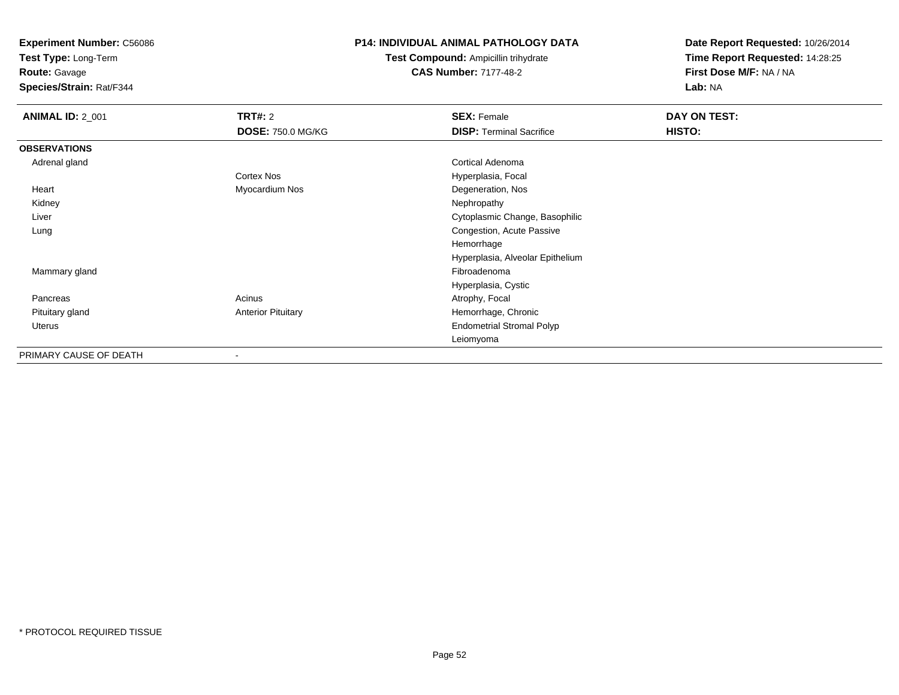**Test Type:** Long-Term

**Route:** Gavage

**Species/Strain:** Rat/F344

#### **P14: INDIVIDUAL ANIMAL PATHOLOGY DATA**

**Test Compound:** Ampicillin trihydrate**CAS Number:** 7177-48-2

| <b>ANIMAL ID: 2_001</b> | TRT#: 2                   | <b>SEX: Female</b>               | DAY ON TEST: |  |
|-------------------------|---------------------------|----------------------------------|--------------|--|
|                         | <b>DOSE: 750.0 MG/KG</b>  | <b>DISP: Terminal Sacrifice</b>  | HISTO:       |  |
| <b>OBSERVATIONS</b>     |                           |                                  |              |  |
| Adrenal gland           |                           | Cortical Adenoma                 |              |  |
|                         | Cortex Nos                | Hyperplasia, Focal               |              |  |
| Heart                   | Myocardium Nos            | Degeneration, Nos                |              |  |
| Kidney                  |                           | Nephropathy                      |              |  |
| Liver                   |                           | Cytoplasmic Change, Basophilic   |              |  |
| Lung                    |                           | Congestion, Acute Passive        |              |  |
|                         |                           | Hemorrhage                       |              |  |
|                         |                           | Hyperplasia, Alveolar Epithelium |              |  |
| Mammary gland           |                           | Fibroadenoma                     |              |  |
|                         |                           | Hyperplasia, Cystic              |              |  |
| Pancreas                | Acinus                    | Atrophy, Focal                   |              |  |
| Pituitary gland         | <b>Anterior Pituitary</b> | Hemorrhage, Chronic              |              |  |
| <b>Uterus</b>           |                           | <b>Endometrial Stromal Polyp</b> |              |  |
|                         |                           | Leiomyoma                        |              |  |
| PRIMARY CAUSE OF DEATH  | $\overline{\phantom{a}}$  |                                  |              |  |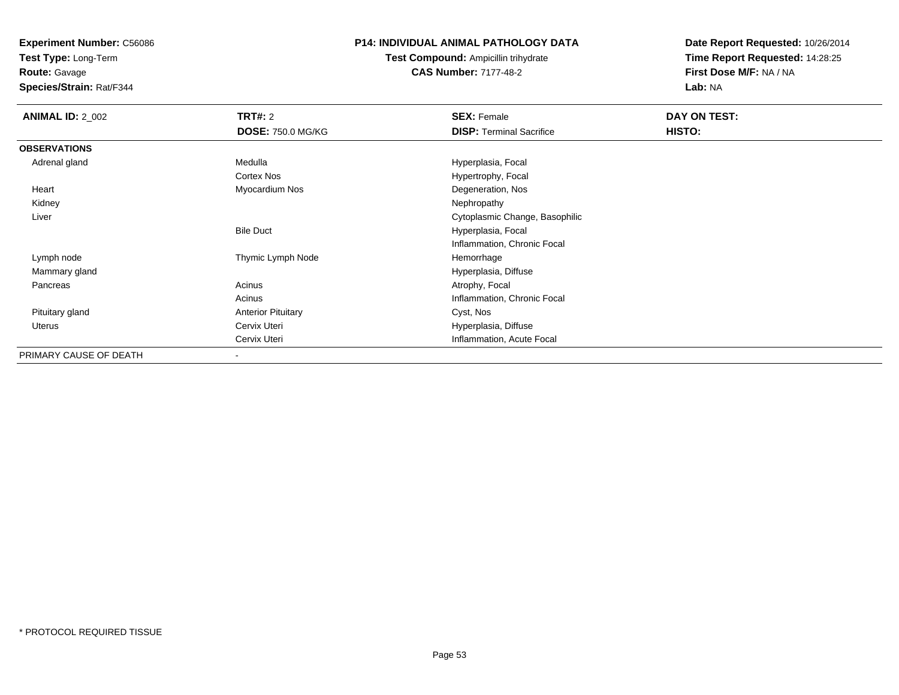**Test Type:** Long-Term

**Route:** Gavage

**Species/Strain:** Rat/F344

### **P14: INDIVIDUAL ANIMAL PATHOLOGY DATA**

**Test Compound:** Ampicillin trihydrate**CAS Number:** 7177-48-2

| <b>ANIMAL ID: 2_002</b> | <b>TRT#:</b> 2            | <b>SEX: Female</b>              | DAY ON TEST: |  |
|-------------------------|---------------------------|---------------------------------|--------------|--|
|                         | <b>DOSE: 750.0 MG/KG</b>  | <b>DISP:</b> Terminal Sacrifice | HISTO:       |  |
| <b>OBSERVATIONS</b>     |                           |                                 |              |  |
| Adrenal gland           | Medulla                   | Hyperplasia, Focal              |              |  |
|                         | <b>Cortex Nos</b>         | Hypertrophy, Focal              |              |  |
| Heart                   | Myocardium Nos            | Degeneration, Nos               |              |  |
| Kidney                  |                           | Nephropathy                     |              |  |
| Liver                   |                           | Cytoplasmic Change, Basophilic  |              |  |
|                         | <b>Bile Duct</b>          | Hyperplasia, Focal              |              |  |
|                         |                           | Inflammation, Chronic Focal     |              |  |
| Lymph node              | Thymic Lymph Node         | Hemorrhage                      |              |  |
| Mammary gland           |                           | Hyperplasia, Diffuse            |              |  |
| Pancreas                | Acinus                    | Atrophy, Focal                  |              |  |
|                         | Acinus                    | Inflammation, Chronic Focal     |              |  |
| Pituitary gland         | <b>Anterior Pituitary</b> | Cyst, Nos                       |              |  |
| Uterus                  | Cervix Uteri              | Hyperplasia, Diffuse            |              |  |
|                         | Cervix Uteri              | Inflammation, Acute Focal       |              |  |
| PRIMARY CAUSE OF DEATH  | $\overline{\phantom{a}}$  |                                 |              |  |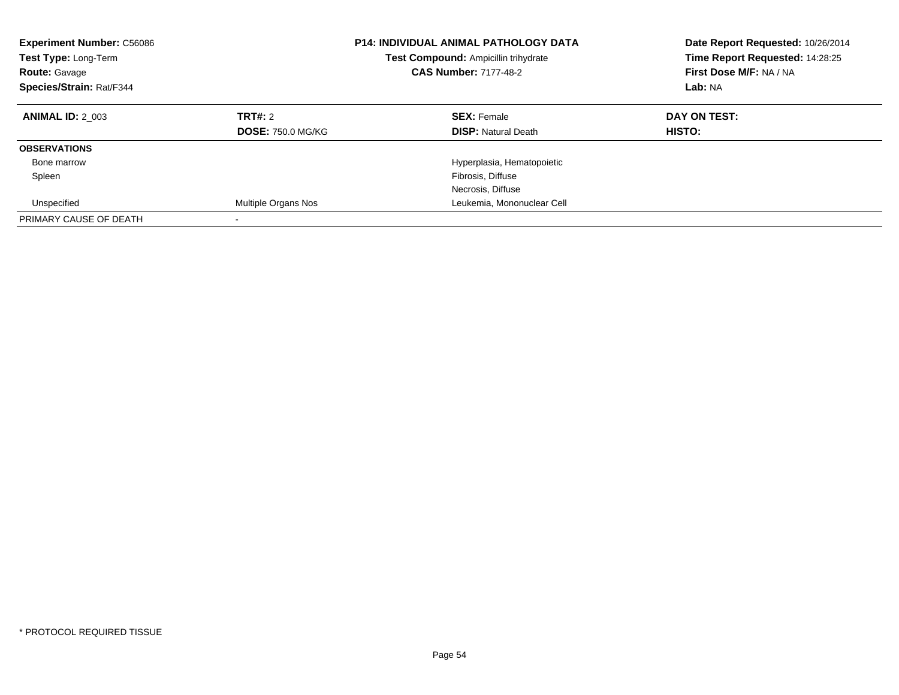| <b>Experiment Number: C56086</b><br><b>Test Type: Long-Term</b><br><b>Route: Gavage</b><br>Species/Strain: Rat/F344 |                                     | <b>P14: INDIVIDUAL ANIMAL PATHOLOGY DATA</b><br>Test Compound: Ampicillin trihydrate<br><b>CAS Number: 7177-48-2</b> | Date Report Requested: 10/26/2014<br>Time Report Requested: 14:28:25<br>First Dose M/F: NA / NA<br>Lab: NA |
|---------------------------------------------------------------------------------------------------------------------|-------------------------------------|----------------------------------------------------------------------------------------------------------------------|------------------------------------------------------------------------------------------------------------|
| <b>ANIMAL ID: 2 003</b>                                                                                             | TRT#: 2<br><b>DOSE: 750.0 MG/KG</b> | <b>SEX: Female</b><br><b>DISP:</b> Natural Death                                                                     | DAY ON TEST:<br><b>HISTO:</b>                                                                              |
| <b>OBSERVATIONS</b>                                                                                                 |                                     |                                                                                                                      |                                                                                                            |
| Bone marrow                                                                                                         |                                     | Hyperplasia, Hematopoietic                                                                                           |                                                                                                            |
| Spleen                                                                                                              |                                     | Fibrosis, Diffuse                                                                                                    |                                                                                                            |
|                                                                                                                     |                                     | Necrosis, Diffuse                                                                                                    |                                                                                                            |
| Unspecified                                                                                                         | Multiple Organs Nos                 | Leukemia, Mononuclear Cell                                                                                           |                                                                                                            |
| PRIMARY CAUSE OF DEATH                                                                                              |                                     |                                                                                                                      |                                                                                                            |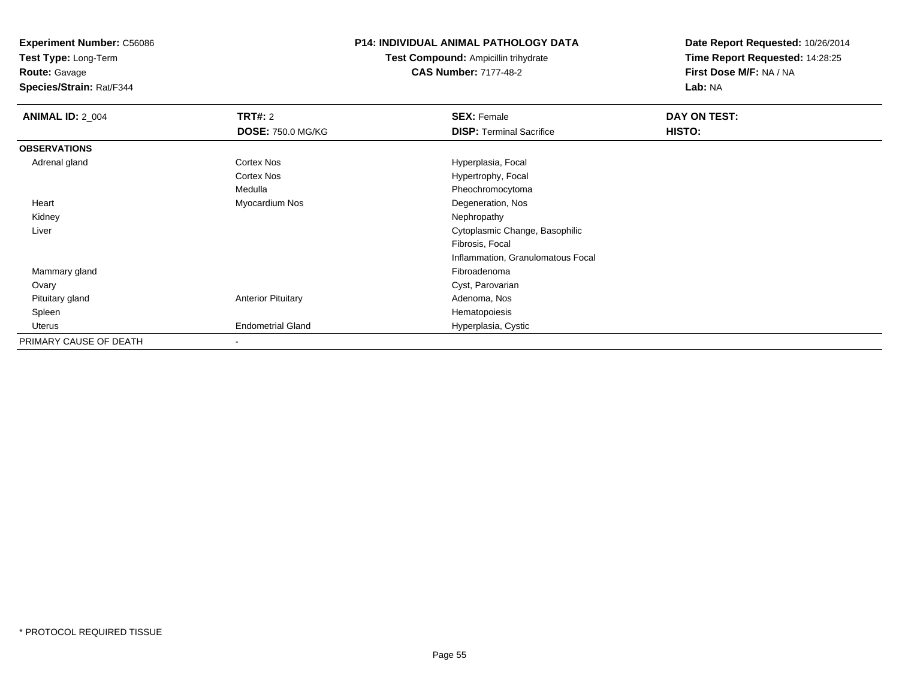**Test Type:** Long-Term

**Route:** Gavage

**Species/Strain:** Rat/F344

#### **P14: INDIVIDUAL ANIMAL PATHOLOGY DATA**

**Test Compound:** Ampicillin trihydrate**CAS Number:** 7177-48-2

| <b>ANIMAL ID: 2_004</b> | <b>TRT#: 2</b>            | <b>SEX: Female</b>                | DAY ON TEST: |  |
|-------------------------|---------------------------|-----------------------------------|--------------|--|
|                         | <b>DOSE: 750.0 MG/KG</b>  | <b>DISP: Terminal Sacrifice</b>   | HISTO:       |  |
| <b>OBSERVATIONS</b>     |                           |                                   |              |  |
| Adrenal gland           | Cortex Nos                | Hyperplasia, Focal                |              |  |
|                         | <b>Cortex Nos</b>         | Hypertrophy, Focal                |              |  |
|                         | Medulla                   | Pheochromocytoma                  |              |  |
| Heart                   | Myocardium Nos            | Degeneration, Nos                 |              |  |
| Kidney                  |                           | Nephropathy                       |              |  |
| Liver                   |                           | Cytoplasmic Change, Basophilic    |              |  |
|                         |                           | Fibrosis, Focal                   |              |  |
|                         |                           | Inflammation, Granulomatous Focal |              |  |
| Mammary gland           |                           | Fibroadenoma                      |              |  |
| Ovary                   |                           | Cyst, Parovarian                  |              |  |
| Pituitary gland         | <b>Anterior Pituitary</b> | Adenoma, Nos                      |              |  |
| Spleen                  |                           | Hematopoiesis                     |              |  |
| Uterus                  | <b>Endometrial Gland</b>  | Hyperplasia, Cystic               |              |  |
| PRIMARY CAUSE OF DEATH  | $\overline{\phantom{a}}$  |                                   |              |  |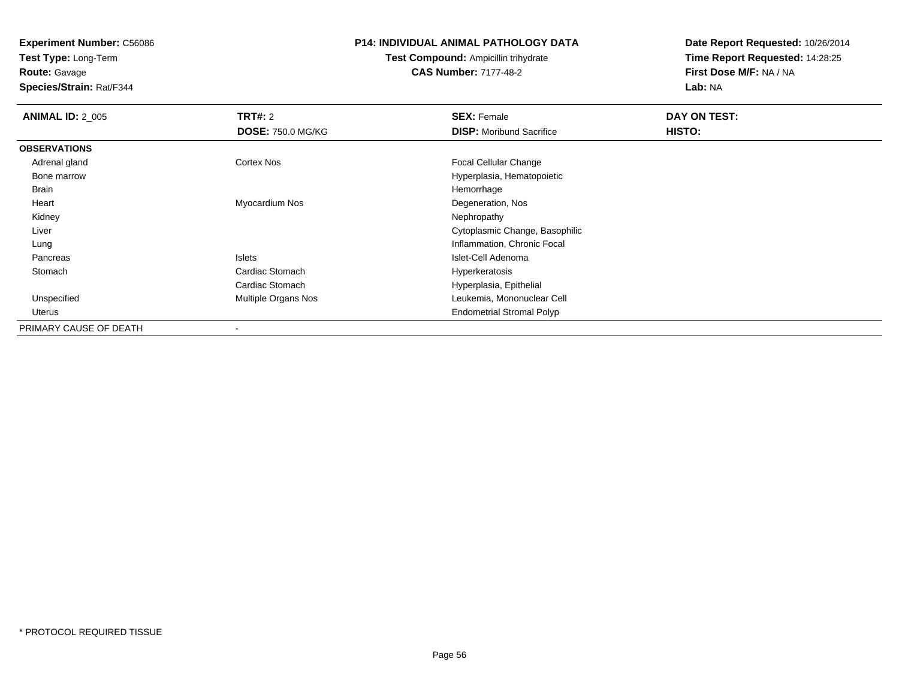**Test Type:** Long-Term**Route:** Gavage

**Species/Strain:** Rat/F344

#### **P14: INDIVIDUAL ANIMAL PATHOLOGY DATA**

## **Test Compound:** Ampicillin trihydrate**CAS Number:** 7177-48-2

| <b>ANIMAL ID: 2_005</b> | TRT#: 2                    | <b>SEX: Female</b>               | DAY ON TEST: |  |
|-------------------------|----------------------------|----------------------------------|--------------|--|
|                         | <b>DOSE: 750.0 MG/KG</b>   | <b>DISP:</b> Moribund Sacrifice  | HISTO:       |  |
| <b>OBSERVATIONS</b>     |                            |                                  |              |  |
| Adrenal gland           | Cortex Nos                 | Focal Cellular Change            |              |  |
| Bone marrow             |                            | Hyperplasia, Hematopoietic       |              |  |
| Brain                   |                            | Hemorrhage                       |              |  |
| Heart                   | Myocardium Nos             | Degeneration, Nos                |              |  |
| Kidney                  |                            | Nephropathy                      |              |  |
| Liver                   |                            | Cytoplasmic Change, Basophilic   |              |  |
| Lung                    |                            | Inflammation, Chronic Focal      |              |  |
| Pancreas                | Islets                     | Islet-Cell Adenoma               |              |  |
| Stomach                 | Cardiac Stomach            | Hyperkeratosis                   |              |  |
|                         | Cardiac Stomach            | Hyperplasia, Epithelial          |              |  |
| Unspecified             | <b>Multiple Organs Nos</b> | Leukemia, Mononuclear Cell       |              |  |
| Uterus                  |                            | <b>Endometrial Stromal Polyp</b> |              |  |
| PRIMARY CAUSE OF DEATH  |                            |                                  |              |  |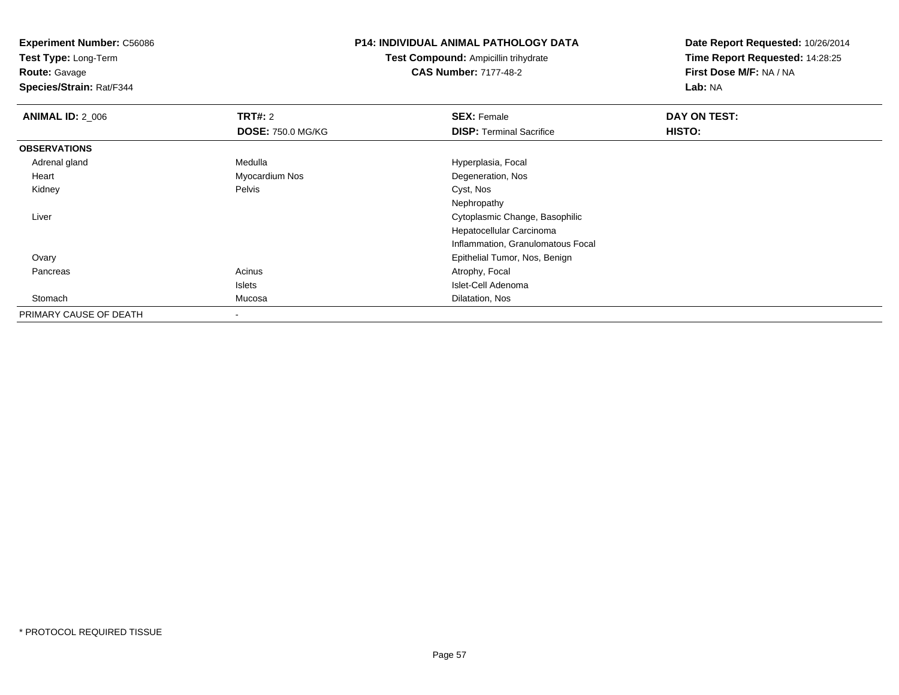**Test Type:** Long-Term

**Route:** Gavage

**Species/Strain:** Rat/F344

#### **P14: INDIVIDUAL ANIMAL PATHOLOGY DATA**

**Test Compound:** Ampicillin trihydrate**CAS Number:** 7177-48-2

| <b>ANIMAL ID: 2_006</b> | <b>TRT#: 2</b>           | <b>SEX: Female</b>                | DAY ON TEST: |
|-------------------------|--------------------------|-----------------------------------|--------------|
|                         | <b>DOSE: 750.0 MG/KG</b> | <b>DISP: Terminal Sacrifice</b>   | HISTO:       |
| <b>OBSERVATIONS</b>     |                          |                                   |              |
| Adrenal gland           | Medulla                  | Hyperplasia, Focal                |              |
| Heart                   | Myocardium Nos           | Degeneration, Nos                 |              |
| Kidney                  | Pelvis                   | Cyst, Nos                         |              |
|                         |                          | Nephropathy                       |              |
| Liver                   |                          | Cytoplasmic Change, Basophilic    |              |
|                         |                          | Hepatocellular Carcinoma          |              |
|                         |                          | Inflammation, Granulomatous Focal |              |
| Ovary                   |                          | Epithelial Tumor, Nos, Benign     |              |
| Pancreas                | Acinus                   | Atrophy, Focal                    |              |
|                         | Islets                   | Islet-Cell Adenoma                |              |
| Stomach                 | Mucosa                   | Dilatation, Nos                   |              |
| PRIMARY CAUSE OF DEATH  | $\overline{\phantom{a}}$ |                                   |              |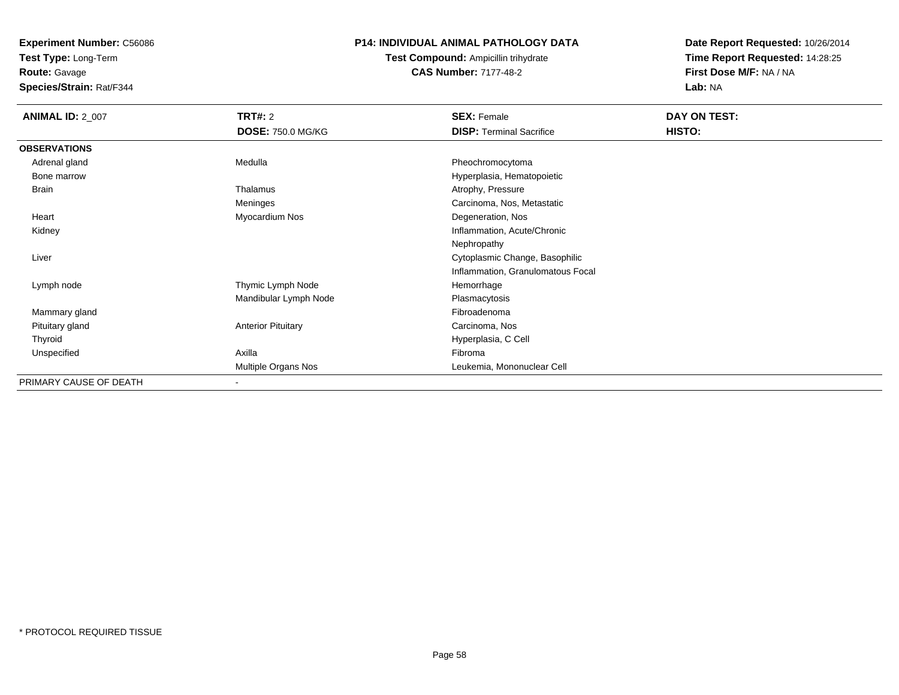**Test Type:** Long-Term

**Route:** Gavage

**Species/Strain:** Rat/F344

#### **P14: INDIVIDUAL ANIMAL PATHOLOGY DATA**

**Test Compound:** Ampicillin trihydrate**CAS Number:** 7177-48-2

| <b>ANIMAL ID: 2_007</b> | <b>TRT#: 2</b>            | <b>SEX: Female</b>                | DAY ON TEST: |
|-------------------------|---------------------------|-----------------------------------|--------------|
|                         | <b>DOSE: 750.0 MG/KG</b>  | <b>DISP: Terminal Sacrifice</b>   | HISTO:       |
| <b>OBSERVATIONS</b>     |                           |                                   |              |
| Adrenal gland           | Medulla                   | Pheochromocytoma                  |              |
| Bone marrow             |                           | Hyperplasia, Hematopoietic        |              |
| Brain                   | Thalamus                  | Atrophy, Pressure                 |              |
|                         | Meninges                  | Carcinoma, Nos, Metastatic        |              |
| Heart                   | Myocardium Nos            | Degeneration, Nos                 |              |
| Kidney                  |                           | Inflammation, Acute/Chronic       |              |
|                         |                           | Nephropathy                       |              |
| Liver                   |                           | Cytoplasmic Change, Basophilic    |              |
|                         |                           | Inflammation, Granulomatous Focal |              |
| Lymph node              | Thymic Lymph Node         | Hemorrhage                        |              |
|                         | Mandibular Lymph Node     | Plasmacytosis                     |              |
| Mammary gland           |                           | Fibroadenoma                      |              |
| Pituitary gland         | <b>Anterior Pituitary</b> | Carcinoma, Nos                    |              |
| Thyroid                 |                           | Hyperplasia, C Cell               |              |
| Unspecified             | Axilla                    | Fibroma                           |              |
|                         | Multiple Organs Nos       | Leukemia, Mononuclear Cell        |              |
| PRIMARY CAUSE OF DEATH  | $\sim$                    |                                   |              |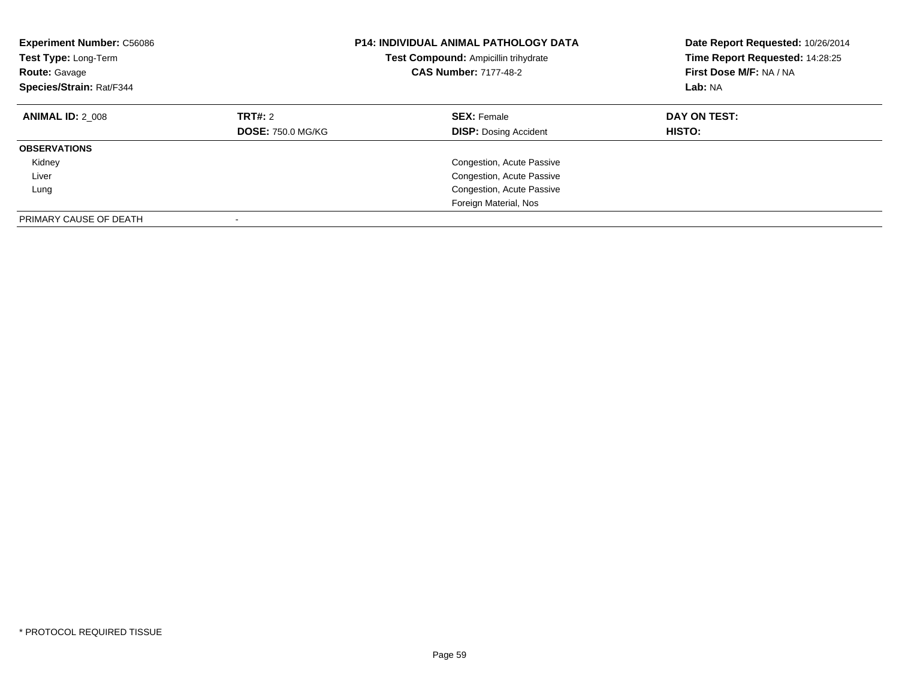| <b>Experiment Number: C56086</b><br><b>P14: INDIVIDUAL ANIMAL PATHOLOGY DATA</b><br>Test Type: Long-Term<br>Test Compound: Ampicillin trihydrate<br><b>CAS Number: 7177-48-2</b><br><b>Route: Gavage</b><br>Species/Strain: Rat/F344 |                                     | Date Report Requested: 10/26/2014<br>Time Report Requested: 14:28:25<br>First Dose M/F: NA / NA<br>Lab: NA |                               |
|--------------------------------------------------------------------------------------------------------------------------------------------------------------------------------------------------------------------------------------|-------------------------------------|------------------------------------------------------------------------------------------------------------|-------------------------------|
| <b>ANIMAL ID: 2 008</b>                                                                                                                                                                                                              | TRT#: 2<br><b>DOSE: 750.0 MG/KG</b> | <b>SEX: Female</b><br><b>DISP:</b> Dosing Accident                                                         | DAY ON TEST:<br><b>HISTO:</b> |
| <b>OBSERVATIONS</b>                                                                                                                                                                                                                  |                                     |                                                                                                            |                               |
| Kidney                                                                                                                                                                                                                               |                                     | Congestion, Acute Passive                                                                                  |                               |
| Liver                                                                                                                                                                                                                                |                                     | Congestion, Acute Passive                                                                                  |                               |
| Lung                                                                                                                                                                                                                                 |                                     | Congestion, Acute Passive                                                                                  |                               |
|                                                                                                                                                                                                                                      |                                     | Foreign Material, Nos                                                                                      |                               |
| PRIMARY CAUSE OF DEATH                                                                                                                                                                                                               |                                     |                                                                                                            |                               |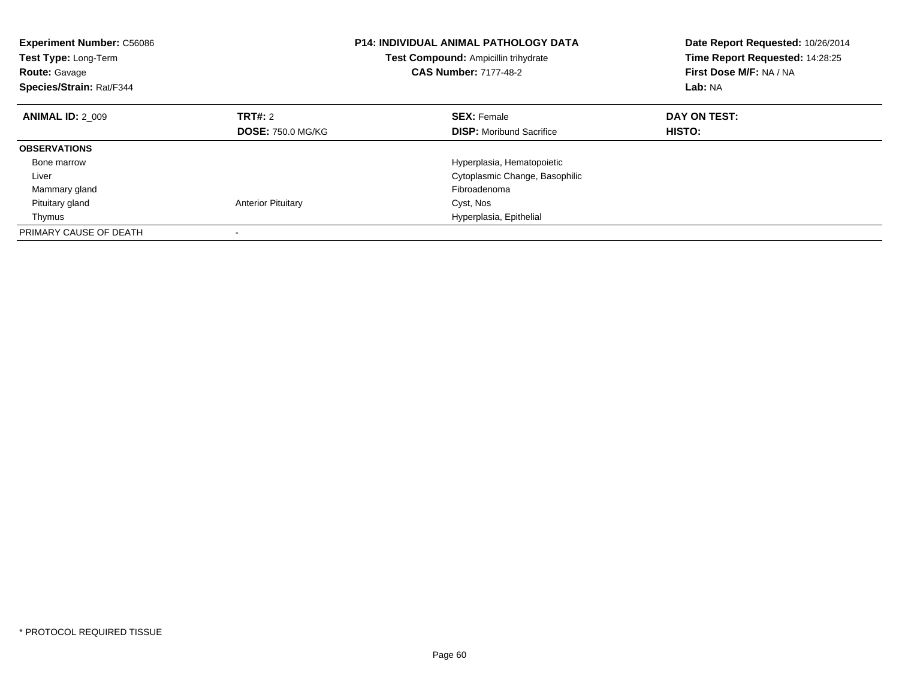| <b>Experiment Number: C56086</b><br><b>Test Type: Long-Term</b><br><b>Route: Gavage</b><br>Species/Strain: Rat/F344 |                           | <b>P14: INDIVIDUAL ANIMAL PATHOLOGY DATA</b><br><b>Test Compound: Ampicillin trihydrate</b><br><b>CAS Number: 7177-48-2</b> | Date Report Requested: 10/26/2014<br>Time Report Requested: 14:28:25<br>First Dose M/F: NA / NA<br>Lab: NA |
|---------------------------------------------------------------------------------------------------------------------|---------------------------|-----------------------------------------------------------------------------------------------------------------------------|------------------------------------------------------------------------------------------------------------|
| <b>ANIMAL ID: 2 009</b>                                                                                             | TRT#: 2                   | <b>SEX: Female</b>                                                                                                          | DAY ON TEST:                                                                                               |
|                                                                                                                     | <b>DOSE: 750.0 MG/KG</b>  | <b>DISP:</b> Moribund Sacrifice                                                                                             | <b>HISTO:</b>                                                                                              |
| <b>OBSERVATIONS</b>                                                                                                 |                           |                                                                                                                             |                                                                                                            |
| Bone marrow                                                                                                         |                           | Hyperplasia, Hematopoietic                                                                                                  |                                                                                                            |
| Liver                                                                                                               |                           | Cytoplasmic Change, Basophilic                                                                                              |                                                                                                            |
| Mammary gland                                                                                                       |                           | Fibroadenoma                                                                                                                |                                                                                                            |
| Pituitary gland                                                                                                     | <b>Anterior Pituitary</b> | Cyst, Nos                                                                                                                   |                                                                                                            |
| Thymus                                                                                                              |                           | Hyperplasia, Epithelial                                                                                                     |                                                                                                            |
| PRIMARY CAUSE OF DEATH                                                                                              |                           |                                                                                                                             |                                                                                                            |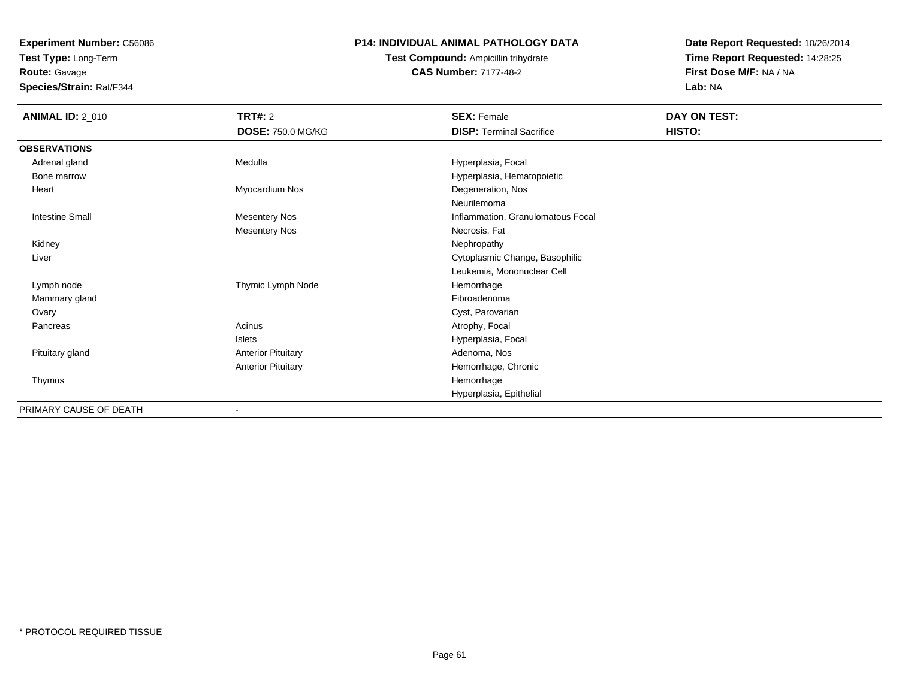**Test Type:** Long-Term

**Route:** Gavage

**Species/Strain:** Rat/F344

### **P14: INDIVIDUAL ANIMAL PATHOLOGY DATA**

**Test Compound:** Ampicillin trihydrate**CAS Number:** 7177-48-2

| <b>ANIMAL ID: 2_010</b> | TRT#: 2<br><b>DOSE: 750.0 MG/KG</b> | <b>SEX: Female</b><br><b>DISP: Terminal Sacrifice</b> | DAY ON TEST:<br>HISTO: |
|-------------------------|-------------------------------------|-------------------------------------------------------|------------------------|
| <b>OBSERVATIONS</b>     |                                     |                                                       |                        |
| Adrenal gland           | Medulla                             | Hyperplasia, Focal                                    |                        |
| Bone marrow             |                                     | Hyperplasia, Hematopoietic                            |                        |
| Heart                   | Myocardium Nos                      | Degeneration, Nos                                     |                        |
|                         |                                     | Neurilemoma                                           |                        |
| <b>Intestine Small</b>  | <b>Mesentery Nos</b>                | Inflammation, Granulomatous Focal                     |                        |
|                         | <b>Mesentery Nos</b>                | Necrosis, Fat                                         |                        |
| Kidney                  |                                     | Nephropathy                                           |                        |
| Liver                   |                                     | Cytoplasmic Change, Basophilic                        |                        |
|                         |                                     | Leukemia, Mononuclear Cell                            |                        |
| Lymph node              | Thymic Lymph Node                   | Hemorrhage                                            |                        |
| Mammary gland           |                                     | Fibroadenoma                                          |                        |
| Ovary                   |                                     | Cyst, Parovarian                                      |                        |
| Pancreas                | Acinus                              | Atrophy, Focal                                        |                        |
|                         | Islets                              | Hyperplasia, Focal                                    |                        |
| Pituitary gland         | <b>Anterior Pituitary</b>           | Adenoma, Nos                                          |                        |
|                         | <b>Anterior Pituitary</b>           | Hemorrhage, Chronic                                   |                        |
| Thymus                  |                                     | Hemorrhage                                            |                        |
|                         |                                     | Hyperplasia, Epithelial                               |                        |
| PRIMARY CAUSE OF DEATH  | ٠                                   |                                                       |                        |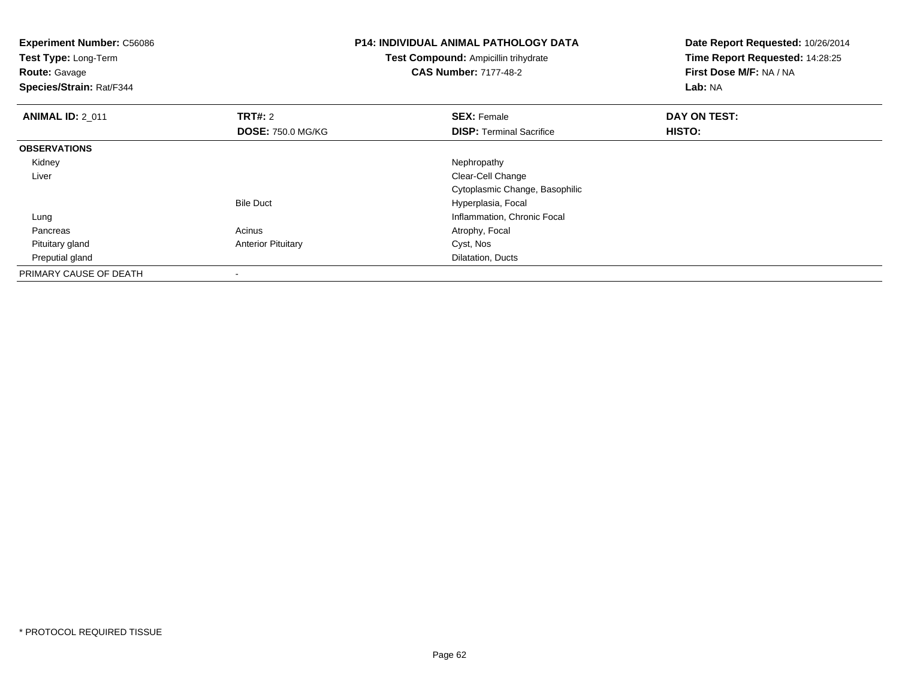| <b>Experiment Number: C56086</b><br>Test Type: Long-Term<br><b>Route: Gavage</b><br>Species/Strain: Rat/F344 |                           | <b>P14: INDIVIDUAL ANIMAL PATHOLOGY DATA</b><br>Test Compound: Ampicillin trihydrate<br><b>CAS Number: 7177-48-2</b> | Date Report Requested: 10/26/2014<br>Time Report Requested: 14:28:25<br>First Dose M/F: NA / NA<br>Lab: NA |
|--------------------------------------------------------------------------------------------------------------|---------------------------|----------------------------------------------------------------------------------------------------------------------|------------------------------------------------------------------------------------------------------------|
| <b>ANIMAL ID: 2 011</b>                                                                                      | <b>TRT#:</b> 2            | <b>SEX: Female</b>                                                                                                   | DAY ON TEST:                                                                                               |
|                                                                                                              | <b>DOSE: 750.0 MG/KG</b>  | <b>DISP: Terminal Sacrifice</b>                                                                                      | HISTO:                                                                                                     |
| <b>OBSERVATIONS</b>                                                                                          |                           |                                                                                                                      |                                                                                                            |
| Kidney                                                                                                       |                           | Nephropathy                                                                                                          |                                                                                                            |
| Liver                                                                                                        |                           | Clear-Cell Change                                                                                                    |                                                                                                            |
|                                                                                                              |                           | Cytoplasmic Change, Basophilic                                                                                       |                                                                                                            |
|                                                                                                              | <b>Bile Duct</b>          | Hyperplasia, Focal                                                                                                   |                                                                                                            |
| Lung                                                                                                         |                           | Inflammation, Chronic Focal                                                                                          |                                                                                                            |
| Pancreas                                                                                                     | Acinus                    | Atrophy, Focal                                                                                                       |                                                                                                            |
| Pituitary gland                                                                                              | <b>Anterior Pituitary</b> | Cyst, Nos                                                                                                            |                                                                                                            |
| Preputial gland                                                                                              |                           | Dilatation, Ducts                                                                                                    |                                                                                                            |
| PRIMARY CAUSE OF DEATH                                                                                       |                           |                                                                                                                      |                                                                                                            |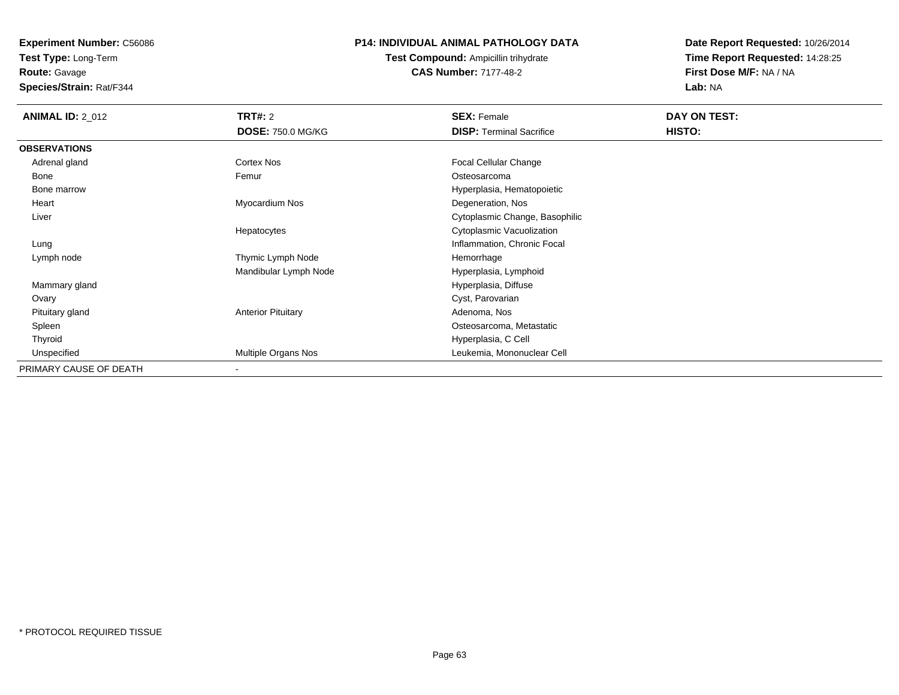**Experiment Number:** C56086**Test Type:** Long-Term

**Route:** Gavage

**Species/Strain:** Rat/F344

### **P14: INDIVIDUAL ANIMAL PATHOLOGY DATA**

**Test Compound:** Ampicillin trihydrate**CAS Number:** 7177-48-2

| <b>ANIMAL ID: 2 012</b> | <b>TRT#: 2</b>            | <b>SEX: Female</b>              | DAY ON TEST: |
|-------------------------|---------------------------|---------------------------------|--------------|
|                         | <b>DOSE: 750.0 MG/KG</b>  | <b>DISP:</b> Terminal Sacrifice | HISTO:       |
| <b>OBSERVATIONS</b>     |                           |                                 |              |
| Adrenal gland           | Cortex Nos                | Focal Cellular Change           |              |
| Bone                    | Femur                     | Osteosarcoma                    |              |
| Bone marrow             |                           | Hyperplasia, Hematopoietic      |              |
| Heart                   | Myocardium Nos            | Degeneration, Nos               |              |
| Liver                   |                           | Cytoplasmic Change, Basophilic  |              |
|                         | Hepatocytes               | Cytoplasmic Vacuolization       |              |
| Lung                    |                           | Inflammation, Chronic Focal     |              |
| Lymph node              | Thymic Lymph Node         | Hemorrhage                      |              |
|                         | Mandibular Lymph Node     | Hyperplasia, Lymphoid           |              |
| Mammary gland           |                           | Hyperplasia, Diffuse            |              |
| Ovary                   |                           | Cyst, Parovarian                |              |
| Pituitary gland         | <b>Anterior Pituitary</b> | Adenoma, Nos                    |              |
| Spleen                  |                           | Osteosarcoma, Metastatic        |              |
| Thyroid                 |                           | Hyperplasia, C Cell             |              |
| Unspecified             | Multiple Organs Nos       | Leukemia, Mononuclear Cell      |              |
| PRIMARY CAUSE OF DEATH  | -                         |                                 |              |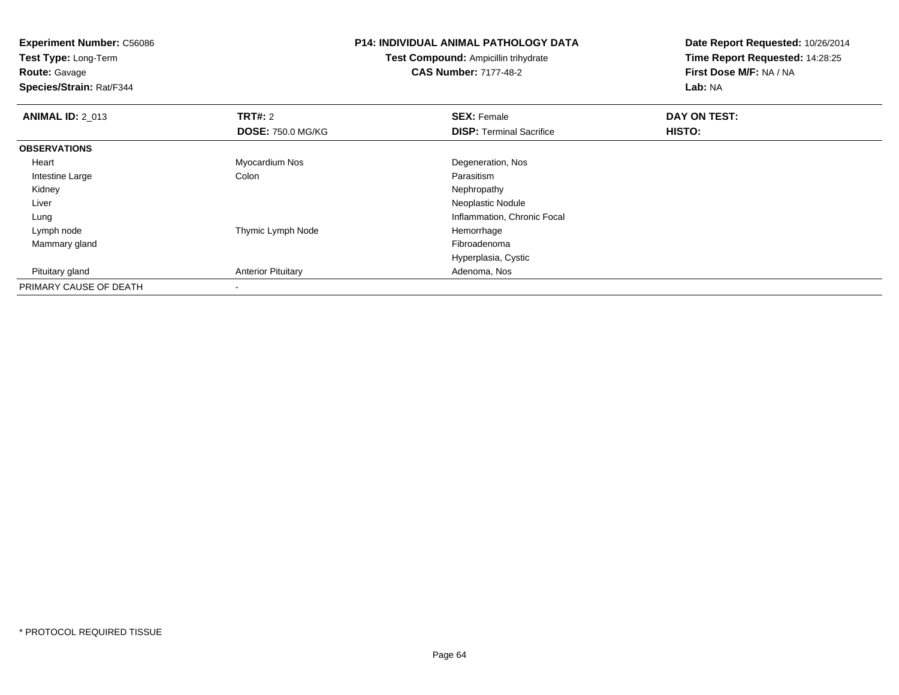**Test Type:** Long-Term

**Route:** Gavage

**Species/Strain:** Rat/F344

### **P14: INDIVIDUAL ANIMAL PATHOLOGY DATA**

**Test Compound:** Ampicillin trihydrate**CAS Number:** 7177-48-2

| <b>ANIMAL ID: 2_013</b> | <b>TRT#: 2</b>            | <b>SEX: Female</b>              | DAY ON TEST: |  |
|-------------------------|---------------------------|---------------------------------|--------------|--|
|                         | <b>DOSE: 750.0 MG/KG</b>  | <b>DISP: Terminal Sacrifice</b> | HISTO:       |  |
| <b>OBSERVATIONS</b>     |                           |                                 |              |  |
| Heart                   | Myocardium Nos            | Degeneration, Nos               |              |  |
| Intestine Large         | Colon                     | Parasitism                      |              |  |
| Kidney                  |                           | Nephropathy                     |              |  |
| Liver                   |                           | Neoplastic Nodule               |              |  |
| Lung                    |                           | Inflammation, Chronic Focal     |              |  |
| Lymph node              | Thymic Lymph Node         | Hemorrhage                      |              |  |
| Mammary gland           |                           | Fibroadenoma                    |              |  |
|                         |                           | Hyperplasia, Cystic             |              |  |
| Pituitary gland         | <b>Anterior Pituitary</b> | Adenoma, Nos                    |              |  |
| PRIMARY CAUSE OF DEATH  |                           |                                 |              |  |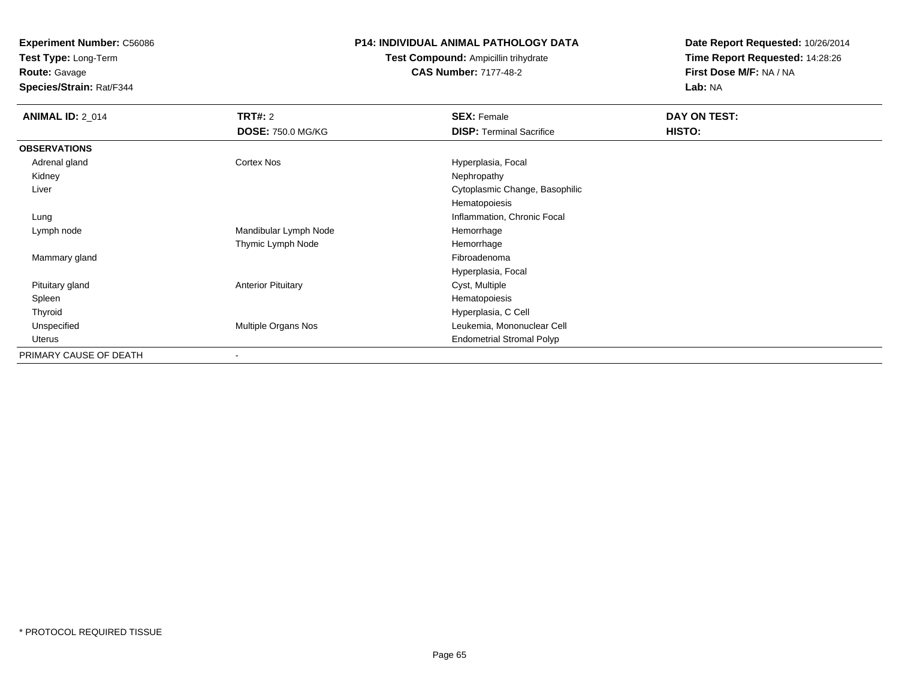**Test Type:** Long-Term

**Route:** Gavage

**Species/Strain:** Rat/F344

#### **P14: INDIVIDUAL ANIMAL PATHOLOGY DATA**

**Test Compound:** Ampicillin trihydrate**CAS Number:** 7177-48-2

| <b>ANIMAL ID: 2 014</b> | TRT#: 2                   | <b>SEX: Female</b>               | DAY ON TEST: |  |
|-------------------------|---------------------------|----------------------------------|--------------|--|
|                         | <b>DOSE: 750.0 MG/KG</b>  | <b>DISP: Terminal Sacrifice</b>  | HISTO:       |  |
| <b>OBSERVATIONS</b>     |                           |                                  |              |  |
| Adrenal gland           | Cortex Nos                | Hyperplasia, Focal               |              |  |
| Kidney                  |                           | Nephropathy                      |              |  |
| Liver                   |                           | Cytoplasmic Change, Basophilic   |              |  |
|                         |                           | Hematopoiesis                    |              |  |
| Lung                    |                           | Inflammation, Chronic Focal      |              |  |
| Lymph node              | Mandibular Lymph Node     | Hemorrhage                       |              |  |
|                         | Thymic Lymph Node         | Hemorrhage                       |              |  |
| Mammary gland           |                           | Fibroadenoma                     |              |  |
|                         |                           | Hyperplasia, Focal               |              |  |
| Pituitary gland         | <b>Anterior Pituitary</b> | Cyst, Multiple                   |              |  |
| Spleen                  |                           | Hematopoiesis                    |              |  |
| Thyroid                 |                           | Hyperplasia, C Cell              |              |  |
| Unspecified             | Multiple Organs Nos       | Leukemia, Mononuclear Cell       |              |  |
| Uterus                  |                           | <b>Endometrial Stromal Polyp</b> |              |  |
| PRIMARY CAUSE OF DEATH  | $\,$                      |                                  |              |  |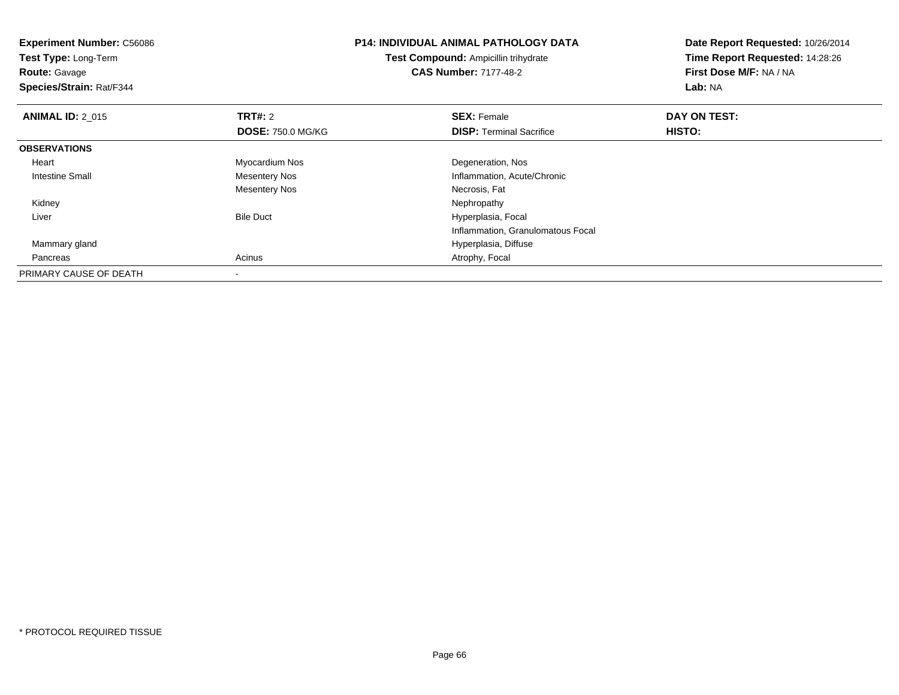| <b>Experiment Number: C56086</b><br>Test Type: Long-Term<br><b>Route: Gavage</b> |                          | <b>P14: INDIVIDUAL ANIMAL PATHOLOGY DATA</b><br>Test Compound: Ampicillin trihydrate<br><b>CAS Number: 7177-48-2</b> | Date Report Requested: 10/26/2014<br>Time Report Requested: 14:28:26<br>First Dose M/F: NA / NA |  |
|----------------------------------------------------------------------------------|--------------------------|----------------------------------------------------------------------------------------------------------------------|-------------------------------------------------------------------------------------------------|--|
| Species/Strain: Rat/F344                                                         |                          |                                                                                                                      | Lab: NA                                                                                         |  |
| <b>ANIMAL ID: 2 015</b>                                                          | <b>TRT#: 2</b>           | <b>SEX: Female</b>                                                                                                   | DAY ON TEST:                                                                                    |  |
|                                                                                  | <b>DOSE: 750.0 MG/KG</b> | <b>DISP:</b> Terminal Sacrifice                                                                                      | HISTO:                                                                                          |  |
| <b>OBSERVATIONS</b>                                                              |                          |                                                                                                                      |                                                                                                 |  |
| Heart                                                                            | Myocardium Nos           | Degeneration, Nos                                                                                                    |                                                                                                 |  |
| Intestine Small                                                                  | Mesentery Nos            | Inflammation, Acute/Chronic                                                                                          |                                                                                                 |  |
|                                                                                  | <b>Mesentery Nos</b>     | Necrosis, Fat                                                                                                        |                                                                                                 |  |
| Kidney                                                                           |                          | Nephropathy                                                                                                          |                                                                                                 |  |
| Liver                                                                            | <b>Bile Duct</b>         | Hyperplasia, Focal                                                                                                   |                                                                                                 |  |
|                                                                                  |                          | Inflammation, Granulomatous Focal                                                                                    |                                                                                                 |  |
| Mammary gland                                                                    |                          | Hyperplasia, Diffuse                                                                                                 |                                                                                                 |  |
| Pancreas                                                                         | Acinus                   | Atrophy, Focal                                                                                                       |                                                                                                 |  |
| PRIMARY CAUSE OF DEATH                                                           |                          |                                                                                                                      |                                                                                                 |  |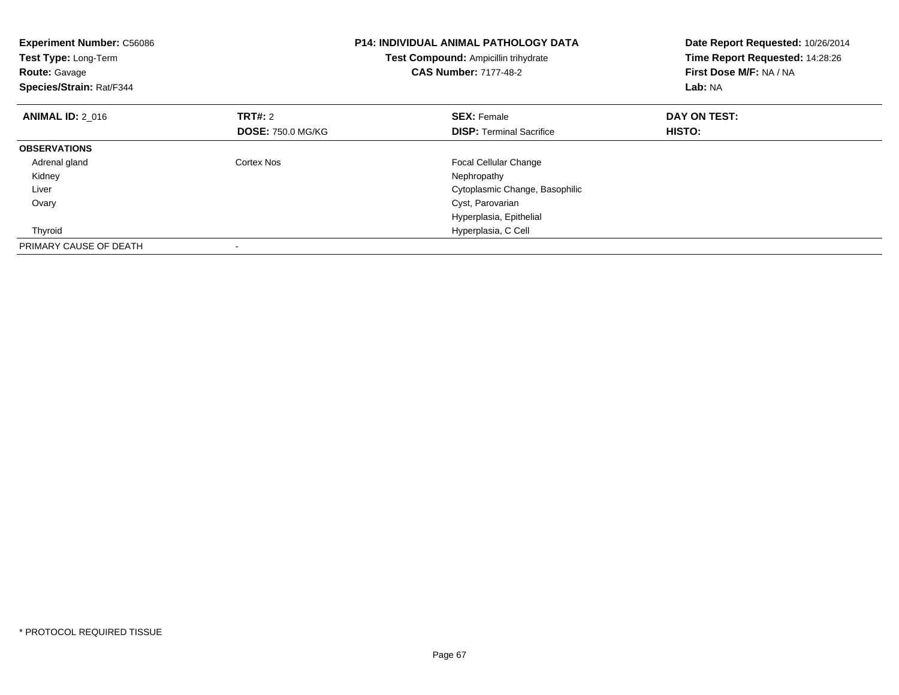| <b>Experiment Number: C56086</b><br>Test Type: Long-Term<br><b>Route: Gavage</b><br>Species/Strain: Rat/F344 |                          | <b>P14: INDIVIDUAL ANIMAL PATHOLOGY DATA</b><br>Test Compound: Ampicillin trihydrate<br><b>CAS Number: 7177-48-2</b> | Date Report Requested: 10/26/2014<br>Time Report Requested: 14:28:26<br>First Dose M/F: NA / NA<br>Lab: NA |  |
|--------------------------------------------------------------------------------------------------------------|--------------------------|----------------------------------------------------------------------------------------------------------------------|------------------------------------------------------------------------------------------------------------|--|
| <b>ANIMAL ID: 2 016</b>                                                                                      | <b>TRT#: 2</b>           | <b>SEX: Female</b>                                                                                                   | DAY ON TEST:                                                                                               |  |
|                                                                                                              | <b>DOSE: 750.0 MG/KG</b> | <b>DISP:</b> Terminal Sacrifice                                                                                      | <b>HISTO:</b>                                                                                              |  |
| <b>OBSERVATIONS</b>                                                                                          |                          |                                                                                                                      |                                                                                                            |  |
| Adrenal gland                                                                                                | Cortex Nos               | <b>Focal Cellular Change</b>                                                                                         |                                                                                                            |  |
| Kidney                                                                                                       |                          | Nephropathy                                                                                                          |                                                                                                            |  |
| Liver                                                                                                        |                          | Cytoplasmic Change, Basophilic                                                                                       |                                                                                                            |  |
| Ovary                                                                                                        |                          | Cyst, Parovarian                                                                                                     |                                                                                                            |  |
|                                                                                                              |                          | Hyperplasia, Epithelial                                                                                              |                                                                                                            |  |
| Thyroid                                                                                                      |                          | Hyperplasia, C Cell                                                                                                  |                                                                                                            |  |
| PRIMARY CAUSE OF DEATH                                                                                       |                          |                                                                                                                      |                                                                                                            |  |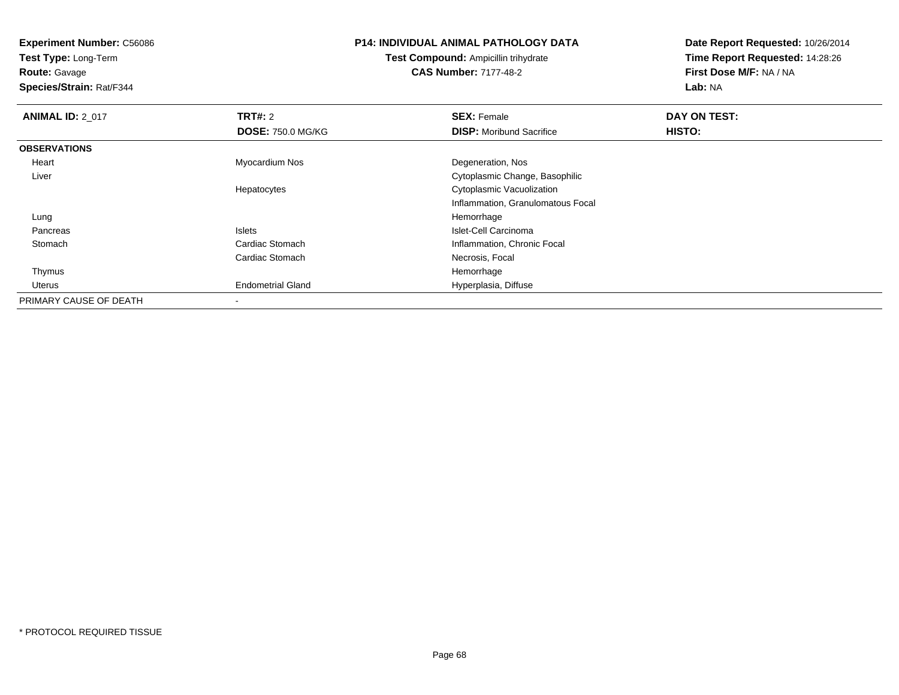**Test Type:** Long-Term

**Route:** Gavage

**Species/Strain:** Rat/F344

### **P14: INDIVIDUAL ANIMAL PATHOLOGY DATA**

**Test Compound:** Ampicillin trihydrate**CAS Number:** 7177-48-2

| <b>ANIMAL ID: 2 017</b> | TRT#: 2                  | <b>SEX: Female</b>                | DAY ON TEST: |  |
|-------------------------|--------------------------|-----------------------------------|--------------|--|
|                         | <b>DOSE: 750.0 MG/KG</b> | <b>DISP:</b> Moribund Sacrifice   | HISTO:       |  |
| <b>OBSERVATIONS</b>     |                          |                                   |              |  |
| Heart                   | Myocardium Nos           | Degeneration, Nos                 |              |  |
| Liver                   |                          | Cytoplasmic Change, Basophilic    |              |  |
|                         | Hepatocytes              | Cytoplasmic Vacuolization         |              |  |
|                         |                          | Inflammation, Granulomatous Focal |              |  |
| Lung                    |                          | Hemorrhage                        |              |  |
| Pancreas                | <b>Islets</b>            | Islet-Cell Carcinoma              |              |  |
| Stomach                 | Cardiac Stomach          | Inflammation, Chronic Focal       |              |  |
|                         | Cardiac Stomach          | Necrosis, Focal                   |              |  |
| Thymus                  |                          | Hemorrhage                        |              |  |
| Uterus                  | <b>Endometrial Gland</b> | Hyperplasia, Diffuse              |              |  |
| PRIMARY CAUSE OF DEATH  | $\overline{\phantom{a}}$ |                                   |              |  |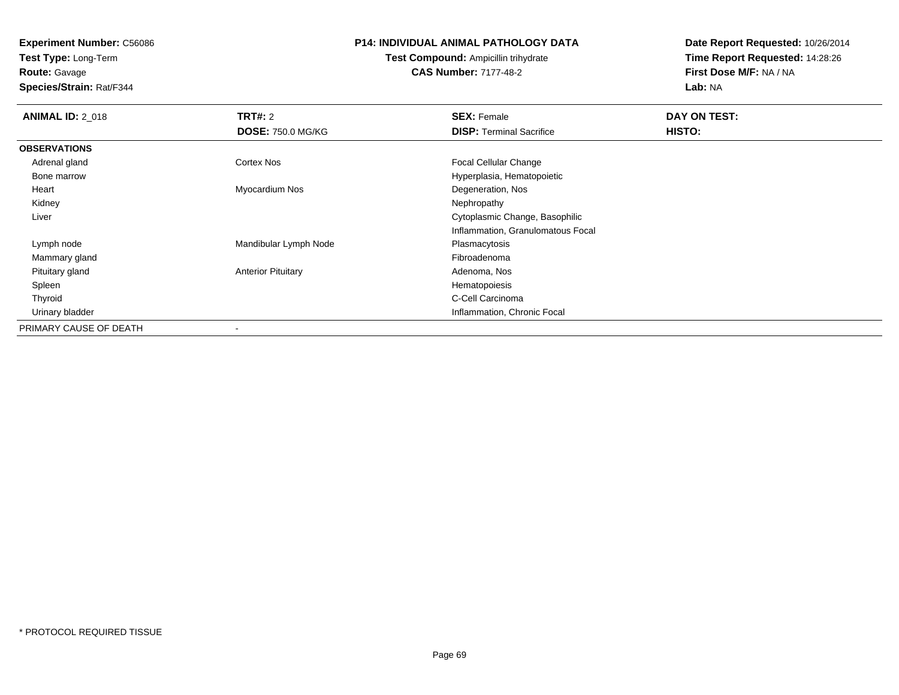**Test Type:** Long-Term**Route:** Gavage

**Species/Strain:** Rat/F344

#### **P14: INDIVIDUAL ANIMAL PATHOLOGY DATA**

## **Test Compound:** Ampicillin trihydrate**CAS Number:** 7177-48-2

| <b>ANIMAL ID: 2 018</b> | <b>TRT#: 2</b>            | <b>SEX: Female</b>                | DAY ON TEST: |  |
|-------------------------|---------------------------|-----------------------------------|--------------|--|
|                         | <b>DOSE: 750.0 MG/KG</b>  | <b>DISP: Terminal Sacrifice</b>   | HISTO:       |  |
| <b>OBSERVATIONS</b>     |                           |                                   |              |  |
| Adrenal gland           | Cortex Nos                | <b>Focal Cellular Change</b>      |              |  |
| Bone marrow             |                           | Hyperplasia, Hematopoietic        |              |  |
| Heart                   | Myocardium Nos            | Degeneration, Nos                 |              |  |
| Kidney                  |                           | Nephropathy                       |              |  |
| Liver                   |                           | Cytoplasmic Change, Basophilic    |              |  |
|                         |                           | Inflammation, Granulomatous Focal |              |  |
| Lymph node              | Mandibular Lymph Node     | Plasmacytosis                     |              |  |
| Mammary gland           |                           | Fibroadenoma                      |              |  |
| Pituitary gland         | <b>Anterior Pituitary</b> | Adenoma, Nos                      |              |  |
| Spleen                  |                           | Hematopoiesis                     |              |  |
| Thyroid                 |                           | C-Cell Carcinoma                  |              |  |
| Urinary bladder         |                           | Inflammation, Chronic Focal       |              |  |
| PRIMARY CAUSE OF DEATH  |                           |                                   |              |  |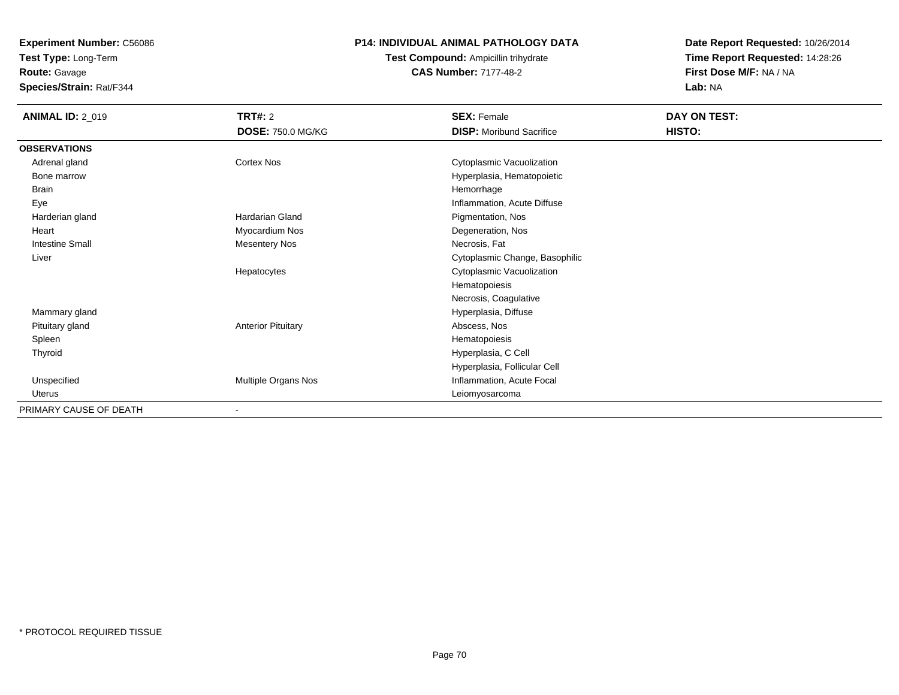**Test Type:** Long-Term**Route:** Gavage

**Species/Strain:** Rat/F344

### **P14: INDIVIDUAL ANIMAL PATHOLOGY DATA**

## **Test Compound:** Ampicillin trihydrate**CAS Number:** 7177-48-2

| <b>ANIMAL ID: 2_019</b> | TRT#: 2<br><b>DOSE: 750.0 MG/KG</b> | <b>SEX: Female</b><br><b>DISP:</b> Moribund Sacrifice | DAY ON TEST:<br>HISTO: |
|-------------------------|-------------------------------------|-------------------------------------------------------|------------------------|
| <b>OBSERVATIONS</b>     |                                     |                                                       |                        |
| Adrenal gland           | <b>Cortex Nos</b>                   | Cytoplasmic Vacuolization                             |                        |
| Bone marrow             |                                     | Hyperplasia, Hematopoietic                            |                        |
| <b>Brain</b>            |                                     | Hemorrhage                                            |                        |
| Eye                     |                                     | Inflammation, Acute Diffuse                           |                        |
| Harderian gland         | <b>Hardarian Gland</b>              | Pigmentation, Nos                                     |                        |
| Heart                   | Myocardium Nos                      | Degeneration, Nos                                     |                        |
| <b>Intestine Small</b>  | <b>Mesentery Nos</b>                | Necrosis, Fat                                         |                        |
| Liver                   |                                     | Cytoplasmic Change, Basophilic                        |                        |
|                         | Hepatocytes                         | Cytoplasmic Vacuolization                             |                        |
|                         |                                     | Hematopoiesis                                         |                        |
|                         |                                     | Necrosis, Coagulative                                 |                        |
| Mammary gland           |                                     | Hyperplasia, Diffuse                                  |                        |
| Pituitary gland         | <b>Anterior Pituitary</b>           | Abscess, Nos                                          |                        |
| Spleen                  |                                     | Hematopoiesis                                         |                        |
| Thyroid                 |                                     | Hyperplasia, C Cell                                   |                        |
|                         |                                     | Hyperplasia, Follicular Cell                          |                        |
| Unspecified             | Multiple Organs Nos                 | Inflammation, Acute Focal                             |                        |
| Uterus                  |                                     | Leiomyosarcoma                                        |                        |
| PRIMARY CAUSE OF DEATH  |                                     |                                                       |                        |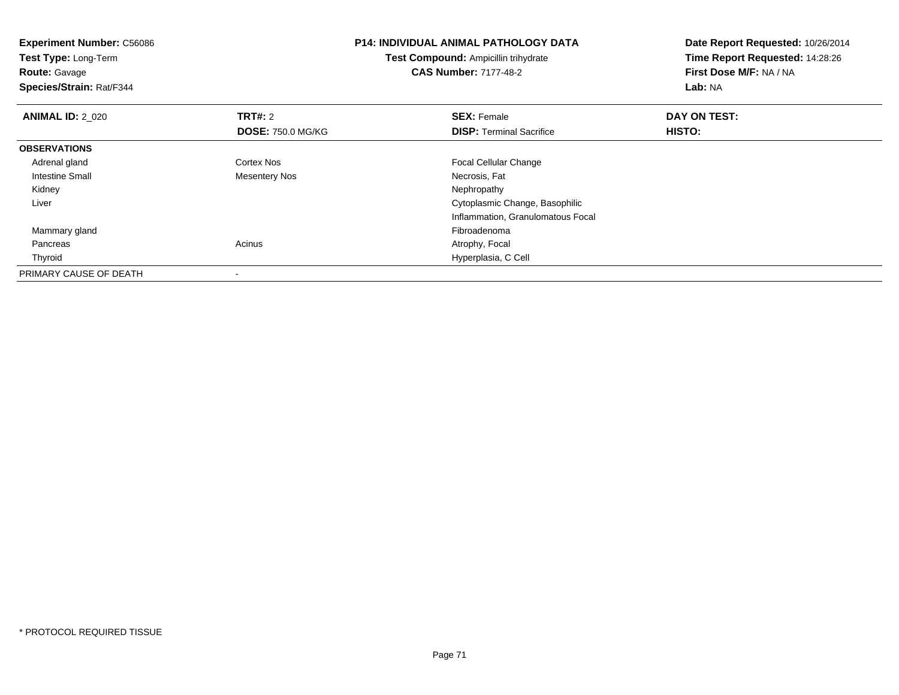| <b>Experiment Number: C56086</b><br>Test Type: Long-Term<br><b>Route:</b> Gavage<br>Species/Strain: Rat/F344 |                          | <b>P14: INDIVIDUAL ANIMAL PATHOLOGY DATA</b><br><b>Test Compound: Ampicillin trihydrate</b><br><b>CAS Number: 7177-48-2</b> | Date Report Requested: 10/26/2014<br>Time Report Requested: 14:28:26<br>First Dose M/F: NA / NA<br>Lab: NA |  |
|--------------------------------------------------------------------------------------------------------------|--------------------------|-----------------------------------------------------------------------------------------------------------------------------|------------------------------------------------------------------------------------------------------------|--|
| <b>ANIMAL ID: 2 020</b>                                                                                      | <b>TRT#: 2</b>           | <b>SEX: Female</b>                                                                                                          | DAY ON TEST:                                                                                               |  |
|                                                                                                              | <b>DOSE: 750.0 MG/KG</b> | <b>DISP:</b> Terminal Sacrifice                                                                                             | HISTO:                                                                                                     |  |
| <b>OBSERVATIONS</b>                                                                                          |                          |                                                                                                                             |                                                                                                            |  |
| Adrenal gland                                                                                                | Cortex Nos               | <b>Focal Cellular Change</b>                                                                                                |                                                                                                            |  |
| Intestine Small                                                                                              | <b>Mesentery Nos</b>     | Necrosis, Fat                                                                                                               |                                                                                                            |  |
| Kidney                                                                                                       |                          | Nephropathy                                                                                                                 |                                                                                                            |  |
| Liver                                                                                                        |                          | Cytoplasmic Change, Basophilic                                                                                              |                                                                                                            |  |
|                                                                                                              |                          | Inflammation, Granulomatous Focal                                                                                           |                                                                                                            |  |
| Mammary gland                                                                                                |                          | Fibroadenoma                                                                                                                |                                                                                                            |  |
| Pancreas                                                                                                     | Acinus                   | Atrophy, Focal                                                                                                              |                                                                                                            |  |
| Thyroid                                                                                                      |                          | Hyperplasia, C Cell                                                                                                         |                                                                                                            |  |
| PRIMARY CAUSE OF DEATH                                                                                       |                          |                                                                                                                             |                                                                                                            |  |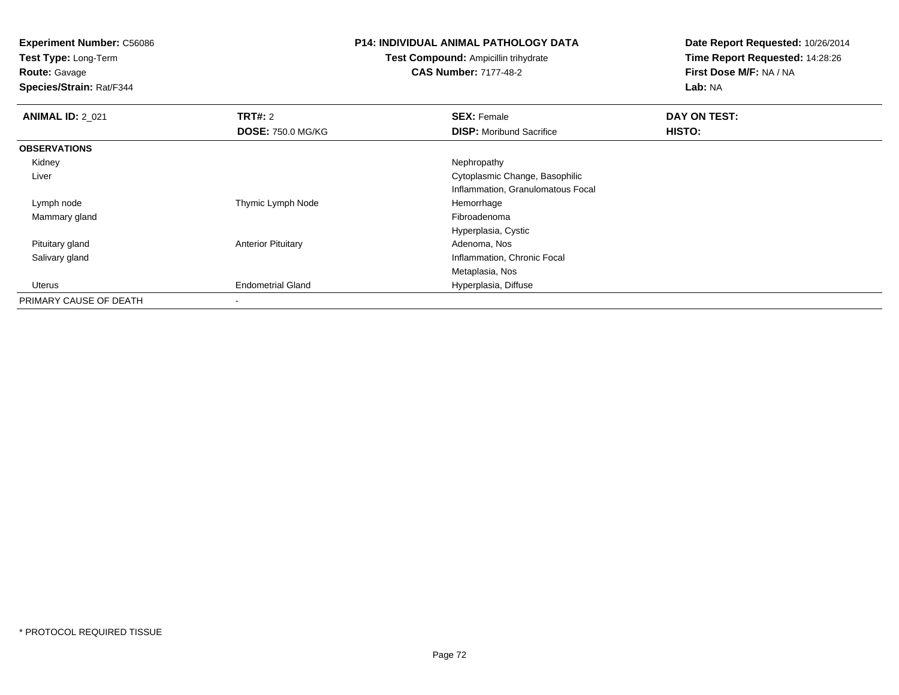**Test Type:** Long-Term

**Route:** Gavage

**Species/Strain:** Rat/F344

#### **P14: INDIVIDUAL ANIMAL PATHOLOGY DATA**

**Test Compound:** Ampicillin trihydrate**CAS Number:** 7177-48-2

| <b>ANIMAL ID: 2 021</b> | TRT#: 2                   | <b>SEX: Female</b>                | DAY ON TEST: |
|-------------------------|---------------------------|-----------------------------------|--------------|
|                         | <b>DOSE: 750.0 MG/KG</b>  | <b>DISP:</b> Moribund Sacrifice   | HISTO:       |
| <b>OBSERVATIONS</b>     |                           |                                   |              |
| Kidney                  |                           | Nephropathy                       |              |
| Liver                   |                           | Cytoplasmic Change, Basophilic    |              |
|                         |                           | Inflammation, Granulomatous Focal |              |
| Lymph node              | Thymic Lymph Node         | Hemorrhage                        |              |
| Mammary gland           |                           | Fibroadenoma                      |              |
|                         |                           | Hyperplasia, Cystic               |              |
| Pituitary gland         | <b>Anterior Pituitary</b> | Adenoma, Nos                      |              |
| Salivary gland          |                           | Inflammation, Chronic Focal       |              |
|                         |                           | Metaplasia, Nos                   |              |
| Uterus                  | <b>Endometrial Gland</b>  | Hyperplasia, Diffuse              |              |
| PRIMARY CAUSE OF DEATH  | $\overline{\phantom{a}}$  |                                   |              |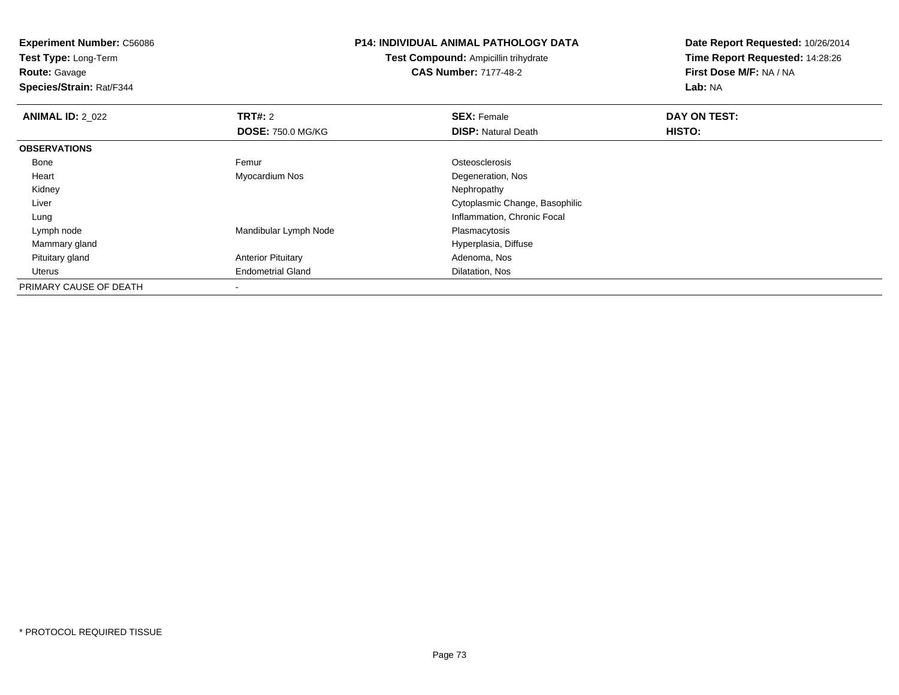**Test Type:** Long-Term

**Route:** Gavage

**Species/Strain:** Rat/F344

## **P14: INDIVIDUAL ANIMAL PATHOLOGY DATA**

**Test Compound:** Ampicillin trihydrate**CAS Number:** 7177-48-2

| <b>ANIMAL ID: 2 022</b> | <b>TRT#: 2</b>            | <b>SEX: Female</b>             | DAY ON TEST: |  |
|-------------------------|---------------------------|--------------------------------|--------------|--|
|                         | <b>DOSE: 750.0 MG/KG</b>  | <b>DISP: Natural Death</b>     | HISTO:       |  |
| <b>OBSERVATIONS</b>     |                           |                                |              |  |
| Bone                    | Femur                     | Osteosclerosis                 |              |  |
| Heart                   | Myocardium Nos            | Degeneration, Nos              |              |  |
| Kidney                  |                           | Nephropathy                    |              |  |
| Liver                   |                           | Cytoplasmic Change, Basophilic |              |  |
| Lung                    |                           | Inflammation, Chronic Focal    |              |  |
| Lymph node              | Mandibular Lymph Node     | Plasmacytosis                  |              |  |
| Mammary gland           |                           | Hyperplasia, Diffuse           |              |  |
| Pituitary gland         | <b>Anterior Pituitary</b> | Adenoma, Nos                   |              |  |
| Uterus                  | <b>Endometrial Gland</b>  | Dilatation, Nos                |              |  |
| PRIMARY CAUSE OF DEATH  |                           |                                |              |  |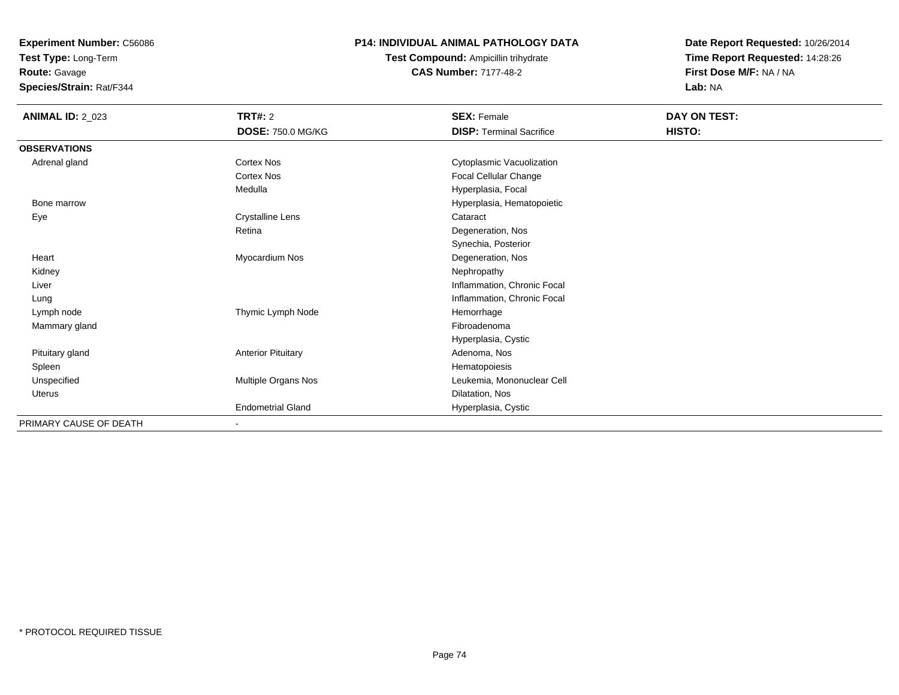**Test Type:** Long-Term

**Route:** Gavage

**Species/Strain:** Rat/F344

## **P14: INDIVIDUAL ANIMAL PATHOLOGY DATA**

**Test Compound:** Ampicillin trihydrate**CAS Number:** 7177-48-2

| <b>ANIMAL ID: 2_023</b> | <b>TRT#: 2</b>            | <b>SEX: Female</b>              | DAY ON TEST: |  |
|-------------------------|---------------------------|---------------------------------|--------------|--|
|                         | <b>DOSE: 750.0 MG/KG</b>  | <b>DISP: Terminal Sacrifice</b> | HISTO:       |  |
| <b>OBSERVATIONS</b>     |                           |                                 |              |  |
| Adrenal gland           | Cortex Nos                | Cytoplasmic Vacuolization       |              |  |
|                         | Cortex Nos                | Focal Cellular Change           |              |  |
|                         | Medulla                   | Hyperplasia, Focal              |              |  |
| Bone marrow             |                           | Hyperplasia, Hematopoietic      |              |  |
| Eye                     | Crystalline Lens          | Cataract                        |              |  |
|                         | Retina                    | Degeneration, Nos               |              |  |
|                         |                           | Synechia, Posterior             |              |  |
| Heart                   | Myocardium Nos            | Degeneration, Nos               |              |  |
| Kidney                  |                           | Nephropathy                     |              |  |
| Liver                   |                           | Inflammation, Chronic Focal     |              |  |
| Lung                    |                           | Inflammation, Chronic Focal     |              |  |
| Lymph node              | Thymic Lymph Node         | Hemorrhage                      |              |  |
| Mammary gland           |                           | Fibroadenoma                    |              |  |
|                         |                           | Hyperplasia, Cystic             |              |  |
| Pituitary gland         | <b>Anterior Pituitary</b> | Adenoma, Nos                    |              |  |
| Spleen                  |                           | Hematopoiesis                   |              |  |
| Unspecified             | Multiple Organs Nos       | Leukemia, Mononuclear Cell      |              |  |
| <b>Uterus</b>           |                           | Dilatation, Nos                 |              |  |
|                         | <b>Endometrial Gland</b>  | Hyperplasia, Cystic             |              |  |
| PRIMARY CAUSE OF DEATH  | ٠                         |                                 |              |  |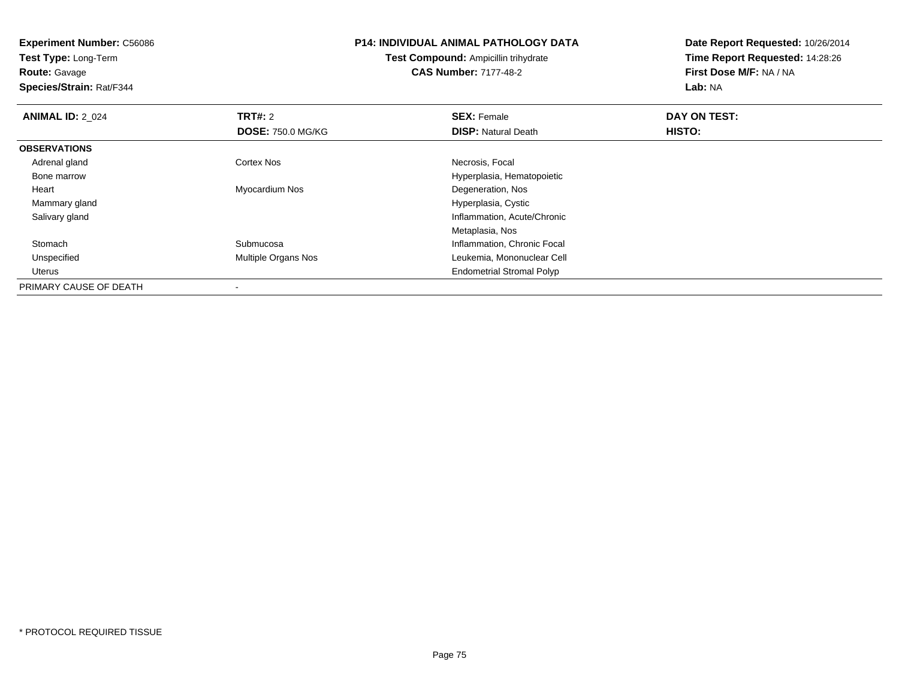**Experiment Number:** C56086**Test Type:** Long-Term**Route:** Gavage **Species/Strain:** Rat/F344**P14: INDIVIDUAL ANIMAL PATHOLOGY DATATest Compound:** Ampicillin trihydrate**CAS Number:** 7177-48-2**Date Report Requested:** 10/26/2014**Time Report Requested:** 14:28:26**First Dose M/F:** NA / NA**Lab:** NA**ANIMAL ID: 2 024 TRT#:** 2 **SEX:** Female **DAY ON TEST: DOSE:** 750.0 MG/KG**DISP:** Natural Death **HISTO: OBSERVATIONS** Adrenal glandd **Cortex Nos** Cortex Nos and the Cortex Nos and the Cortex Nos and the Necrosis, Focal and the Cortex Nos and the Necrosia, Focal and the Cortex Nos and the Cortex Nos and the Cortex Nos and the Cortex Nos and the Cortex Bone marrow Hyperplasia, Hematopoietic Heart Myocardium Nos Degeneration, Nos Mammary gland Hyperplasia, Cystic Salivary gland Inflammation, Acute/Chronic Metaplasia, Nosh **Submucosa Inflammation**, Chronic Focal Stomach Unspecified Multiple Organs Nos Leukemia, Mononuclear Cell Uterus Endometrial Stromal PolypPRIMARY CAUSE OF DEATH-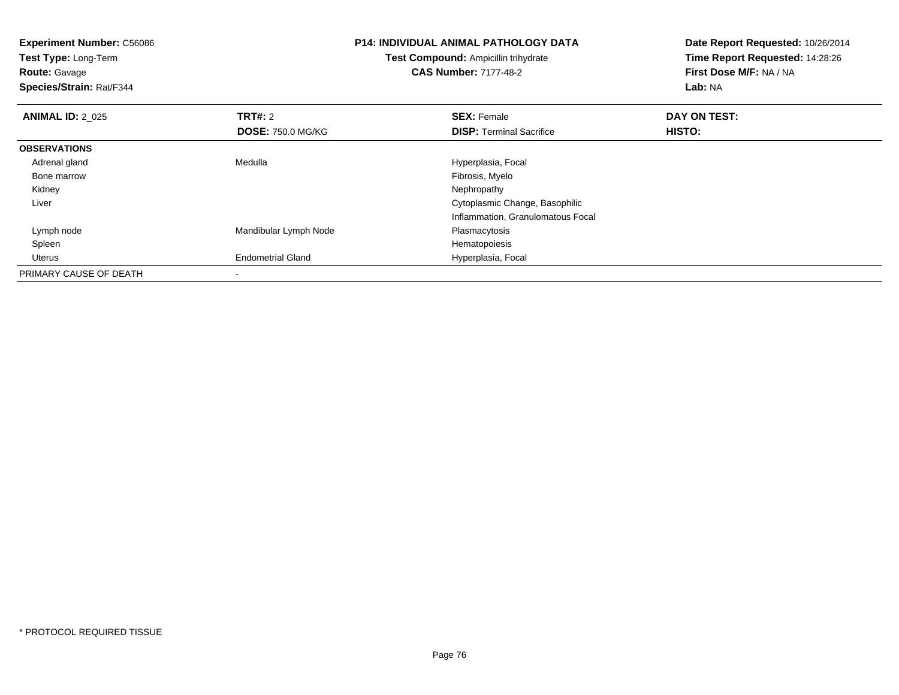| <b>Experiment Number: C56086</b> |                              | <b>P14: INDIVIDUAL ANIMAL PATHOLOGY DATA</b> | Date Report Requested: 10/26/2014 |
|----------------------------------|------------------------------|----------------------------------------------|-----------------------------------|
| Test Type: Long-Term             |                              | Test Compound: Ampicillin trihydrate         | Time Report Requested: 14:28:26   |
| <b>Route: Gavage</b>             | <b>CAS Number: 7177-48-2</b> |                                              | First Dose M/F: NA / NA           |
| Species/Strain: Rat/F344         |                              |                                              | <b>Lab: NA</b>                    |
| <b>ANIMAL ID: 2 025</b>          | <b>TRT#: 2</b>               | <b>SEX: Female</b>                           | DAY ON TEST:                      |
|                                  | <b>DOSE: 750.0 MG/KG</b>     | <b>DISP:</b> Terminal Sacrifice              | HISTO:                            |
| <b>OBSERVATIONS</b>              |                              |                                              |                                   |
| Adrenal gland                    | Medulla                      | Hyperplasia, Focal                           |                                   |
| Bone marrow                      |                              | Fibrosis, Myelo                              |                                   |
| Kidney                           |                              | Nephropathy                                  |                                   |
| Liver                            |                              | Cytoplasmic Change, Basophilic               |                                   |
|                                  |                              | Inflammation, Granulomatous Focal            |                                   |
| Lymph node                       | Mandibular Lymph Node        | Plasmacytosis                                |                                   |
| Spleen                           |                              | Hematopoiesis                                |                                   |
| Uterus                           | <b>Endometrial Gland</b>     | Hyperplasia, Focal                           |                                   |
| PRIMARY CAUSE OF DEATH           |                              |                                              |                                   |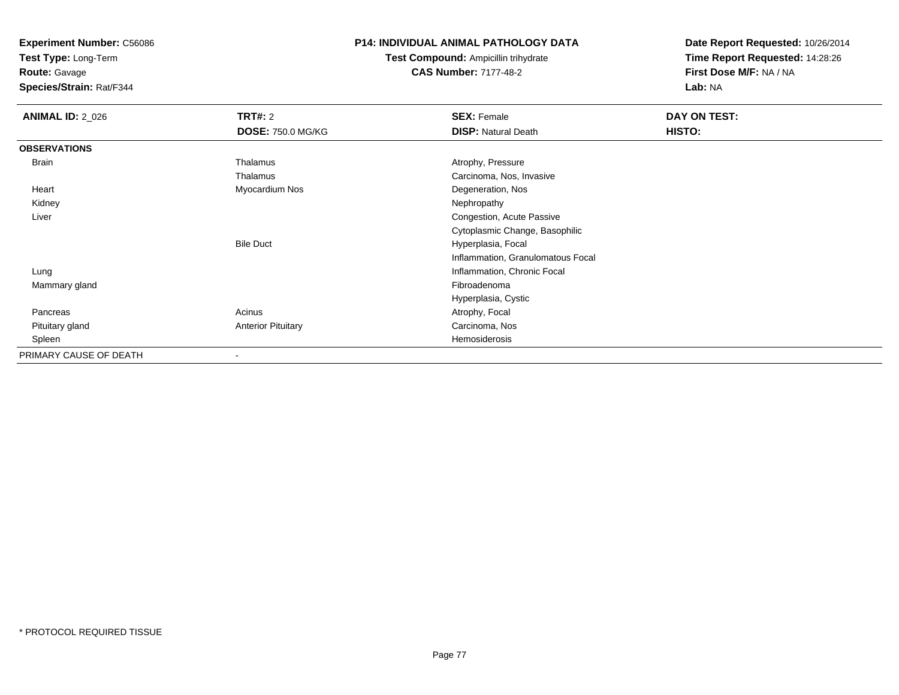**Test Type:** Long-Term

**Route:** Gavage

**Species/Strain:** Rat/F344

## **P14: INDIVIDUAL ANIMAL PATHOLOGY DATA**

**Test Compound:** Ampicillin trihydrate**CAS Number:** 7177-48-2

| <b>ANIMAL ID: 2_026</b> | <b>TRT#:</b> 2            | <b>SEX: Female</b>                | DAY ON TEST: |  |
|-------------------------|---------------------------|-----------------------------------|--------------|--|
|                         | <b>DOSE: 750.0 MG/KG</b>  | <b>DISP: Natural Death</b>        | HISTO:       |  |
| <b>OBSERVATIONS</b>     |                           |                                   |              |  |
| Brain                   | Thalamus                  | Atrophy, Pressure                 |              |  |
|                         | Thalamus                  | Carcinoma, Nos, Invasive          |              |  |
| Heart                   | Myocardium Nos            | Degeneration, Nos                 |              |  |
| Kidney                  |                           | Nephropathy                       |              |  |
| Liver                   |                           | Congestion, Acute Passive         |              |  |
|                         |                           | Cytoplasmic Change, Basophilic    |              |  |
|                         | <b>Bile Duct</b>          | Hyperplasia, Focal                |              |  |
|                         |                           | Inflammation, Granulomatous Focal |              |  |
| Lung                    |                           | Inflammation, Chronic Focal       |              |  |
| Mammary gland           |                           | Fibroadenoma                      |              |  |
|                         |                           | Hyperplasia, Cystic               |              |  |
| Pancreas                | Acinus                    | Atrophy, Focal                    |              |  |
| Pituitary gland         | <b>Anterior Pituitary</b> | Carcinoma, Nos                    |              |  |
| Spleen                  |                           | Hemosiderosis                     |              |  |
| PRIMARY CAUSE OF DEATH  | $\blacksquare$            |                                   |              |  |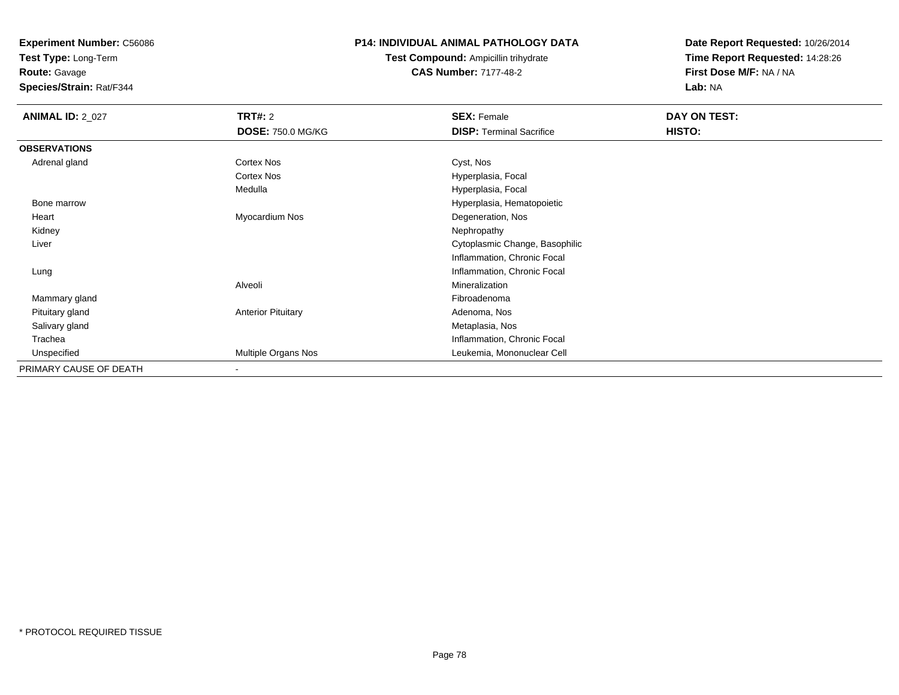**Test Type:** Long-Term

**Route:** Gavage

**Species/Strain:** Rat/F344

## **P14: INDIVIDUAL ANIMAL PATHOLOGY DATA**

**Test Compound:** Ampicillin trihydrate**CAS Number:** 7177-48-2

| <b>ANIMAL ID: 2_027</b> | <b>TRT#:</b> 2            | <b>SEX: Female</b>              | DAY ON TEST: |  |
|-------------------------|---------------------------|---------------------------------|--------------|--|
|                         | <b>DOSE: 750.0 MG/KG</b>  | <b>DISP: Terminal Sacrifice</b> | HISTO:       |  |
| <b>OBSERVATIONS</b>     |                           |                                 |              |  |
| Adrenal gland           | Cortex Nos                | Cyst, Nos                       |              |  |
|                         | Cortex Nos                | Hyperplasia, Focal              |              |  |
|                         | Medulla                   | Hyperplasia, Focal              |              |  |
| Bone marrow             |                           | Hyperplasia, Hematopoietic      |              |  |
| Heart                   | Myocardium Nos            | Degeneration, Nos               |              |  |
| Kidney                  |                           | Nephropathy                     |              |  |
| Liver                   |                           | Cytoplasmic Change, Basophilic  |              |  |
|                         |                           | Inflammation, Chronic Focal     |              |  |
| Lung                    |                           | Inflammation, Chronic Focal     |              |  |
|                         | Alveoli                   | Mineralization                  |              |  |
| Mammary gland           |                           | Fibroadenoma                    |              |  |
| Pituitary gland         | <b>Anterior Pituitary</b> | Adenoma, Nos                    |              |  |
| Salivary gland          |                           | Metaplasia, Nos                 |              |  |
| Trachea                 |                           | Inflammation, Chronic Focal     |              |  |
| Unspecified             | Multiple Organs Nos       | Leukemia, Mononuclear Cell      |              |  |
| PRIMARY CAUSE OF DEATH  | -                         |                                 |              |  |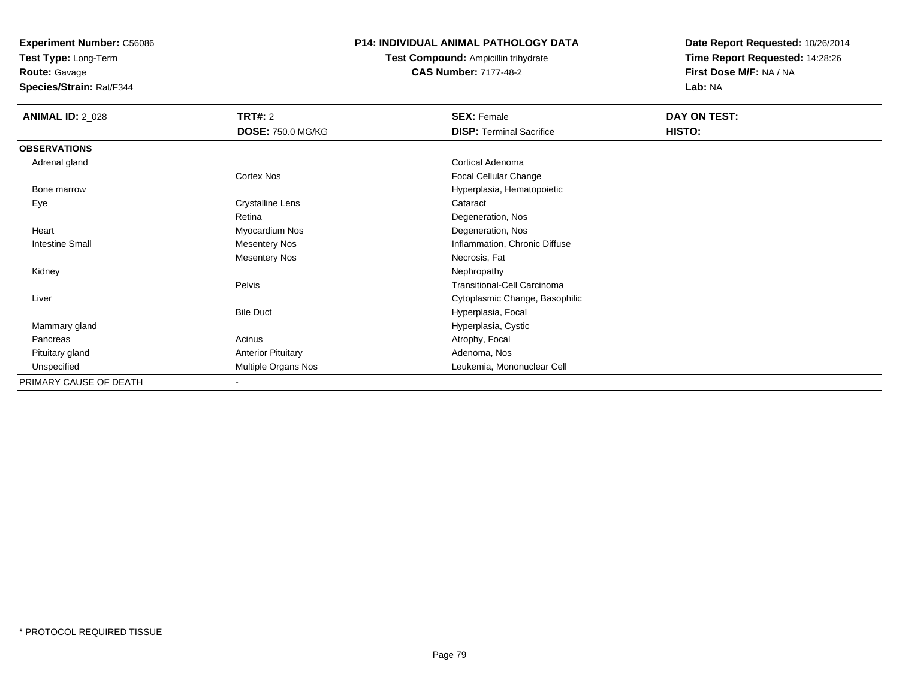**Test Type:** Long-Term

**Route:** Gavage

**Species/Strain:** Rat/F344

## **P14: INDIVIDUAL ANIMAL PATHOLOGY DATA**

**Test Compound:** Ampicillin trihydrate**CAS Number:** 7177-48-2

| <b>ANIMAL ID: 2_028</b> | TRT#: 2                   | <b>SEX: Female</b>                 | DAY ON TEST: |
|-------------------------|---------------------------|------------------------------------|--------------|
|                         | <b>DOSE: 750.0 MG/KG</b>  | <b>DISP: Terminal Sacrifice</b>    | HISTO:       |
| <b>OBSERVATIONS</b>     |                           |                                    |              |
| Adrenal gland           |                           | Cortical Adenoma                   |              |
|                         | Cortex Nos                | Focal Cellular Change              |              |
| Bone marrow             |                           | Hyperplasia, Hematopoietic         |              |
| Eye                     | <b>Crystalline Lens</b>   | Cataract                           |              |
|                         | Retina                    | Degeneration, Nos                  |              |
| Heart                   | Myocardium Nos            | Degeneration, Nos                  |              |
| Intestine Small         | <b>Mesentery Nos</b>      | Inflammation, Chronic Diffuse      |              |
|                         | <b>Mesentery Nos</b>      | Necrosis, Fat                      |              |
| Kidney                  |                           | Nephropathy                        |              |
|                         | Pelvis                    | <b>Transitional-Cell Carcinoma</b> |              |
| Liver                   |                           | Cytoplasmic Change, Basophilic     |              |
|                         | <b>Bile Duct</b>          | Hyperplasia, Focal                 |              |
| Mammary gland           |                           | Hyperplasia, Cystic                |              |
| Pancreas                | Acinus                    | Atrophy, Focal                     |              |
| Pituitary gland         | <b>Anterior Pituitary</b> | Adenoma, Nos                       |              |
| Unspecified             | Multiple Organs Nos       | Leukemia, Mononuclear Cell         |              |
| PRIMARY CAUSE OF DEATH  | $\,$                      |                                    |              |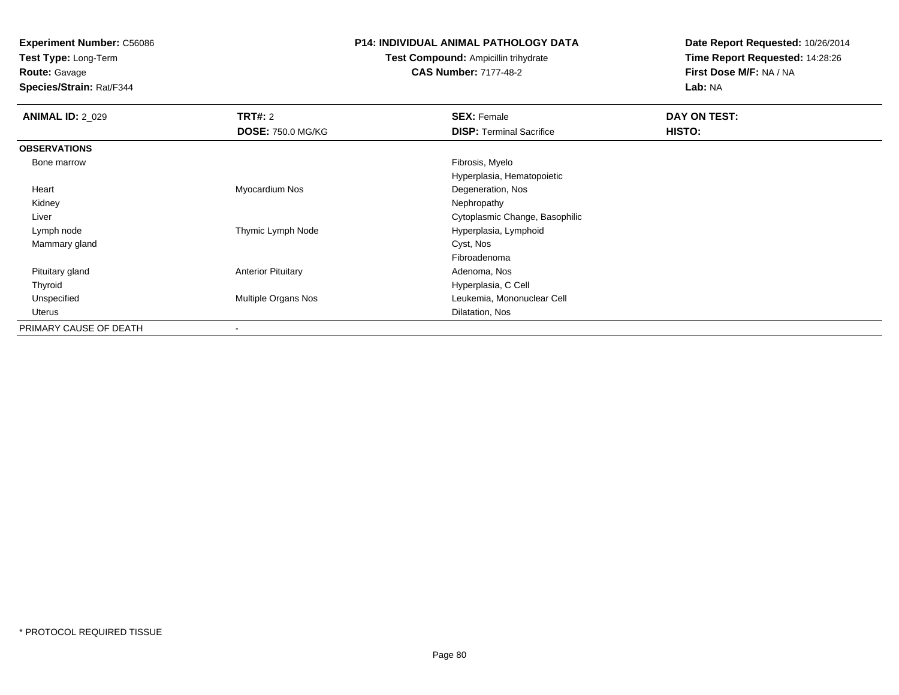**Test Type:** Long-Term

## **Route:** Gavage

**Species/Strain:** Rat/F344

## **P14: INDIVIDUAL ANIMAL PATHOLOGY DATA**

## **Test Compound:** Ampicillin trihydrate**CAS Number:** 7177-48-2

| <b>ANIMAL ID: 2 029</b> | TRT#: 2                   | <b>SEX: Female</b>              | DAY ON TEST: |  |
|-------------------------|---------------------------|---------------------------------|--------------|--|
|                         | <b>DOSE: 750.0 MG/KG</b>  | <b>DISP: Terminal Sacrifice</b> | HISTO:       |  |
| <b>OBSERVATIONS</b>     |                           |                                 |              |  |
| Bone marrow             |                           | Fibrosis, Myelo                 |              |  |
|                         |                           | Hyperplasia, Hematopoietic      |              |  |
| Heart                   | Myocardium Nos            | Degeneration, Nos               |              |  |
| Kidney                  |                           | Nephropathy                     |              |  |
| Liver                   |                           | Cytoplasmic Change, Basophilic  |              |  |
| Lymph node              | Thymic Lymph Node         | Hyperplasia, Lymphoid           |              |  |
| Mammary gland           |                           | Cyst, Nos                       |              |  |
|                         |                           | Fibroadenoma                    |              |  |
| Pituitary gland         | <b>Anterior Pituitary</b> | Adenoma, Nos                    |              |  |
| Thyroid                 |                           | Hyperplasia, C Cell             |              |  |
| Unspecified             | Multiple Organs Nos       | Leukemia, Mononuclear Cell      |              |  |
| Uterus                  |                           | Dilatation, Nos                 |              |  |
| PRIMARY CAUSE OF DEATH  | -                         |                                 |              |  |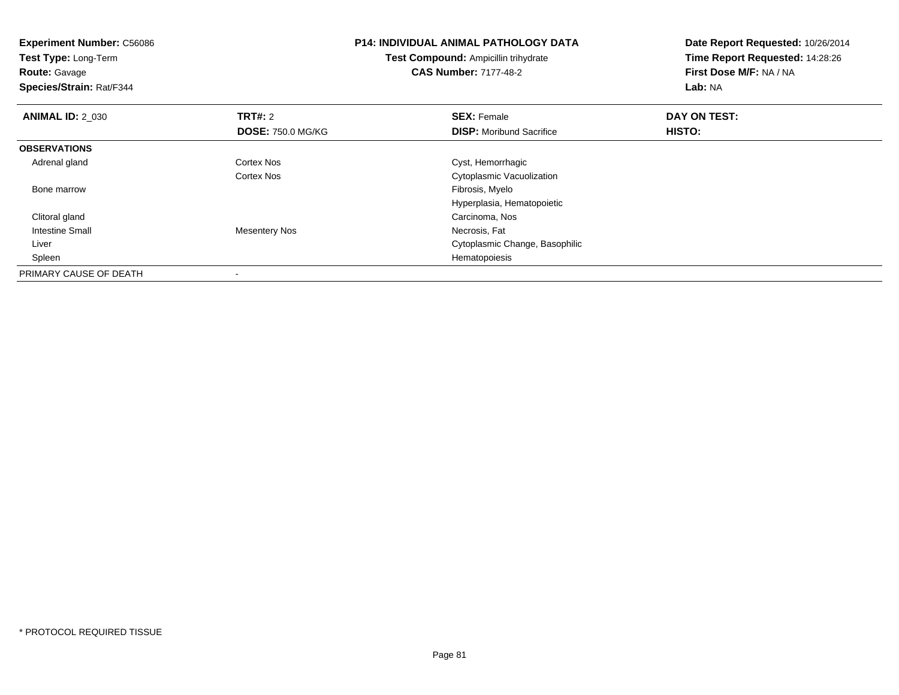| <b>Experiment Number: C56086</b><br>Test Type: Long-Term<br><b>Route: Gavage</b><br>Species/Strain: Rat/F344 |                          | <b>P14: INDIVIDUAL ANIMAL PATHOLOGY DATA</b><br><b>Test Compound: Ampicillin trihydrate</b><br><b>CAS Number: 7177-48-2</b> | Date Report Requested: 10/26/2014<br>Time Report Requested: 14:28:26<br>First Dose M/F: NA / NA<br>Lab: NA |
|--------------------------------------------------------------------------------------------------------------|--------------------------|-----------------------------------------------------------------------------------------------------------------------------|------------------------------------------------------------------------------------------------------------|
| <b>ANIMAL ID: 2 030</b>                                                                                      | TRT#: 2                  | <b>SEX: Female</b>                                                                                                          | DAY ON TEST:                                                                                               |
|                                                                                                              | <b>DOSE: 750.0 MG/KG</b> | <b>DISP:</b> Moribund Sacrifice                                                                                             | HISTO:                                                                                                     |
| <b>OBSERVATIONS</b>                                                                                          |                          |                                                                                                                             |                                                                                                            |
| Adrenal gland                                                                                                | <b>Cortex Nos</b>        | Cyst, Hemorrhagic                                                                                                           |                                                                                                            |
|                                                                                                              | <b>Cortex Nos</b>        | Cytoplasmic Vacuolization                                                                                                   |                                                                                                            |
| Bone marrow                                                                                                  |                          | Fibrosis, Myelo                                                                                                             |                                                                                                            |
|                                                                                                              |                          | Hyperplasia, Hematopoietic                                                                                                  |                                                                                                            |
| Clitoral gland                                                                                               |                          | Carcinoma, Nos                                                                                                              |                                                                                                            |
| <b>Intestine Small</b>                                                                                       | <b>Mesentery Nos</b>     | Necrosis, Fat                                                                                                               |                                                                                                            |
| Liver                                                                                                        |                          | Cytoplasmic Change, Basophilic                                                                                              |                                                                                                            |
| Spleen                                                                                                       |                          | Hematopoiesis                                                                                                               |                                                                                                            |
| PRIMARY CAUSE OF DEATH                                                                                       |                          |                                                                                                                             |                                                                                                            |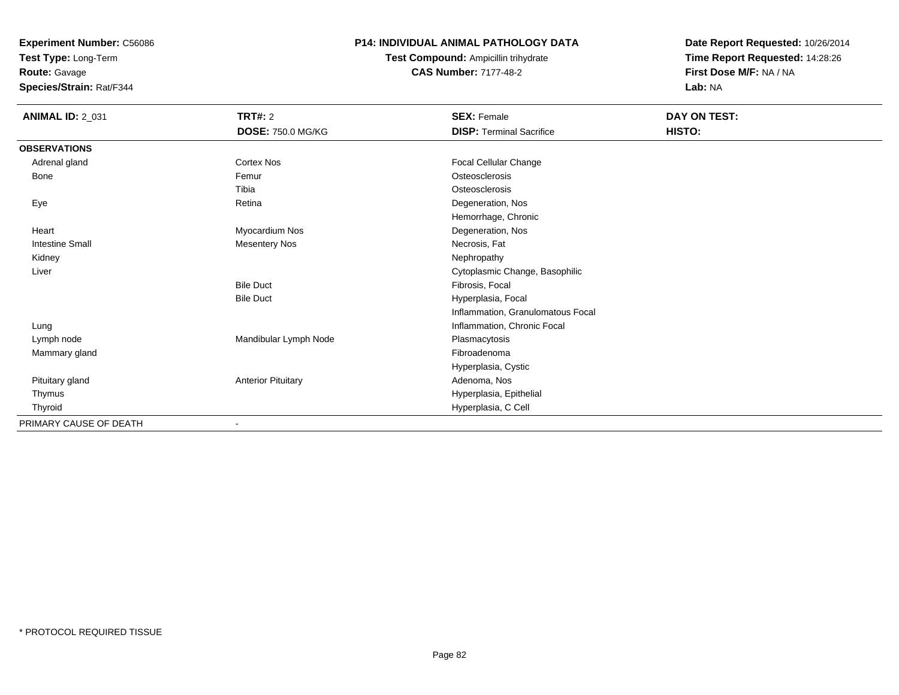**Test Type:** Long-Term

**Route:** Gavage

**Species/Strain:** Rat/F344

## **P14: INDIVIDUAL ANIMAL PATHOLOGY DATA**

**Test Compound:** Ampicillin trihydrate**CAS Number:** 7177-48-2

| <b>ANIMAL ID: 2_031</b> | TRT#: 2                   | <b>SEX: Female</b>                | DAY ON TEST: |  |
|-------------------------|---------------------------|-----------------------------------|--------------|--|
|                         | <b>DOSE: 750.0 MG/KG</b>  | <b>DISP: Terminal Sacrifice</b>   | HISTO:       |  |
| <b>OBSERVATIONS</b>     |                           |                                   |              |  |
| Adrenal gland           | Cortex Nos                | Focal Cellular Change             |              |  |
| Bone                    | Femur                     | Osteosclerosis                    |              |  |
|                         | Tibia                     | Osteosclerosis                    |              |  |
| Eye                     | Retina                    | Degeneration, Nos                 |              |  |
|                         |                           | Hemorrhage, Chronic               |              |  |
| Heart                   | Myocardium Nos            | Degeneration, Nos                 |              |  |
| Intestine Small         | <b>Mesentery Nos</b>      | Necrosis, Fat                     |              |  |
| Kidney                  |                           | Nephropathy                       |              |  |
| Liver                   |                           | Cytoplasmic Change, Basophilic    |              |  |
|                         | <b>Bile Duct</b>          | Fibrosis, Focal                   |              |  |
|                         | <b>Bile Duct</b>          | Hyperplasia, Focal                |              |  |
|                         |                           | Inflammation, Granulomatous Focal |              |  |
| Lung                    |                           | Inflammation, Chronic Focal       |              |  |
| Lymph node              | Mandibular Lymph Node     | Plasmacytosis                     |              |  |
| Mammary gland           |                           | Fibroadenoma                      |              |  |
|                         |                           | Hyperplasia, Cystic               |              |  |
| Pituitary gland         | <b>Anterior Pituitary</b> | Adenoma, Nos                      |              |  |
| Thymus                  |                           | Hyperplasia, Epithelial           |              |  |
| Thyroid                 |                           | Hyperplasia, C Cell               |              |  |
| PRIMARY CAUSE OF DEATH  |                           |                                   |              |  |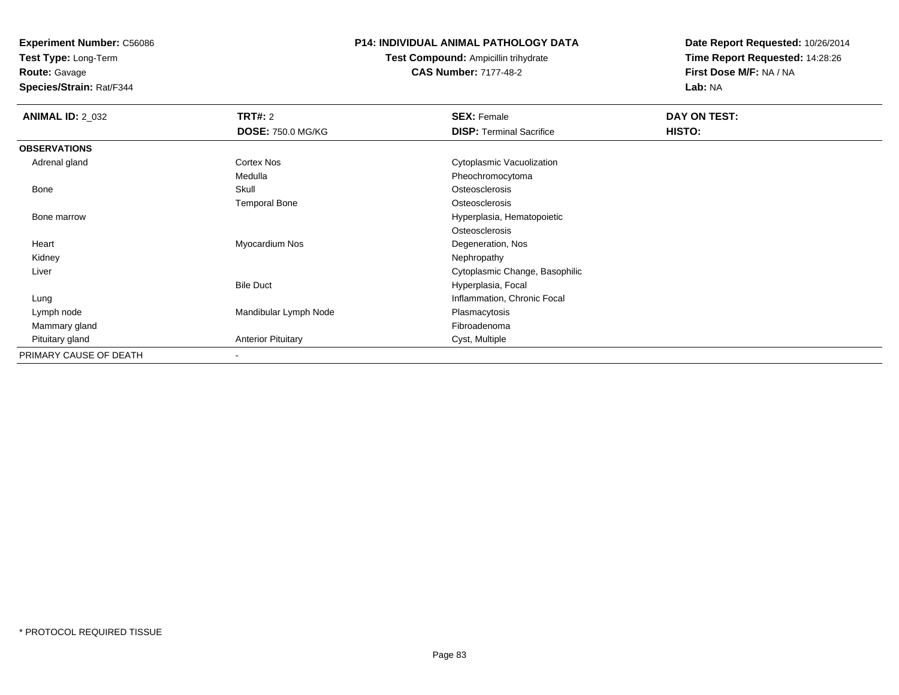**Test Type:** Long-Term

**Route:** Gavage

**Species/Strain:** Rat/F344

## **P14: INDIVIDUAL ANIMAL PATHOLOGY DATA**

**Test Compound:** Ampicillin trihydrate**CAS Number:** 7177-48-2

| <b>ANIMAL ID: 2_032</b> | <b>TRT#: 2</b>            | <b>SEX: Female</b>              | DAY ON TEST: |  |
|-------------------------|---------------------------|---------------------------------|--------------|--|
|                         | <b>DOSE: 750.0 MG/KG</b>  | <b>DISP: Terminal Sacrifice</b> | HISTO:       |  |
| <b>OBSERVATIONS</b>     |                           |                                 |              |  |
| Adrenal gland           | Cortex Nos                | Cytoplasmic Vacuolization       |              |  |
|                         | Medulla                   | Pheochromocytoma                |              |  |
| Bone                    | Skull                     | Osteosclerosis                  |              |  |
|                         | <b>Temporal Bone</b>      | Osteosclerosis                  |              |  |
| Bone marrow             |                           | Hyperplasia, Hematopoietic      |              |  |
|                         |                           | Osteosclerosis                  |              |  |
| Heart                   | Myocardium Nos            | Degeneration, Nos               |              |  |
| Kidney                  |                           | Nephropathy                     |              |  |
| Liver                   |                           | Cytoplasmic Change, Basophilic  |              |  |
|                         | <b>Bile Duct</b>          | Hyperplasia, Focal              |              |  |
| Lung                    |                           | Inflammation, Chronic Focal     |              |  |
| Lymph node              | Mandibular Lymph Node     | Plasmacytosis                   |              |  |
| Mammary gland           |                           | Fibroadenoma                    |              |  |
| Pituitary gland         | <b>Anterior Pituitary</b> | Cyst, Multiple                  |              |  |
| PRIMARY CAUSE OF DEATH  | $\overline{\phantom{a}}$  |                                 |              |  |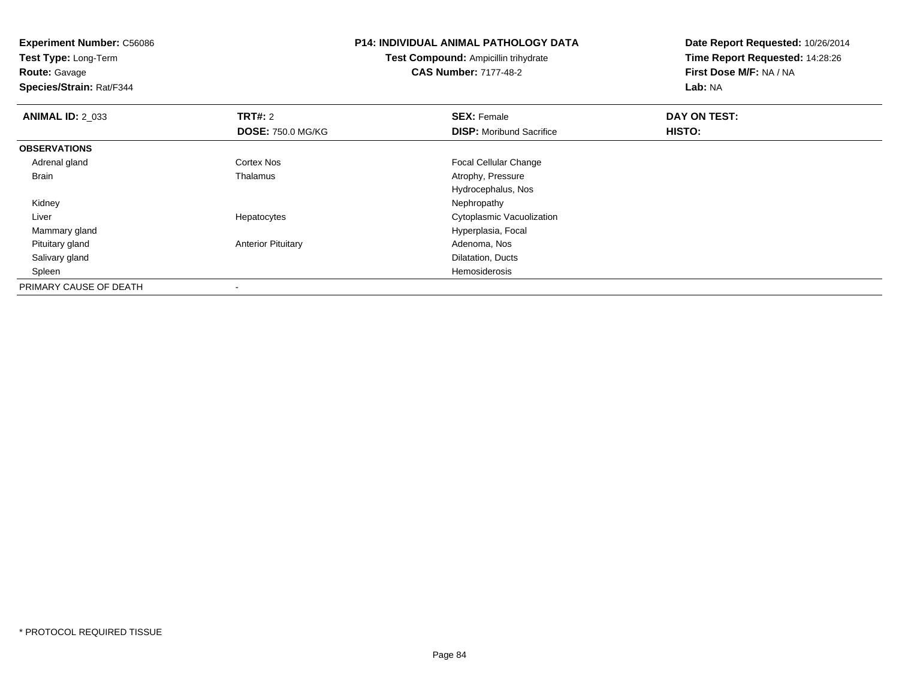**Experiment Number:** C56086**Test Type:** Long-Term**Route:** Gavage **Species/Strain:** Rat/F344**P14: INDIVIDUAL ANIMAL PATHOLOGY DATATest Compound:** Ampicillin trihydrate**CAS Number:** 7177-48-2**Date Report Requested:** 10/26/2014**Time Report Requested:** 14:28:26**First Dose M/F:** NA / NA**Lab:** NA**ANIMAL ID: 2 033 TRT#:** 2 **SEX:** Female **DAY ON TEST: DOSE:** 750.0 MG/KG**DISP:** Moribund Sacrifice **HISTO: OBSERVATIONS** Adrenal glandCortex Nos **Focal Cellular Change**<br>
Thalamus **Focal Cellular Change**<br>
Atrophy, Pressure BrainAtrophy, Pressure Hydrocephalus, Nos Kidneyy the control of the control of the control of the control of the control of the control of the control of the control of the control of the control of the control of the control of the control of the control of the contro Liver Hepatocytes Cytoplasmic Vacuolization Mammary glandHyperplasia, Focal<br>Adenoma, Nos Pituitary glandAnterior Pituitary Salivary glandDilatation, Ducts<br>Hemosiderosis Spleenn de la constitución de la constitución de la constitución de la constitución de la constitución de la constitución<br>En la constitución de la constitución de la constitución de la constitución de la constitución de la const PRIMARY CAUSE OF DEATH-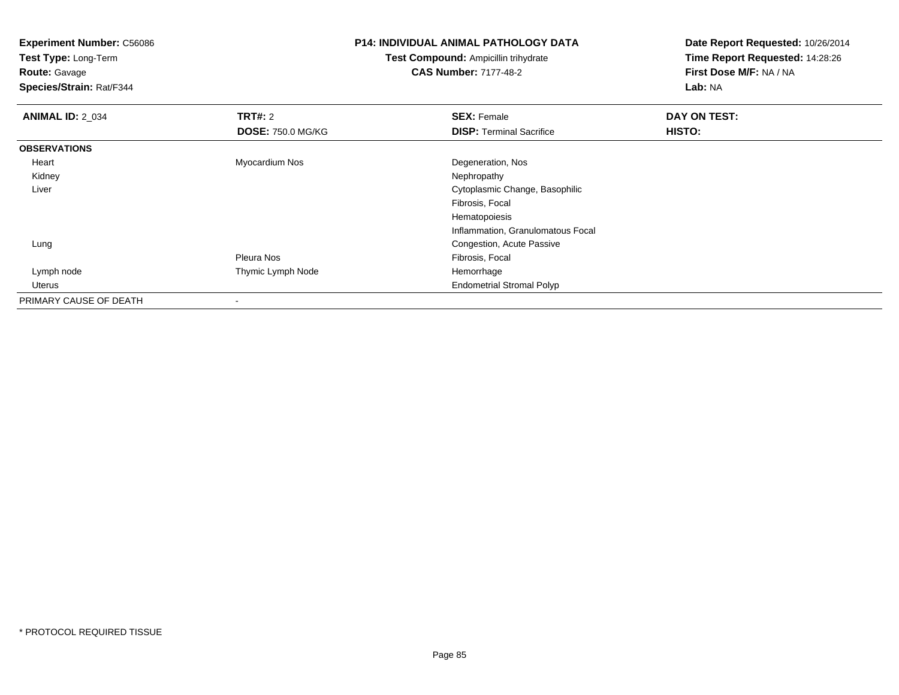**Test Type:** Long-Term

# **Route:** Gavage

**Species/Strain:** Rat/F344

## **P14: INDIVIDUAL ANIMAL PATHOLOGY DATA**

## **Test Compound:** Ampicillin trihydrate**CAS Number:** 7177-48-2

| <b>ANIMAL ID: 2_034</b> | TRT#: 2                  | <b>SEX: Female</b>                | DAY ON TEST: |  |
|-------------------------|--------------------------|-----------------------------------|--------------|--|
|                         | <b>DOSE: 750.0 MG/KG</b> | <b>DISP: Terminal Sacrifice</b>   | HISTO:       |  |
| <b>OBSERVATIONS</b>     |                          |                                   |              |  |
| Heart                   | Myocardium Nos           | Degeneration, Nos                 |              |  |
| Kidney                  |                          | Nephropathy                       |              |  |
| Liver                   |                          | Cytoplasmic Change, Basophilic    |              |  |
|                         |                          | Fibrosis, Focal                   |              |  |
|                         |                          | Hematopoiesis                     |              |  |
|                         |                          | Inflammation, Granulomatous Focal |              |  |
| Lung                    |                          | Congestion, Acute Passive         |              |  |
|                         | Pleura Nos               | Fibrosis, Focal                   |              |  |
| Lymph node              | Thymic Lymph Node        | Hemorrhage                        |              |  |
| Uterus                  |                          | <b>Endometrial Stromal Polyp</b>  |              |  |
| PRIMARY CAUSE OF DEATH  | $\overline{\phantom{a}}$ |                                   |              |  |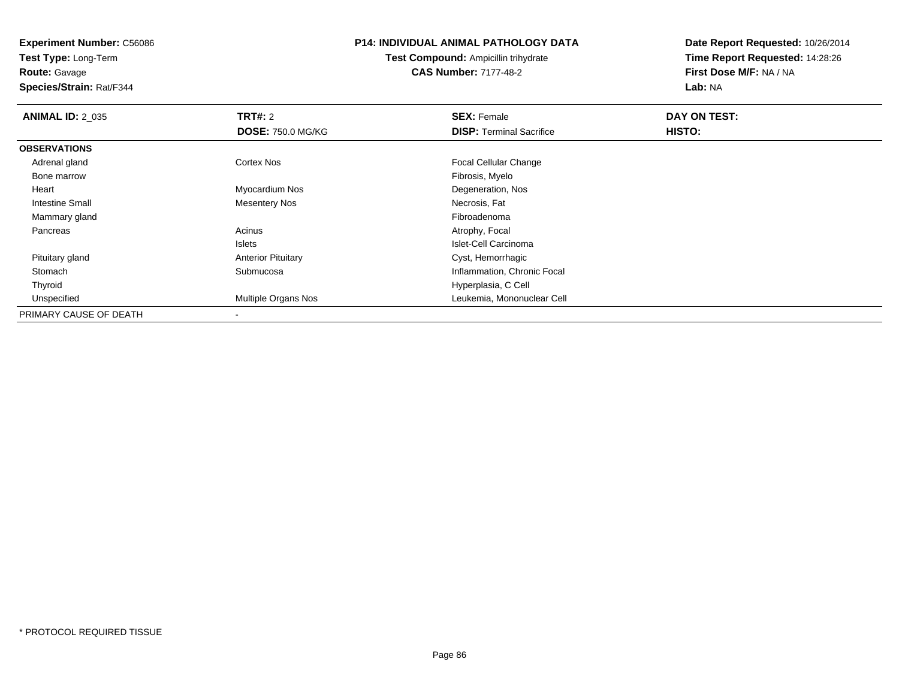**Test Type:** Long-Term**Route:** Gavage

**Species/Strain:** Rat/F344

## **P14: INDIVIDUAL ANIMAL PATHOLOGY DATA**

**Test Compound:** Ampicillin trihydrate**CAS Number:** 7177-48-2

| <b>ANIMAL ID: 2_035</b> | TRT#: 2                    | <b>SEX: Female</b>              | DAY ON TEST: |  |
|-------------------------|----------------------------|---------------------------------|--------------|--|
|                         | <b>DOSE: 750.0 MG/KG</b>   | <b>DISP:</b> Terminal Sacrifice | HISTO:       |  |
| <b>OBSERVATIONS</b>     |                            |                                 |              |  |
| Adrenal gland           | <b>Cortex Nos</b>          | <b>Focal Cellular Change</b>    |              |  |
| Bone marrow             |                            | Fibrosis, Myelo                 |              |  |
| Heart                   | Myocardium Nos             | Degeneration, Nos               |              |  |
| <b>Intestine Small</b>  | <b>Mesentery Nos</b>       | Necrosis, Fat                   |              |  |
| Mammary gland           |                            | Fibroadenoma                    |              |  |
| Pancreas                | Acinus                     | Atrophy, Focal                  |              |  |
|                         | <b>Islets</b>              | Islet-Cell Carcinoma            |              |  |
| Pituitary gland         | <b>Anterior Pituitary</b>  | Cyst, Hemorrhagic               |              |  |
| Stomach                 | Submucosa                  | Inflammation, Chronic Focal     |              |  |
| Thyroid                 |                            | Hyperplasia, C Cell             |              |  |
| Unspecified             | <b>Multiple Organs Nos</b> | Leukemia, Mononuclear Cell      |              |  |
| PRIMARY CAUSE OF DEATH  |                            |                                 |              |  |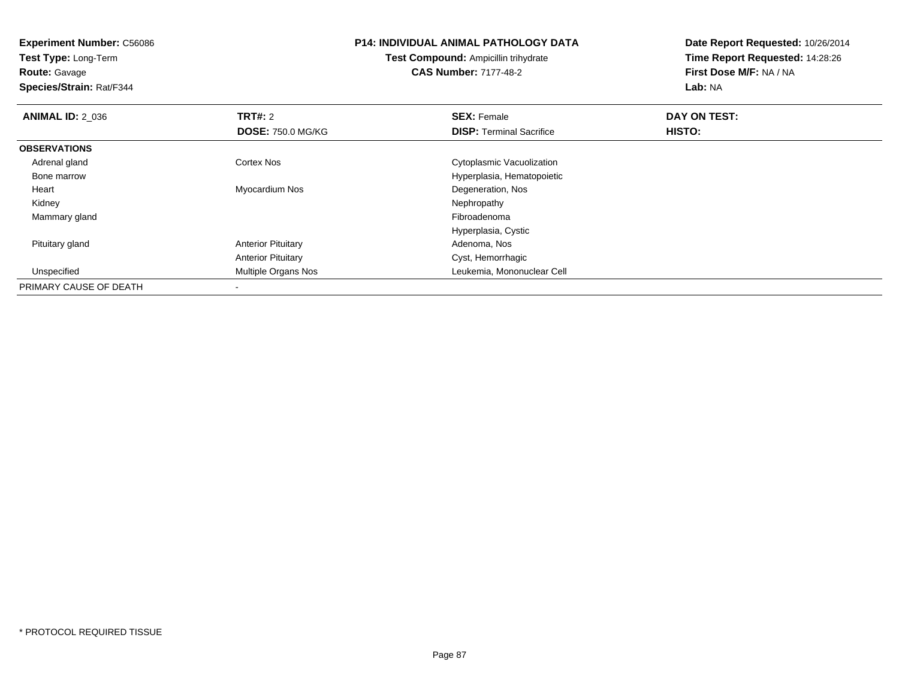| <b>Experiment Number: C56086</b><br>Test Type: Long-Term<br><b>Route: Gavage</b><br>Species/Strain: Rat/F344 |                           | <b>P14: INDIVIDUAL ANIMAL PATHOLOGY DATA</b><br>Test Compound: Ampicillin trihydrate<br><b>CAS Number: 7177-48-2</b> | Date Report Requested: 10/26/2014<br>Time Report Requested: 14:28:26<br>First Dose M/F: NA / NA<br>Lab: NA |  |
|--------------------------------------------------------------------------------------------------------------|---------------------------|----------------------------------------------------------------------------------------------------------------------|------------------------------------------------------------------------------------------------------------|--|
| <b>ANIMAL ID: 2 036</b>                                                                                      | <b>TRT#: 2</b>            | <b>SEX: Female</b>                                                                                                   | DAY ON TEST:                                                                                               |  |
|                                                                                                              | <b>DOSE: 750.0 MG/KG</b>  | <b>DISP:</b> Terminal Sacrifice                                                                                      | HISTO:                                                                                                     |  |
| <b>OBSERVATIONS</b>                                                                                          |                           |                                                                                                                      |                                                                                                            |  |
| Adrenal gland                                                                                                | Cortex Nos                | Cytoplasmic Vacuolization                                                                                            |                                                                                                            |  |
| Bone marrow                                                                                                  |                           | Hyperplasia, Hematopoietic                                                                                           |                                                                                                            |  |
| Heart                                                                                                        | Myocardium Nos            | Degeneration, Nos                                                                                                    |                                                                                                            |  |
| Kidney                                                                                                       |                           | Nephropathy                                                                                                          |                                                                                                            |  |
| Mammary gland                                                                                                |                           | Fibroadenoma                                                                                                         |                                                                                                            |  |
|                                                                                                              |                           | Hyperplasia, Cystic                                                                                                  |                                                                                                            |  |
| Pituitary gland                                                                                              | <b>Anterior Pituitary</b> | Adenoma, Nos                                                                                                         |                                                                                                            |  |
|                                                                                                              | <b>Anterior Pituitary</b> | Cyst, Hemorrhagic                                                                                                    |                                                                                                            |  |
| Unspecified                                                                                                  | Multiple Organs Nos       | Leukemia, Mononuclear Cell                                                                                           |                                                                                                            |  |
| PRIMARY CAUSE OF DEATH                                                                                       |                           |                                                                                                                      |                                                                                                            |  |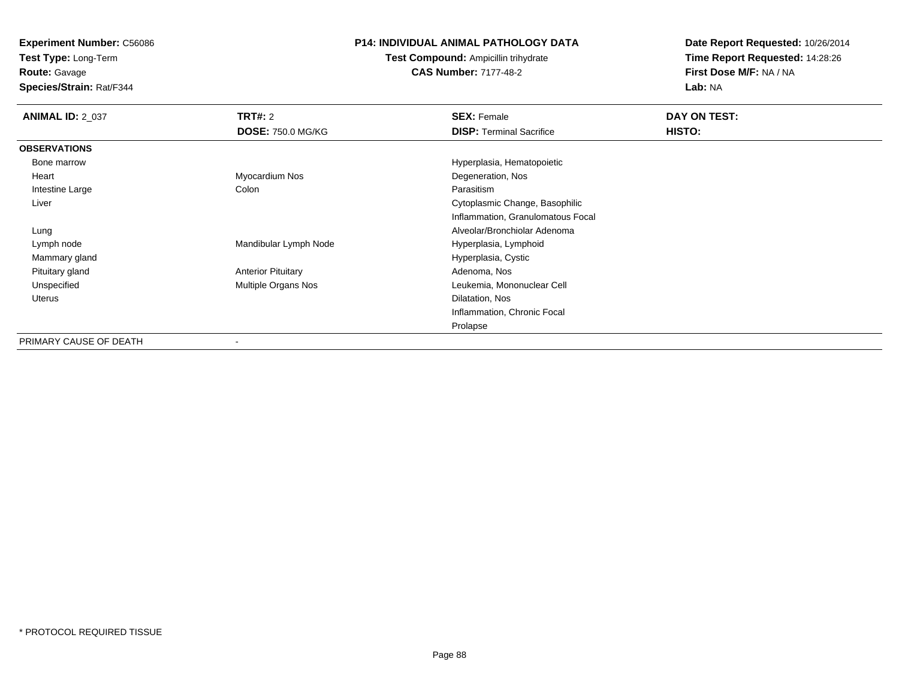**Test Type:** Long-Term

**Route:** Gavage

**Species/Strain:** Rat/F344

## **P14: INDIVIDUAL ANIMAL PATHOLOGY DATA**

**Test Compound:** Ampicillin trihydrate**CAS Number:** 7177-48-2

| <b>ANIMAL ID: 2_037</b> | <b>TRT#: 2</b>             | <b>SEX: Female</b>                | DAY ON TEST:  |
|-------------------------|----------------------------|-----------------------------------|---------------|
|                         | <b>DOSE: 750.0 MG/KG</b>   | <b>DISP:</b> Terminal Sacrifice   | <b>HISTO:</b> |
| <b>OBSERVATIONS</b>     |                            |                                   |               |
| Bone marrow             |                            | Hyperplasia, Hematopoietic        |               |
| Heart                   | Myocardium Nos             | Degeneration, Nos                 |               |
| Intestine Large         | Colon                      | Parasitism                        |               |
| Liver                   |                            | Cytoplasmic Change, Basophilic    |               |
|                         |                            | Inflammation, Granulomatous Focal |               |
| Lung                    |                            | Alveolar/Bronchiolar Adenoma      |               |
| Lymph node              | Mandibular Lymph Node      | Hyperplasia, Lymphoid             |               |
| Mammary gland           |                            | Hyperplasia, Cystic               |               |
| Pituitary gland         | <b>Anterior Pituitary</b>  | Adenoma, Nos                      |               |
| Unspecified             | <b>Multiple Organs Nos</b> | Leukemia, Mononuclear Cell        |               |
| Uterus                  |                            | Dilatation, Nos                   |               |
|                         |                            | Inflammation, Chronic Focal       |               |
|                         |                            | Prolapse                          |               |
| PRIMARY CAUSE OF DEATH  |                            |                                   |               |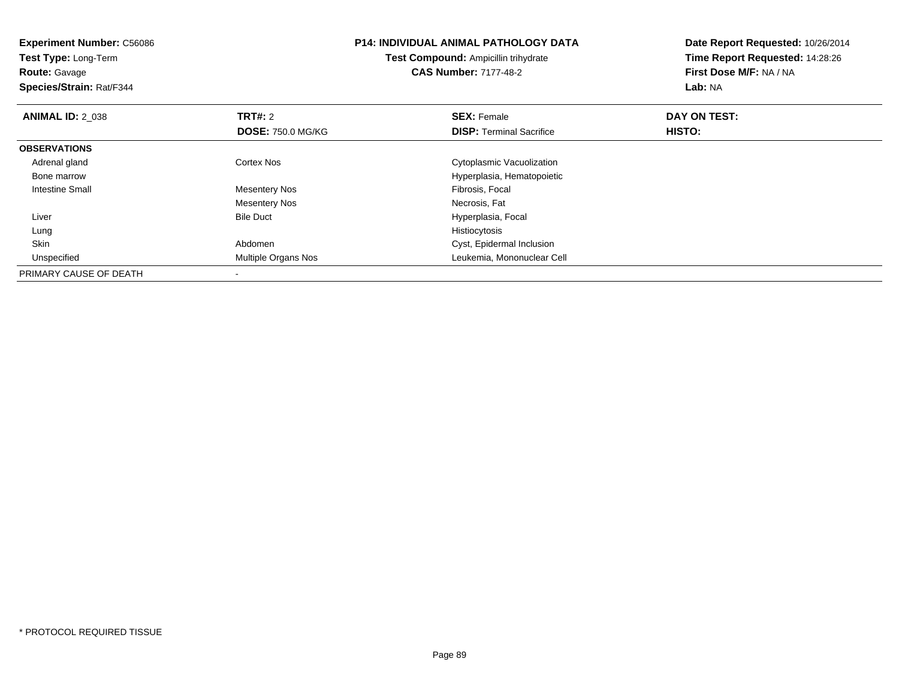| <b>Experiment Number: C56086</b><br>Test Type: Long-Term<br><b>CAS Number: 7177-48-2</b><br><b>Route:</b> Gavage<br>Species/Strain: Rat/F344 |                          | <b>P14: INDIVIDUAL ANIMAL PATHOLOGY DATA</b><br><b>Test Compound: Ampicillin trihydrate</b> | Date Report Requested: 10/26/2014<br>Time Report Requested: 14:28:26<br>First Dose M/F: NA / NA<br>Lab: NA |
|----------------------------------------------------------------------------------------------------------------------------------------------|--------------------------|---------------------------------------------------------------------------------------------|------------------------------------------------------------------------------------------------------------|
| <b>ANIMAL ID: 2 038</b>                                                                                                                      | <b>TRT#: 2</b>           | <b>SEX: Female</b>                                                                          | DAY ON TEST:                                                                                               |
|                                                                                                                                              | <b>DOSE: 750.0 MG/KG</b> | <b>DISP:</b> Terminal Sacrifice                                                             | HISTO:                                                                                                     |
| <b>OBSERVATIONS</b>                                                                                                                          |                          |                                                                                             |                                                                                                            |
| Adrenal gland                                                                                                                                | <b>Cortex Nos</b>        | Cytoplasmic Vacuolization                                                                   |                                                                                                            |
| Bone marrow                                                                                                                                  |                          | Hyperplasia, Hematopoietic                                                                  |                                                                                                            |
| Intestine Small                                                                                                                              | <b>Mesentery Nos</b>     | Fibrosis, Focal                                                                             |                                                                                                            |
|                                                                                                                                              | <b>Mesentery Nos</b>     | Necrosis, Fat                                                                               |                                                                                                            |
| Liver                                                                                                                                        | <b>Bile Duct</b>         | Hyperplasia, Focal                                                                          |                                                                                                            |
| Lung                                                                                                                                         |                          | Histiocytosis                                                                               |                                                                                                            |
| Skin                                                                                                                                         | Abdomen                  | Cyst, Epidermal Inclusion                                                                   |                                                                                                            |
| Unspecified                                                                                                                                  | Multiple Organs Nos      | Leukemia, Mononuclear Cell                                                                  |                                                                                                            |
| PRIMARY CAUSE OF DEATH                                                                                                                       |                          |                                                                                             |                                                                                                            |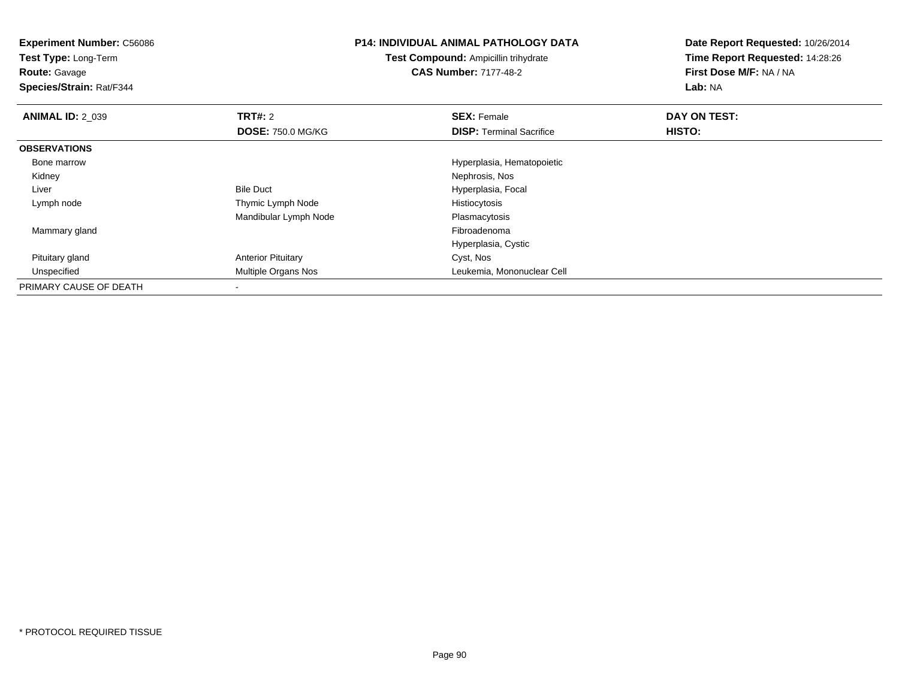| <b>Experiment Number: C56086</b><br><b>Test Type: Long-Term</b><br><b>Route: Gavage</b><br>Species/Strain: Rat/F344 |                           | <b>P14: INDIVIDUAL ANIMAL PATHOLOGY DATA</b><br><b>Test Compound: Ampicillin trihydrate</b><br><b>CAS Number: 7177-48-2</b> | Date Report Requested: 10/26/2014<br>Time Report Requested: 14:28:26<br>First Dose M/F: NA / NA<br>Lab: NA |
|---------------------------------------------------------------------------------------------------------------------|---------------------------|-----------------------------------------------------------------------------------------------------------------------------|------------------------------------------------------------------------------------------------------------|
| <b>ANIMAL ID: 2_039</b>                                                                                             | <b>TRT#: 2</b>            | <b>SEX: Female</b>                                                                                                          | DAY ON TEST:                                                                                               |
|                                                                                                                     | <b>DOSE: 750.0 MG/KG</b>  | <b>DISP:</b> Terminal Sacrifice                                                                                             | HISTO:                                                                                                     |
| <b>OBSERVATIONS</b>                                                                                                 |                           |                                                                                                                             |                                                                                                            |
| Bone marrow                                                                                                         |                           | Hyperplasia, Hematopoietic                                                                                                  |                                                                                                            |
| Kidney                                                                                                              |                           | Nephrosis, Nos                                                                                                              |                                                                                                            |
| Liver                                                                                                               | <b>Bile Duct</b>          | Hyperplasia, Focal                                                                                                          |                                                                                                            |
| Lymph node                                                                                                          | Thymic Lymph Node         | Histiocytosis                                                                                                               |                                                                                                            |
|                                                                                                                     | Mandibular Lymph Node     | Plasmacytosis                                                                                                               |                                                                                                            |
| Mammary gland                                                                                                       |                           | Fibroadenoma                                                                                                                |                                                                                                            |
|                                                                                                                     |                           | Hyperplasia, Cystic                                                                                                         |                                                                                                            |
| Pituitary gland                                                                                                     | <b>Anterior Pituitary</b> | Cyst, Nos                                                                                                                   |                                                                                                            |
| Unspecified                                                                                                         | Multiple Organs Nos       | Leukemia, Mononuclear Cell                                                                                                  |                                                                                                            |
| PRIMARY CAUSE OF DEATH                                                                                              |                           |                                                                                                                             |                                                                                                            |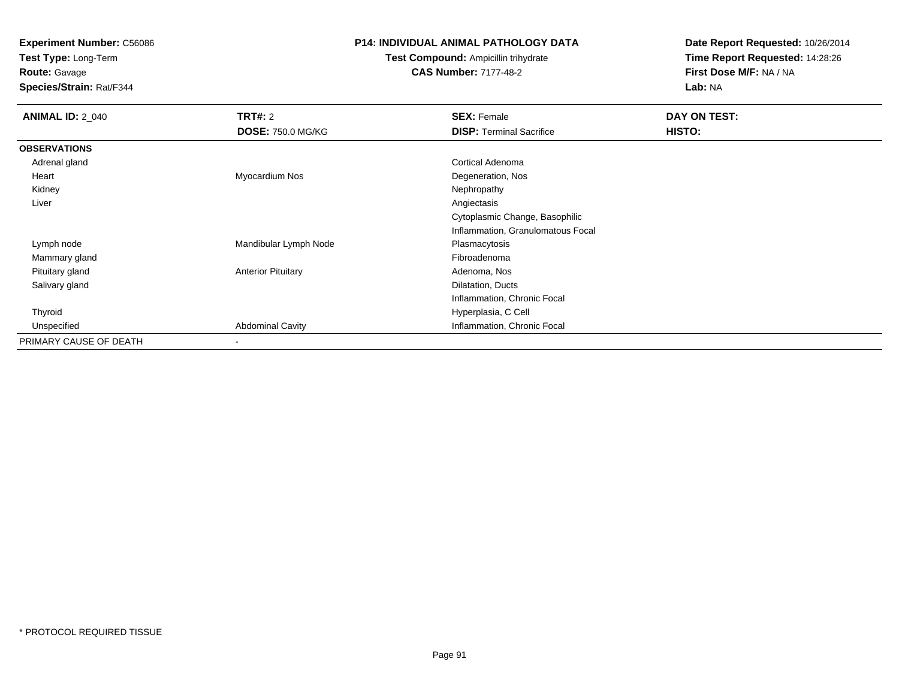**Test Type:** Long-Term

**Route:** Gavage

**Species/Strain:** Rat/F344

## **P14: INDIVIDUAL ANIMAL PATHOLOGY DATA**

**Test Compound:** Ampicillin trihydrate**CAS Number:** 7177-48-2

| <b>ANIMAL ID: 2_040</b> | TRT#: 2                   | <b>SEX: Female</b>                | DAY ON TEST: |
|-------------------------|---------------------------|-----------------------------------|--------------|
|                         | <b>DOSE: 750.0 MG/KG</b>  | <b>DISP: Terminal Sacrifice</b>   | HISTO:       |
| <b>OBSERVATIONS</b>     |                           |                                   |              |
| Adrenal gland           |                           | Cortical Adenoma                  |              |
| Heart                   | Myocardium Nos            | Degeneration, Nos                 |              |
| Kidney                  |                           | Nephropathy                       |              |
| Liver                   |                           | Angiectasis                       |              |
|                         |                           | Cytoplasmic Change, Basophilic    |              |
|                         |                           | Inflammation, Granulomatous Focal |              |
| Lymph node              | Mandibular Lymph Node     | Plasmacytosis                     |              |
| Mammary gland           |                           | Fibroadenoma                      |              |
| Pituitary gland         | <b>Anterior Pituitary</b> | Adenoma, Nos                      |              |
| Salivary gland          |                           | Dilatation, Ducts                 |              |
|                         |                           | Inflammation, Chronic Focal       |              |
| Thyroid                 |                           | Hyperplasia, C Cell               |              |
| Unspecified             | <b>Abdominal Cavity</b>   | Inflammation, Chronic Focal       |              |
| PRIMARY CAUSE OF DEATH  | $\overline{\phantom{a}}$  |                                   |              |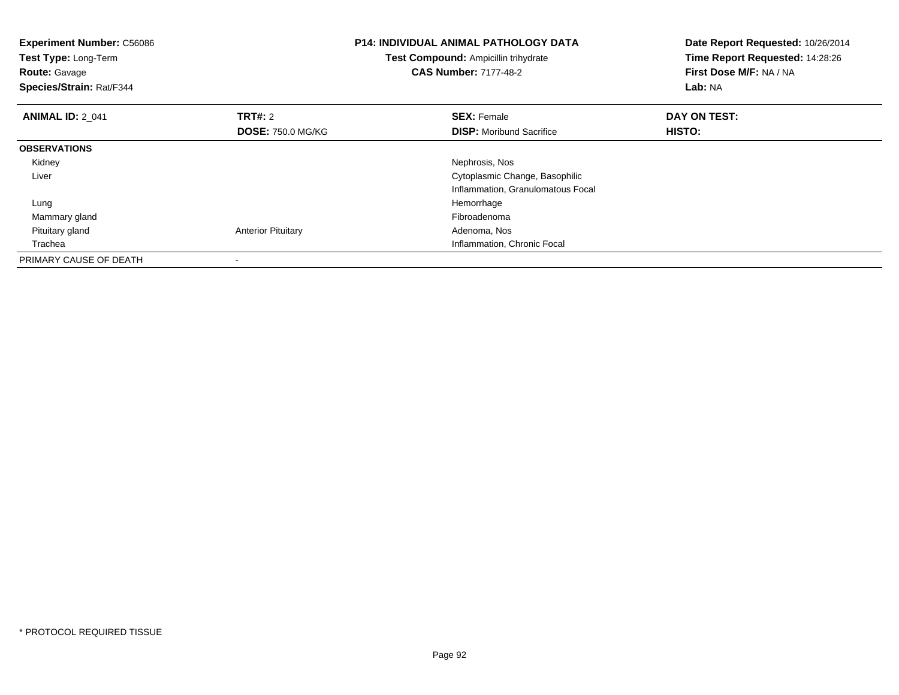| <b>Experiment Number: C56086</b><br>Test Compound: Ampicillin trihydrate<br>Test Type: Long-Term<br><b>CAS Number: 7177-48-2</b><br><b>Route: Gavage</b><br>Species/Strain: Rat/F344 |                           | <b>P14: INDIVIDUAL ANIMAL PATHOLOGY DATA</b> | Date Report Requested: 10/26/2014<br>Time Report Requested: 14:28:26<br>First Dose M/F: NA / NA<br>Lab: NA |
|--------------------------------------------------------------------------------------------------------------------------------------------------------------------------------------|---------------------------|----------------------------------------------|------------------------------------------------------------------------------------------------------------|
| <b>ANIMAL ID: 2 041</b>                                                                                                                                                              | TRT#: 2                   | <b>SEX: Female</b>                           | DAY ON TEST:                                                                                               |
|                                                                                                                                                                                      | <b>DOSE: 750.0 MG/KG</b>  | <b>DISP:</b> Moribund Sacrifice              | <b>HISTO:</b>                                                                                              |
| <b>OBSERVATIONS</b>                                                                                                                                                                  |                           |                                              |                                                                                                            |
| Kidney                                                                                                                                                                               |                           | Nephrosis, Nos                               |                                                                                                            |
| Liver                                                                                                                                                                                |                           | Cytoplasmic Change, Basophilic               |                                                                                                            |
|                                                                                                                                                                                      |                           | Inflammation, Granulomatous Focal            |                                                                                                            |
| Lung                                                                                                                                                                                 |                           | Hemorrhage                                   |                                                                                                            |
| Mammary gland                                                                                                                                                                        |                           | Fibroadenoma                                 |                                                                                                            |
| Pituitary gland                                                                                                                                                                      | <b>Anterior Pituitary</b> | Adenoma, Nos                                 |                                                                                                            |
| Trachea                                                                                                                                                                              |                           | Inflammation, Chronic Focal                  |                                                                                                            |
| PRIMARY CAUSE OF DEATH                                                                                                                                                               |                           |                                              |                                                                                                            |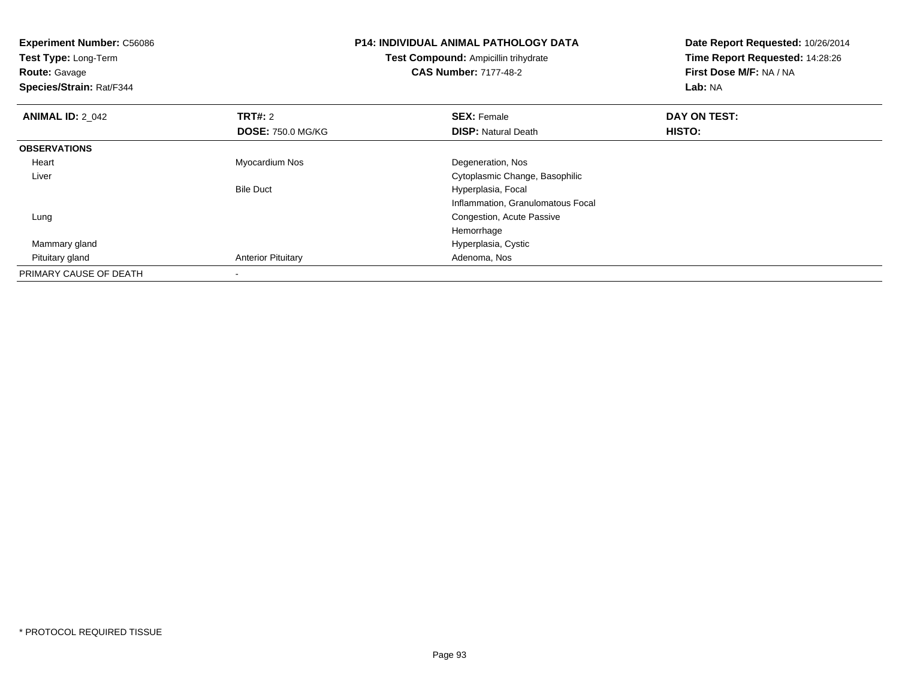| <b>Experiment Number: C56086</b><br>Test Type: Long-Term |                           | <b>P14: INDIVIDUAL ANIMAL PATHOLOGY DATA</b><br>Test Compound: Ampicillin trihydrate | Date Report Requested: 10/26/2014<br>Time Report Requested: 14:28:26 |  |
|----------------------------------------------------------|---------------------------|--------------------------------------------------------------------------------------|----------------------------------------------------------------------|--|
| <b>Route: Gavage</b><br>Species/Strain: Rat/F344         |                           | <b>CAS Number: 7177-48-2</b>                                                         | First Dose M/F: NA / NA<br>Lab: NA                                   |  |
| <b>ANIMAL ID: 2 042</b>                                  | <b>TRT#: 2</b>            | <b>SEX: Female</b>                                                                   | DAY ON TEST:                                                         |  |
|                                                          | <b>DOSE: 750.0 MG/KG</b>  | <b>DISP: Natural Death</b>                                                           | HISTO:                                                               |  |
| <b>OBSERVATIONS</b>                                      |                           |                                                                                      |                                                                      |  |
| Heart                                                    | Myocardium Nos            | Degeneration, Nos                                                                    |                                                                      |  |
| Liver                                                    |                           | Cytoplasmic Change, Basophilic                                                       |                                                                      |  |
|                                                          | <b>Bile Duct</b>          | Hyperplasia, Focal                                                                   |                                                                      |  |
|                                                          |                           | Inflammation, Granulomatous Focal                                                    |                                                                      |  |
| Lung                                                     |                           | Congestion, Acute Passive                                                            |                                                                      |  |
|                                                          |                           | Hemorrhage                                                                           |                                                                      |  |
| Mammary gland                                            |                           | Hyperplasia, Cystic                                                                  |                                                                      |  |
| Pituitary gland                                          | <b>Anterior Pituitary</b> | Adenoma, Nos                                                                         |                                                                      |  |
| PRIMARY CAUSE OF DEATH                                   |                           |                                                                                      |                                                                      |  |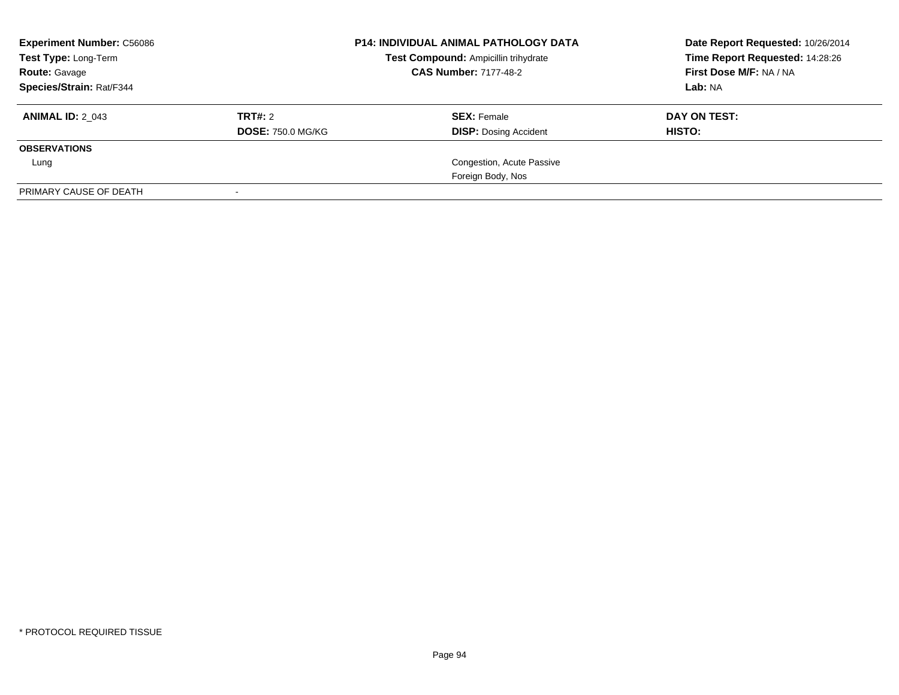| <b>Experiment Number: C56086</b><br>Test Type: Long-Term<br><b>Route: Gavage</b> | <b>P14: INDIVIDUAL ANIMAL PATHOLOGY DATA</b><br>Test Compound: Ampicillin trihydrate<br><b>CAS Number: 7177-48-2</b> |                                                    | Date Report Requested: 10/26/2014<br>Time Report Requested: 14:28:26<br>First Dose M/F: NA / NA |  |
|----------------------------------------------------------------------------------|----------------------------------------------------------------------------------------------------------------------|----------------------------------------------------|-------------------------------------------------------------------------------------------------|--|
| Species/Strain: Rat/F344                                                         |                                                                                                                      |                                                    | Lab: NA                                                                                         |  |
| <b>ANIMAL ID: 2 043</b>                                                          | TRT#: 2<br><b>DOSE: 750.0 MG/KG</b>                                                                                  | <b>SEX: Female</b><br><b>DISP:</b> Dosing Accident | DAY ON TEST:<br><b>HISTO:</b>                                                                   |  |
| <b>OBSERVATIONS</b>                                                              |                                                                                                                      |                                                    |                                                                                                 |  |
| Lung                                                                             |                                                                                                                      | Congestion, Acute Passive                          |                                                                                                 |  |
|                                                                                  |                                                                                                                      | Foreign Body, Nos                                  |                                                                                                 |  |
| PRIMARY CAUSE OF DEATH                                                           |                                                                                                                      |                                                    |                                                                                                 |  |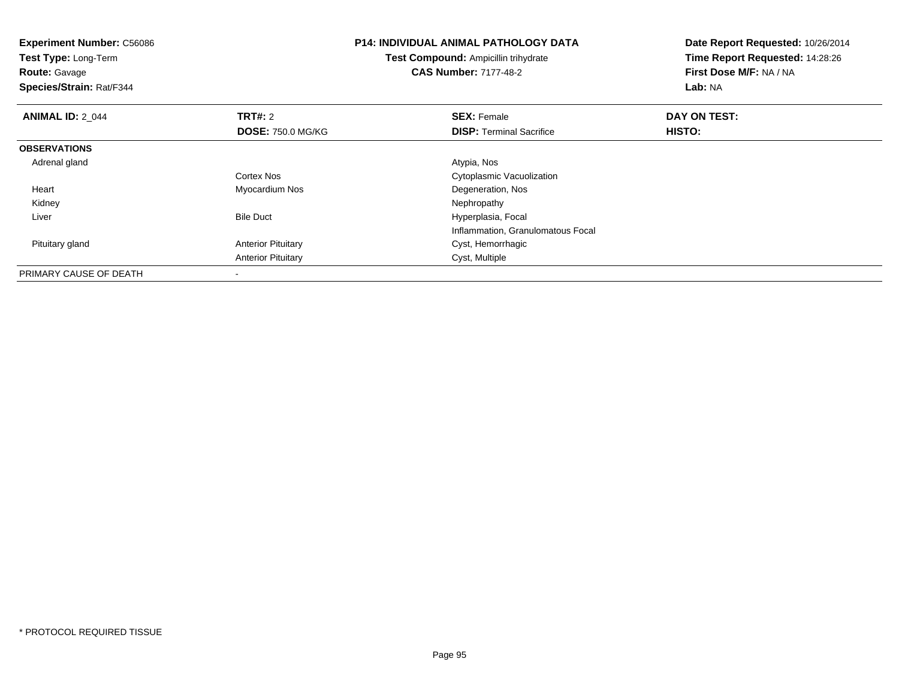| <b>Experiment Number: C56086</b><br>Test Type: Long-Term<br><b>Route: Gavage</b><br>Species/Strain: Rat/F344 |                           | <b>P14: INDIVIDUAL ANIMAL PATHOLOGY DATA</b><br><b>Test Compound: Ampicillin trihydrate</b><br><b>CAS Number: 7177-48-2</b> | Date Report Requested: 10/26/2014<br>Time Report Requested: 14:28:26<br>First Dose M/F: NA / NA<br>Lab: NA |  |
|--------------------------------------------------------------------------------------------------------------|---------------------------|-----------------------------------------------------------------------------------------------------------------------------|------------------------------------------------------------------------------------------------------------|--|
| <b>ANIMAL ID: 2 044</b>                                                                                      | <b>TRT#: 2</b>            | <b>SEX: Female</b>                                                                                                          | DAY ON TEST:                                                                                               |  |
|                                                                                                              | <b>DOSE: 750.0 MG/KG</b>  | <b>DISP:</b> Terminal Sacrifice                                                                                             | HISTO:                                                                                                     |  |
| <b>OBSERVATIONS</b>                                                                                          |                           |                                                                                                                             |                                                                                                            |  |
| Adrenal gland                                                                                                |                           | Atypia, Nos                                                                                                                 |                                                                                                            |  |
|                                                                                                              | Cortex Nos                | Cytoplasmic Vacuolization                                                                                                   |                                                                                                            |  |
| Heart                                                                                                        | Myocardium Nos            | Degeneration, Nos                                                                                                           |                                                                                                            |  |
| Kidney                                                                                                       |                           | Nephropathy                                                                                                                 |                                                                                                            |  |
| Liver                                                                                                        | <b>Bile Duct</b>          | Hyperplasia, Focal                                                                                                          |                                                                                                            |  |
|                                                                                                              |                           | Inflammation, Granulomatous Focal                                                                                           |                                                                                                            |  |
| Pituitary gland                                                                                              | <b>Anterior Pituitary</b> | Cyst, Hemorrhagic                                                                                                           |                                                                                                            |  |
|                                                                                                              | <b>Anterior Pituitary</b> | Cyst, Multiple                                                                                                              |                                                                                                            |  |
| PRIMARY CAUSE OF DEATH                                                                                       |                           |                                                                                                                             |                                                                                                            |  |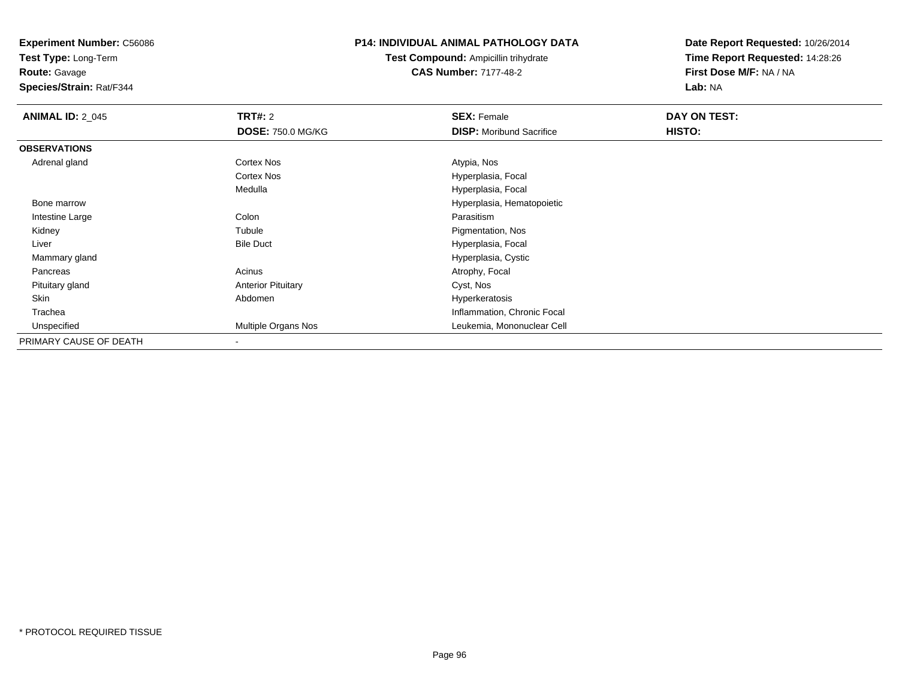**Test Type:** Long-Term

**Route:** Gavage

**Species/Strain:** Rat/F344

## **P14: INDIVIDUAL ANIMAL PATHOLOGY DATA**

**Test Compound:** Ampicillin trihydrate**CAS Number:** 7177-48-2

| <b>ANIMAL ID: 2 045</b> | <b>TRT#: 2</b>            | <b>SEX: Female</b>              | DAY ON TEST: |  |
|-------------------------|---------------------------|---------------------------------|--------------|--|
|                         | <b>DOSE: 750.0 MG/KG</b>  | <b>DISP:</b> Moribund Sacrifice | HISTO:       |  |
| <b>OBSERVATIONS</b>     |                           |                                 |              |  |
| Adrenal gland           | <b>Cortex Nos</b>         | Atypia, Nos                     |              |  |
|                         | <b>Cortex Nos</b>         | Hyperplasia, Focal              |              |  |
|                         | Medulla                   | Hyperplasia, Focal              |              |  |
| Bone marrow             |                           | Hyperplasia, Hematopoietic      |              |  |
| Intestine Large         | Colon                     | Parasitism                      |              |  |
| Kidney                  | Tubule                    | Pigmentation, Nos               |              |  |
| Liver                   | <b>Bile Duct</b>          | Hyperplasia, Focal              |              |  |
| Mammary gland           |                           | Hyperplasia, Cystic             |              |  |
| Pancreas                | Acinus                    | Atrophy, Focal                  |              |  |
| Pituitary gland         | <b>Anterior Pituitary</b> | Cyst, Nos                       |              |  |
| Skin                    | Abdomen                   | Hyperkeratosis                  |              |  |
| Trachea                 |                           | Inflammation, Chronic Focal     |              |  |
| Unspecified             | Multiple Organs Nos       | Leukemia, Mononuclear Cell      |              |  |
| PRIMARY CAUSE OF DEATH  | $\overline{\phantom{a}}$  |                                 |              |  |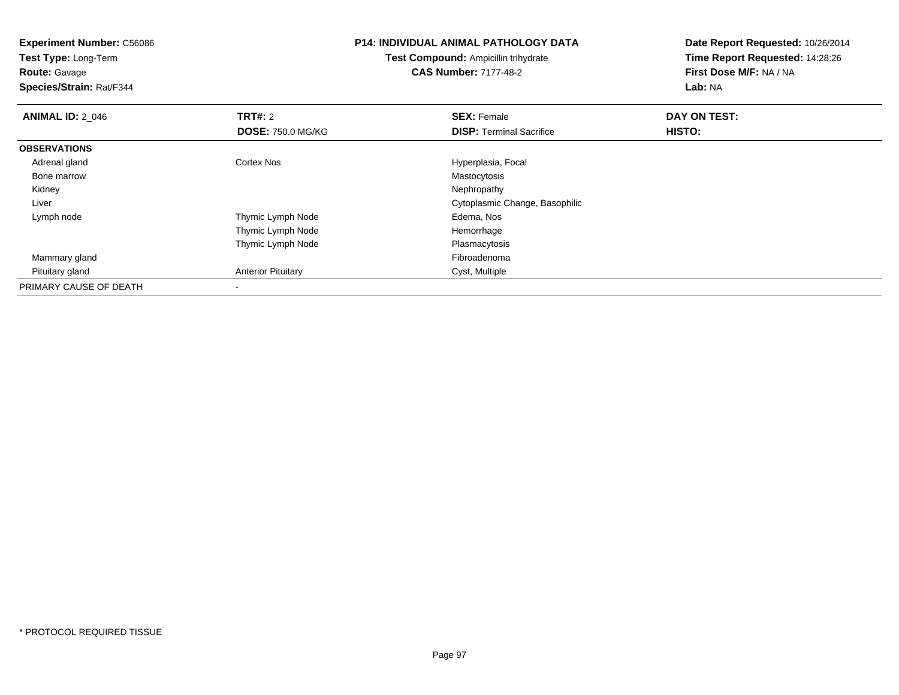**Experiment Number:** C56086**Test Type:** Long-Term**Route:** Gavage **Species/Strain:** Rat/F344**P14: INDIVIDUAL ANIMAL PATHOLOGY DATATest Compound:** Ampicillin trihydrate**CAS Number:** 7177-48-2**Date Report Requested:** 10/26/2014**Time Report Requested:** 14:28:26**First Dose M/F:** NA / NA**Lab:** NA**ANIMAL ID: 2 046 6 DAY ON TEST: TRT#:** 2 **SEX:** Female **SEX:** Female **DOSE:** 750.0 MG/KG**DISP:** Terminal Sacrifice **HISTO: OBSERVATIONS** Adrenal glandCortex Nos **Hyperplasia, Focal**<br>
Mastocytosis Bone marroww Mastocytosis **Mastocytosis**  Kidneyy the control of the control of the control of the control of the control of the control of the control of the control of the control of the control of the control of the control of the control of the control of the contro Liver Cytoplasmic Change, Basophilic Lymph nodeThymic Lymph Node **Edema**, Nos Thymic Lymph Node Hemorrhage Thymic Lymph NodePlasmacytosis<br>Fibroadenoma Mammary glandd and the control of the control of the control of the control of the control of the control of the control of the control of the control of the control of the control of the control of the control of the control of the co Pituitary glandAnterior Pituitary **Cyst, Multiple** PRIMARY CAUSE OF DEATH-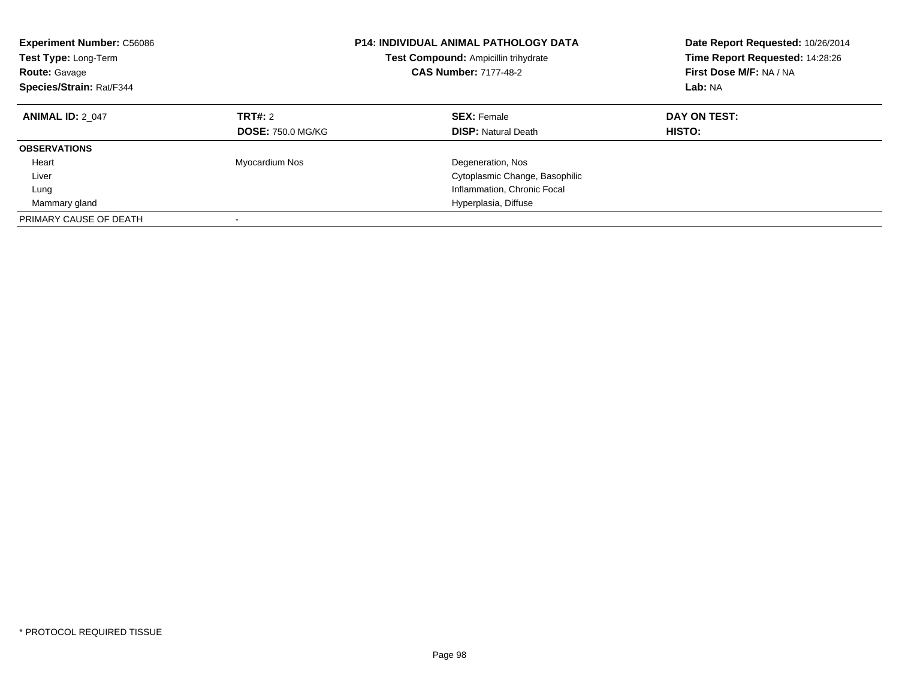| <b>Experiment Number: C56086</b><br>Test Type: Long-Term<br><b>Route: Gavage</b><br>Species/Strain: Rat/F344 | <b>P14: INDIVIDUAL ANIMAL PATHOLOGY DATA</b><br>Test Compound: Ampicillin trihydrate<br><b>CAS Number: 7177-48-2</b> |                                                  | Date Report Requested: 10/26/2014<br>Time Report Requested: 14:28:26<br>First Dose M/F: NA / NA<br>Lab: NA |
|--------------------------------------------------------------------------------------------------------------|----------------------------------------------------------------------------------------------------------------------|--------------------------------------------------|------------------------------------------------------------------------------------------------------------|
| <b>ANIMAL ID: 2 047</b>                                                                                      | TRT#: 2<br><b>DOSE: 750.0 MG/KG</b>                                                                                  | <b>SEX: Female</b><br><b>DISP:</b> Natural Death | DAY ON TEST:<br><b>HISTO:</b>                                                                              |
| <b>OBSERVATIONS</b>                                                                                          |                                                                                                                      |                                                  |                                                                                                            |
| Heart                                                                                                        | Myocardium Nos                                                                                                       | Degeneration, Nos                                |                                                                                                            |
| Liver                                                                                                        |                                                                                                                      | Cytoplasmic Change, Basophilic                   |                                                                                                            |
| Lung                                                                                                         |                                                                                                                      | Inflammation, Chronic Focal                      |                                                                                                            |
| Mammary gland                                                                                                |                                                                                                                      | Hyperplasia, Diffuse                             |                                                                                                            |
| PRIMARY CAUSE OF DEATH                                                                                       |                                                                                                                      |                                                  |                                                                                                            |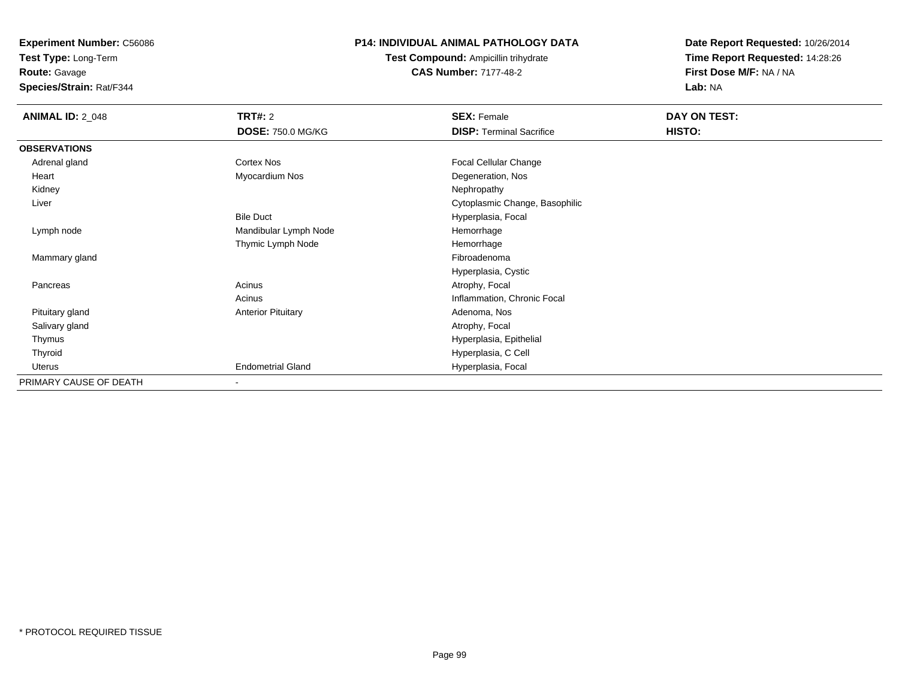**Test Type:** Long-Term**Route:** Gavage

**Species/Strain:** Rat/F344

## **P14: INDIVIDUAL ANIMAL PATHOLOGY DATA**

**Test Compound:** Ampicillin trihydrate**CAS Number:** 7177-48-2

| <b>ANIMAL ID: 2_048</b> | <b>TRT#: 2</b>            | <b>SEX: Female</b>              | DAY ON TEST: |  |
|-------------------------|---------------------------|---------------------------------|--------------|--|
|                         | <b>DOSE: 750.0 MG/KG</b>  | <b>DISP: Terminal Sacrifice</b> | HISTO:       |  |
| <b>OBSERVATIONS</b>     |                           |                                 |              |  |
| Adrenal gland           | Cortex Nos                | Focal Cellular Change           |              |  |
| Heart                   | Myocardium Nos            | Degeneration, Nos               |              |  |
| Kidney                  |                           | Nephropathy                     |              |  |
| Liver                   |                           | Cytoplasmic Change, Basophilic  |              |  |
|                         | <b>Bile Duct</b>          | Hyperplasia, Focal              |              |  |
| Lymph node              | Mandibular Lymph Node     | Hemorrhage                      |              |  |
|                         | Thymic Lymph Node         | Hemorrhage                      |              |  |
| Mammary gland           |                           | Fibroadenoma                    |              |  |
|                         |                           | Hyperplasia, Cystic             |              |  |
| Pancreas                | Acinus                    | Atrophy, Focal                  |              |  |
|                         | Acinus                    | Inflammation, Chronic Focal     |              |  |
| Pituitary gland         | <b>Anterior Pituitary</b> | Adenoma, Nos                    |              |  |
| Salivary gland          |                           | Atrophy, Focal                  |              |  |
| Thymus                  |                           | Hyperplasia, Epithelial         |              |  |
| Thyroid                 |                           | Hyperplasia, C Cell             |              |  |
| Uterus                  | <b>Endometrial Gland</b>  | Hyperplasia, Focal              |              |  |
| PRIMARY CAUSE OF DEATH  | $\overline{\phantom{a}}$  |                                 |              |  |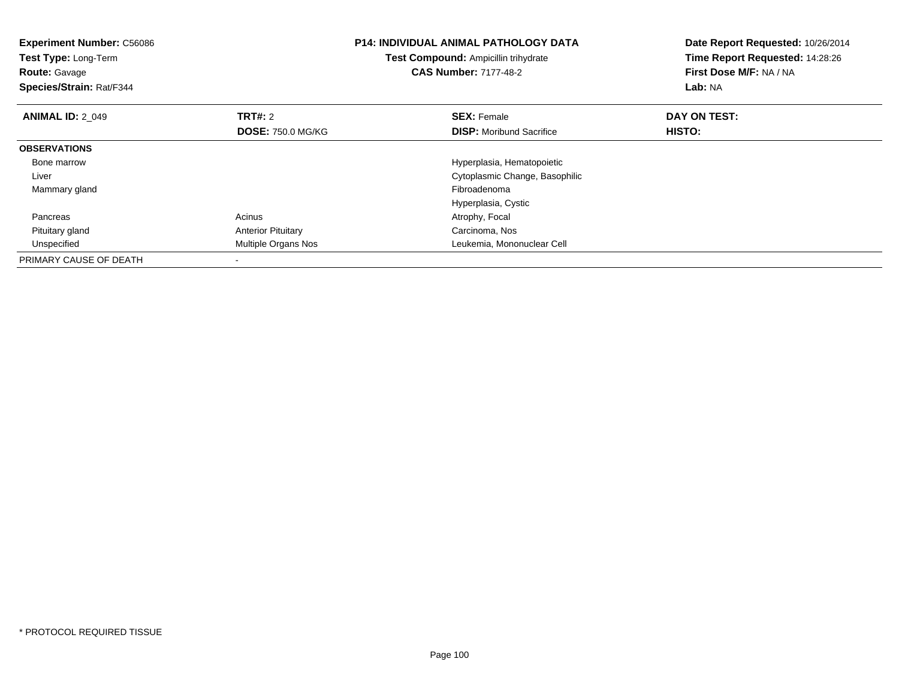| <b>Experiment Number: C56086</b><br>Test Type: Long-Term<br><b>Route: Gavage</b><br>Species/Strain: Rat/F344 |                           | <b>P14: INDIVIDUAL ANIMAL PATHOLOGY DATA</b><br>Test Compound: Ampicillin trihydrate<br><b>CAS Number: 7177-48-2</b> | Date Report Requested: 10/26/2014<br>Time Report Requested: 14:28:26<br>First Dose M/F: NA / NA<br>Lab: NA |
|--------------------------------------------------------------------------------------------------------------|---------------------------|----------------------------------------------------------------------------------------------------------------------|------------------------------------------------------------------------------------------------------------|
| <b>ANIMAL ID: 2 049</b>                                                                                      | <b>TRT#: 2</b>            | <b>SEX: Female</b>                                                                                                   | DAY ON TEST:                                                                                               |
|                                                                                                              | <b>DOSE: 750.0 MG/KG</b>  | <b>DISP:</b> Moribund Sacrifice                                                                                      | HISTO:                                                                                                     |
| <b>OBSERVATIONS</b>                                                                                          |                           |                                                                                                                      |                                                                                                            |
| Bone marrow                                                                                                  |                           | Hyperplasia, Hematopoietic                                                                                           |                                                                                                            |
| Liver                                                                                                        |                           | Cytoplasmic Change, Basophilic                                                                                       |                                                                                                            |
| Mammary gland                                                                                                |                           | Fibroadenoma                                                                                                         |                                                                                                            |
|                                                                                                              |                           | Hyperplasia, Cystic                                                                                                  |                                                                                                            |
| Pancreas                                                                                                     | Acinus                    | Atrophy, Focal                                                                                                       |                                                                                                            |
| Pituitary gland                                                                                              | <b>Anterior Pituitary</b> | Carcinoma, Nos                                                                                                       |                                                                                                            |
| Unspecified                                                                                                  | Multiple Organs Nos       | Leukemia, Mononuclear Cell                                                                                           |                                                                                                            |
| PRIMARY CAUSE OF DEATH                                                                                       |                           |                                                                                                                      |                                                                                                            |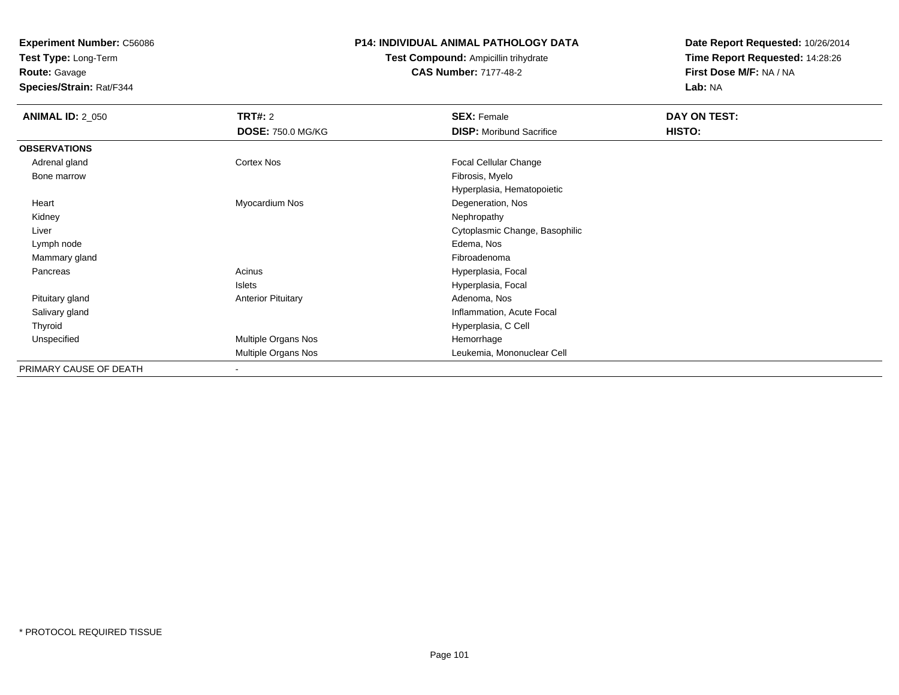**Test Type:** Long-Term

**Route:** Gavage

**Species/Strain:** Rat/F344

## **P14: INDIVIDUAL ANIMAL PATHOLOGY DATA**

**Test Compound:** Ampicillin trihydrate**CAS Number:** 7177-48-2

| <b>ANIMAL ID: 2_050</b> | <b>TRT#: 2</b>            | <b>SEX: Female</b>              | DAY ON TEST: |  |
|-------------------------|---------------------------|---------------------------------|--------------|--|
|                         | <b>DOSE: 750.0 MG/KG</b>  | <b>DISP:</b> Moribund Sacrifice | HISTO:       |  |
| <b>OBSERVATIONS</b>     |                           |                                 |              |  |
| Adrenal gland           | Cortex Nos                | <b>Focal Cellular Change</b>    |              |  |
| Bone marrow             |                           | Fibrosis, Myelo                 |              |  |
|                         |                           | Hyperplasia, Hematopoietic      |              |  |
| Heart                   | Myocardium Nos            | Degeneration, Nos               |              |  |
| Kidney                  |                           | Nephropathy                     |              |  |
| Liver                   |                           | Cytoplasmic Change, Basophilic  |              |  |
| Lymph node              |                           | Edema, Nos                      |              |  |
| Mammary gland           |                           | Fibroadenoma                    |              |  |
| Pancreas                | Acinus                    | Hyperplasia, Focal              |              |  |
|                         | Islets                    | Hyperplasia, Focal              |              |  |
| Pituitary gland         | <b>Anterior Pituitary</b> | Adenoma, Nos                    |              |  |
| Salivary gland          |                           | Inflammation, Acute Focal       |              |  |
| Thyroid                 |                           | Hyperplasia, C Cell             |              |  |
| Unspecified             | Multiple Organs Nos       | Hemorrhage                      |              |  |
|                         | Multiple Organs Nos       | Leukemia, Mononuclear Cell      |              |  |
| PRIMARY CAUSE OF DEATH  | ٠                         |                                 |              |  |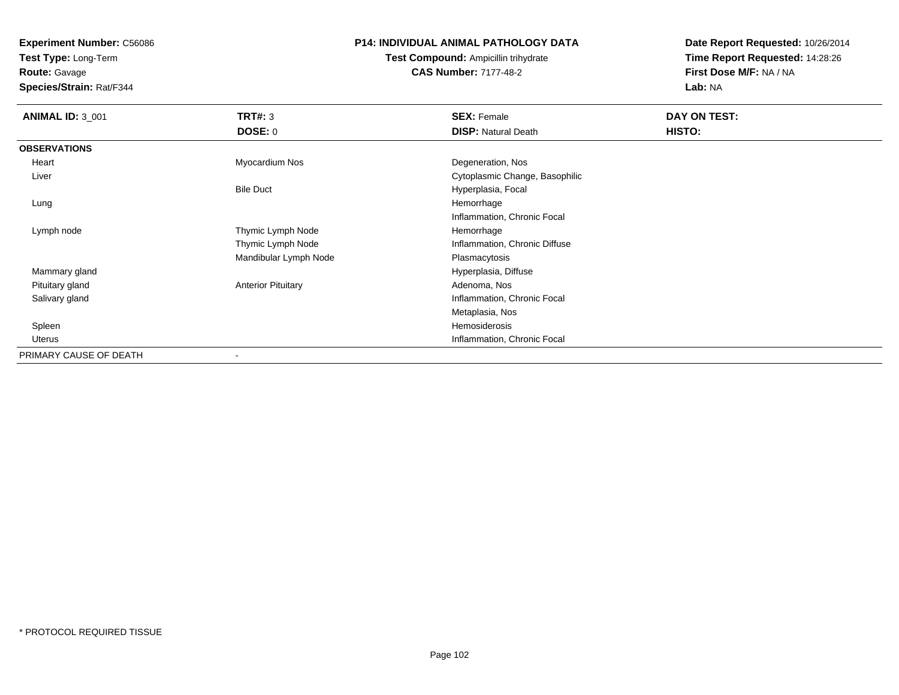**Test Type:** Long-Term

**Route:** Gavage

**Species/Strain:** Rat/F344

## **P14: INDIVIDUAL ANIMAL PATHOLOGY DATA**

**Test Compound:** Ampicillin trihydrate**CAS Number:** 7177-48-2

| <b>ANIMAL ID: 3_001</b> | TRT#: 3                   | <b>SEX: Female</b>             | DAY ON TEST: |
|-------------------------|---------------------------|--------------------------------|--------------|
|                         | <b>DOSE: 0</b>            | <b>DISP: Natural Death</b>     | HISTO:       |
| <b>OBSERVATIONS</b>     |                           |                                |              |
| Heart                   | Myocardium Nos            | Degeneration, Nos              |              |
| Liver                   |                           | Cytoplasmic Change, Basophilic |              |
|                         | <b>Bile Duct</b>          | Hyperplasia, Focal             |              |
| Lung                    |                           | Hemorrhage                     |              |
|                         |                           | Inflammation, Chronic Focal    |              |
| Lymph node              | Thymic Lymph Node         | Hemorrhage                     |              |
|                         | Thymic Lymph Node         | Inflammation, Chronic Diffuse  |              |
|                         | Mandibular Lymph Node     | Plasmacytosis                  |              |
| Mammary gland           |                           | Hyperplasia, Diffuse           |              |
| Pituitary gland         | <b>Anterior Pituitary</b> | Adenoma, Nos                   |              |
| Salivary gland          |                           | Inflammation, Chronic Focal    |              |
|                         |                           | Metaplasia, Nos                |              |
| Spleen                  |                           | Hemosiderosis                  |              |
| Uterus                  |                           | Inflammation, Chronic Focal    |              |
| PRIMARY CAUSE OF DEATH  | $\overline{\phantom{a}}$  |                                |              |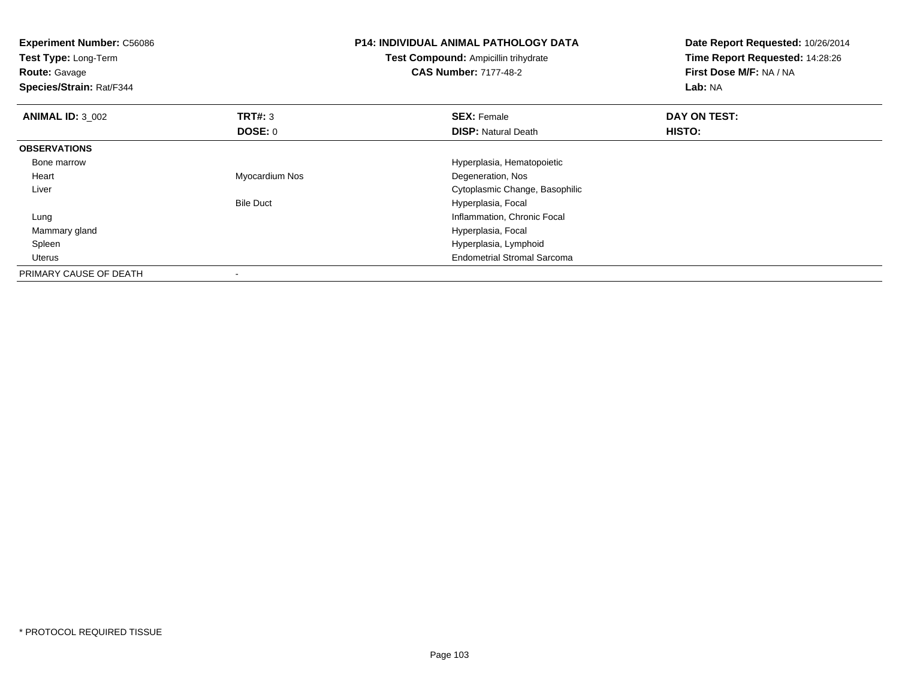| <b>Experiment Number: C56086</b><br>Test Type: Long-Term<br><b>Route: Gavage</b><br>Species/Strain: Rat/F344 |                  | <b>P14: INDIVIDUAL ANIMAL PATHOLOGY DATA</b><br><b>Test Compound: Ampicillin trihydrate</b><br><b>CAS Number: 7177-48-2</b> | Date Report Requested: 10/26/2014<br>Time Report Requested: 14:28:26<br>First Dose M/F: NA / NA<br>Lab: NA |
|--------------------------------------------------------------------------------------------------------------|------------------|-----------------------------------------------------------------------------------------------------------------------------|------------------------------------------------------------------------------------------------------------|
| <b>ANIMAL ID: 3 002</b>                                                                                      | <b>TRT#: 3</b>   | <b>SEX: Female</b>                                                                                                          | DAY ON TEST:                                                                                               |
|                                                                                                              | DOSE: 0          | <b>DISP:</b> Natural Death                                                                                                  | <b>HISTO:</b>                                                                                              |
| <b>OBSERVATIONS</b>                                                                                          |                  |                                                                                                                             |                                                                                                            |
| Bone marrow                                                                                                  |                  | Hyperplasia, Hematopoietic                                                                                                  |                                                                                                            |
| Heart                                                                                                        | Myocardium Nos   | Degeneration, Nos                                                                                                           |                                                                                                            |
| Liver                                                                                                        |                  | Cytoplasmic Change, Basophilic                                                                                              |                                                                                                            |
|                                                                                                              | <b>Bile Duct</b> | Hyperplasia, Focal                                                                                                          |                                                                                                            |
| Lung                                                                                                         |                  | Inflammation, Chronic Focal                                                                                                 |                                                                                                            |
| Mammary gland                                                                                                |                  | Hyperplasia, Focal                                                                                                          |                                                                                                            |
| Spleen                                                                                                       |                  | Hyperplasia, Lymphoid                                                                                                       |                                                                                                            |
| Uterus                                                                                                       |                  | <b>Endometrial Stromal Sarcoma</b>                                                                                          |                                                                                                            |
| PRIMARY CAUSE OF DEATH                                                                                       |                  |                                                                                                                             |                                                                                                            |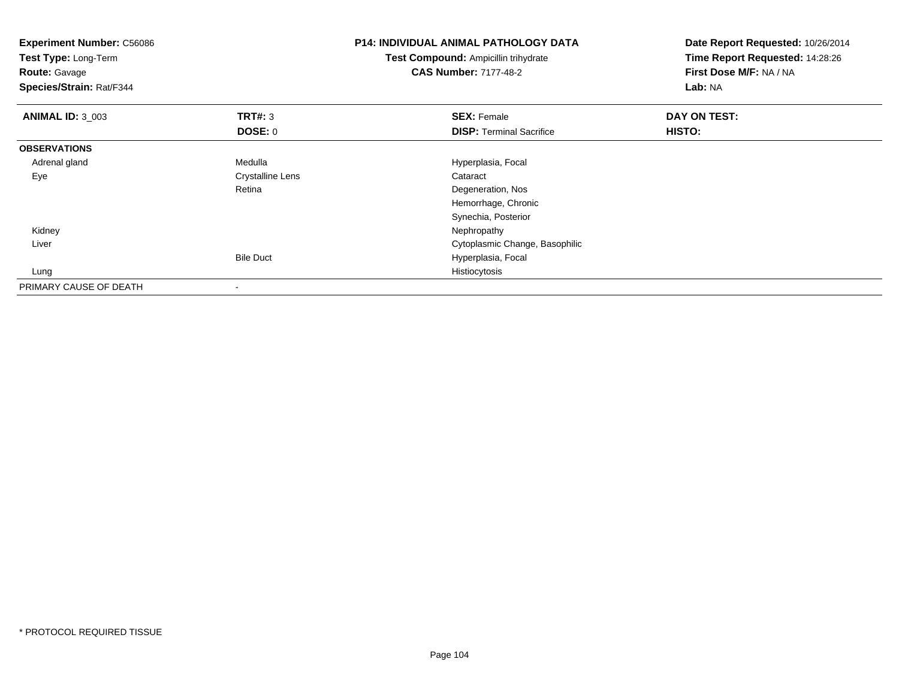| <b>Experiment Number: C56086</b><br>Test Type: Long-Term<br><b>Route: Gavage</b><br>Species/Strain: Rat/F344 |                  | <b>P14: INDIVIDUAL ANIMAL PATHOLOGY DATA</b><br><b>Test Compound: Ampicillin trihydrate</b><br><b>CAS Number: 7177-48-2</b> | Date Report Requested: 10/26/2014<br>Time Report Requested: 14:28:26<br>First Dose M/F: NA / NA<br>Lab: NA |  |
|--------------------------------------------------------------------------------------------------------------|------------------|-----------------------------------------------------------------------------------------------------------------------------|------------------------------------------------------------------------------------------------------------|--|
| <b>ANIMAL ID: 3 003</b>                                                                                      | <b>TRT#: 3</b>   | <b>SEX: Female</b>                                                                                                          | DAY ON TEST:                                                                                               |  |
|                                                                                                              | <b>DOSE: 0</b>   | <b>DISP:</b> Terminal Sacrifice                                                                                             | HISTO:                                                                                                     |  |
| <b>OBSERVATIONS</b>                                                                                          |                  |                                                                                                                             |                                                                                                            |  |
| Adrenal gland                                                                                                | Medulla          | Hyperplasia, Focal                                                                                                          |                                                                                                            |  |
| Eye                                                                                                          | Crystalline Lens | Cataract                                                                                                                    |                                                                                                            |  |
|                                                                                                              | Retina           | Degeneration, Nos                                                                                                           |                                                                                                            |  |
|                                                                                                              |                  | Hemorrhage, Chronic                                                                                                         |                                                                                                            |  |
|                                                                                                              |                  | Synechia, Posterior                                                                                                         |                                                                                                            |  |
| Kidney                                                                                                       |                  | Nephropathy                                                                                                                 |                                                                                                            |  |
| Liver                                                                                                        |                  | Cytoplasmic Change, Basophilic                                                                                              |                                                                                                            |  |
|                                                                                                              | <b>Bile Duct</b> | Hyperplasia, Focal                                                                                                          |                                                                                                            |  |
| Lung                                                                                                         |                  | Histiocytosis                                                                                                               |                                                                                                            |  |
| PRIMARY CAUSE OF DEATH                                                                                       |                  |                                                                                                                             |                                                                                                            |  |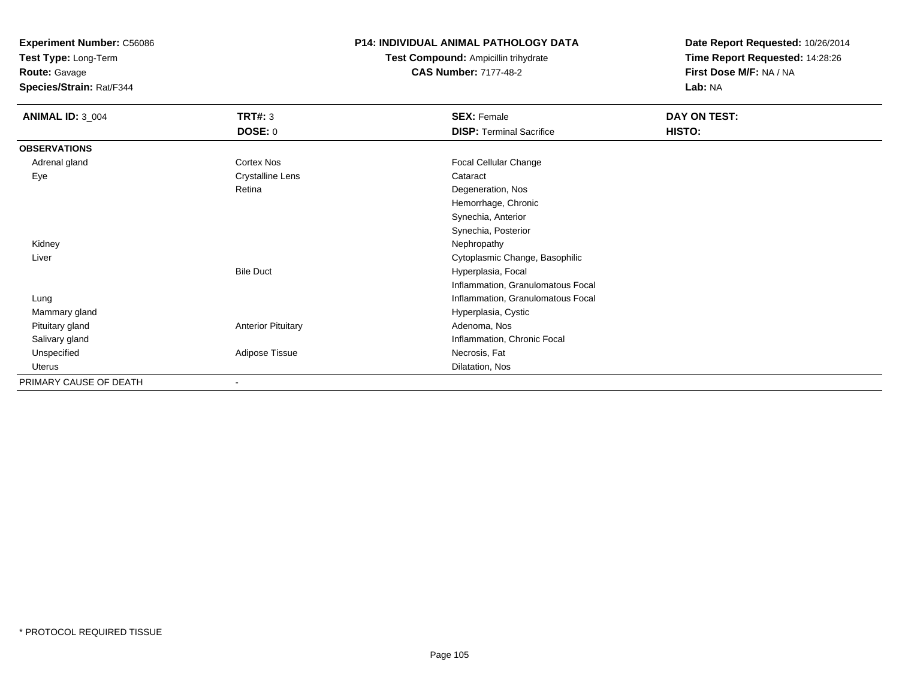**Test Type:** Long-Term

**Route:** Gavage

**Species/Strain:** Rat/F344

## **P14: INDIVIDUAL ANIMAL PATHOLOGY DATA**

**Test Compound:** Ampicillin trihydrate**CAS Number:** 7177-48-2

| <b>ANIMAL ID: 3_004</b> | <b>TRT#: 3</b>            | <b>SEX: Female</b>                | DAY ON TEST: |
|-------------------------|---------------------------|-----------------------------------|--------------|
|                         | <b>DOSE: 0</b>            | <b>DISP: Terminal Sacrifice</b>   | HISTO:       |
| <b>OBSERVATIONS</b>     |                           |                                   |              |
| Adrenal gland           | Cortex Nos                | Focal Cellular Change             |              |
| Eye                     | <b>Crystalline Lens</b>   | Cataract                          |              |
|                         | Retina                    | Degeneration, Nos                 |              |
|                         |                           | Hemorrhage, Chronic               |              |
|                         |                           | Synechia, Anterior                |              |
|                         |                           | Synechia, Posterior               |              |
| Kidney                  |                           | Nephropathy                       |              |
| Liver                   |                           | Cytoplasmic Change, Basophilic    |              |
|                         | <b>Bile Duct</b>          | Hyperplasia, Focal                |              |
|                         |                           | Inflammation, Granulomatous Focal |              |
| Lung                    |                           | Inflammation, Granulomatous Focal |              |
| Mammary gland           |                           | Hyperplasia, Cystic               |              |
| Pituitary gland         | <b>Anterior Pituitary</b> | Adenoma, Nos                      |              |
| Salivary gland          |                           | Inflammation, Chronic Focal       |              |
| Unspecified             | Adipose Tissue            | Necrosis, Fat                     |              |
| Uterus                  |                           | Dilatation, Nos                   |              |
| PRIMARY CAUSE OF DEATH  |                           |                                   |              |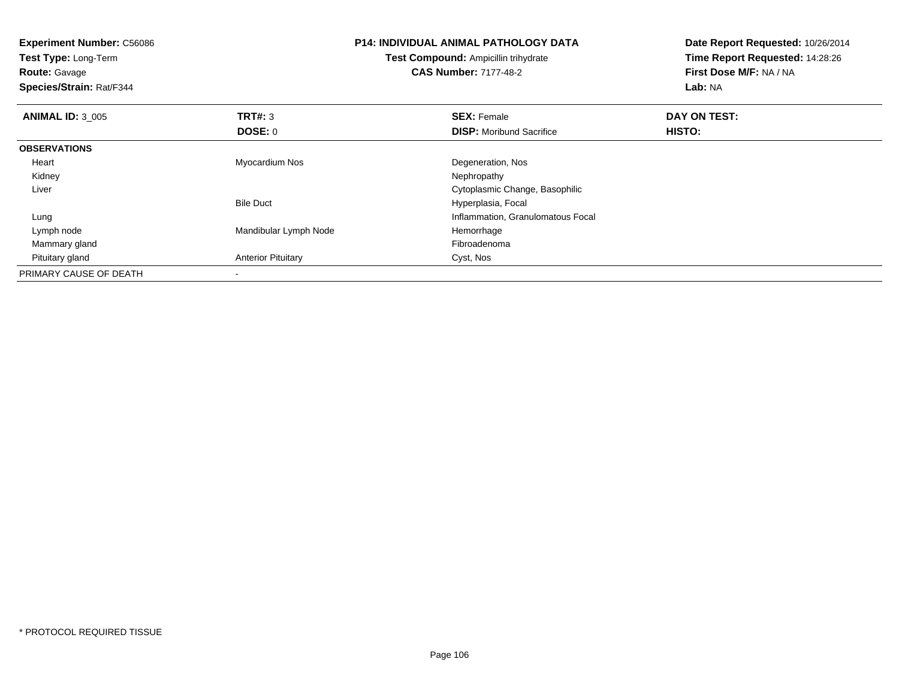**Experiment Number:** C56086**Test Type:** Long-Term**Route:** Gavage **Species/Strain:** Rat/F344**P14: INDIVIDUAL ANIMAL PATHOLOGY DATATest Compound:** Ampicillin trihydrate**CAS Number:** 7177-48-2**Date Report Requested:** 10/26/2014**Time Report Requested:** 14:28:26**First Dose M/F:** NA / NA**Lab:** NA**ANIMAL ID:** 3\_005 **TRT#:** <sup>3</sup> **SEX:** Female **DAY ON TEST: DOSE:** 0**DISP:** Moribund Sacrifice **HISTO: OBSERVATIONS** Heart Myocardium Nos Degeneration, Nos Kidneyy the control of the control of the control of the control of the control of the control of the control of the control of the control of the control of the control of the control of the control of the control of the contro Liver Cytoplasmic Change, BasophilicBile Duct Hyperplasia, Focal Lung Inflammation, Granulomatous Focal Lymph nodeMandibular Lymph Node<br>
Fibroadenoma<br>
Fibroadenoma Mammary glandd and the control of the control of the control of the control of the control of the control of the control of the control of the control of the control of the control of the control of the control of the control of the co Pituitary glandAnterior Pituitary **Cyst, Nos** PRIMARY CAUSE OF DEATH-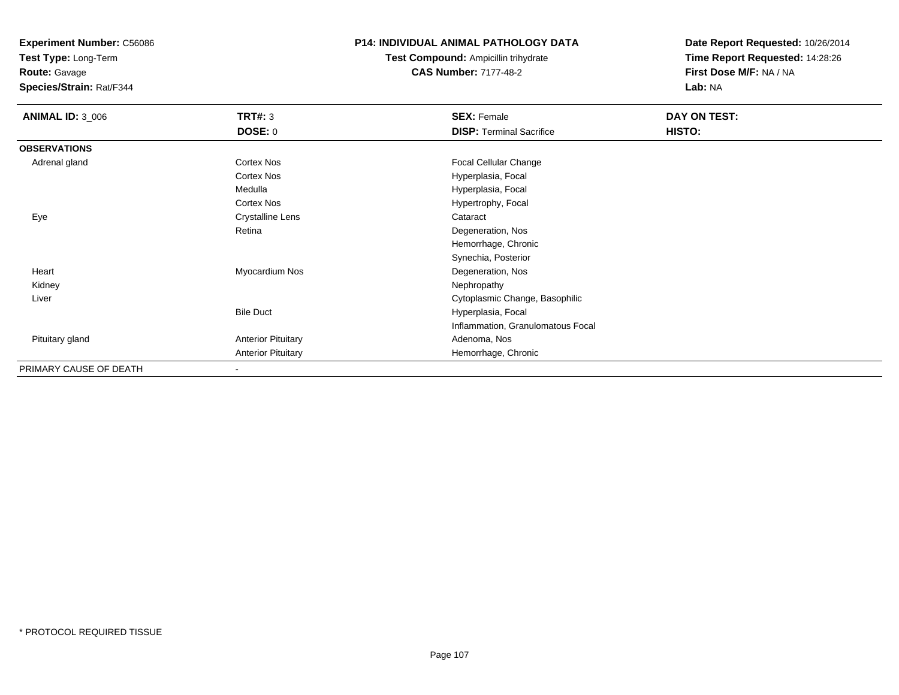**Test Type:** Long-Term

**Route:** Gavage

**Species/Strain:** Rat/F344

## **P14: INDIVIDUAL ANIMAL PATHOLOGY DATA**

**Test Compound:** Ampicillin trihydrate**CAS Number:** 7177-48-2

| <b>ANIMAL ID: 3_006</b> | <b>TRT#: 3</b>            | <b>SEX: Female</b>                | DAY ON TEST: |  |
|-------------------------|---------------------------|-----------------------------------|--------------|--|
|                         | <b>DOSE: 0</b>            | <b>DISP: Terminal Sacrifice</b>   | HISTO:       |  |
| <b>OBSERVATIONS</b>     |                           |                                   |              |  |
| Adrenal gland           | Cortex Nos                | Focal Cellular Change             |              |  |
|                         | <b>Cortex Nos</b>         | Hyperplasia, Focal                |              |  |
|                         | Medulla                   | Hyperplasia, Focal                |              |  |
|                         | Cortex Nos                | Hypertrophy, Focal                |              |  |
| Eye                     | <b>Crystalline Lens</b>   | Cataract                          |              |  |
|                         | Retina                    | Degeneration, Nos                 |              |  |
|                         |                           | Hemorrhage, Chronic               |              |  |
|                         |                           | Synechia, Posterior               |              |  |
| Heart                   | Myocardium Nos            | Degeneration, Nos                 |              |  |
| Kidney                  |                           | Nephropathy                       |              |  |
| Liver                   |                           | Cytoplasmic Change, Basophilic    |              |  |
|                         | <b>Bile Duct</b>          | Hyperplasia, Focal                |              |  |
|                         |                           | Inflammation, Granulomatous Focal |              |  |
| Pituitary gland         | <b>Anterior Pituitary</b> | Adenoma, Nos                      |              |  |
|                         | <b>Anterior Pituitary</b> | Hemorrhage, Chronic               |              |  |
| PRIMARY CAUSE OF DEATH  | $\overline{\phantom{a}}$  |                                   |              |  |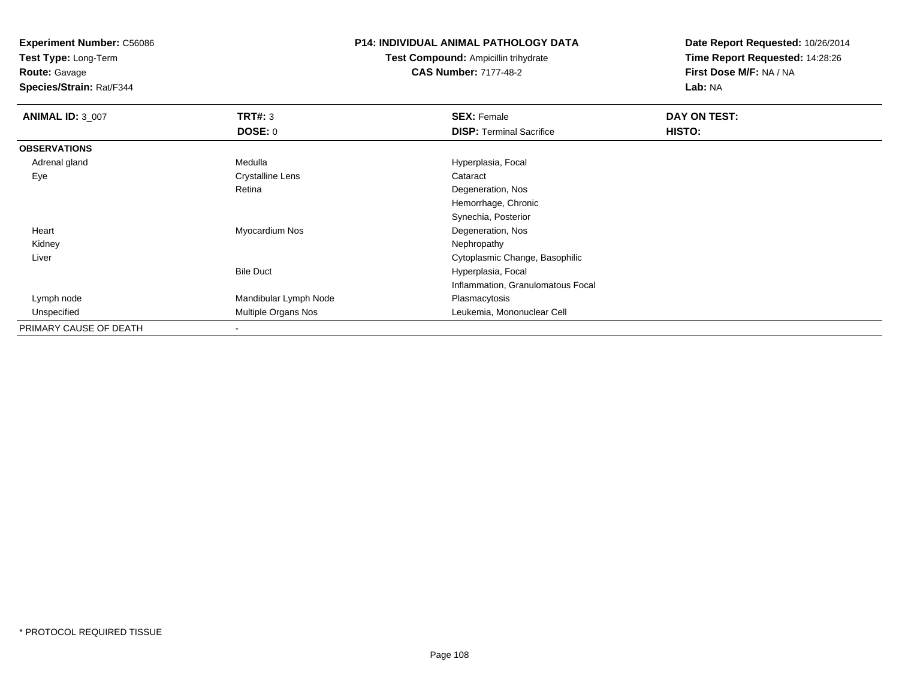**Test Type:** Long-Term

**Route:** Gavage

**Species/Strain:** Rat/F344

## **P14: INDIVIDUAL ANIMAL PATHOLOGY DATA**

**Test Compound:** Ampicillin trihydrate**CAS Number:** 7177-48-2

| <b>ANIMAL ID: 3_007</b> | TRT#: 3                    | <b>SEX: Female</b>                | DAY ON TEST: |  |
|-------------------------|----------------------------|-----------------------------------|--------------|--|
|                         | <b>DOSE: 0</b>             | <b>DISP: Terminal Sacrifice</b>   | HISTO:       |  |
| <b>OBSERVATIONS</b>     |                            |                                   |              |  |
| Adrenal gland           | Medulla                    | Hyperplasia, Focal                |              |  |
| Eye                     | <b>Crystalline Lens</b>    | Cataract                          |              |  |
|                         | Retina                     | Degeneration, Nos                 |              |  |
|                         |                            | Hemorrhage, Chronic               |              |  |
|                         |                            | Synechia, Posterior               |              |  |
| Heart                   | Myocardium Nos             | Degeneration, Nos                 |              |  |
| Kidney                  |                            | Nephropathy                       |              |  |
| Liver                   |                            | Cytoplasmic Change, Basophilic    |              |  |
|                         | <b>Bile Duct</b>           | Hyperplasia, Focal                |              |  |
|                         |                            | Inflammation, Granulomatous Focal |              |  |
| Lymph node              | Mandibular Lymph Node      | Plasmacytosis                     |              |  |
| Unspecified             | <b>Multiple Organs Nos</b> | Leukemia, Mononuclear Cell        |              |  |
| PRIMARY CAUSE OF DEATH  |                            |                                   |              |  |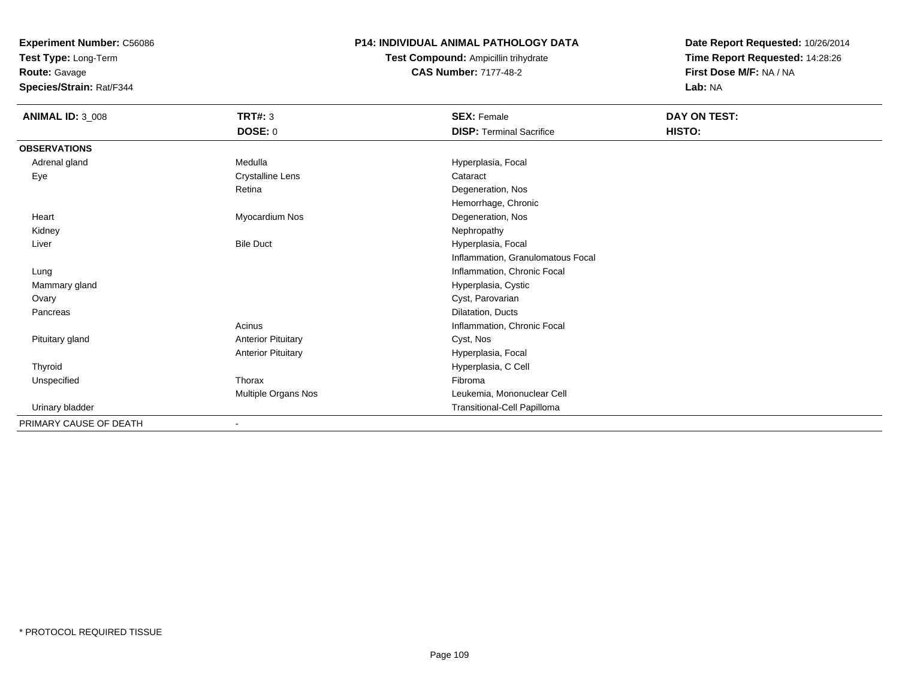**Test Type:** Long-Term

**Route:** Gavage

**Species/Strain:** Rat/F344

# **P14: INDIVIDUAL ANIMAL PATHOLOGY DATA**

**Test Compound:** Ampicillin trihydrate**CAS Number:** 7177-48-2

| <b>ANIMAL ID: 3_008</b> | TRT#: 3                   | <b>SEX: Female</b>                | DAY ON TEST: |  |
|-------------------------|---------------------------|-----------------------------------|--------------|--|
|                         | <b>DOSE: 0</b>            | <b>DISP: Terminal Sacrifice</b>   | HISTO:       |  |
| <b>OBSERVATIONS</b>     |                           |                                   |              |  |
| Adrenal gland           | Medulla                   | Hyperplasia, Focal                |              |  |
| Eye                     | <b>Crystalline Lens</b>   | Cataract                          |              |  |
|                         | Retina                    | Degeneration, Nos                 |              |  |
|                         |                           | Hemorrhage, Chronic               |              |  |
| Heart                   | Myocardium Nos            | Degeneration, Nos                 |              |  |
| Kidney                  |                           | Nephropathy                       |              |  |
| Liver                   | <b>Bile Duct</b>          | Hyperplasia, Focal                |              |  |
|                         |                           | Inflammation, Granulomatous Focal |              |  |
| Lung                    |                           | Inflammation, Chronic Focal       |              |  |
| Mammary gland           |                           | Hyperplasia, Cystic               |              |  |
| Ovary                   |                           | Cyst, Parovarian                  |              |  |
| Pancreas                |                           | Dilatation, Ducts                 |              |  |
|                         | Acinus                    | Inflammation, Chronic Focal       |              |  |
| Pituitary gland         | <b>Anterior Pituitary</b> | Cyst, Nos                         |              |  |
|                         | <b>Anterior Pituitary</b> | Hyperplasia, Focal                |              |  |
| Thyroid                 |                           | Hyperplasia, C Cell               |              |  |
| Unspecified             | Thorax                    | Fibroma                           |              |  |
|                         | Multiple Organs Nos       | Leukemia, Mononuclear Cell        |              |  |
| Urinary bladder         |                           | Transitional-Cell Papilloma       |              |  |
| PRIMARY CAUSE OF DEATH  |                           |                                   |              |  |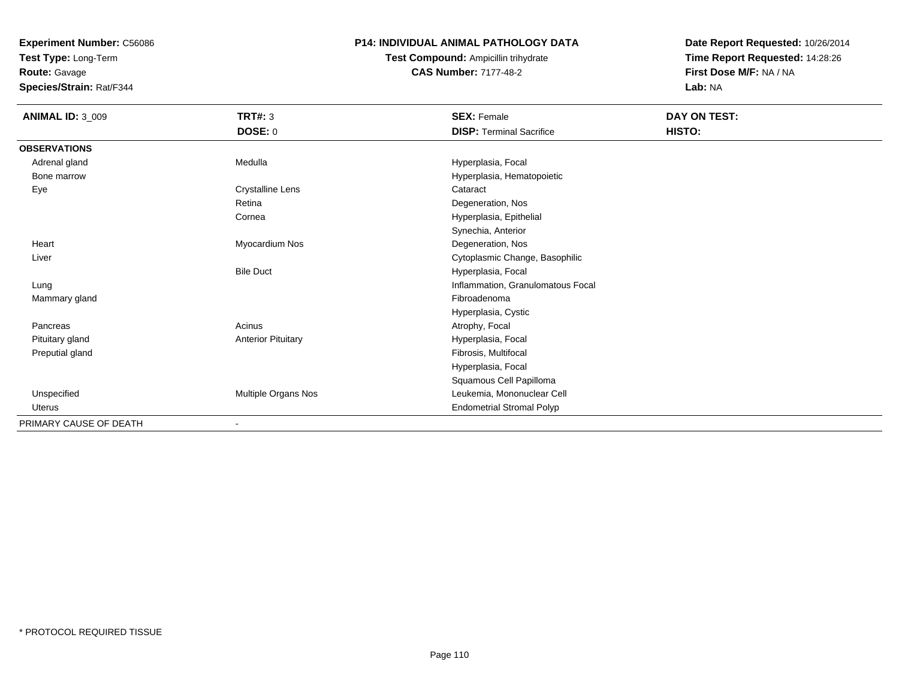**Test Type:** Long-Term

**Route:** Gavage

**Species/Strain:** Rat/F344

# **P14: INDIVIDUAL ANIMAL PATHOLOGY DATA**

**Test Compound:** Ampicillin trihydrate**CAS Number:** 7177-48-2

| <b>ANIMAL ID: 3_009</b> | TRT#: 3                   | <b>SEX: Female</b>                | DAY ON TEST: |  |
|-------------------------|---------------------------|-----------------------------------|--------------|--|
|                         | DOSE: 0                   | <b>DISP: Terminal Sacrifice</b>   | HISTO:       |  |
| <b>OBSERVATIONS</b>     |                           |                                   |              |  |
| Adrenal gland           | Medulla                   | Hyperplasia, Focal                |              |  |
| Bone marrow             |                           | Hyperplasia, Hematopoietic        |              |  |
| Eye                     | <b>Crystalline Lens</b>   | Cataract                          |              |  |
|                         | Retina                    | Degeneration, Nos                 |              |  |
|                         | Cornea                    | Hyperplasia, Epithelial           |              |  |
|                         |                           | Synechia, Anterior                |              |  |
| Heart                   | Myocardium Nos            | Degeneration, Nos                 |              |  |
| Liver                   |                           | Cytoplasmic Change, Basophilic    |              |  |
|                         | <b>Bile Duct</b>          | Hyperplasia, Focal                |              |  |
| Lung                    |                           | Inflammation, Granulomatous Focal |              |  |
| Mammary gland           |                           | Fibroadenoma                      |              |  |
|                         |                           | Hyperplasia, Cystic               |              |  |
| Pancreas                | Acinus                    | Atrophy, Focal                    |              |  |
| Pituitary gland         | <b>Anterior Pituitary</b> | Hyperplasia, Focal                |              |  |
| Preputial gland         |                           | Fibrosis, Multifocal              |              |  |
|                         |                           | Hyperplasia, Focal                |              |  |
|                         |                           | Squamous Cell Papilloma           |              |  |
| Unspecified             | Multiple Organs Nos       | Leukemia, Mononuclear Cell        |              |  |
| <b>Uterus</b>           |                           | <b>Endometrial Stromal Polyp</b>  |              |  |
| PRIMARY CAUSE OF DEATH  |                           |                                   |              |  |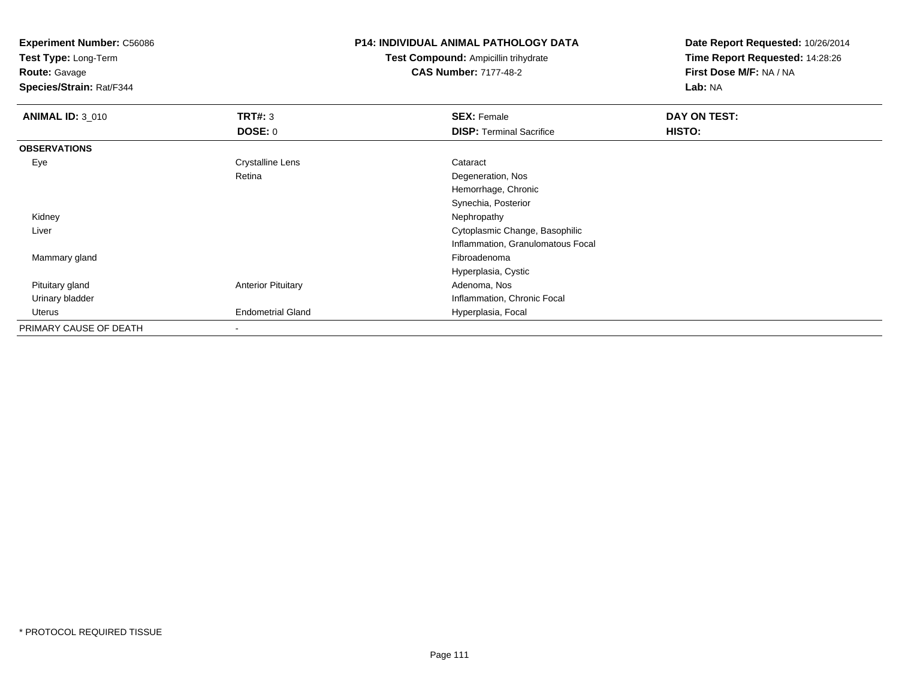**Experiment Number:** C56086**Test Type:** Long-Term**Route:** Gavage **Species/Strain:** Rat/F344**P14: INDIVIDUAL ANIMAL PATHOLOGY DATATest Compound:** Ampicillin trihydrate**CAS Number:** 7177-48-2**Date Report Requested:** 10/26/2014**Time Report Requested:** 14:28:26**First Dose M/F:** NA / NA**Lab:** NA**ANIMAL ID:** 3\_010**C SEX:** Female **DAY ON TEST: DAY ON TEST: DOSE:** 0**DISP:** Terminal Sacrifice **HISTO: OBSERVATIONS** EyeCrystalline Lens **Cataract** Retina Degeneration, Nos Hemorrhage, ChronicSynechia, Posterior Kidneyy the control of the control of the control of the control of the control of the control of the control of the control of the control of the control of the control of the control of the control of the control of the contro Liver Cytoplasmic Change, Basophilic Inflammation, Granulomatous Focal Mammary glandd and the control of the control of the control of the control of the control of the control of the control of the control of the control of the control of the control of the control of the control of the control of the co Hyperplasia, Cystic Pituitary glandAnterior Pituitary **Adenoma, Nos** Adenoma, Nos Urinary bladder Inflammation, Chronic Focal Uterus Endometrial Gland Hyperplasia, Focal PRIMARY CAUSE OF DEATH-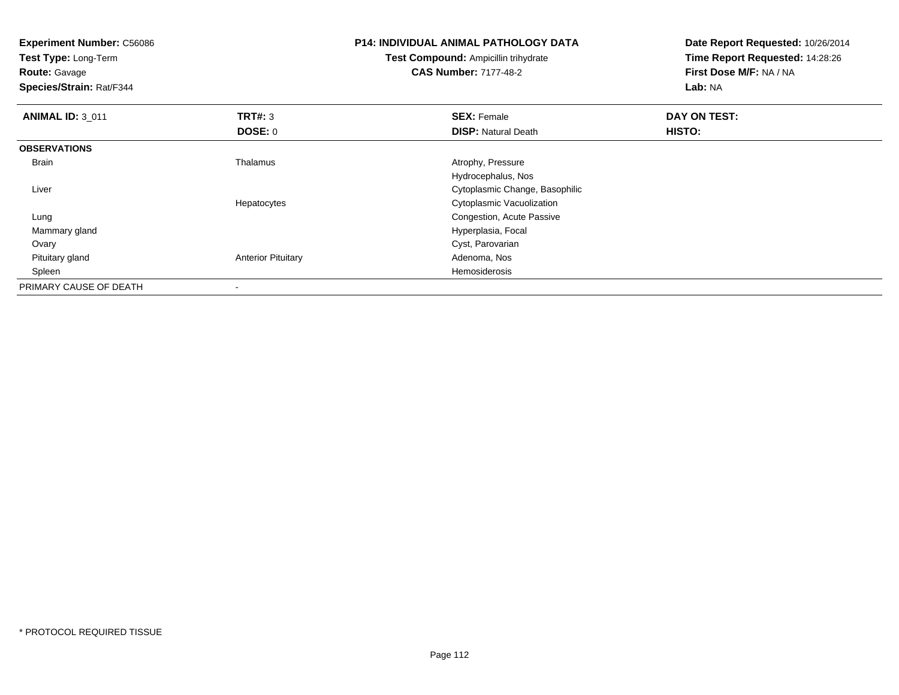**Experiment Number:** C56086**Test Type:** Long-Term**Route:** Gavage **Species/Strain:** Rat/F344**P14: INDIVIDUAL ANIMAL PATHOLOGY DATATest Compound:** Ampicillin trihydrate**CAS Number:** 7177-48-2**Date Report Requested:** 10/26/2014**Time Report Requested:** 14:28:26**First Dose M/F:** NA / NA**Lab:** NA**ANIMAL ID:** 3\_011**TRT#:** 3 **SEX:** Female **DAY ON TEST: DOSE:** 0**DISP:** Natural Death **HISTO: OBSERVATIONS** BrainThalamus **Atrophy, Pressure** Hydrocephalus, Nos**Cytoplasmic Change, Basophilic Change, Basophilic Change, Basophilic Change, Basophilic Change, Basophilic Change, Basophilic Change, Basophilic Change, Basophilic Change, Basophilic Change, Basophilic Change, Basophilic**  LiverHepatocytes Cytoplasmic Vacuolizationg **Congestion, Acute Passive**  Lung Mammary gland Hyperplasia, Focal Ovary Cyst, Parovarian Pituitary glandAnterior Pituitary **Adenoma, Nosting Adenoma, Nosting Adenoma**, Nosting Adenoma, Nosting Adenoma, Nosting Adenoma, Nosting Adenoma, Nosting Adenoma, Nosting Adenoma, Nosting Adenoma, Nosting Adenoma, Nosting Adenoma, Nosti Spleenn de la constitución de la constitución de la constitución de la constitución de la constitución de la constitución<br>En la constitución de la constitución de la constitución de la constitución de la constitución de la const PRIMARY CAUSE OF DEATH-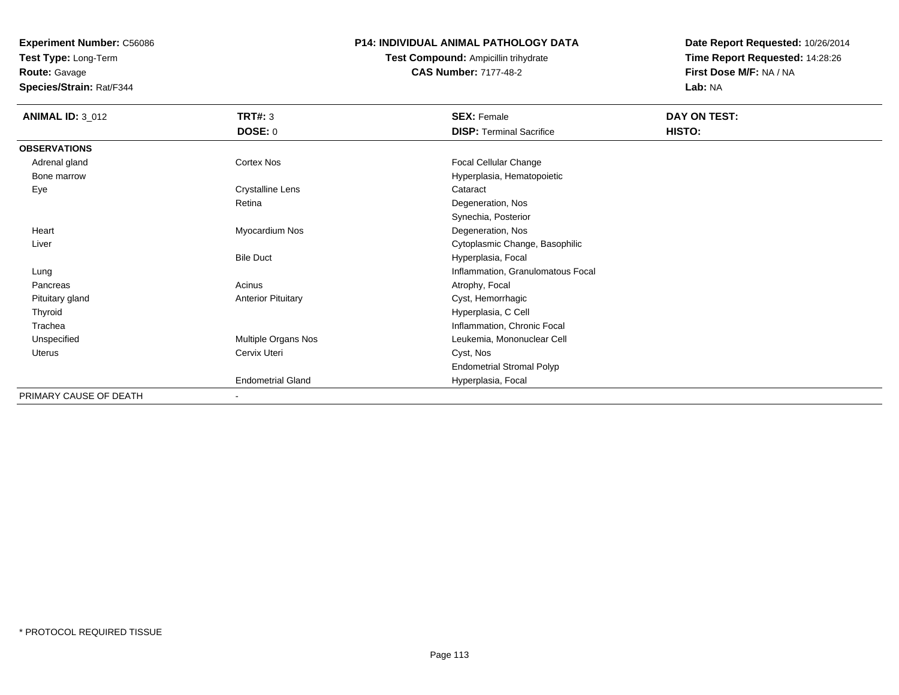**Test Type:** Long-Term

**Route:** Gavage

**Species/Strain:** Rat/F344

# **P14: INDIVIDUAL ANIMAL PATHOLOGY DATA**

**Test Compound:** Ampicillin trihydrate**CAS Number:** 7177-48-2

| <b>ANIMAL ID: 3_012</b> | <b>TRT#: 3</b>            | <b>SEX: Female</b>                | DAY ON TEST: |
|-------------------------|---------------------------|-----------------------------------|--------------|
|                         | <b>DOSE: 0</b>            | <b>DISP: Terminal Sacrifice</b>   | HISTO:       |
| <b>OBSERVATIONS</b>     |                           |                                   |              |
| Adrenal gland           | Cortex Nos                | Focal Cellular Change             |              |
| Bone marrow             |                           | Hyperplasia, Hematopoietic        |              |
| Eye                     | <b>Crystalline Lens</b>   | Cataract                          |              |
|                         | Retina                    | Degeneration, Nos                 |              |
|                         |                           | Synechia, Posterior               |              |
| Heart                   | Myocardium Nos            | Degeneration, Nos                 |              |
| Liver                   |                           | Cytoplasmic Change, Basophilic    |              |
|                         | <b>Bile Duct</b>          | Hyperplasia, Focal                |              |
| Lung                    |                           | Inflammation, Granulomatous Focal |              |
| Pancreas                | Acinus                    | Atrophy, Focal                    |              |
| Pituitary gland         | <b>Anterior Pituitary</b> | Cyst, Hemorrhagic                 |              |
| Thyroid                 |                           | Hyperplasia, C Cell               |              |
| Trachea                 |                           | Inflammation, Chronic Focal       |              |
| Unspecified             | Multiple Organs Nos       | Leukemia, Mononuclear Cell        |              |
| Uterus                  | Cervix Uteri              | Cyst, Nos                         |              |
|                         |                           | <b>Endometrial Stromal Polyp</b>  |              |
|                         | <b>Endometrial Gland</b>  | Hyperplasia, Focal                |              |
| PRIMARY CAUSE OF DEATH  | $\sim$                    |                                   |              |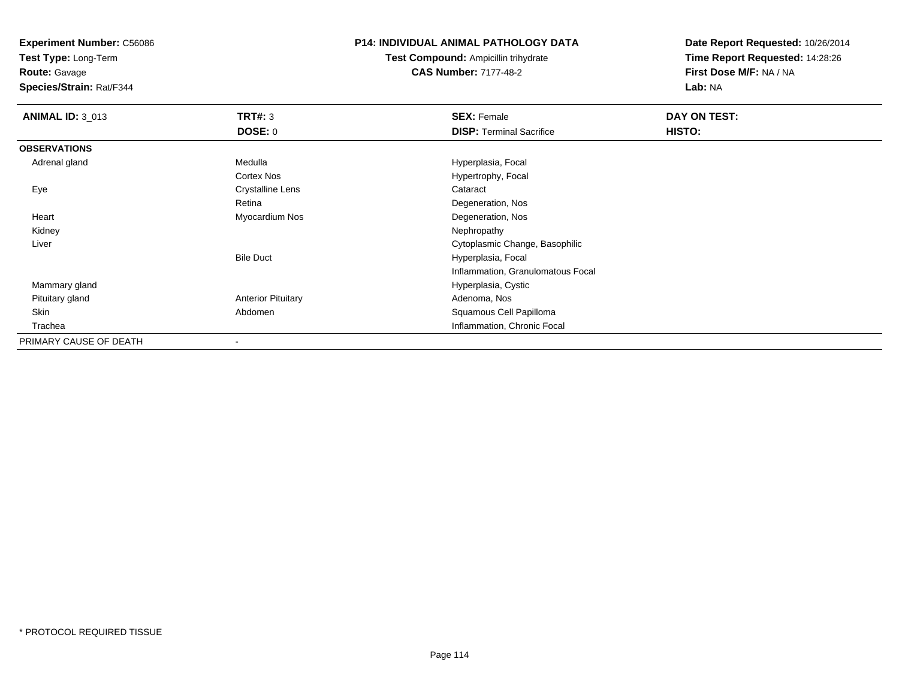**Test Type:** Long-Term

**Route:** Gavage

**Species/Strain:** Rat/F344

#### **P14: INDIVIDUAL ANIMAL PATHOLOGY DATA**

**Test Compound:** Ampicillin trihydrate**CAS Number:** 7177-48-2

| <b>ANIMAL ID: 3_013</b> | TRT#: 3                   | <b>SEX: Female</b>                | DAY ON TEST: |  |
|-------------------------|---------------------------|-----------------------------------|--------------|--|
|                         | <b>DOSE: 0</b>            | <b>DISP: Terminal Sacrifice</b>   | HISTO:       |  |
| <b>OBSERVATIONS</b>     |                           |                                   |              |  |
| Adrenal gland           | Medulla                   | Hyperplasia, Focal                |              |  |
|                         | <b>Cortex Nos</b>         | Hypertrophy, Focal                |              |  |
| Eye                     | <b>Crystalline Lens</b>   | Cataract                          |              |  |
|                         | Retina                    | Degeneration, Nos                 |              |  |
| Heart                   | Myocardium Nos            | Degeneration, Nos                 |              |  |
| Kidney                  |                           | Nephropathy                       |              |  |
| Liver                   |                           | Cytoplasmic Change, Basophilic    |              |  |
|                         | <b>Bile Duct</b>          | Hyperplasia, Focal                |              |  |
|                         |                           | Inflammation, Granulomatous Focal |              |  |
| Mammary gland           |                           | Hyperplasia, Cystic               |              |  |
| Pituitary gland         | <b>Anterior Pituitary</b> | Adenoma, Nos                      |              |  |
| Skin                    | Abdomen                   | Squamous Cell Papilloma           |              |  |
| Trachea                 |                           | Inflammation, Chronic Focal       |              |  |
| PRIMARY CAUSE OF DEATH  |                           |                                   |              |  |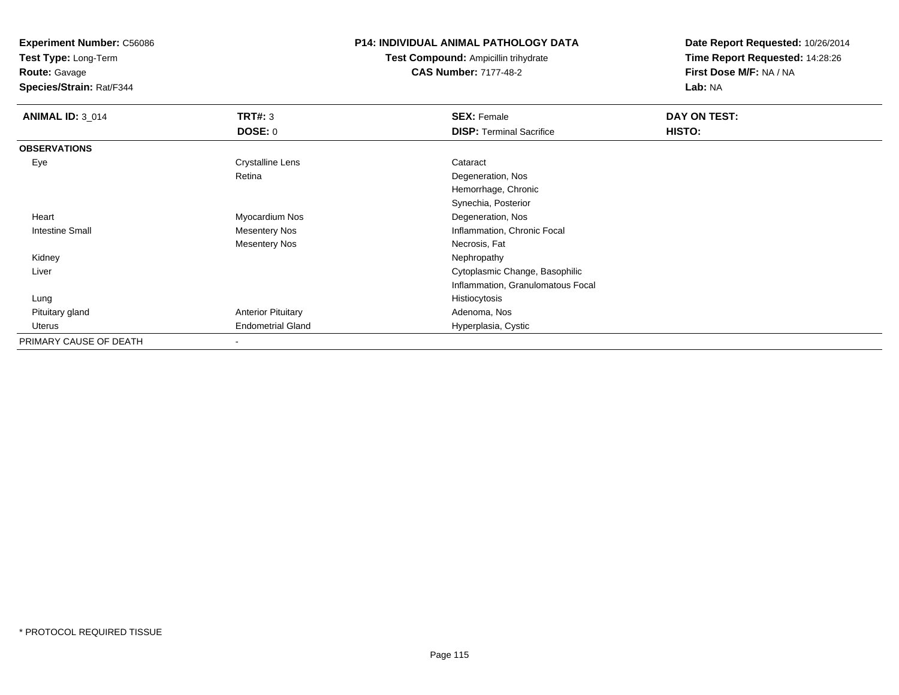**Test Type:** Long-Term

**Route:** Gavage

**Species/Strain:** Rat/F344

## **P14: INDIVIDUAL ANIMAL PATHOLOGY DATA**

**Test Compound:** Ampicillin trihydrate**CAS Number:** 7177-48-2

| <b>ANIMAL ID: 3_014</b> | <b>TRT#: 3</b>            | <b>SEX: Female</b>                | DAY ON TEST: |  |
|-------------------------|---------------------------|-----------------------------------|--------------|--|
|                         | <b>DOSE: 0</b>            | <b>DISP: Terminal Sacrifice</b>   | HISTO:       |  |
| <b>OBSERVATIONS</b>     |                           |                                   |              |  |
| Eye                     | Crystalline Lens          | Cataract                          |              |  |
|                         | Retina                    | Degeneration, Nos                 |              |  |
|                         |                           | Hemorrhage, Chronic               |              |  |
|                         |                           | Synechia, Posterior               |              |  |
| Heart                   | Myocardium Nos            | Degeneration, Nos                 |              |  |
| <b>Intestine Small</b>  | Mesentery Nos             | Inflammation, Chronic Focal       |              |  |
|                         | <b>Mesentery Nos</b>      | Necrosis, Fat                     |              |  |
| Kidney                  |                           | Nephropathy                       |              |  |
| Liver                   |                           | Cytoplasmic Change, Basophilic    |              |  |
|                         |                           | Inflammation, Granulomatous Focal |              |  |
| Lung                    |                           | Histiocytosis                     |              |  |
| Pituitary gland         | <b>Anterior Pituitary</b> | Adenoma, Nos                      |              |  |
| Uterus                  | <b>Endometrial Gland</b>  | Hyperplasia, Cystic               |              |  |
| PRIMARY CAUSE OF DEATH  | ۰                         |                                   |              |  |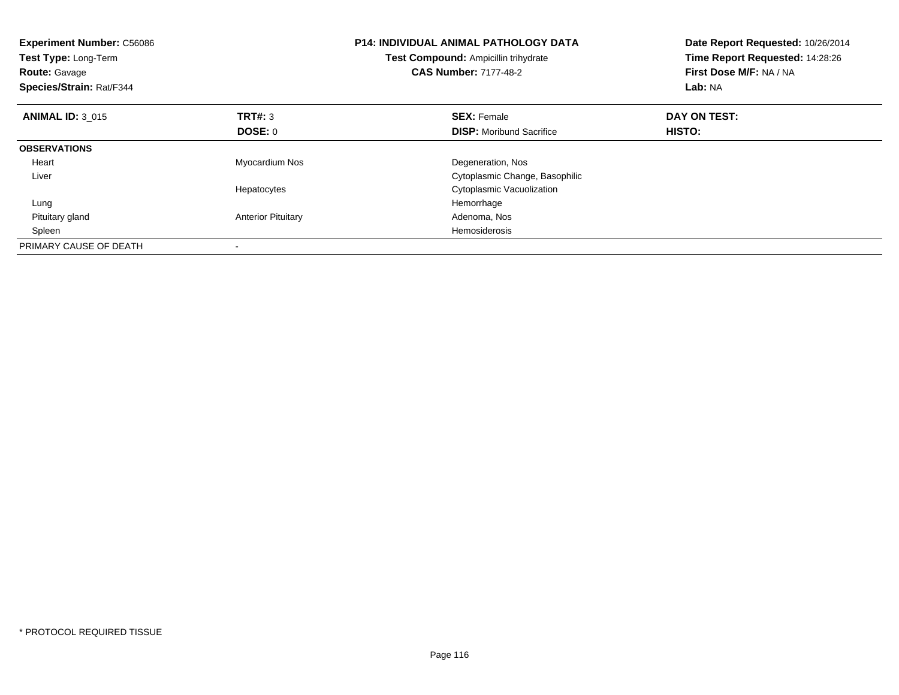| <b>Experiment Number: C56086</b><br><b>Test Type: Long-Term</b><br><b>Route: Gavage</b><br>Species/Strain: Rat/F344 |                           | P14: INDIVIDUAL ANIMAL PATHOLOGY DATA<br>Date Report Requested: 10/26/2014<br>Time Report Requested: 14:28:26<br>Test Compound: Ampicillin trihydrate<br><b>CAS Number: 7177-48-2</b><br>First Dose M/F: NA / NA<br>Lab: NA |              |
|---------------------------------------------------------------------------------------------------------------------|---------------------------|-----------------------------------------------------------------------------------------------------------------------------------------------------------------------------------------------------------------------------|--------------|
| <b>ANIMAL ID: 3 015</b>                                                                                             | <b>TRT#: 3</b>            | <b>SEX: Female</b>                                                                                                                                                                                                          | DAY ON TEST: |
|                                                                                                                     | <b>DOSE: 0</b>            | <b>DISP:</b> Moribund Sacrifice                                                                                                                                                                                             | HISTO:       |
| <b>OBSERVATIONS</b>                                                                                                 |                           |                                                                                                                                                                                                                             |              |
| Heart                                                                                                               | Myocardium Nos            | Degeneration, Nos                                                                                                                                                                                                           |              |
| Liver                                                                                                               |                           | Cytoplasmic Change, Basophilic                                                                                                                                                                                              |              |
|                                                                                                                     | Hepatocytes               | Cytoplasmic Vacuolization                                                                                                                                                                                                   |              |
| Lung                                                                                                                |                           | Hemorrhage                                                                                                                                                                                                                  |              |
| Pituitary gland                                                                                                     | <b>Anterior Pituitary</b> | Adenoma, Nos                                                                                                                                                                                                                |              |
| Spleen                                                                                                              |                           | Hemosiderosis                                                                                                                                                                                                               |              |
| PRIMARY CAUSE OF DEATH                                                                                              |                           |                                                                                                                                                                                                                             |              |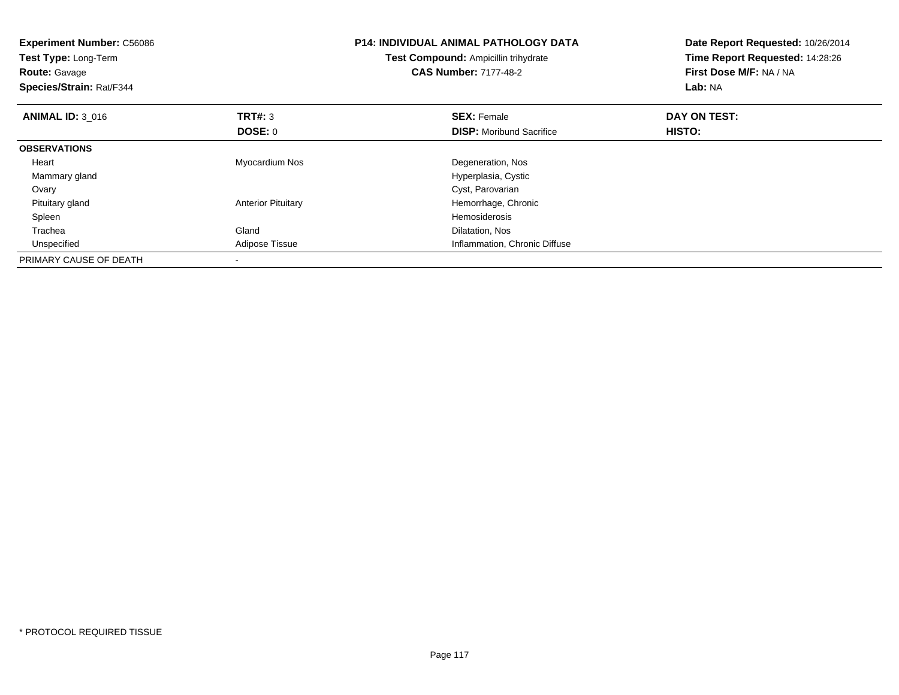| <b>Experiment Number: C56086</b><br>Test Type: Long-Term<br><b>Route: Gavage</b><br>Species/Strain: Rat/F344 |                           | <b>P14: INDIVIDUAL ANIMAL PATHOLOGY DATA</b><br>Test Compound: Ampicillin trihydrate<br><b>CAS Number: 7177-48-2</b> | Date Report Requested: 10/26/2014<br>Time Report Requested: 14:28:26<br>First Dose M/F: NA / NA<br>Lab: NA |
|--------------------------------------------------------------------------------------------------------------|---------------------------|----------------------------------------------------------------------------------------------------------------------|------------------------------------------------------------------------------------------------------------|
| <b>ANIMAL ID: 3 016</b>                                                                                      | <b>TRT#: 3</b>            | <b>SEX: Female</b>                                                                                                   | DAY ON TEST:                                                                                               |
|                                                                                                              | DOSE: 0                   | <b>DISP:</b> Moribund Sacrifice                                                                                      | HISTO:                                                                                                     |
| <b>OBSERVATIONS</b>                                                                                          |                           |                                                                                                                      |                                                                                                            |
| Heart                                                                                                        | Myocardium Nos            | Degeneration, Nos                                                                                                    |                                                                                                            |
| Mammary gland                                                                                                |                           | Hyperplasia, Cystic                                                                                                  |                                                                                                            |
| Ovary                                                                                                        |                           | Cyst, Parovarian                                                                                                     |                                                                                                            |
| Pituitary gland                                                                                              | <b>Anterior Pituitary</b> | Hemorrhage, Chronic                                                                                                  |                                                                                                            |
| Spleen                                                                                                       |                           | <b>Hemosiderosis</b>                                                                                                 |                                                                                                            |
| Trachea                                                                                                      | Gland                     | Dilatation, Nos                                                                                                      |                                                                                                            |
| Unspecified                                                                                                  | Adipose Tissue            | Inflammation, Chronic Diffuse                                                                                        |                                                                                                            |
| PRIMARY CAUSE OF DEATH                                                                                       |                           |                                                                                                                      |                                                                                                            |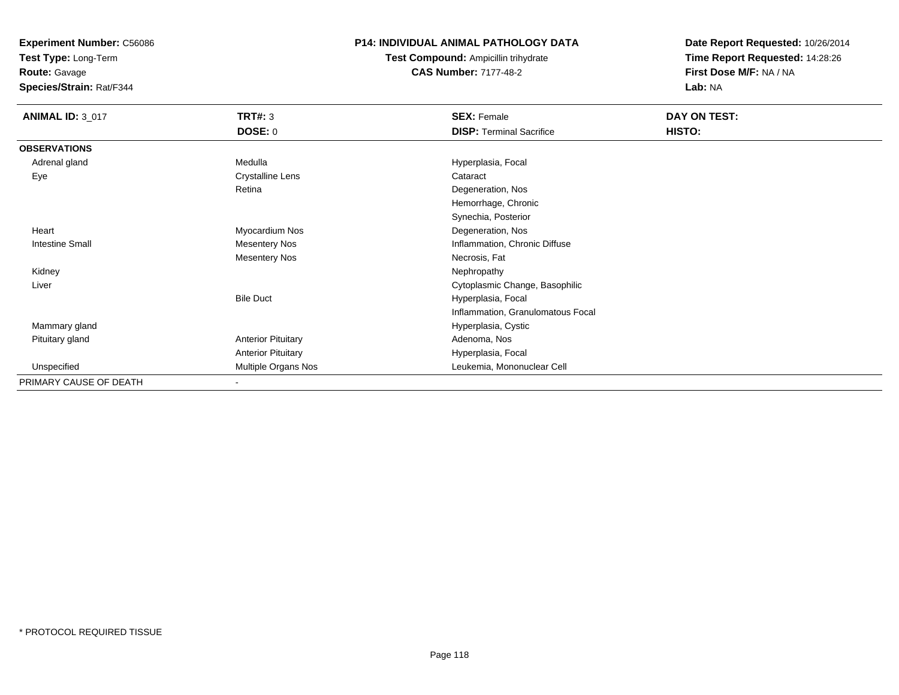**Test Type:** Long-Term

**Route:** Gavage

**Species/Strain:** Rat/F344

# **P14: INDIVIDUAL ANIMAL PATHOLOGY DATA**

**Test Compound:** Ampicillin trihydrate**CAS Number:** 7177-48-2

| <b>ANIMAL ID: 3_017</b> | <b>TRT#: 3</b><br><b>DOSE: 0</b> | <b>SEX: Female</b><br><b>DISP: Terminal Sacrifice</b> | DAY ON TEST:<br>HISTO: |
|-------------------------|----------------------------------|-------------------------------------------------------|------------------------|
| <b>OBSERVATIONS</b>     |                                  |                                                       |                        |
| Adrenal gland           | Medulla                          | Hyperplasia, Focal                                    |                        |
| Eye                     | <b>Crystalline Lens</b>          | Cataract                                              |                        |
|                         | Retina                           | Degeneration, Nos                                     |                        |
|                         |                                  | Hemorrhage, Chronic                                   |                        |
|                         |                                  | Synechia, Posterior                                   |                        |
| Heart                   | Myocardium Nos                   | Degeneration, Nos                                     |                        |
| Intestine Small         | <b>Mesentery Nos</b>             | Inflammation, Chronic Diffuse                         |                        |
|                         | <b>Mesentery Nos</b>             | Necrosis, Fat                                         |                        |
| Kidney                  |                                  | Nephropathy                                           |                        |
| Liver                   |                                  | Cytoplasmic Change, Basophilic                        |                        |
|                         | <b>Bile Duct</b>                 | Hyperplasia, Focal                                    |                        |
|                         |                                  | Inflammation, Granulomatous Focal                     |                        |
| Mammary gland           |                                  | Hyperplasia, Cystic                                   |                        |
| Pituitary gland         | <b>Anterior Pituitary</b>        | Adenoma, Nos                                          |                        |
|                         | <b>Anterior Pituitary</b>        | Hyperplasia, Focal                                    |                        |
| Unspecified             | Multiple Organs Nos              | Leukemia, Mononuclear Cell                            |                        |
| PRIMARY CAUSE OF DEATH  | $\blacksquare$                   |                                                       |                        |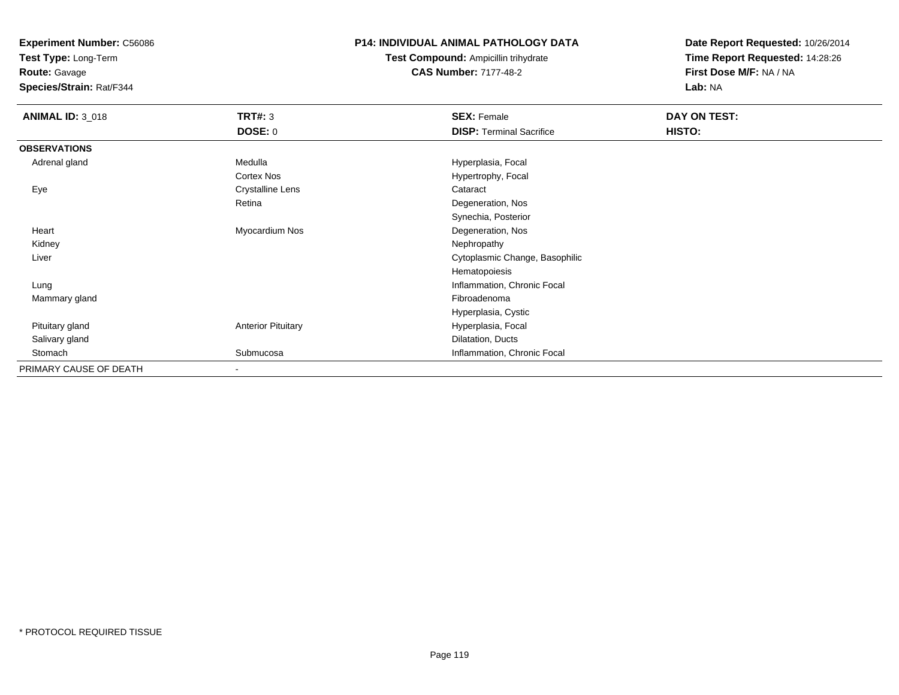**Test Type:** Long-Term

**Route:** Gavage

**Species/Strain:** Rat/F344

# **P14: INDIVIDUAL ANIMAL PATHOLOGY DATA**

**Test Compound:** Ampicillin trihydrate**CAS Number:** 7177-48-2

| <b>ANIMAL ID: 3_018</b> | <b>TRT#: 3</b>            | <b>SEX: Female</b>              | DAY ON TEST:  |  |
|-------------------------|---------------------------|---------------------------------|---------------|--|
|                         | <b>DOSE: 0</b>            | <b>DISP: Terminal Sacrifice</b> | <b>HISTO:</b> |  |
| <b>OBSERVATIONS</b>     |                           |                                 |               |  |
| Adrenal gland           | Medulla                   | Hyperplasia, Focal              |               |  |
|                         | Cortex Nos                | Hypertrophy, Focal              |               |  |
| Eye                     | <b>Crystalline Lens</b>   | Cataract                        |               |  |
|                         | Retina                    | Degeneration, Nos               |               |  |
|                         |                           | Synechia, Posterior             |               |  |
| Heart                   | Myocardium Nos            | Degeneration, Nos               |               |  |
| Kidney                  |                           | Nephropathy                     |               |  |
| Liver                   |                           | Cytoplasmic Change, Basophilic  |               |  |
|                         |                           | Hematopoiesis                   |               |  |
| Lung                    |                           | Inflammation, Chronic Focal     |               |  |
| Mammary gland           |                           | Fibroadenoma                    |               |  |
|                         |                           | Hyperplasia, Cystic             |               |  |
| Pituitary gland         | <b>Anterior Pituitary</b> | Hyperplasia, Focal              |               |  |
| Salivary gland          |                           | Dilatation, Ducts               |               |  |
| Stomach                 | Submucosa                 | Inflammation, Chronic Focal     |               |  |
| PRIMARY CAUSE OF DEATH  |                           |                                 |               |  |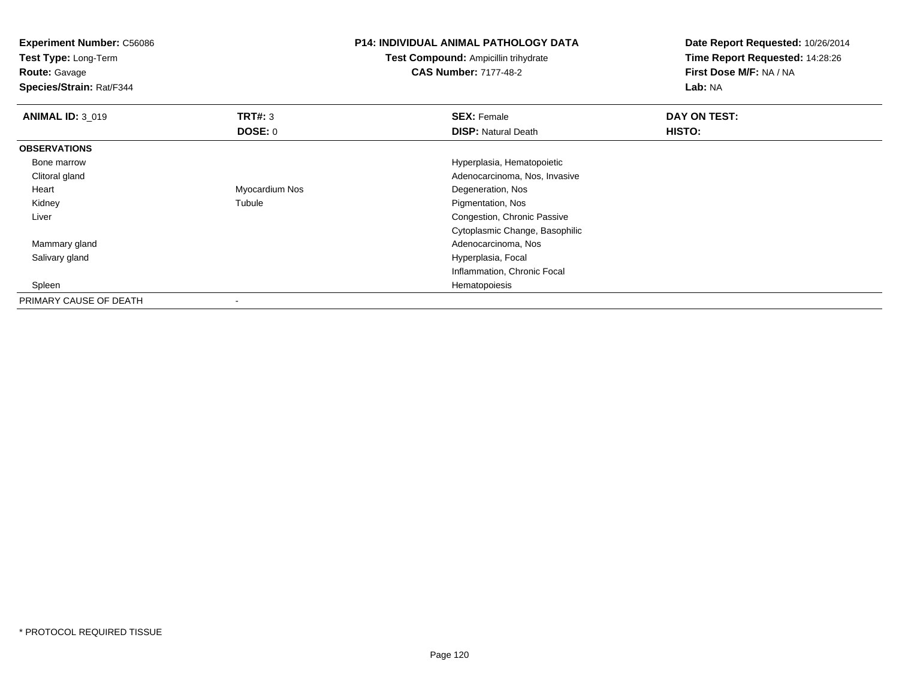| <b>Experiment Number: C56086</b><br>Test Type: Long-Term |                | <b>P14: INDIVIDUAL ANIMAL PATHOLOGY DATA</b> | Date Report Requested: 10/26/2014 |
|----------------------------------------------------------|----------------|----------------------------------------------|-----------------------------------|
|                                                          |                | <b>Test Compound: Ampicillin trihydrate</b>  | Time Report Requested: 14:28:26   |
| <b>Route: Gavage</b>                                     |                | <b>CAS Number: 7177-48-2</b>                 | First Dose M/F: NA / NA           |
| Species/Strain: Rat/F344                                 |                |                                              | Lab: NA                           |
| <b>ANIMAL ID: 3 019</b>                                  | <b>TRT#: 3</b> | <b>SEX: Female</b>                           | DAY ON TEST:                      |
|                                                          | <b>DOSE: 0</b> | <b>DISP: Natural Death</b>                   | HISTO:                            |
| <b>OBSERVATIONS</b>                                      |                |                                              |                                   |
| Bone marrow                                              |                | Hyperplasia, Hematopoietic                   |                                   |
| Clitoral gland                                           |                | Adenocarcinoma, Nos, Invasive                |                                   |
| Heart                                                    | Myocardium Nos | Degeneration, Nos                            |                                   |
| Kidney                                                   | Tubule         | Pigmentation, Nos                            |                                   |
| Liver                                                    |                | Congestion, Chronic Passive                  |                                   |
|                                                          |                | Cytoplasmic Change, Basophilic               |                                   |
| Mammary gland                                            |                | Adenocarcinoma, Nos                          |                                   |
| Salivary gland                                           |                | Hyperplasia, Focal                           |                                   |
|                                                          |                | Inflammation, Chronic Focal                  |                                   |
| Spleen                                                   |                | Hematopoiesis                                |                                   |
| PRIMARY CAUSE OF DEATH                                   |                |                                              |                                   |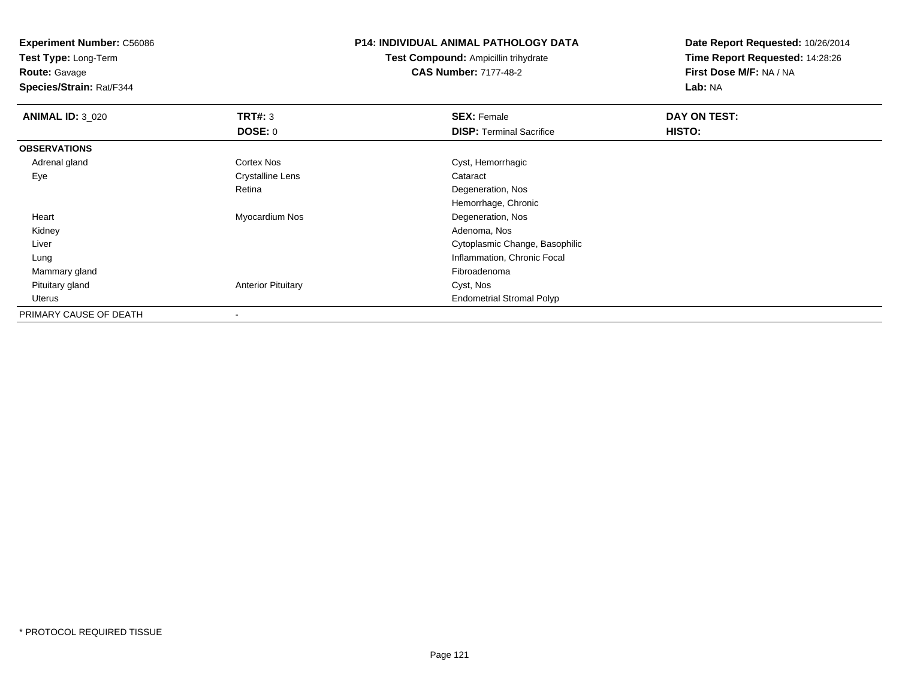**Test Type:** Long-Term

**Route:** Gavage

**Species/Strain:** Rat/F344

## **P14: INDIVIDUAL ANIMAL PATHOLOGY DATA**

**Test Compound:** Ampicillin trihydrate**CAS Number:** 7177-48-2

| <b>ANIMAL ID: 3_020</b> | TRT#: 3                   | <b>SEX: Female</b>               | DAY ON TEST: |
|-------------------------|---------------------------|----------------------------------|--------------|
|                         | DOSE: 0                   | <b>DISP: Terminal Sacrifice</b>  | HISTO:       |
| <b>OBSERVATIONS</b>     |                           |                                  |              |
| Adrenal gland           | Cortex Nos                | Cyst, Hemorrhagic                |              |
| Eye                     | <b>Crystalline Lens</b>   | Cataract                         |              |
|                         | Retina                    | Degeneration, Nos                |              |
|                         |                           | Hemorrhage, Chronic              |              |
| Heart                   | Myocardium Nos            | Degeneration, Nos                |              |
| Kidney                  |                           | Adenoma, Nos                     |              |
| Liver                   |                           | Cytoplasmic Change, Basophilic   |              |
| Lung                    |                           | Inflammation, Chronic Focal      |              |
| Mammary gland           |                           | Fibroadenoma                     |              |
| Pituitary gland         | <b>Anterior Pituitary</b> | Cyst, Nos                        |              |
| Uterus                  |                           | <b>Endometrial Stromal Polyp</b> |              |
| PRIMARY CAUSE OF DEATH  | $\overline{\phantom{a}}$  |                                  |              |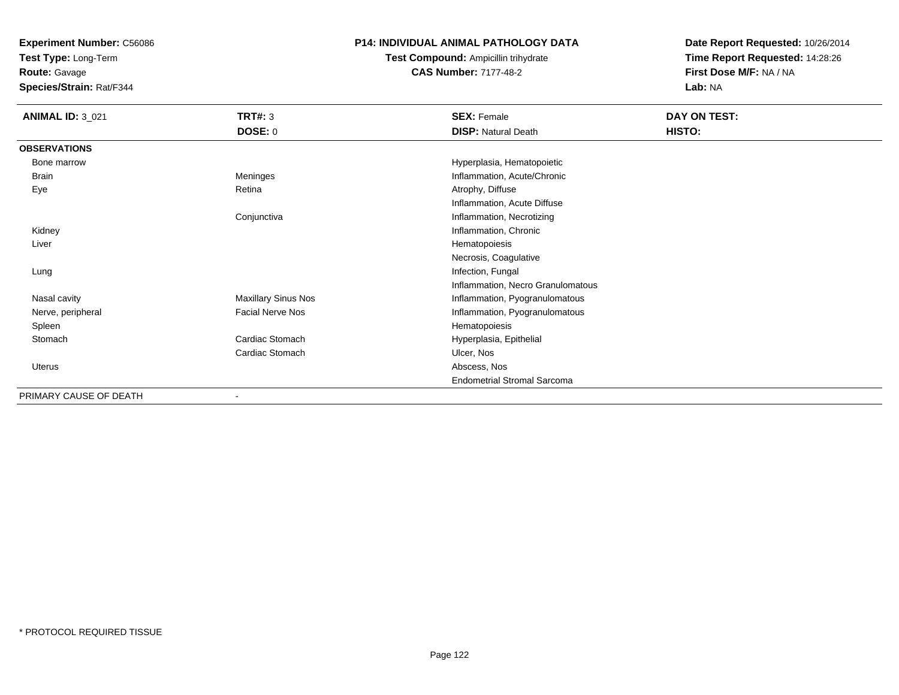**Test Type:** Long-Term

**Route:** Gavage

**Species/Strain:** Rat/F344

# **P14: INDIVIDUAL ANIMAL PATHOLOGY DATA**

# **Test Compound:** Ampicillin trihydrate**CAS Number:** 7177-48-2

| <b>ANIMAL ID: 3_021</b> | <b>TRT#: 3</b>             | <b>SEX: Female</b>                 | DAY ON TEST: |
|-------------------------|----------------------------|------------------------------------|--------------|
|                         | <b>DOSE: 0</b>             | <b>DISP: Natural Death</b>         | HISTO:       |
| <b>OBSERVATIONS</b>     |                            |                                    |              |
| Bone marrow             |                            | Hyperplasia, Hematopoietic         |              |
| <b>Brain</b>            | Meninges                   | Inflammation, Acute/Chronic        |              |
| Eye                     | Retina                     | Atrophy, Diffuse                   |              |
|                         |                            | Inflammation, Acute Diffuse        |              |
|                         | Conjunctiva                | Inflammation, Necrotizing          |              |
| Kidney                  |                            | Inflammation, Chronic              |              |
| Liver                   |                            | Hematopoiesis                      |              |
|                         |                            | Necrosis, Coagulative              |              |
| Lung                    |                            | Infection, Fungal                  |              |
|                         |                            | Inflammation, Necro Granulomatous  |              |
| Nasal cavity            | <b>Maxillary Sinus Nos</b> | Inflammation, Pyogranulomatous     |              |
| Nerve, peripheral       | <b>Facial Nerve Nos</b>    | Inflammation, Pyogranulomatous     |              |
| Spleen                  |                            | Hematopoiesis                      |              |
| Stomach                 | Cardiac Stomach            | Hyperplasia, Epithelial            |              |
|                         | Cardiac Stomach            | Ulcer, Nos                         |              |
| Uterus                  |                            | Abscess, Nos                       |              |
|                         |                            | <b>Endometrial Stromal Sarcoma</b> |              |
| PRIMARY CAUSE OF DEATH  |                            |                                    |              |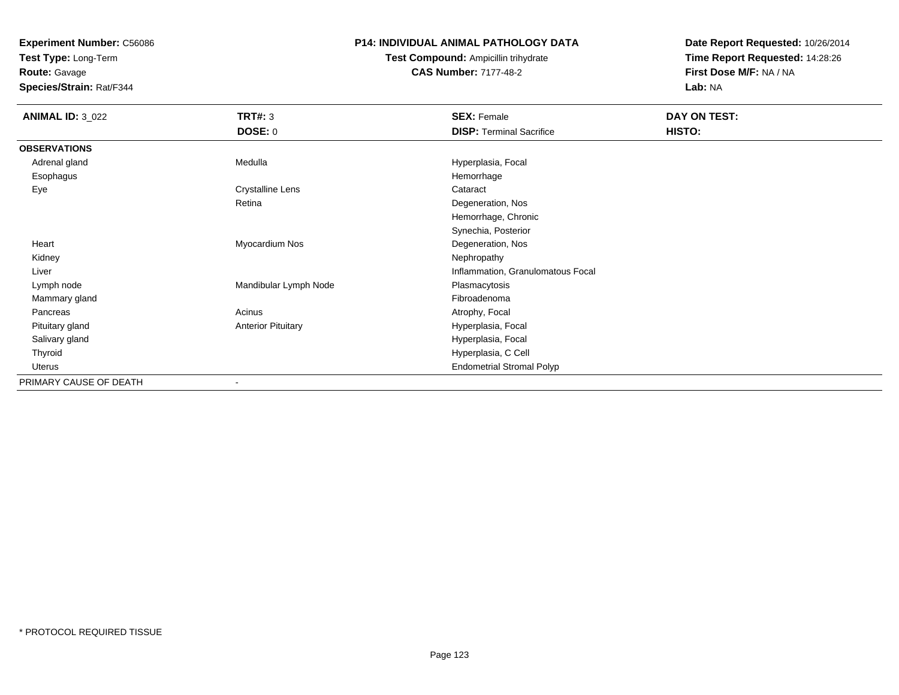**Test Type:** Long-Term

**Route:** Gavage

**Species/Strain:** Rat/F344

#### **P14: INDIVIDUAL ANIMAL PATHOLOGY DATA**

**Test Compound:** Ampicillin trihydrate**CAS Number:** 7177-48-2

| <b>ANIMAL ID: 3_022</b> | <b>TRT#: 3</b>            | <b>SEX: Female</b>                | DAY ON TEST: |
|-------------------------|---------------------------|-----------------------------------|--------------|
|                         | <b>DOSE: 0</b>            | <b>DISP: Terminal Sacrifice</b>   | HISTO:       |
| <b>OBSERVATIONS</b>     |                           |                                   |              |
| Adrenal gland           | Medulla                   | Hyperplasia, Focal                |              |
| Esophagus               |                           | Hemorrhage                        |              |
| Eye                     | <b>Crystalline Lens</b>   | Cataract                          |              |
|                         | Retina                    | Degeneration, Nos                 |              |
|                         |                           | Hemorrhage, Chronic               |              |
|                         |                           | Synechia, Posterior               |              |
| Heart                   | Myocardium Nos            | Degeneration, Nos                 |              |
| Kidney                  |                           | Nephropathy                       |              |
| Liver                   |                           | Inflammation, Granulomatous Focal |              |
| Lymph node              | Mandibular Lymph Node     | Plasmacytosis                     |              |
| Mammary gland           |                           | Fibroadenoma                      |              |
| Pancreas                | Acinus                    | Atrophy, Focal                    |              |
| Pituitary gland         | <b>Anterior Pituitary</b> | Hyperplasia, Focal                |              |
| Salivary gland          |                           | Hyperplasia, Focal                |              |
| Thyroid                 |                           | Hyperplasia, C Cell               |              |
| Uterus                  |                           | <b>Endometrial Stromal Polyp</b>  |              |
| PRIMARY CAUSE OF DEATH  |                           |                                   |              |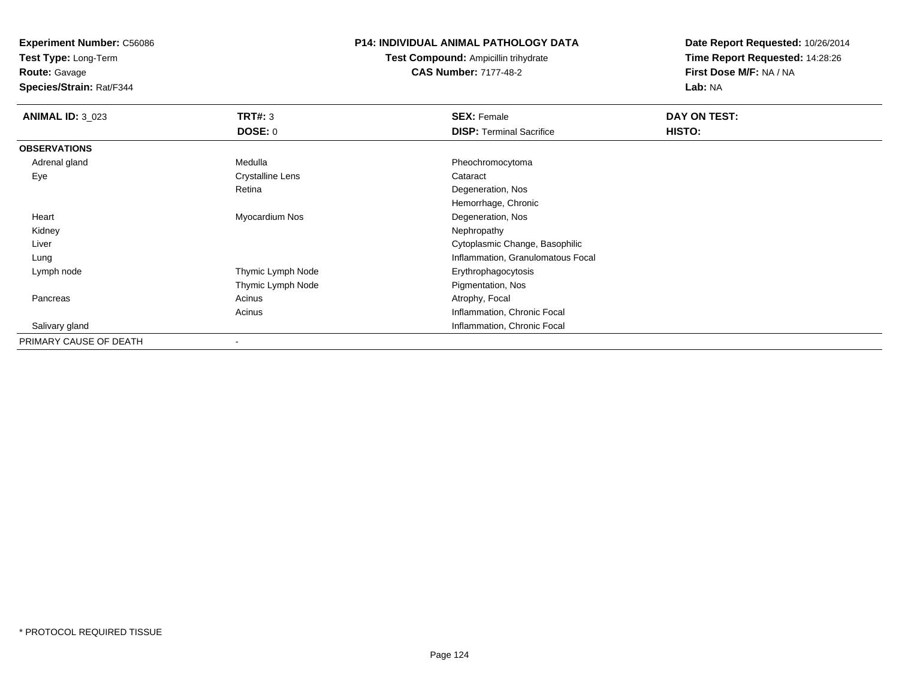**Test Type:** Long-Term

**Route:** Gavage

**Species/Strain:** Rat/F344

## **P14: INDIVIDUAL ANIMAL PATHOLOGY DATA**

**Test Compound:** Ampicillin trihydrate**CAS Number:** 7177-48-2

| <b>ANIMAL ID: 3 023</b> | TRT#: 3           | <b>SEX: Female</b>                | DAY ON TEST: |  |
|-------------------------|-------------------|-----------------------------------|--------------|--|
|                         | <b>DOSE: 0</b>    | <b>DISP: Terminal Sacrifice</b>   | HISTO:       |  |
| <b>OBSERVATIONS</b>     |                   |                                   |              |  |
| Adrenal gland           | Medulla           | Pheochromocytoma                  |              |  |
| Eye                     | Crystalline Lens  | Cataract                          |              |  |
|                         | Retina            | Degeneration, Nos                 |              |  |
|                         |                   | Hemorrhage, Chronic               |              |  |
| Heart                   | Myocardium Nos    | Degeneration, Nos                 |              |  |
| Kidney                  |                   | Nephropathy                       |              |  |
| Liver                   |                   | Cytoplasmic Change, Basophilic    |              |  |
| Lung                    |                   | Inflammation, Granulomatous Focal |              |  |
| Lymph node              | Thymic Lymph Node | Erythrophagocytosis               |              |  |
|                         | Thymic Lymph Node | Pigmentation, Nos                 |              |  |
| Pancreas                | Acinus            | Atrophy, Focal                    |              |  |
|                         | Acinus            | Inflammation, Chronic Focal       |              |  |
| Salivary gland          |                   | Inflammation, Chronic Focal       |              |  |
| PRIMARY CAUSE OF DEATH  |                   |                                   |              |  |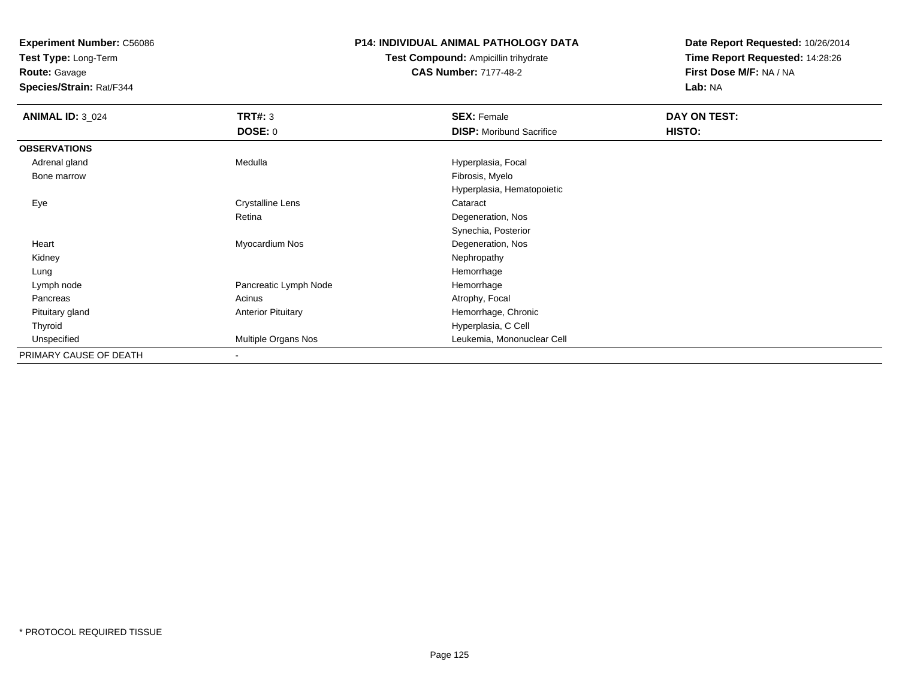**Test Type:** Long-Term

**Route:** Gavage

**Species/Strain:** Rat/F344

#### **P14: INDIVIDUAL ANIMAL PATHOLOGY DATA**

**Test Compound:** Ampicillin trihydrate**CAS Number:** 7177-48-2

| <b>ANIMAL ID: 3 024</b> | TRT#: 3                   | <b>SEX: Female</b>              | DAY ON TEST: |
|-------------------------|---------------------------|---------------------------------|--------------|
|                         | DOSE: 0                   | <b>DISP:</b> Moribund Sacrifice | HISTO:       |
| <b>OBSERVATIONS</b>     |                           |                                 |              |
| Adrenal gland           | Medulla                   | Hyperplasia, Focal              |              |
| Bone marrow             |                           | Fibrosis, Myelo                 |              |
|                         |                           | Hyperplasia, Hematopoietic      |              |
| Eye                     | <b>Crystalline Lens</b>   | Cataract                        |              |
|                         | Retina                    | Degeneration, Nos               |              |
|                         |                           | Synechia, Posterior             |              |
| Heart                   | Myocardium Nos            | Degeneration, Nos               |              |
| Kidney                  |                           | Nephropathy                     |              |
| Lung                    |                           | Hemorrhage                      |              |
| Lymph node              | Pancreatic Lymph Node     | Hemorrhage                      |              |
| Pancreas                | Acinus                    | Atrophy, Focal                  |              |
| Pituitary gland         | <b>Anterior Pituitary</b> | Hemorrhage, Chronic             |              |
| Thyroid                 |                           | Hyperplasia, C Cell             |              |
| Unspecified             | Multiple Organs Nos       | Leukemia, Mononuclear Cell      |              |
| PRIMARY CAUSE OF DEATH  | $\blacksquare$            |                                 |              |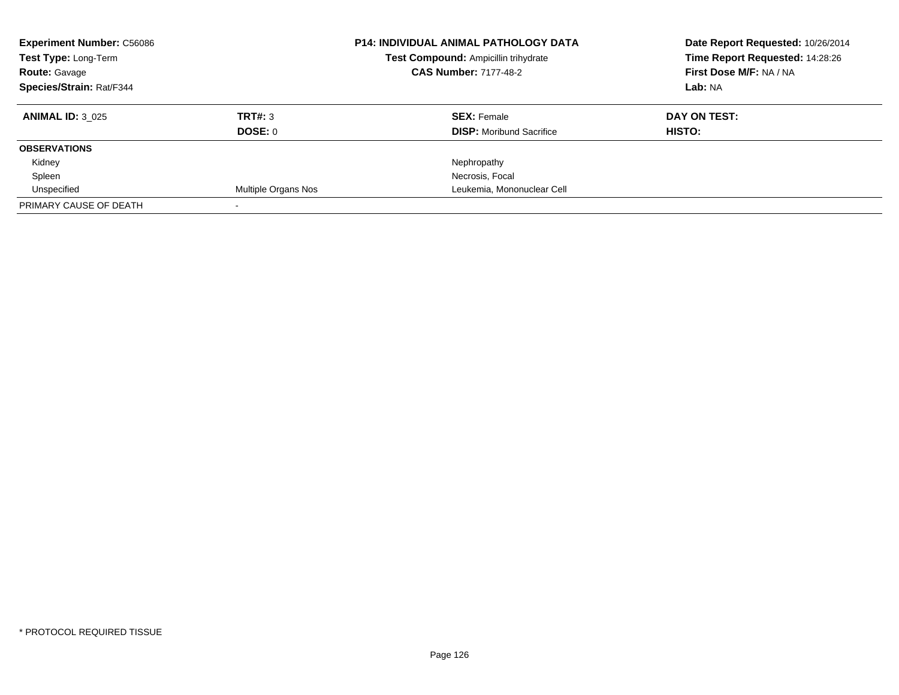| <b>Experiment Number: C56086</b><br>Test Type: Long-Term |                            | P14: INDIVIDUAL ANIMAL PATHOLOGY DATA | Date Report Requested: 10/26/2014 |
|----------------------------------------------------------|----------------------------|---------------------------------------|-----------------------------------|
|                                                          |                            | Test Compound: Ampicillin trihydrate  | Time Report Requested: 14:28:26   |
| <b>Route: Gavage</b>                                     |                            | <b>CAS Number: 7177-48-2</b>          | First Dose M/F: NA / NA           |
| Species/Strain: Rat/F344                                 |                            |                                       | Lab: NA                           |
| <b>ANIMAL ID: 3 025</b>                                  | TRT#: 3                    | <b>SEX: Female</b>                    | DAY ON TEST:                      |
|                                                          | DOSE: 0                    | <b>DISP:</b> Moribund Sacrifice       | HISTO:                            |
| <b>OBSERVATIONS</b>                                      |                            |                                       |                                   |
| Kidney                                                   |                            | Nephropathy                           |                                   |
| Spleen                                                   |                            | Necrosis, Focal                       |                                   |
| Unspecified                                              | <b>Multiple Organs Nos</b> | Leukemia, Mononuclear Cell            |                                   |
| PRIMARY CAUSE OF DEATH                                   |                            |                                       |                                   |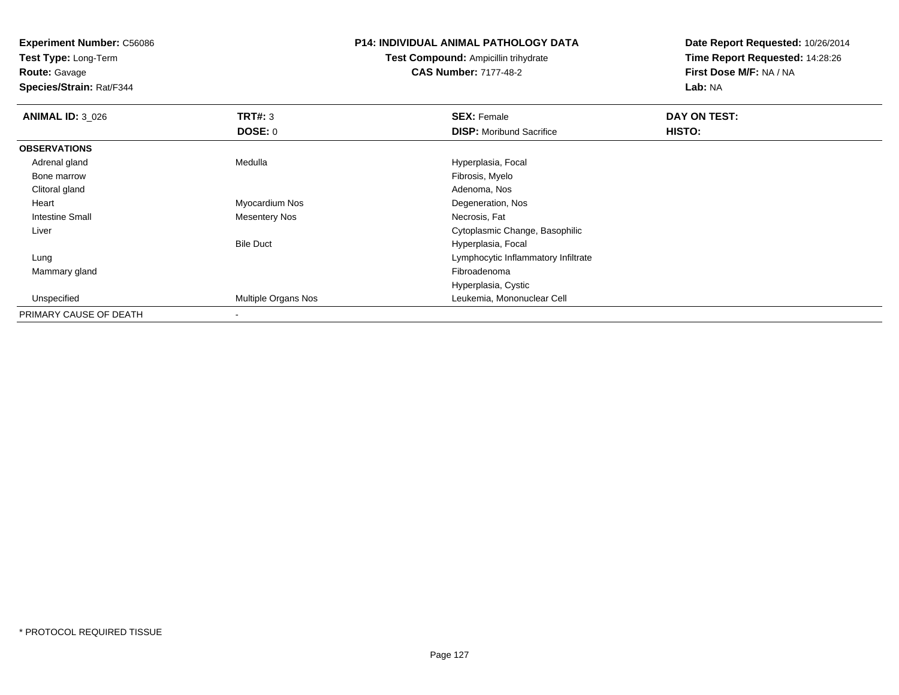**Test Type:** Long-Term

**Route:** Gavage

**Species/Strain:** Rat/F344

### **P14: INDIVIDUAL ANIMAL PATHOLOGY DATA**

**Test Compound:** Ampicillin trihydrate**CAS Number:** 7177-48-2

| <b>ANIMAL ID: 3_026</b> | TRT#: 3                  | <b>SEX: Female</b>                  | DAY ON TEST: |  |
|-------------------------|--------------------------|-------------------------------------|--------------|--|
|                         | <b>DOSE: 0</b>           | <b>DISP:</b> Moribund Sacrifice     | HISTO:       |  |
| <b>OBSERVATIONS</b>     |                          |                                     |              |  |
| Adrenal gland           | Medulla                  | Hyperplasia, Focal                  |              |  |
| Bone marrow             |                          | Fibrosis, Myelo                     |              |  |
| Clitoral gland          |                          | Adenoma, Nos                        |              |  |
| Heart                   | Myocardium Nos           | Degeneration, Nos                   |              |  |
| <b>Intestine Small</b>  | <b>Mesentery Nos</b>     | Necrosis, Fat                       |              |  |
| Liver                   |                          | Cytoplasmic Change, Basophilic      |              |  |
|                         | <b>Bile Duct</b>         | Hyperplasia, Focal                  |              |  |
| Lung                    |                          | Lymphocytic Inflammatory Infiltrate |              |  |
| Mammary gland           |                          | Fibroadenoma                        |              |  |
|                         |                          | Hyperplasia, Cystic                 |              |  |
| Unspecified             | Multiple Organs Nos      | Leukemia, Mononuclear Cell          |              |  |
| PRIMARY CAUSE OF DEATH  | $\overline{\phantom{a}}$ |                                     |              |  |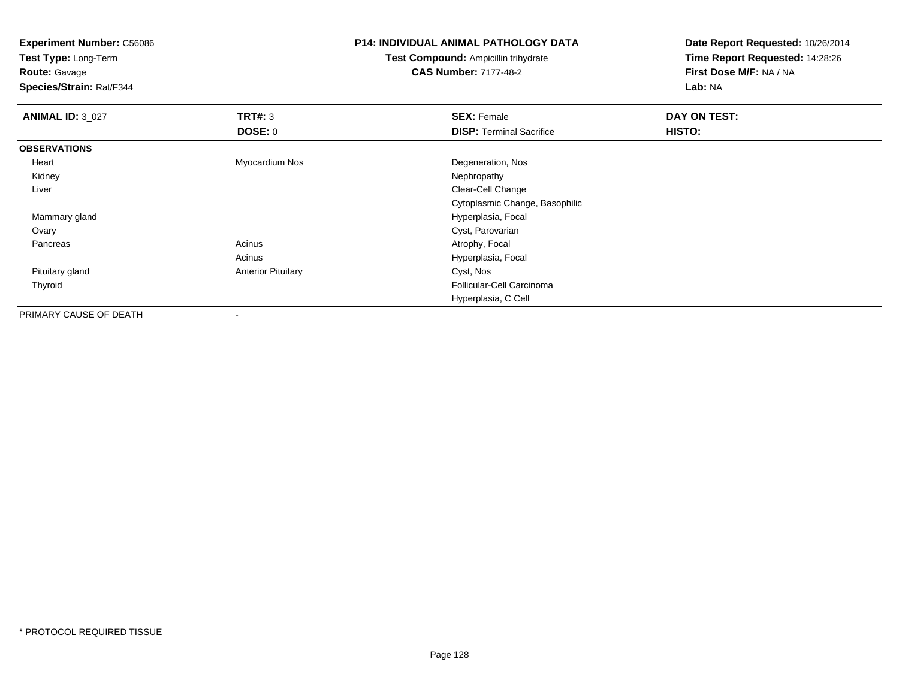**Test Type:** Long-Term

**Route:** Gavage

**Species/Strain:** Rat/F344

## **P14: INDIVIDUAL ANIMAL PATHOLOGY DATA**

**Test Compound:** Ampicillin trihydrate**CAS Number:** 7177-48-2

| <b>ANIMAL ID: 3_027</b> | TRT#: 3                   | <b>SEX: Female</b>              | DAY ON TEST: |
|-------------------------|---------------------------|---------------------------------|--------------|
|                         | <b>DOSE: 0</b>            | <b>DISP: Terminal Sacrifice</b> | HISTO:       |
| <b>OBSERVATIONS</b>     |                           |                                 |              |
| Heart                   | Myocardium Nos            | Degeneration, Nos               |              |
| Kidney                  |                           | Nephropathy                     |              |
| Liver                   |                           | Clear-Cell Change               |              |
|                         |                           | Cytoplasmic Change, Basophilic  |              |
| Mammary gland           |                           | Hyperplasia, Focal              |              |
| Ovary                   |                           | Cyst, Parovarian                |              |
| Pancreas                | Acinus                    | Atrophy, Focal                  |              |
|                         | Acinus                    | Hyperplasia, Focal              |              |
| Pituitary gland         | <b>Anterior Pituitary</b> | Cyst, Nos                       |              |
| Thyroid                 |                           | Follicular-Cell Carcinoma       |              |
|                         |                           | Hyperplasia, C Cell             |              |
| PRIMARY CAUSE OF DEATH  | $\blacksquare$            |                                 |              |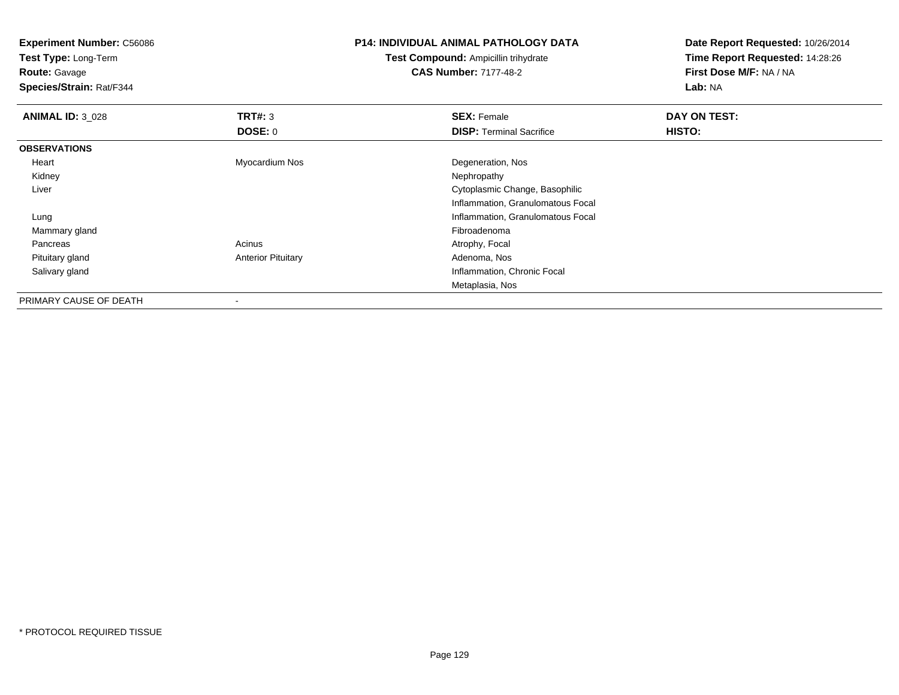**Experiment Number:** C56086**Test Type:** Long-Term**Route:** Gavage **Species/Strain:** Rat/F344**P14: INDIVIDUAL ANIMAL PATHOLOGY DATATest Compound:** Ampicillin trihydrate**CAS Number:** 7177-48-2**Date Report Requested:** 10/26/2014**Time Report Requested:** 14:28:26**First Dose M/F:** NA / NA**Lab:** NA**ANIMAL ID:** 3\_028**REX:** Female **DAY ON TEST: SEX:** Female **SEX:** Female **DOSE:** 0**DISP:** Terminal Sacrifice **HISTO: OBSERVATIONS** Heart Myocardium Nos Degeneration, Nos Kidneyy the control of the control of the control of the control of the control of the control of the control of the control of the control of the control of the control of the control of the control of the control of the contro Liver Cytoplasmic Change, Basophilic Inflammation, Granulomatous Focal Lung Inflammation, Granulomatous Focal Mammary glandd and the control of the control of the control of the control of the control of the control of the control of the control of the control of the control of the control of the control of the control of the control of the co PancreasAcinus **Acinus** Atrophy, Focal Pituitary glandAnterior Pituitary **Adenoma, Nos** Adenoma, Nos Salivary gland Inflammation, Chronic Focal Metaplasia, NosPRIMARY CAUSE OF DEATH

-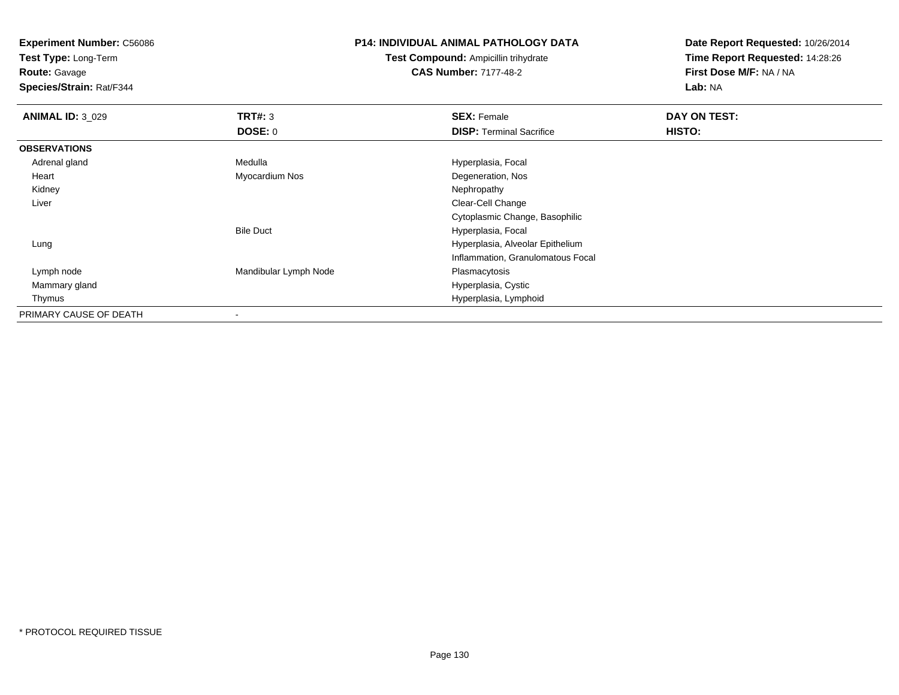**Test Type:** Long-Term

**Route:** Gavage

**Species/Strain:** Rat/F344

## **P14: INDIVIDUAL ANIMAL PATHOLOGY DATA**

**Test Compound:** Ampicillin trihydrate**CAS Number:** 7177-48-2

| <b>ANIMAL ID: 3_029</b> | TRT#: 3                  | <b>SEX: Female</b>                | DAY ON TEST: |  |
|-------------------------|--------------------------|-----------------------------------|--------------|--|
|                         | DOSE: 0                  | <b>DISP: Terminal Sacrifice</b>   | HISTO:       |  |
| <b>OBSERVATIONS</b>     |                          |                                   |              |  |
| Adrenal gland           | Medulla                  | Hyperplasia, Focal                |              |  |
| Heart                   | Myocardium Nos           | Degeneration, Nos                 |              |  |
| Kidney                  |                          | Nephropathy                       |              |  |
| Liver                   |                          | Clear-Cell Change                 |              |  |
|                         |                          | Cytoplasmic Change, Basophilic    |              |  |
|                         | <b>Bile Duct</b>         | Hyperplasia, Focal                |              |  |
| Lung                    |                          | Hyperplasia, Alveolar Epithelium  |              |  |
|                         |                          | Inflammation, Granulomatous Focal |              |  |
| Lymph node              | Mandibular Lymph Node    | Plasmacytosis                     |              |  |
| Mammary gland           |                          | Hyperplasia, Cystic               |              |  |
| Thymus                  |                          | Hyperplasia, Lymphoid             |              |  |
| PRIMARY CAUSE OF DEATH  | $\overline{\phantom{a}}$ |                                   |              |  |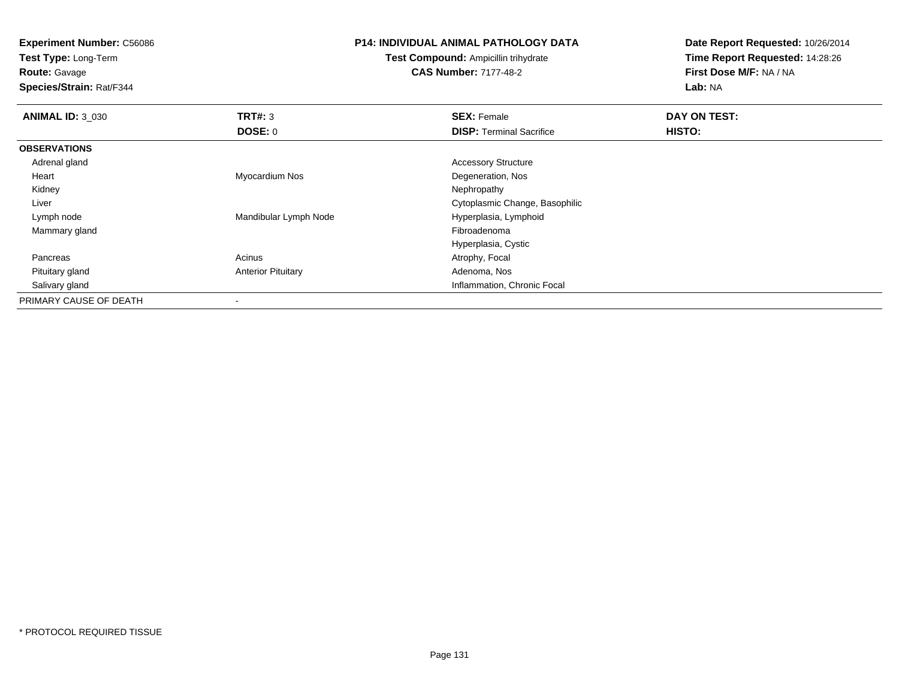**Test Type:** Long-Term

**Route:** Gavage

**Species/Strain:** Rat/F344

#### **P14: INDIVIDUAL ANIMAL PATHOLOGY DATA**

**Test Compound:** Ampicillin trihydrate**CAS Number:** 7177-48-2

| <b>ANIMAL ID: 3_030</b> | TRT#: 3                   | <b>SEX: Female</b>              | DAY ON TEST: |  |
|-------------------------|---------------------------|---------------------------------|--------------|--|
|                         | DOSE: 0                   | <b>DISP: Terminal Sacrifice</b> | HISTO:       |  |
| <b>OBSERVATIONS</b>     |                           |                                 |              |  |
| Adrenal gland           |                           | <b>Accessory Structure</b>      |              |  |
| Heart                   | Myocardium Nos            | Degeneration, Nos               |              |  |
| Kidney                  |                           | Nephropathy                     |              |  |
| Liver                   |                           | Cytoplasmic Change, Basophilic  |              |  |
| Lymph node              | Mandibular Lymph Node     | Hyperplasia, Lymphoid           |              |  |
| Mammary gland           |                           | Fibroadenoma                    |              |  |
|                         |                           | Hyperplasia, Cystic             |              |  |
| Pancreas                | Acinus                    | Atrophy, Focal                  |              |  |
| Pituitary gland         | <b>Anterior Pituitary</b> | Adenoma, Nos                    |              |  |
| Salivary gland          |                           | Inflammation, Chronic Focal     |              |  |
| PRIMARY CAUSE OF DEATH  |                           |                                 |              |  |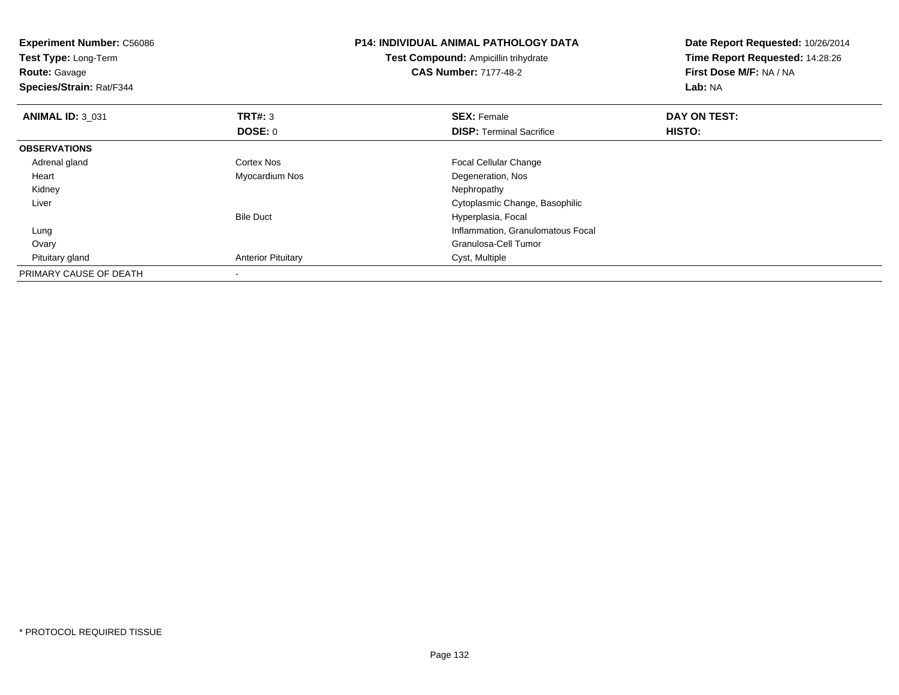| <b>Experiment Number: C56086</b><br>Test Type: Long-Term<br><b>Route: Gavage</b><br>Species/Strain: Rat/F344 |                           | <b>P14: INDIVIDUAL ANIMAL PATHOLOGY DATA</b><br><b>Test Compound: Ampicillin trihydrate</b><br><b>CAS Number: 7177-48-2</b> | Date Report Requested: 10/26/2014<br>Time Report Requested: 14:28:26<br>First Dose M/F: NA / NA<br><b>Lab: NA</b> |  |
|--------------------------------------------------------------------------------------------------------------|---------------------------|-----------------------------------------------------------------------------------------------------------------------------|-------------------------------------------------------------------------------------------------------------------|--|
| <b>ANIMAL ID: 3 031</b>                                                                                      | <b>TRT#: 3</b>            | <b>SEX: Female</b>                                                                                                          | DAY ON TEST:                                                                                                      |  |
|                                                                                                              | DOSE: 0                   | <b>DISP:</b> Terminal Sacrifice                                                                                             | HISTO:                                                                                                            |  |
| <b>OBSERVATIONS</b>                                                                                          |                           |                                                                                                                             |                                                                                                                   |  |
| Adrenal gland                                                                                                | <b>Cortex Nos</b>         | Focal Cellular Change                                                                                                       |                                                                                                                   |  |
| Heart                                                                                                        | Myocardium Nos            | Degeneration, Nos                                                                                                           |                                                                                                                   |  |
| Kidney                                                                                                       |                           | Nephropathy                                                                                                                 |                                                                                                                   |  |
| Liver                                                                                                        |                           | Cytoplasmic Change, Basophilic                                                                                              |                                                                                                                   |  |
|                                                                                                              | <b>Bile Duct</b>          | Hyperplasia, Focal                                                                                                          |                                                                                                                   |  |
| Lung                                                                                                         |                           | Inflammation, Granulomatous Focal                                                                                           |                                                                                                                   |  |
| Ovary                                                                                                        |                           | Granulosa-Cell Tumor                                                                                                        |                                                                                                                   |  |
| Pituitary gland                                                                                              | <b>Anterior Pituitary</b> | Cyst, Multiple                                                                                                              |                                                                                                                   |  |
| PRIMARY CAUSE OF DEATH                                                                                       |                           |                                                                                                                             |                                                                                                                   |  |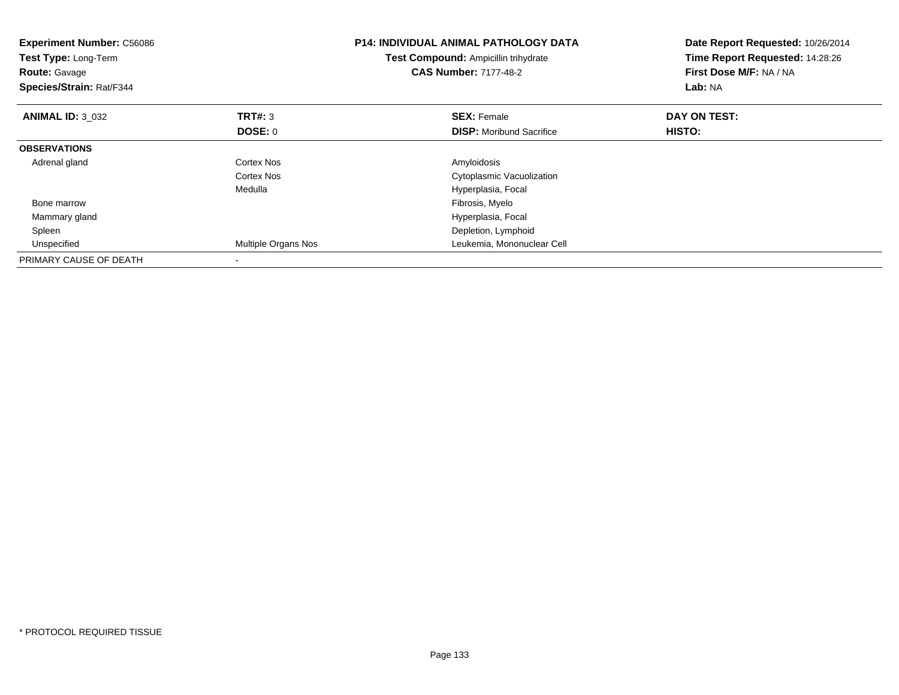| <b>Experiment Number: C56086</b><br>Test Type: Long-Term<br><b>Route: Gavage</b><br>Species/Strain: Rat/F344 |                     | P14: INDIVIDUAL ANIMAL PATHOLOGY DATA<br>Test Compound: Ampicillin trihydrate<br><b>CAS Number: 7177-48-2</b> | Date Report Requested: 10/26/2014<br>Time Report Requested: 14:28:26<br>First Dose M/F: NA / NA<br>Lab: NA |  |
|--------------------------------------------------------------------------------------------------------------|---------------------|---------------------------------------------------------------------------------------------------------------|------------------------------------------------------------------------------------------------------------|--|
| <b>ANIMAL ID: 3 032</b>                                                                                      | TRT#: 3             | <b>SEX: Female</b>                                                                                            | DAY ON TEST:                                                                                               |  |
|                                                                                                              | DOSE: 0             | <b>DISP:</b> Moribund Sacrifice                                                                               | HISTO:                                                                                                     |  |
| <b>OBSERVATIONS</b>                                                                                          |                     |                                                                                                               |                                                                                                            |  |
| Adrenal gland                                                                                                | Cortex Nos          | Amyloidosis                                                                                                   |                                                                                                            |  |
|                                                                                                              | Cortex Nos          | Cytoplasmic Vacuolization                                                                                     |                                                                                                            |  |
|                                                                                                              | Medulla             | Hyperplasia, Focal                                                                                            |                                                                                                            |  |
| Bone marrow                                                                                                  |                     | Fibrosis, Myelo                                                                                               |                                                                                                            |  |
| Mammary gland                                                                                                |                     | Hyperplasia, Focal                                                                                            |                                                                                                            |  |
| Spleen                                                                                                       |                     | Depletion, Lymphoid                                                                                           |                                                                                                            |  |
| Unspecified                                                                                                  | Multiple Organs Nos | Leukemia, Mononuclear Cell                                                                                    |                                                                                                            |  |
| PRIMARY CAUSE OF DEATH                                                                                       |                     |                                                                                                               |                                                                                                            |  |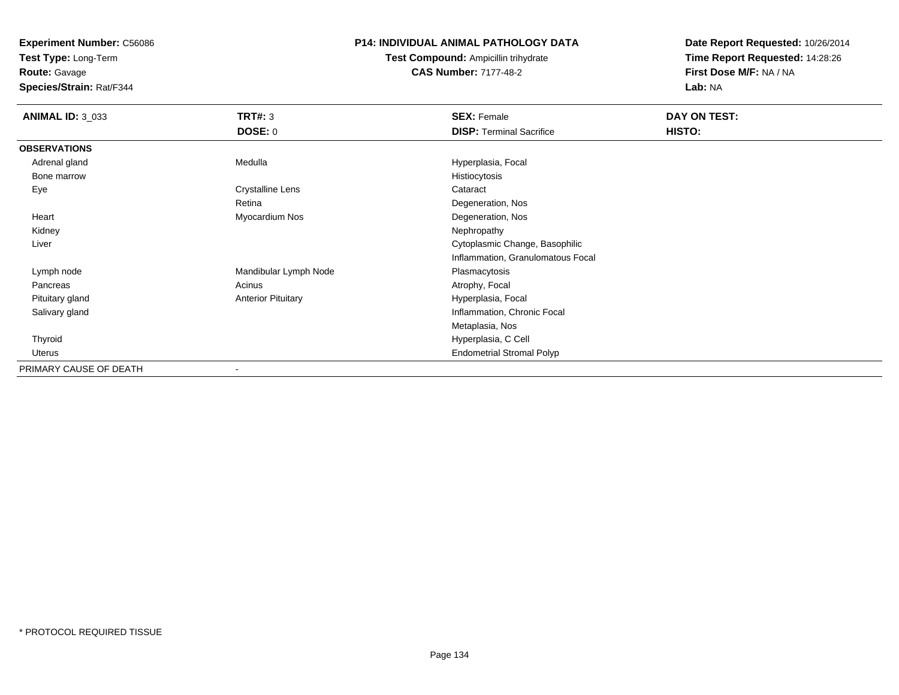**Test Type:** Long-Term

**Route:** Gavage

**Species/Strain:** Rat/F344

## **P14: INDIVIDUAL ANIMAL PATHOLOGY DATA**

**Test Compound:** Ampicillin trihydrate**CAS Number:** 7177-48-2

| <b>ANIMAL ID: 3_033</b> | <b>TRT#: 3</b>            | <b>SEX: Female</b>                | DAY ON TEST: |  |
|-------------------------|---------------------------|-----------------------------------|--------------|--|
|                         | <b>DOSE: 0</b>            | <b>DISP: Terminal Sacrifice</b>   | HISTO:       |  |
| <b>OBSERVATIONS</b>     |                           |                                   |              |  |
| Adrenal gland           | Medulla                   | Hyperplasia, Focal                |              |  |
| Bone marrow             |                           | Histiocytosis                     |              |  |
| Eye                     | Crystalline Lens          | Cataract                          |              |  |
|                         | Retina                    | Degeneration, Nos                 |              |  |
| Heart                   | Myocardium Nos            | Degeneration, Nos                 |              |  |
| Kidney                  |                           | Nephropathy                       |              |  |
| Liver                   |                           | Cytoplasmic Change, Basophilic    |              |  |
|                         |                           | Inflammation, Granulomatous Focal |              |  |
| Lymph node              | Mandibular Lymph Node     | Plasmacytosis                     |              |  |
| Pancreas                | Acinus                    | Atrophy, Focal                    |              |  |
| Pituitary gland         | <b>Anterior Pituitary</b> | Hyperplasia, Focal                |              |  |
| Salivary gland          |                           | Inflammation, Chronic Focal       |              |  |
|                         |                           | Metaplasia, Nos                   |              |  |
| Thyroid                 |                           | Hyperplasia, C Cell               |              |  |
| Uterus                  |                           | <b>Endometrial Stromal Polyp</b>  |              |  |
| PRIMARY CAUSE OF DEATH  | $\overline{\phantom{a}}$  |                                   |              |  |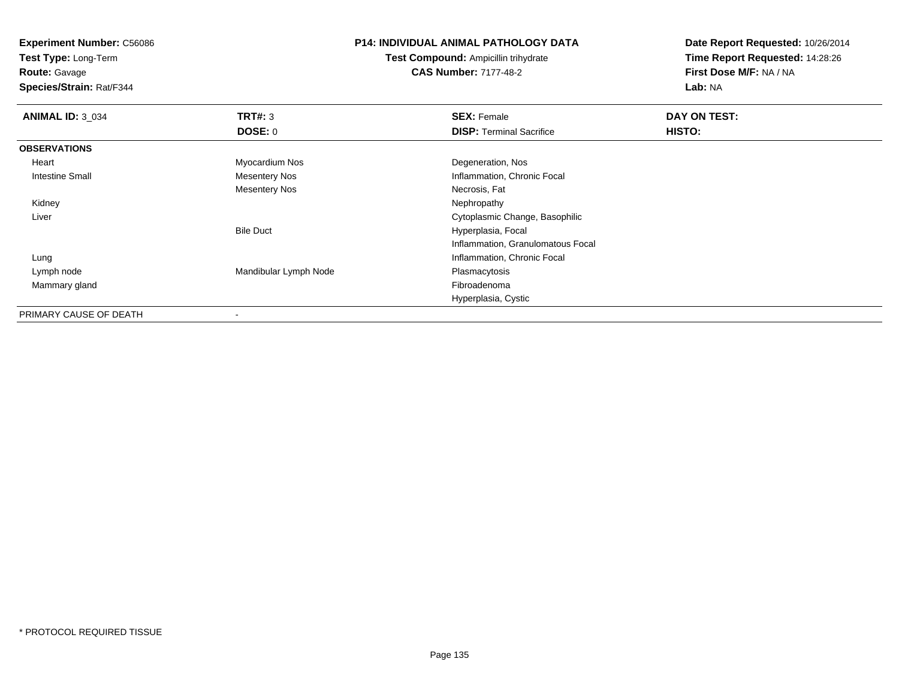**Test Type:** Long-Term

**Route:** Gavage

**Species/Strain:** Rat/F344

#### **P14: INDIVIDUAL ANIMAL PATHOLOGY DATA**

**Test Compound:** Ampicillin trihydrate**CAS Number:** 7177-48-2

| <b>ANIMAL ID: 3_034</b> | TRT#: 3               | <b>SEX: Female</b>                | DAY ON TEST: |  |
|-------------------------|-----------------------|-----------------------------------|--------------|--|
|                         | DOSE: 0               | <b>DISP: Terminal Sacrifice</b>   | HISTO:       |  |
| <b>OBSERVATIONS</b>     |                       |                                   |              |  |
| Heart                   | Myocardium Nos        | Degeneration, Nos                 |              |  |
| <b>Intestine Small</b>  | <b>Mesentery Nos</b>  | Inflammation, Chronic Focal       |              |  |
|                         | <b>Mesentery Nos</b>  | Necrosis, Fat                     |              |  |
| Kidney                  |                       | Nephropathy                       |              |  |
| Liver                   |                       | Cytoplasmic Change, Basophilic    |              |  |
|                         | <b>Bile Duct</b>      | Hyperplasia, Focal                |              |  |
|                         |                       | Inflammation, Granulomatous Focal |              |  |
| Lung                    |                       | Inflammation, Chronic Focal       |              |  |
| Lymph node              | Mandibular Lymph Node | Plasmacytosis                     |              |  |
| Mammary gland           |                       | Fibroadenoma                      |              |  |
|                         |                       | Hyperplasia, Cystic               |              |  |
| PRIMARY CAUSE OF DEATH  | $\blacksquare$        |                                   |              |  |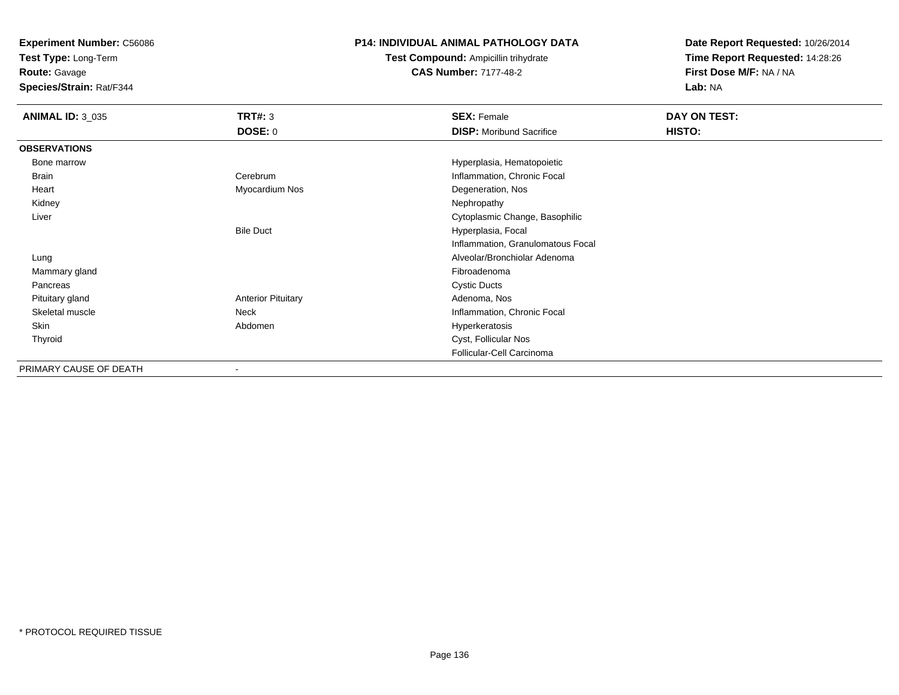**Test Type:** Long-Term

**Route:** Gavage

**Species/Strain:** Rat/F344

# **P14: INDIVIDUAL ANIMAL PATHOLOGY DATA**

**Test Compound:** Ampicillin trihydrate**CAS Number:** 7177-48-2

| <b>ANIMAL ID: 3 035</b> | TRT#: 3                   | <b>SEX: Female</b>                | DAY ON TEST: |
|-------------------------|---------------------------|-----------------------------------|--------------|
|                         | <b>DOSE: 0</b>            | <b>DISP:</b> Moribund Sacrifice   | HISTO:       |
| <b>OBSERVATIONS</b>     |                           |                                   |              |
| Bone marrow             |                           | Hyperplasia, Hematopoietic        |              |
| Brain                   | Cerebrum                  | Inflammation, Chronic Focal       |              |
| Heart                   | Myocardium Nos            | Degeneration, Nos                 |              |
| Kidney                  |                           | Nephropathy                       |              |
| Liver                   |                           | Cytoplasmic Change, Basophilic    |              |
|                         | <b>Bile Duct</b>          | Hyperplasia, Focal                |              |
|                         |                           | Inflammation, Granulomatous Focal |              |
| Lung                    |                           | Alveolar/Bronchiolar Adenoma      |              |
| Mammary gland           |                           | Fibroadenoma                      |              |
| Pancreas                |                           | <b>Cystic Ducts</b>               |              |
| Pituitary gland         | <b>Anterior Pituitary</b> | Adenoma, Nos                      |              |
| Skeletal muscle         | Neck                      | Inflammation, Chronic Focal       |              |
| Skin                    | Abdomen                   | Hyperkeratosis                    |              |
| Thyroid                 |                           | Cyst, Follicular Nos              |              |
|                         |                           | Follicular-Cell Carcinoma         |              |
| PRIMARY CAUSE OF DEATH  | -                         |                                   |              |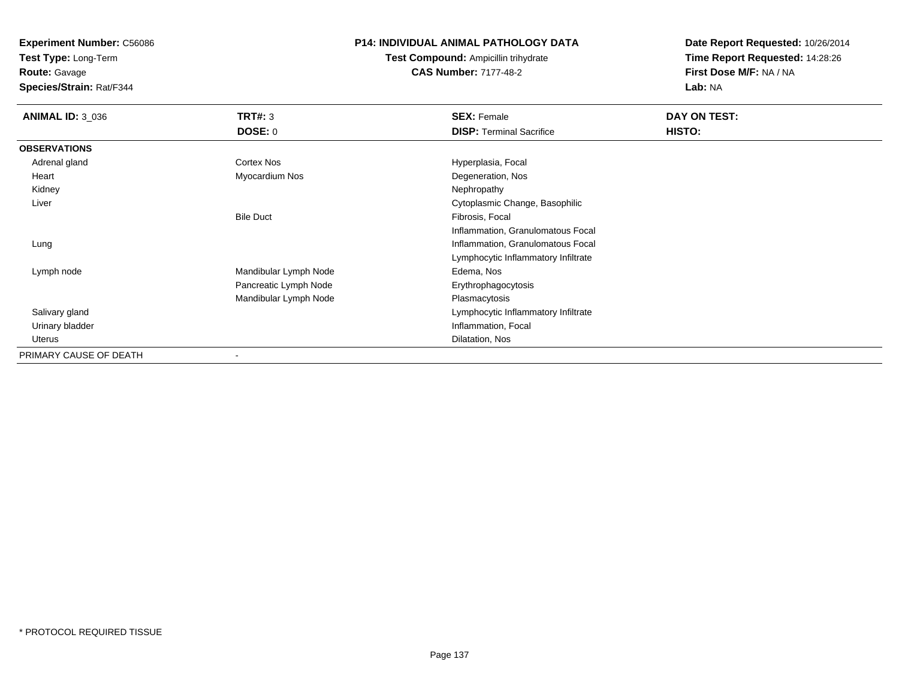**Test Type:** Long-Term

**Route:** Gavage

**Species/Strain:** Rat/F344

## **P14: INDIVIDUAL ANIMAL PATHOLOGY DATA**

**Test Compound:** Ampicillin trihydrate**CAS Number:** 7177-48-2

| <b>ANIMAL ID: 3_036</b> | <b>TRT#: 3</b>               | <b>SEX: Female</b>                  | DAY ON TEST: |  |
|-------------------------|------------------------------|-------------------------------------|--------------|--|
|                         | DOSE: 0                      | <b>DISP:</b> Terminal Sacrifice     | HISTO:       |  |
| <b>OBSERVATIONS</b>     |                              |                                     |              |  |
| Adrenal gland           | Cortex Nos                   | Hyperplasia, Focal                  |              |  |
| Heart                   | Myocardium Nos               | Degeneration, Nos                   |              |  |
| Kidney                  |                              | Nephropathy                         |              |  |
| Liver                   |                              | Cytoplasmic Change, Basophilic      |              |  |
|                         | <b>Bile Duct</b>             | Fibrosis, Focal                     |              |  |
|                         |                              | Inflammation, Granulomatous Focal   |              |  |
| Lung                    |                              | Inflammation, Granulomatous Focal   |              |  |
|                         |                              | Lymphocytic Inflammatory Infiltrate |              |  |
| Lymph node              | Mandibular Lymph Node        | Edema, Nos                          |              |  |
|                         | Pancreatic Lymph Node        | Erythrophagocytosis                 |              |  |
|                         | Mandibular Lymph Node        | Plasmacytosis                       |              |  |
| Salivary gland          |                              | Lymphocytic Inflammatory Infiltrate |              |  |
| Urinary bladder         |                              | Inflammation, Focal                 |              |  |
| Uterus                  |                              | Dilatation, Nos                     |              |  |
| PRIMARY CAUSE OF DEATH  | $\qquad \qquad \blacksquare$ |                                     |              |  |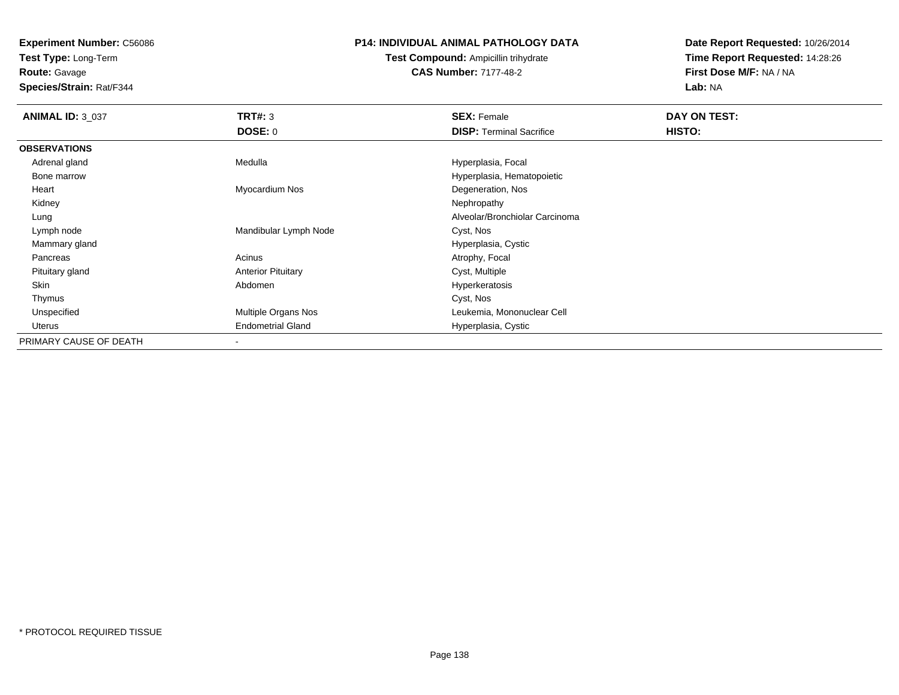**Test Type:** Long-Term

**Route:** Gavage

**Species/Strain:** Rat/F344

# **P14: INDIVIDUAL ANIMAL PATHOLOGY DATA**

**Test Compound:** Ampicillin trihydrate**CAS Number:** 7177-48-2

| <b>ANIMAL ID: 3 037</b> | <b>TRT#: 3</b>            | <b>SEX: Female</b>              | DAY ON TEST: |
|-------------------------|---------------------------|---------------------------------|--------------|
|                         | <b>DOSE: 0</b>            | <b>DISP:</b> Terminal Sacrifice | HISTO:       |
| <b>OBSERVATIONS</b>     |                           |                                 |              |
| Adrenal gland           | Medulla                   | Hyperplasia, Focal              |              |
| Bone marrow             |                           | Hyperplasia, Hematopoietic      |              |
| Heart                   | Myocardium Nos            | Degeneration, Nos               |              |
| Kidney                  |                           | Nephropathy                     |              |
| Lung                    |                           | Alveolar/Bronchiolar Carcinoma  |              |
| Lymph node              | Mandibular Lymph Node     | Cyst, Nos                       |              |
| Mammary gland           |                           | Hyperplasia, Cystic             |              |
| Pancreas                | Acinus                    | Atrophy, Focal                  |              |
| Pituitary gland         | <b>Anterior Pituitary</b> | Cyst, Multiple                  |              |
| Skin                    | Abdomen                   | Hyperkeratosis                  |              |
| Thymus                  |                           | Cyst, Nos                       |              |
| Unspecified             | Multiple Organs Nos       | Leukemia, Mononuclear Cell      |              |
| Uterus                  | <b>Endometrial Gland</b>  | Hyperplasia, Cystic             |              |
| PRIMARY CAUSE OF DEATH  |                           |                                 |              |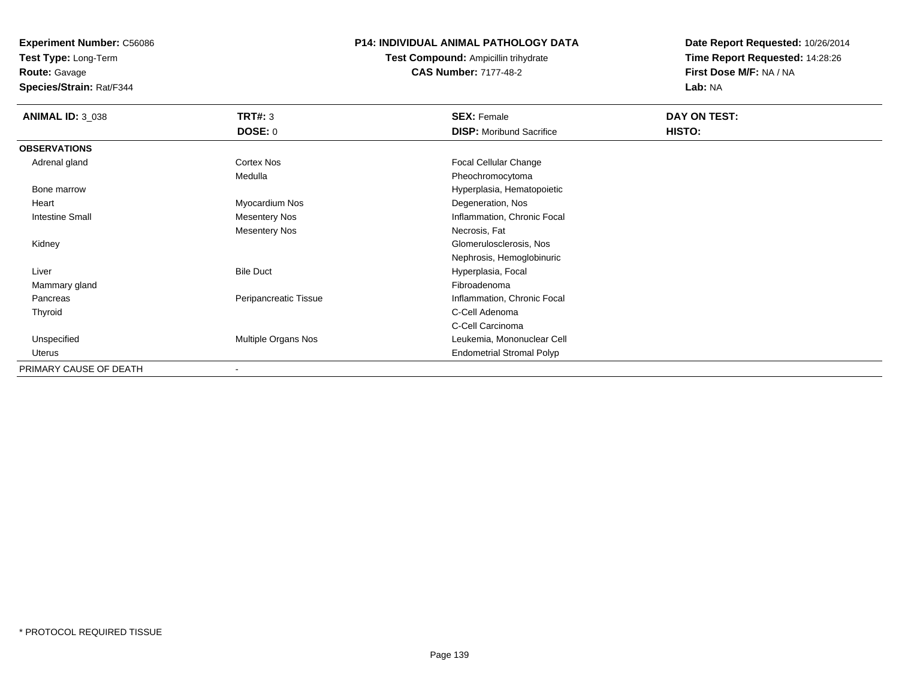**Test Type:** Long-Term

**Route:** Gavage

**Species/Strain:** Rat/F344

# **P14: INDIVIDUAL ANIMAL PATHOLOGY DATA**

**Test Compound:** Ampicillin trihydrate**CAS Number:** 7177-48-2

| <b>ANIMAL ID: 3_038</b> | TRT#: 3               | <b>SEX: Female</b>               | DAY ON TEST: |  |
|-------------------------|-----------------------|----------------------------------|--------------|--|
|                         | DOSE: 0               | <b>DISP:</b> Moribund Sacrifice  | HISTO:       |  |
| <b>OBSERVATIONS</b>     |                       |                                  |              |  |
| Adrenal gland           | Cortex Nos            | <b>Focal Cellular Change</b>     |              |  |
|                         | Medulla               | Pheochromocytoma                 |              |  |
| Bone marrow             |                       | Hyperplasia, Hematopoietic       |              |  |
| Heart                   | Myocardium Nos        | Degeneration, Nos                |              |  |
| <b>Intestine Small</b>  | Mesentery Nos         | Inflammation, Chronic Focal      |              |  |
|                         | Mesentery Nos         | Necrosis, Fat                    |              |  |
| Kidney                  |                       | Glomerulosclerosis, Nos          |              |  |
|                         |                       | Nephrosis, Hemoglobinuric        |              |  |
| Liver                   | <b>Bile Duct</b>      | Hyperplasia, Focal               |              |  |
| Mammary gland           |                       | Fibroadenoma                     |              |  |
| Pancreas                | Peripancreatic Tissue | Inflammation, Chronic Focal      |              |  |
| Thyroid                 |                       | C-Cell Adenoma                   |              |  |
|                         |                       | C-Cell Carcinoma                 |              |  |
| Unspecified             | Multiple Organs Nos   | Leukemia, Mononuclear Cell       |              |  |
| Uterus                  |                       | <b>Endometrial Stromal Polyp</b> |              |  |
| PRIMARY CAUSE OF DEATH  |                       |                                  |              |  |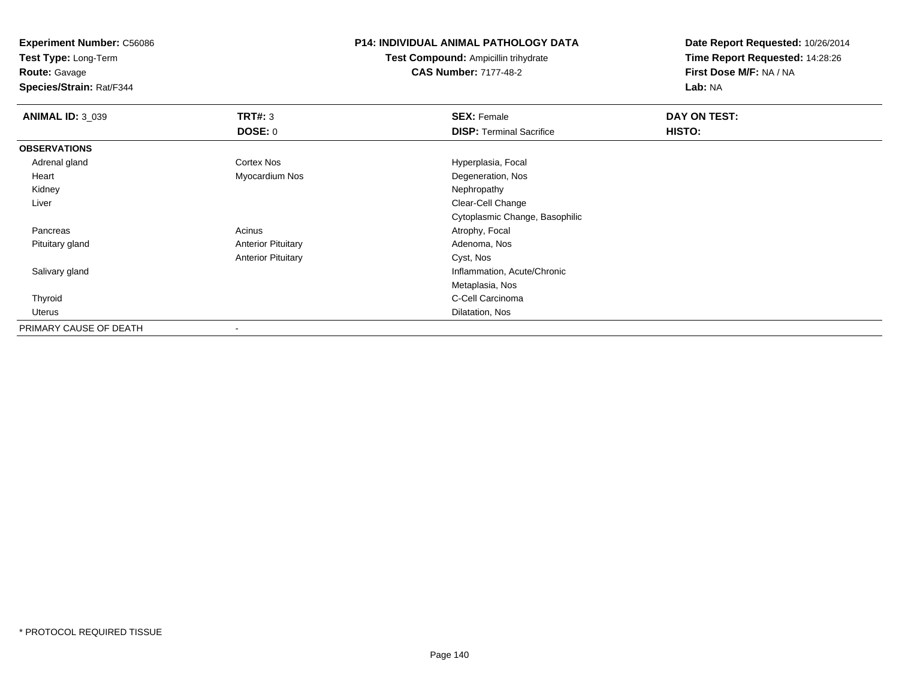**Test Type:** Long-Term

**Route:** Gavage

**Species/Strain:** Rat/F344

#### **P14: INDIVIDUAL ANIMAL PATHOLOGY DATA**

**Test Compound:** Ampicillin trihydrate**CAS Number:** 7177-48-2

| <b>ANIMAL ID: 3_039</b> | TRT#: 3                   | <b>SEX: Female</b>              | DAY ON TEST: |  |
|-------------------------|---------------------------|---------------------------------|--------------|--|
|                         | DOSE: 0                   | <b>DISP: Terminal Sacrifice</b> | HISTO:       |  |
| <b>OBSERVATIONS</b>     |                           |                                 |              |  |
| Adrenal gland           | Cortex Nos                | Hyperplasia, Focal              |              |  |
| Heart                   | Myocardium Nos            | Degeneration, Nos               |              |  |
| Kidney                  |                           | Nephropathy                     |              |  |
| Liver                   |                           | Clear-Cell Change               |              |  |
|                         |                           | Cytoplasmic Change, Basophilic  |              |  |
| Pancreas                | Acinus                    | Atrophy, Focal                  |              |  |
| Pituitary gland         | <b>Anterior Pituitary</b> | Adenoma, Nos                    |              |  |
|                         | <b>Anterior Pituitary</b> | Cyst, Nos                       |              |  |
| Salivary gland          |                           | Inflammation, Acute/Chronic     |              |  |
|                         |                           | Metaplasia, Nos                 |              |  |
| Thyroid                 |                           | C-Cell Carcinoma                |              |  |
| Uterus                  |                           | Dilatation, Nos                 |              |  |
| PRIMARY CAUSE OF DEATH  |                           |                                 |              |  |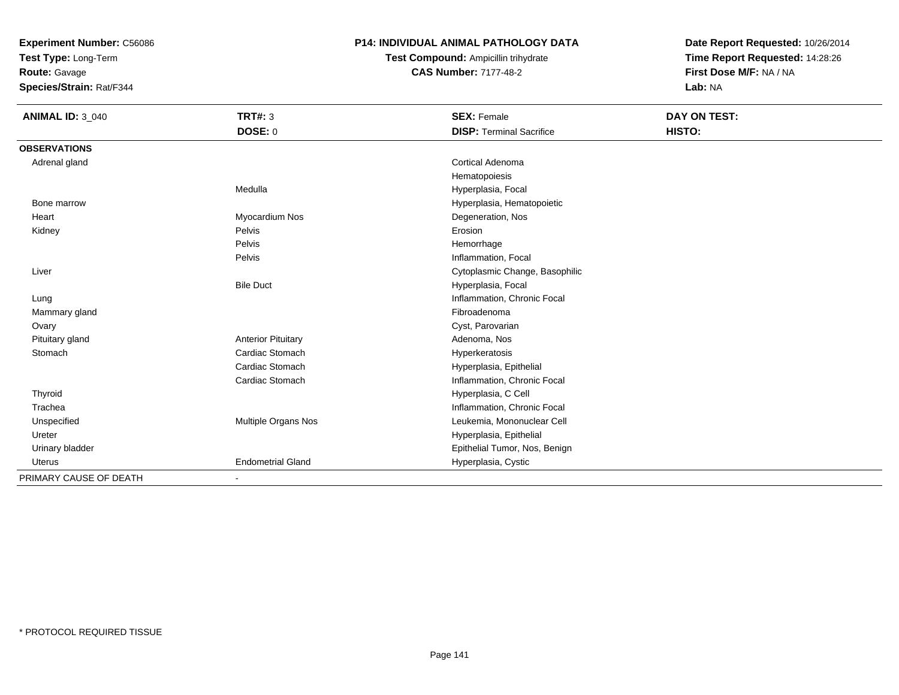**Test Type:** Long-Term

**Route:** Gavage

**Species/Strain:** Rat/F344

# **P14: INDIVIDUAL ANIMAL PATHOLOGY DATA**

**Test Compound:** Ampicillin trihydrate**CAS Number:** 7177-48-2

| <b>ANIMAL ID: 3_040</b> | <b>TRT#: 3</b>            | <b>SEX: Female</b>              | DAY ON TEST: |
|-------------------------|---------------------------|---------------------------------|--------------|
|                         | DOSE: 0                   | <b>DISP: Terminal Sacrifice</b> | HISTO:       |
| <b>OBSERVATIONS</b>     |                           |                                 |              |
| Adrenal gland           |                           | <b>Cortical Adenoma</b>         |              |
|                         |                           | Hematopoiesis                   |              |
|                         | Medulla                   | Hyperplasia, Focal              |              |
| Bone marrow             |                           | Hyperplasia, Hematopoietic      |              |
| Heart                   | Myocardium Nos            | Degeneration, Nos               |              |
| Kidney                  | Pelvis                    | Erosion                         |              |
|                         | Pelvis                    | Hemorrhage                      |              |
|                         | Pelvis                    | Inflammation, Focal             |              |
| Liver                   |                           | Cytoplasmic Change, Basophilic  |              |
|                         | <b>Bile Duct</b>          | Hyperplasia, Focal              |              |
| Lung                    |                           | Inflammation, Chronic Focal     |              |
| Mammary gland           |                           | Fibroadenoma                    |              |
| Ovary                   |                           | Cyst, Parovarian                |              |
| Pituitary gland         | <b>Anterior Pituitary</b> | Adenoma, Nos                    |              |
| Stomach                 | Cardiac Stomach           | Hyperkeratosis                  |              |
|                         | Cardiac Stomach           | Hyperplasia, Epithelial         |              |
|                         | Cardiac Stomach           | Inflammation, Chronic Focal     |              |
| Thyroid                 |                           | Hyperplasia, C Cell             |              |
| Trachea                 |                           | Inflammation, Chronic Focal     |              |
| Unspecified             | Multiple Organs Nos       | Leukemia, Mononuclear Cell      |              |
| Ureter                  |                           | Hyperplasia, Epithelial         |              |
| Urinary bladder         |                           | Epithelial Tumor, Nos, Benign   |              |
| Uterus                  | <b>Endometrial Gland</b>  | Hyperplasia, Cystic             |              |
| PRIMARY CAUSE OF DEATH  |                           |                                 |              |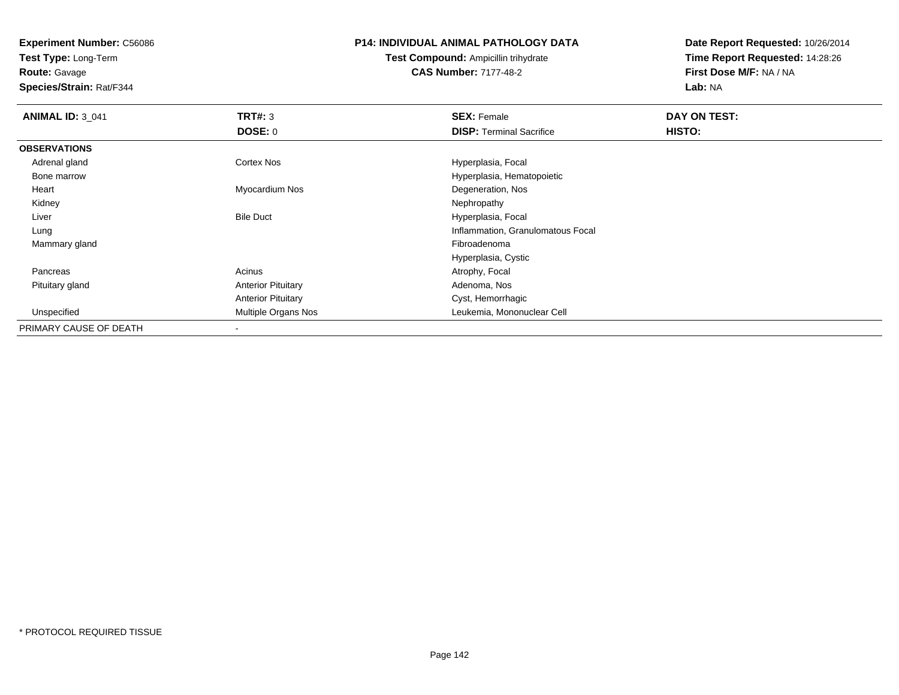**Test Type:** Long-Term**Route:** Gavage

**Species/Strain:** Rat/F344

#### **P14: INDIVIDUAL ANIMAL PATHOLOGY DATA**

**Test Compound:** Ampicillin trihydrate**CAS Number:** 7177-48-2

| <b>ANIMAL ID: 3_041</b> | TRT#: 3                   | <b>SEX: Female</b>                | DAY ON TEST: |  |
|-------------------------|---------------------------|-----------------------------------|--------------|--|
|                         | <b>DOSE: 0</b>            | <b>DISP: Terminal Sacrifice</b>   | HISTO:       |  |
| <b>OBSERVATIONS</b>     |                           |                                   |              |  |
| Adrenal gland           | Cortex Nos                | Hyperplasia, Focal                |              |  |
| Bone marrow             |                           | Hyperplasia, Hematopoietic        |              |  |
| Heart                   | Myocardium Nos            | Degeneration, Nos                 |              |  |
| Kidney                  |                           | Nephropathy                       |              |  |
| Liver                   | <b>Bile Duct</b>          | Hyperplasia, Focal                |              |  |
| Lung                    |                           | Inflammation, Granulomatous Focal |              |  |
| Mammary gland           |                           | Fibroadenoma                      |              |  |
|                         |                           | Hyperplasia, Cystic               |              |  |
| Pancreas                | Acinus                    | Atrophy, Focal                    |              |  |
| Pituitary gland         | <b>Anterior Pituitary</b> | Adenoma, Nos                      |              |  |
|                         | <b>Anterior Pituitary</b> | Cyst, Hemorrhagic                 |              |  |
| Unspecified             | Multiple Organs Nos       | Leukemia, Mononuclear Cell        |              |  |
| PRIMARY CAUSE OF DEATH  |                           |                                   |              |  |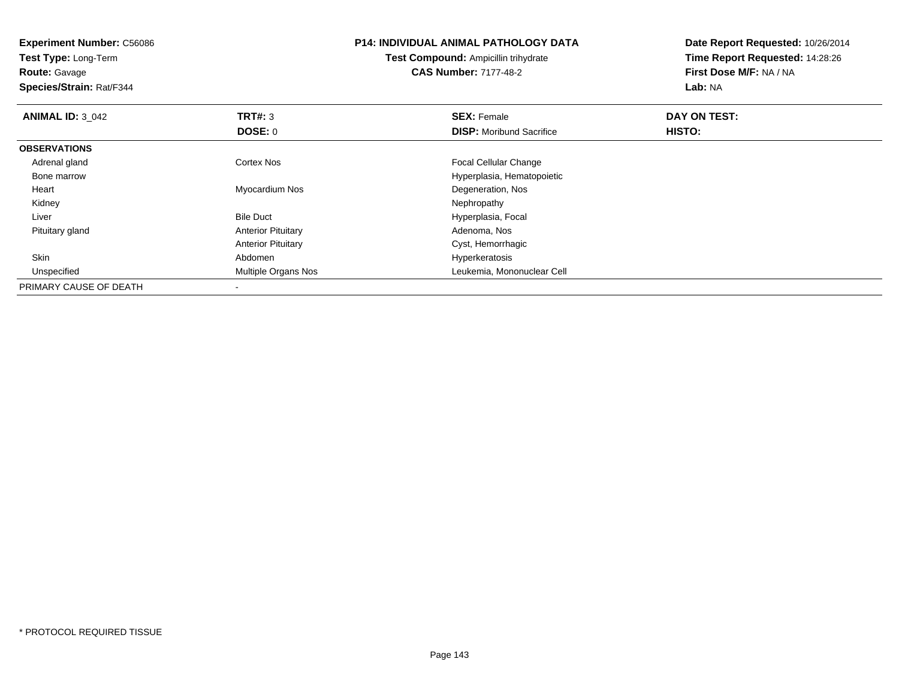| <b>Experiment Number: C56086</b><br>Test Type: Long-Term<br><b>Route: Gavage</b><br>Species/Strain: Rat/F344 |                           | <b>P14: INDIVIDUAL ANIMAL PATHOLOGY DATA</b><br><b>Test Compound: Ampicillin trihydrate</b><br><b>CAS Number: 7177-48-2</b> | Date Report Requested: 10/26/2014<br>Time Report Requested: 14:28:26<br>First Dose M/F: NA / NA<br>Lab: NA |
|--------------------------------------------------------------------------------------------------------------|---------------------------|-----------------------------------------------------------------------------------------------------------------------------|------------------------------------------------------------------------------------------------------------|
| <b>ANIMAL ID: 3_042</b>                                                                                      | TRT#: 3                   | <b>SEX: Female</b>                                                                                                          | DAY ON TEST:                                                                                               |
|                                                                                                              | <b>DOSE: 0</b>            | <b>DISP:</b> Moribund Sacrifice                                                                                             | HISTO:                                                                                                     |
| <b>OBSERVATIONS</b>                                                                                          |                           |                                                                                                                             |                                                                                                            |
| Adrenal gland                                                                                                | Cortex Nos                | Focal Cellular Change                                                                                                       |                                                                                                            |
| Bone marrow                                                                                                  |                           | Hyperplasia, Hematopoietic                                                                                                  |                                                                                                            |
| Heart                                                                                                        | Myocardium Nos            | Degeneration, Nos                                                                                                           |                                                                                                            |
| Kidney                                                                                                       |                           | Nephropathy                                                                                                                 |                                                                                                            |
| Liver                                                                                                        | <b>Bile Duct</b>          | Hyperplasia, Focal                                                                                                          |                                                                                                            |
| Pituitary gland                                                                                              | <b>Anterior Pituitary</b> | Adenoma, Nos                                                                                                                |                                                                                                            |
|                                                                                                              | <b>Anterior Pituitary</b> | Cyst, Hemorrhagic                                                                                                           |                                                                                                            |
| Skin                                                                                                         | Abdomen                   | Hyperkeratosis                                                                                                              |                                                                                                            |
| Unspecified                                                                                                  | Multiple Organs Nos       | Leukemia, Mononuclear Cell                                                                                                  |                                                                                                            |
| PRIMARY CAUSE OF DEATH                                                                                       |                           |                                                                                                                             |                                                                                                            |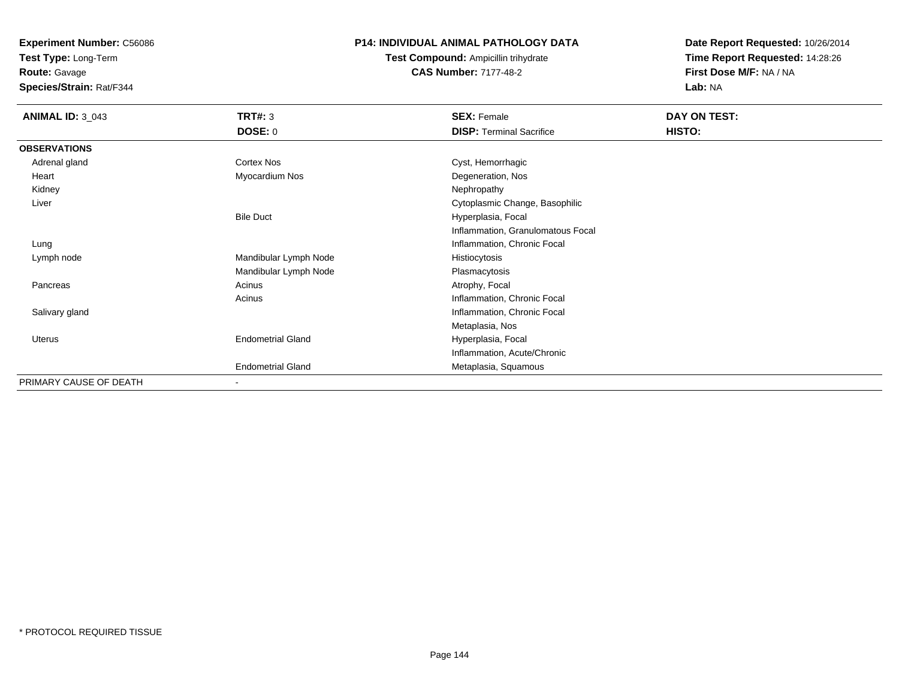**Test Type:** Long-Term

**Route:** Gavage

**Species/Strain:** Rat/F344

# **P14: INDIVIDUAL ANIMAL PATHOLOGY DATA**

**Test Compound:** Ampicillin trihydrate**CAS Number:** 7177-48-2

| <b>ANIMAL ID: 3_043</b> | <b>TRT#: 3</b>           | <b>SEX: Female</b>                | DAY ON TEST: |
|-------------------------|--------------------------|-----------------------------------|--------------|
|                         | <b>DOSE: 0</b>           | <b>DISP: Terminal Sacrifice</b>   | HISTO:       |
| <b>OBSERVATIONS</b>     |                          |                                   |              |
| Adrenal gland           | Cortex Nos               | Cyst, Hemorrhagic                 |              |
| Heart                   | Myocardium Nos           | Degeneration, Nos                 |              |
| Kidney                  |                          | Nephropathy                       |              |
| Liver                   |                          | Cytoplasmic Change, Basophilic    |              |
|                         | <b>Bile Duct</b>         | Hyperplasia, Focal                |              |
|                         |                          | Inflammation, Granulomatous Focal |              |
| Lung                    |                          | Inflammation, Chronic Focal       |              |
| Lymph node              | Mandibular Lymph Node    | Histiocytosis                     |              |
|                         | Mandibular Lymph Node    | Plasmacytosis                     |              |
| Pancreas                | Acinus                   | Atrophy, Focal                    |              |
|                         | Acinus                   | Inflammation, Chronic Focal       |              |
| Salivary gland          |                          | Inflammation, Chronic Focal       |              |
|                         |                          | Metaplasia, Nos                   |              |
| Uterus                  | <b>Endometrial Gland</b> | Hyperplasia, Focal                |              |
|                         |                          | Inflammation, Acute/Chronic       |              |
|                         | <b>Endometrial Gland</b> | Metaplasia, Squamous              |              |
| PRIMARY CAUSE OF DEATH  | $\overline{\phantom{0}}$ |                                   |              |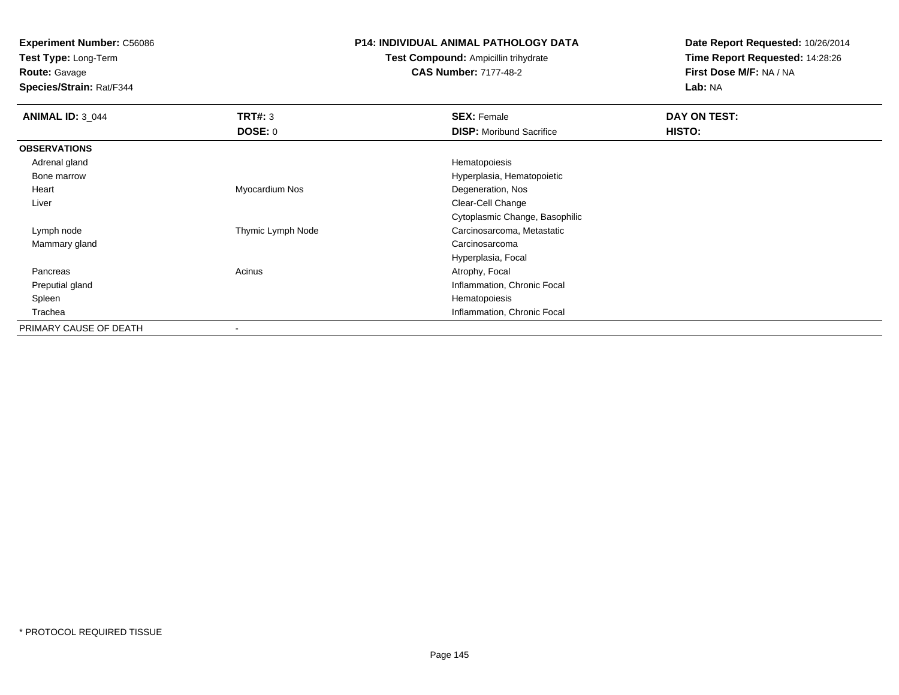**Test Type:** Long-Term

**Route:** Gavage

**Species/Strain:** Rat/F344

## **P14: INDIVIDUAL ANIMAL PATHOLOGY DATA**

# **Test Compound:** Ampicillin trihydrate**CAS Number:** 7177-48-2

| <b>ANIMAL ID: 3 044</b> | TRT#: 3                  | <b>SEX: Female</b>              | DAY ON TEST: |  |
|-------------------------|--------------------------|---------------------------------|--------------|--|
|                         | <b>DOSE: 0</b>           | <b>DISP:</b> Moribund Sacrifice | HISTO:       |  |
| <b>OBSERVATIONS</b>     |                          |                                 |              |  |
| Adrenal gland           |                          | Hematopoiesis                   |              |  |
| Bone marrow             |                          | Hyperplasia, Hematopoietic      |              |  |
| Heart                   | Myocardium Nos           | Degeneration, Nos               |              |  |
| Liver                   |                          | Clear-Cell Change               |              |  |
|                         |                          | Cytoplasmic Change, Basophilic  |              |  |
| Lymph node              | Thymic Lymph Node        | Carcinosarcoma, Metastatic      |              |  |
| Mammary gland           |                          | Carcinosarcoma                  |              |  |
|                         |                          | Hyperplasia, Focal              |              |  |
| Pancreas                | Acinus                   | Atrophy, Focal                  |              |  |
| Preputial gland         |                          | Inflammation, Chronic Focal     |              |  |
| Spleen                  |                          | Hematopoiesis                   |              |  |
| Trachea                 |                          | Inflammation, Chronic Focal     |              |  |
| PRIMARY CAUSE OF DEATH  | $\overline{\phantom{a}}$ |                                 |              |  |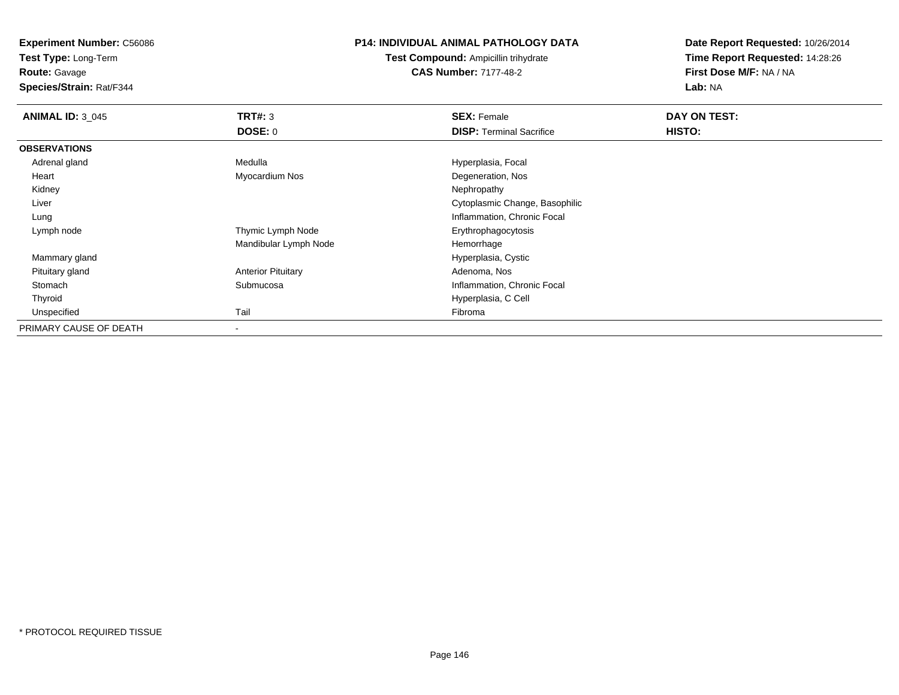**Test Type:** Long-Term

**Route:** Gavage

**Species/Strain:** Rat/F344

#### **P14: INDIVIDUAL ANIMAL PATHOLOGY DATA**

**Test Compound:** Ampicillin trihydrate**CAS Number:** 7177-48-2

| <b>ANIMAL ID: 3 045</b> | TRT#: 3                   | <b>SEX: Female</b>              | DAY ON TEST: |  |
|-------------------------|---------------------------|---------------------------------|--------------|--|
|                         | DOSE: 0                   | <b>DISP: Terminal Sacrifice</b> | HISTO:       |  |
| <b>OBSERVATIONS</b>     |                           |                                 |              |  |
| Adrenal gland           | Medulla                   | Hyperplasia, Focal              |              |  |
| Heart                   | Myocardium Nos            | Degeneration, Nos               |              |  |
| Kidney                  |                           | Nephropathy                     |              |  |
| Liver                   |                           | Cytoplasmic Change, Basophilic  |              |  |
| Lung                    |                           | Inflammation, Chronic Focal     |              |  |
| Lymph node              | Thymic Lymph Node         | Erythrophagocytosis             |              |  |
|                         | Mandibular Lymph Node     | Hemorrhage                      |              |  |
| Mammary gland           |                           | Hyperplasia, Cystic             |              |  |
| Pituitary gland         | <b>Anterior Pituitary</b> | Adenoma, Nos                    |              |  |
| Stomach                 | Submucosa                 | Inflammation, Chronic Focal     |              |  |
| Thyroid                 |                           | Hyperplasia, C Cell             |              |  |
| Unspecified             | Tail                      | Fibroma                         |              |  |
| PRIMARY CAUSE OF DEATH  |                           |                                 |              |  |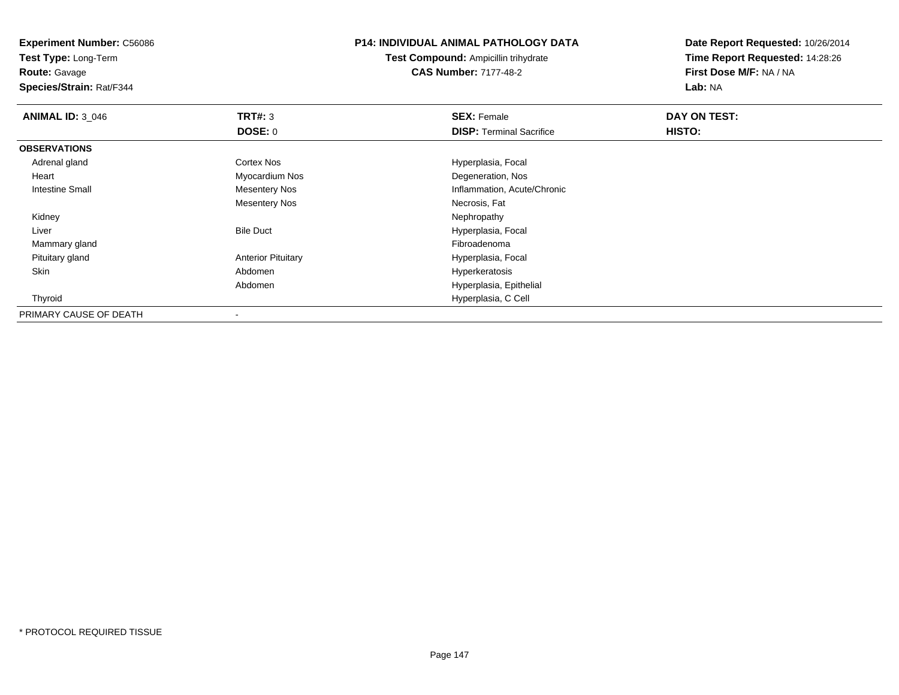**Test Type:** Long-Term

**Route:** Gavage

**Species/Strain:** Rat/F344

#### **P14: INDIVIDUAL ANIMAL PATHOLOGY DATA**

**Test Compound:** Ampicillin trihydrate**CAS Number:** 7177-48-2

| <b>ANIMAL ID: 3_046</b> | TRT#: 3                   | <b>SEX: Female</b>              | DAY ON TEST: |  |
|-------------------------|---------------------------|---------------------------------|--------------|--|
|                         | <b>DOSE: 0</b>            | <b>DISP: Terminal Sacrifice</b> | HISTO:       |  |
| <b>OBSERVATIONS</b>     |                           |                                 |              |  |
| Adrenal gland           | Cortex Nos                | Hyperplasia, Focal              |              |  |
| Heart                   | Myocardium Nos            | Degeneration, Nos               |              |  |
| <b>Intestine Small</b>  | <b>Mesentery Nos</b>      | Inflammation, Acute/Chronic     |              |  |
|                         | <b>Mesentery Nos</b>      | Necrosis, Fat                   |              |  |
| Kidney                  |                           | Nephropathy                     |              |  |
| Liver                   | <b>Bile Duct</b>          | Hyperplasia, Focal              |              |  |
| Mammary gland           |                           | Fibroadenoma                    |              |  |
| Pituitary gland         | <b>Anterior Pituitary</b> | Hyperplasia, Focal              |              |  |
| Skin                    | Abdomen                   | Hyperkeratosis                  |              |  |
|                         | Abdomen                   | Hyperplasia, Epithelial         |              |  |
| Thyroid                 |                           | Hyperplasia, C Cell             |              |  |
| PRIMARY CAUSE OF DEATH  | $\,$                      |                                 |              |  |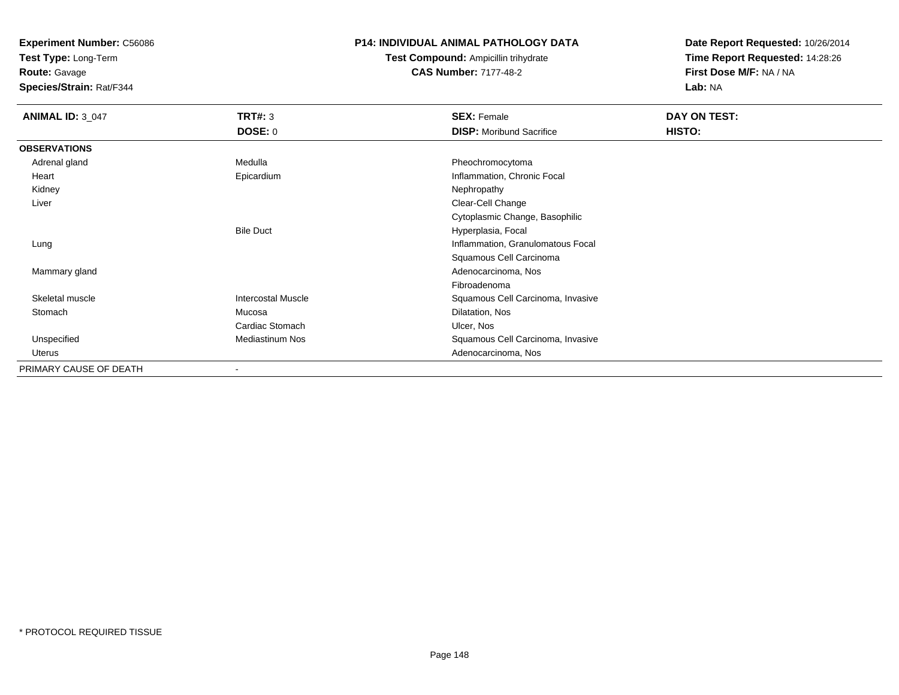**Test Type:** Long-Term

**Route:** Gavage

**Species/Strain:** Rat/F344

# **P14: INDIVIDUAL ANIMAL PATHOLOGY DATA**

**Test Compound:** Ampicillin trihydrate**CAS Number:** 7177-48-2

| <b>ANIMAL ID: 3_047</b> | <b>TRT#: 3</b>            | <b>SEX: Female</b>                | DAY ON TEST:  |  |
|-------------------------|---------------------------|-----------------------------------|---------------|--|
|                         | DOSE: 0                   | <b>DISP:</b> Moribund Sacrifice   | <b>HISTO:</b> |  |
| <b>OBSERVATIONS</b>     |                           |                                   |               |  |
| Adrenal gland           | Medulla                   | Pheochromocytoma                  |               |  |
| Heart                   | Epicardium                | Inflammation, Chronic Focal       |               |  |
| Kidney                  |                           | Nephropathy                       |               |  |
| Liver                   |                           | Clear-Cell Change                 |               |  |
|                         |                           | Cytoplasmic Change, Basophilic    |               |  |
|                         | <b>Bile Duct</b>          | Hyperplasia, Focal                |               |  |
| Lung                    |                           | Inflammation, Granulomatous Focal |               |  |
|                         |                           | Squamous Cell Carcinoma           |               |  |
| Mammary gland           |                           | Adenocarcinoma, Nos               |               |  |
|                         |                           | Fibroadenoma                      |               |  |
| Skeletal muscle         | <b>Intercostal Muscle</b> | Squamous Cell Carcinoma, Invasive |               |  |
| Stomach                 | Mucosa                    | Dilatation, Nos                   |               |  |
|                         | Cardiac Stomach           | Ulcer, Nos                        |               |  |
| Unspecified             | <b>Mediastinum Nos</b>    | Squamous Cell Carcinoma, Invasive |               |  |
| Uterus                  |                           | Adenocarcinoma, Nos               |               |  |
| PRIMARY CAUSE OF DEATH  | $\blacksquare$            |                                   |               |  |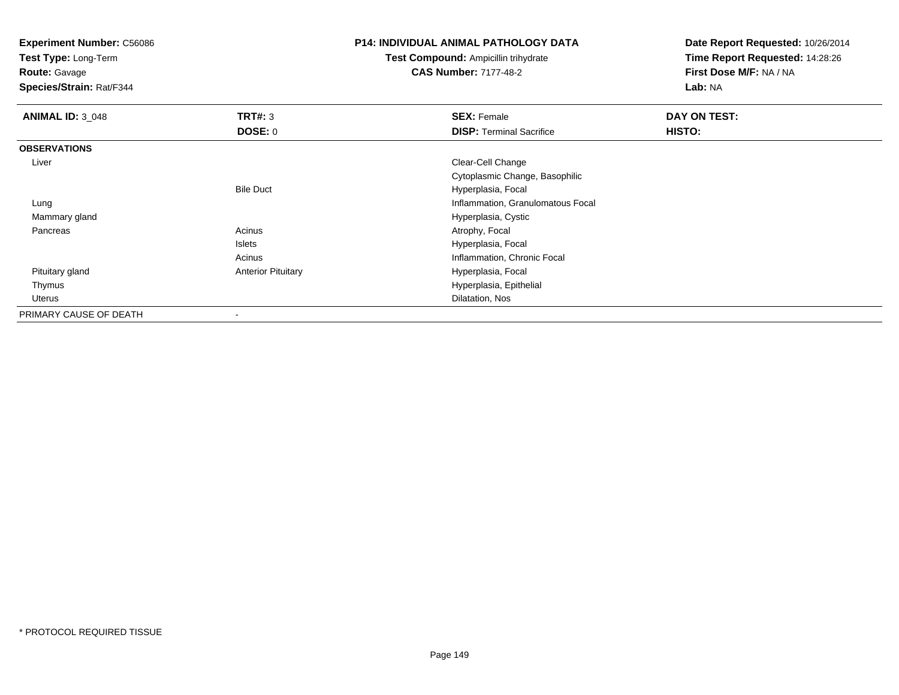**Test Type:** Long-Term

**Route:** Gavage

**Species/Strain:** Rat/F344

#### **P14: INDIVIDUAL ANIMAL PATHOLOGY DATA**

**Test Compound:** Ampicillin trihydrate**CAS Number:** 7177-48-2

| <b>ANIMAL ID: 3_048</b> | TRT#: 3                   | <b>SEX: Female</b>                | <b>DAY ON TEST:</b> |  |
|-------------------------|---------------------------|-----------------------------------|---------------------|--|
|                         | <b>DOSE: 0</b>            | <b>DISP:</b> Terminal Sacrifice   | HISTO:              |  |
| <b>OBSERVATIONS</b>     |                           |                                   |                     |  |
| Liver                   |                           | Clear-Cell Change                 |                     |  |
|                         |                           | Cytoplasmic Change, Basophilic    |                     |  |
|                         | <b>Bile Duct</b>          | Hyperplasia, Focal                |                     |  |
| Lung                    |                           | Inflammation, Granulomatous Focal |                     |  |
| Mammary gland           |                           | Hyperplasia, Cystic               |                     |  |
| Pancreas                | Acinus                    | Atrophy, Focal                    |                     |  |
|                         | Islets                    | Hyperplasia, Focal                |                     |  |
|                         | Acinus                    | Inflammation, Chronic Focal       |                     |  |
| Pituitary gland         | <b>Anterior Pituitary</b> | Hyperplasia, Focal                |                     |  |
| Thymus                  |                           | Hyperplasia, Epithelial           |                     |  |
| Uterus                  |                           | Dilatation, Nos                   |                     |  |
| PRIMARY CAUSE OF DEATH  | ۰                         |                                   |                     |  |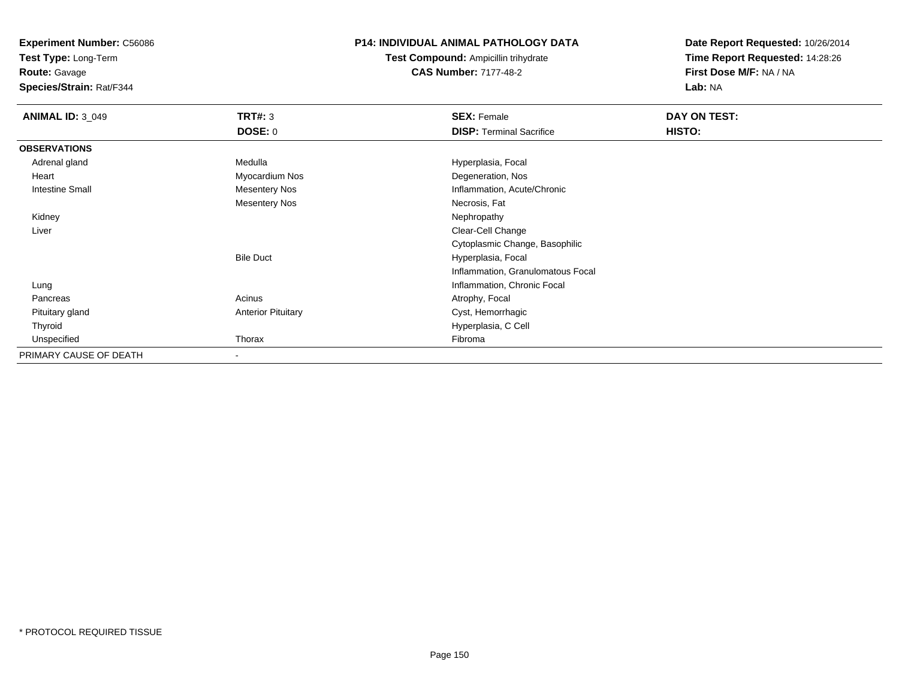**Test Type:** Long-Term

**Route:** Gavage

**Species/Strain:** Rat/F344

## **P14: INDIVIDUAL ANIMAL PATHOLOGY DATA**

**Test Compound:** Ampicillin trihydrate**CAS Number:** 7177-48-2

| <b>ANIMAL ID: 3 049</b> | <b>TRT#: 3</b>            | <b>SEX: Female</b>                | DAY ON TEST: |  |
|-------------------------|---------------------------|-----------------------------------|--------------|--|
|                         | <b>DOSE: 0</b>            | <b>DISP: Terminal Sacrifice</b>   | HISTO:       |  |
| <b>OBSERVATIONS</b>     |                           |                                   |              |  |
| Adrenal gland           | Medulla                   | Hyperplasia, Focal                |              |  |
| Heart                   | Myocardium Nos            | Degeneration, Nos                 |              |  |
| <b>Intestine Small</b>  | <b>Mesentery Nos</b>      | Inflammation, Acute/Chronic       |              |  |
|                         | <b>Mesentery Nos</b>      | Necrosis, Fat                     |              |  |
| Kidney                  |                           | Nephropathy                       |              |  |
| Liver                   |                           | Clear-Cell Change                 |              |  |
|                         |                           | Cytoplasmic Change, Basophilic    |              |  |
|                         | <b>Bile Duct</b>          | Hyperplasia, Focal                |              |  |
|                         |                           | Inflammation, Granulomatous Focal |              |  |
| Lung                    |                           | Inflammation, Chronic Focal       |              |  |
| Pancreas                | Acinus                    | Atrophy, Focal                    |              |  |
| Pituitary gland         | <b>Anterior Pituitary</b> | Cyst, Hemorrhagic                 |              |  |
| Thyroid                 |                           | Hyperplasia, C Cell               |              |  |
| Unspecified             | Thorax                    | Fibroma                           |              |  |
| PRIMARY CAUSE OF DEATH  | $\overline{\phantom{a}}$  |                                   |              |  |